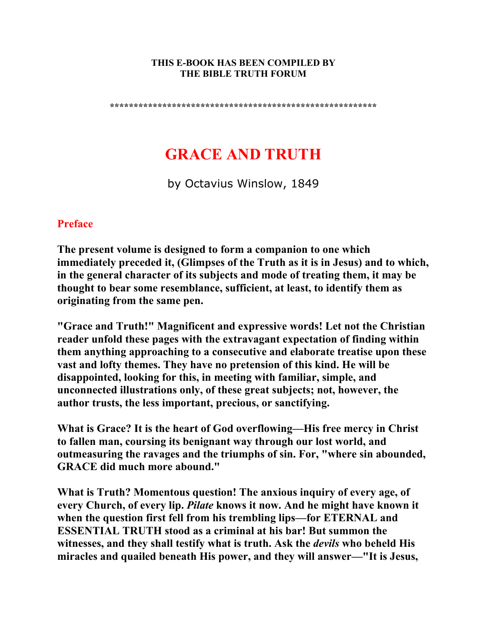#### **THIS E-BOOK HAS BEEN COMPILED BY THE BIBLE TRUTH FORUM**

**\*\*\*\*\*\*\*\*\*\*\*\*\*\*\*\*\*\*\*\*\*\*\*\*\*\*\*\*\*\*\*\*\*\*\*\*\*\*\*\*\*\*\*\*\*\*\*\*\*\*\*\*\*\*\*\*** 

# **GRACE AND TRUTH**

by Octavius Winslow, 1849

## **Preface**

**The present volume is designed to form a companion to one which immediately preceded it, (Glimpses of the Truth as it is in Jesus) and to which, in the general character of its subjects and mode of treating them, it may be thought to bear some resemblance, sufficient, at least, to identify them as originating from the same pen.** 

**"Grace and Truth!" Magnificent and expressive words! Let not the Christian reader unfold these pages with the extravagant expectation of finding within them anything approaching to a consecutive and elaborate treatise upon these vast and lofty themes. They have no pretension of this kind. He will be disappointed, looking for this, in meeting with familiar, simple, and unconnected illustrations only, of these great subjects; not, however, the author trusts, the less important, precious, or sanctifying.** 

**What is Grace? It is the heart of God overflowing—His free mercy in Christ to fallen man, coursing its benignant way through our lost world, and outmeasuring the ravages and the triumphs of sin. For, "where sin abounded, GRACE did much more abound."** 

**What is Truth? Momentous question! The anxious inquiry of every age, of every Church, of every lip.** *Pilate* **knows it now. And he might have known it when the question first fell from his trembling lips—for ETERNAL and ESSENTIAL TRUTH stood as a criminal at his bar! But summon the witnesses, and they shall testify what is truth. Ask the** *devils* **who beheld His miracles and quailed beneath His power, and they will answer—"It is Jesus,**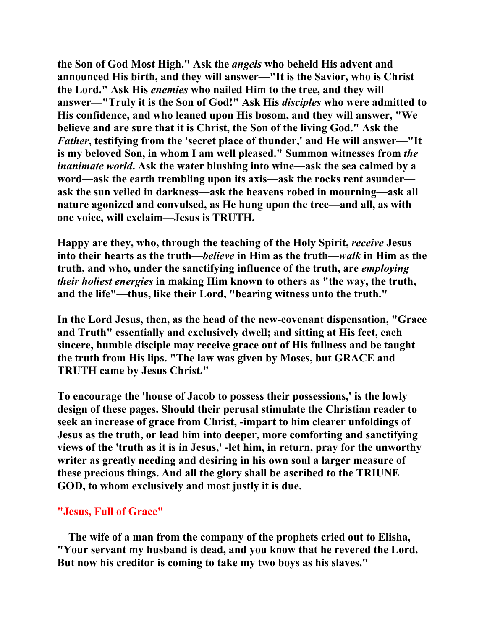**the Son of God Most High." Ask the** *angels* **who beheld His advent and announced His birth, and they will answer—"It is the Savior, who is Christ the Lord." Ask His** *enemies* **who nailed Him to the tree, and they will answer—"Truly it is the Son of God!" Ask His** *disciples* **who were admitted to His confidence, and who leaned upon His bosom, and they will answer, "We believe and are sure that it is Christ, the Son of the living God." Ask the**  *Father***, testifying from the 'secret place of thunder,' and He will answer—"It is my beloved Son, in whom I am well pleased." Summon witnesses from** *the inanimate world***. Ask the water blushing into wine—ask the sea calmed by a word—ask the earth trembling upon its axis—ask the rocks rent asunder ask the sun veiled in darkness—ask the heavens robed in mourning—ask all nature agonized and convulsed, as He hung upon the tree—and all, as with one voice, will exclaim—Jesus is TRUTH.** 

**Happy are they, who, through the teaching of the Holy Spirit,** *receive* **Jesus into their hearts as the truth—***believe* **in Him as the truth—***walk* **in Him as the truth, and who, under the sanctifying influence of the truth, are** *employing their holiest energies* **in making Him known to others as "the way, the truth, and the life"—thus, like their Lord, "bearing witness unto the truth."** 

**In the Lord Jesus, then, as the head of the new-covenant dispensation, "Grace and Truth" essentially and exclusively dwell; and sitting at His feet, each sincere, humble disciple may receive grace out of His fullness and be taught the truth from His lips. "The law was given by Moses, but GRACE and TRUTH came by Jesus Christ."** 

**To encourage the 'house of Jacob to possess their possessions,' is the lowly design of these pages. Should their perusal stimulate the Christian reader to seek an increase of grace from Christ, -impart to him clearer unfoldings of Jesus as the truth, or lead him into deeper, more comforting and sanctifying views of the 'truth as it is in Jesus,' -let him, in return, pray for the unworthy writer as greatly needing and desiring in his own soul a larger measure of these precious things. And all the glory shall be ascribed to the TRIUNE GOD, to whom exclusively and most justly it is due.** 

#### **"Jesus, Full of Grace"**

 **The wife of a man from the company of the prophets cried out to Elisha, "Your servant my husband is dead, and you know that he revered the Lord. But now his creditor is coming to take my two boys as his slaves."**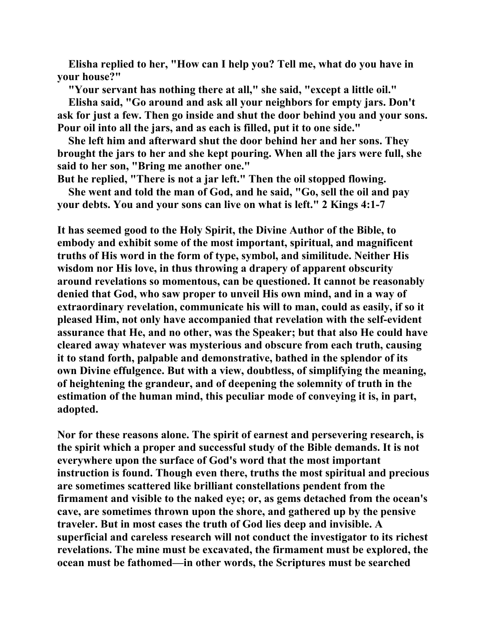**Elisha replied to her, "How can I help you? Tell me, what do you have in your house?"** 

 **"Your servant has nothing there at all," she said, "except a little oil."** 

 **Elisha said, "Go around and ask all your neighbors for empty jars. Don't ask for just a few. Then go inside and shut the door behind you and your sons. Pour oil into all the jars, and as each is filled, put it to one side."** 

 **She left him and afterward shut the door behind her and her sons. They brought the jars to her and she kept pouring. When all the jars were full, she said to her son, "Bring me another one."** 

**But he replied, "There is not a jar left." Then the oil stopped flowing.** 

 **She went and told the man of God, and he said, "Go, sell the oil and pay your debts. You and your sons can live on what is left." 2 Kings 4:1-7** 

**It has seemed good to the Holy Spirit, the Divine Author of the Bible, to embody and exhibit some of the most important, spiritual, and magnificent truths of His word in the form of type, symbol, and similitude. Neither His wisdom nor His love, in thus throwing a drapery of apparent obscurity around revelations so momentous, can be questioned. It cannot be reasonably denied that God, who saw proper to unveil His own mind, and in a way of extraordinary revelation, communicate his will to man, could as easily, if so it pleased Him, not only have accompanied that revelation with the self-evident assurance that He, and no other, was the Speaker; but that also He could have cleared away whatever was mysterious and obscure from each truth, causing it to stand forth, palpable and demonstrative, bathed in the splendor of its own Divine effulgence. But with a view, doubtless, of simplifying the meaning, of heightening the grandeur, and of deepening the solemnity of truth in the estimation of the human mind, this peculiar mode of conveying it is, in part, adopted.** 

**Nor for these reasons alone. The spirit of earnest and persevering research, is the spirit which a proper and successful study of the Bible demands. It is not everywhere upon the surface of God's word that the most important instruction is found. Though even there, truths the most spiritual and precious are sometimes scattered like brilliant constellations pendent from the firmament and visible to the naked eye; or, as gems detached from the ocean's cave, are sometimes thrown upon the shore, and gathered up by the pensive traveler. But in most cases the truth of God lies deep and invisible. A superficial and careless research will not conduct the investigator to its richest revelations. The mine must be excavated, the firmament must be explored, the ocean must be fathomed—in other words, the Scriptures must be searched**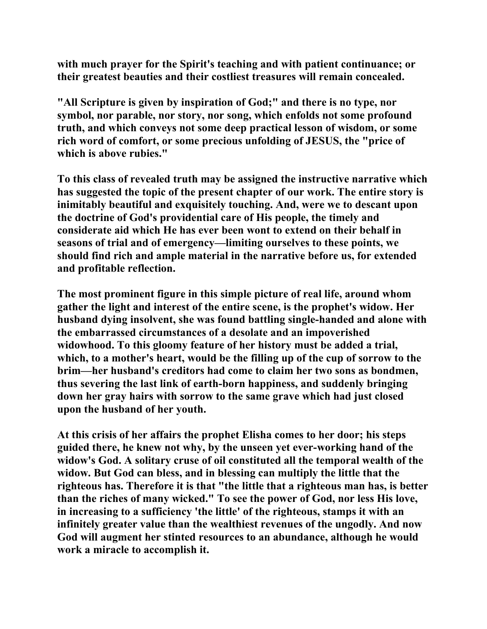**with much prayer for the Spirit's teaching and with patient continuance; or their greatest beauties and their costliest treasures will remain concealed.** 

**"All Scripture is given by inspiration of God;" and there is no type, nor symbol, nor parable, nor story, nor song, which enfolds not some profound truth, and which conveys not some deep practical lesson of wisdom, or some rich word of comfort, or some precious unfolding of JESUS, the "price of which is above rubies."** 

**To this class of revealed truth may be assigned the instructive narrative which has suggested the topic of the present chapter of our work. The entire story is inimitably beautiful and exquisitely touching. And, were we to descant upon the doctrine of God's providential care of His people, the timely and considerate aid which He has ever been wont to extend on their behalf in seasons of trial and of emergency—limiting ourselves to these points, we should find rich and ample material in the narrative before us, for extended and profitable reflection.** 

**The most prominent figure in this simple picture of real life, around whom gather the light and interest of the entire scene, is the prophet's widow. Her husband dying insolvent, she was found battling single-handed and alone with the embarrassed circumstances of a desolate and an impoverished widowhood. To this gloomy feature of her history must be added a trial, which, to a mother's heart, would be the filling up of the cup of sorrow to the brim—her husband's creditors had come to claim her two sons as bondmen, thus severing the last link of earth-born happiness, and suddenly bringing down her gray hairs with sorrow to the same grave which had just closed upon the husband of her youth.** 

**At this crisis of her affairs the prophet Elisha comes to her door; his steps guided there, he knew not why, by the unseen yet ever-working hand of the widow's God. A solitary cruse of oil constituted all the temporal wealth of the widow. But God can bless, and in blessing can multiply the little that the righteous has. Therefore it is that "the little that a righteous man has, is better than the riches of many wicked." To see the power of God, nor less His love, in increasing to a sufficiency 'the little' of the righteous, stamps it with an infinitely greater value than the wealthiest revenues of the ungodly. And now God will augment her stinted resources to an abundance, although he would work a miracle to accomplish it.**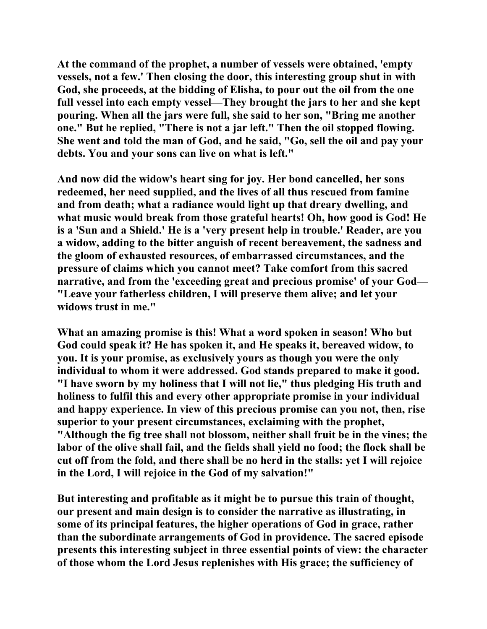**At the command of the prophet, a number of vessels were obtained, 'empty vessels, not a few.' Then closing the door, this interesting group shut in with God, she proceeds, at the bidding of Elisha, to pour out the oil from the one full vessel into each empty vessel—They brought the jars to her and she kept pouring. When all the jars were full, she said to her son, "Bring me another one." But he replied, "There is not a jar left." Then the oil stopped flowing. She went and told the man of God, and he said, "Go, sell the oil and pay your debts. You and your sons can live on what is left."** 

**And now did the widow's heart sing for joy. Her bond cancelled, her sons redeemed, her need supplied, and the lives of all thus rescued from famine and from death; what a radiance would light up that dreary dwelling, and what music would break from those grateful hearts! Oh, how good is God! He is a 'Sun and a Shield.' He is a 'very present help in trouble.' Reader, are you a widow, adding to the bitter anguish of recent bereavement, the sadness and the gloom of exhausted resources, of embarrassed circumstances, and the pressure of claims which you cannot meet? Take comfort from this sacred narrative, and from the 'exceeding great and precious promise' of your God— "Leave your fatherless children, I will preserve them alive; and let your widows trust in me."** 

**What an amazing promise is this! What a word spoken in season! Who but God could speak it? He has spoken it, and He speaks it, bereaved widow, to you. It is your promise, as exclusively yours as though you were the only individual to whom it were addressed. God stands prepared to make it good. "I have sworn by my holiness that I will not lie," thus pledging His truth and holiness to fulfil this and every other appropriate promise in your individual and happy experience. In view of this precious promise can you not, then, rise superior to your present circumstances, exclaiming with the prophet, "Although the fig tree shall not blossom, neither shall fruit be in the vines; the labor of the olive shall fail, and the fields shall yield no food; the flock shall be cut off from the fold, and there shall be no herd in the stalls: yet I will rejoice in the Lord, I will rejoice in the God of my salvation!"** 

**But interesting and profitable as it might be to pursue this train of thought, our present and main design is to consider the narrative as illustrating, in some of its principal features, the higher operations of God in grace, rather than the subordinate arrangements of God in providence. The sacred episode presents this interesting subject in three essential points of view: the character of those whom the Lord Jesus replenishes with His grace; the sufficiency of**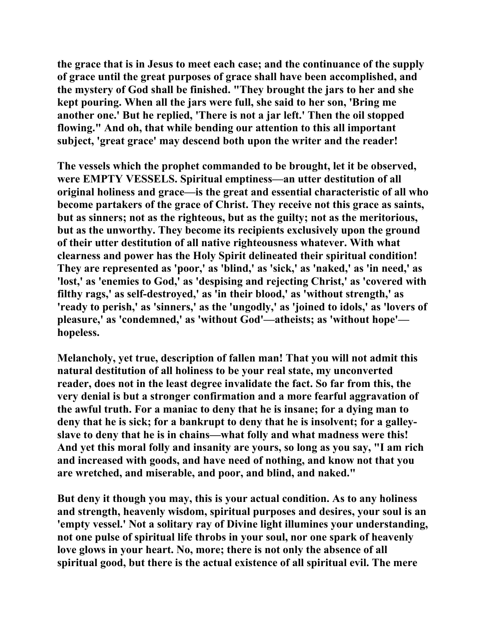**the grace that is in Jesus to meet each case; and the continuance of the supply of grace until the great purposes of grace shall have been accomplished, and the mystery of God shall be finished. "They brought the jars to her and she kept pouring. When all the jars were full, she said to her son, 'Bring me another one.' But he replied, 'There is not a jar left.' Then the oil stopped flowing." And oh, that while bending our attention to this all important subject, 'great grace' may descend both upon the writer and the reader!** 

**The vessels which the prophet commanded to be brought, let it be observed, were EMPTY VESSELS. Spiritual emptiness—an utter destitution of all original holiness and grace—is the great and essential characteristic of all who become partakers of the grace of Christ. They receive not this grace as saints, but as sinners; not as the righteous, but as the guilty; not as the meritorious, but as the unworthy. They become its recipients exclusively upon the ground of their utter destitution of all native righteousness whatever. With what clearness and power has the Holy Spirit delineated their spiritual condition! They are represented as 'poor,' as 'blind,' as 'sick,' as 'naked,' as 'in need,' as 'lost,' as 'enemies to God,' as 'despising and rejecting Christ,' as 'covered with filthy rags,' as self-destroyed,' as 'in their blood,' as 'without strength,' as 'ready to perish,' as 'sinners,' as the 'ungodly,' as 'joined to idols,' as 'lovers of pleasure,' as 'condemned,' as 'without God'—atheists; as 'without hope' hopeless.** 

**Melancholy, yet true, description of fallen man! That you will not admit this natural destitution of all holiness to be your real state, my unconverted reader, does not in the least degree invalidate the fact. So far from this, the very denial is but a stronger confirmation and a more fearful aggravation of the awful truth. For a maniac to deny that he is insane; for a dying man to deny that he is sick; for a bankrupt to deny that he is insolvent; for a galleyslave to deny that he is in chains—what folly and what madness were this! And yet this moral folly and insanity are yours, so long as you say, "I am rich and increased with goods, and have need of nothing, and know not that you are wretched, and miserable, and poor, and blind, and naked."** 

**But deny it though you may, this is your actual condition. As to any holiness and strength, heavenly wisdom, spiritual purposes and desires, your soul is an 'empty vessel.' Not a solitary ray of Divine light illumines your understanding, not one pulse of spiritual life throbs in your soul, nor one spark of heavenly love glows in your heart. No, more; there is not only the absence of all spiritual good, but there is the actual existence of all spiritual evil. The mere**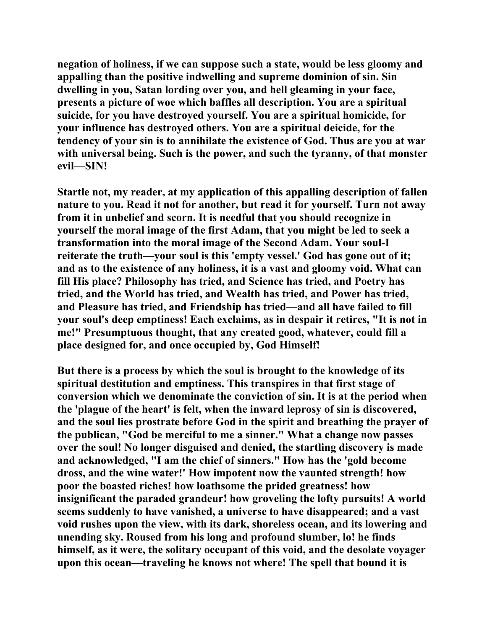**negation of holiness, if we can suppose such a state, would be less gloomy and appalling than the positive indwelling and supreme dominion of sin. Sin dwelling in you, Satan lording over you, and hell gleaming in your face, presents a picture of woe which baffles all description. You are a spiritual suicide, for you have destroyed yourself. You are a spiritual homicide, for your influence has destroyed others. You are a spiritual deicide, for the tendency of your sin is to annihilate the existence of God. Thus are you at war with universal being. Such is the power, and such the tyranny, of that monster evil—SIN!** 

**Startle not, my reader, at my application of this appalling description of fallen nature to you. Read it not for another, but read it for yourself. Turn not away from it in unbelief and scorn. It is needful that you should recognize in yourself the moral image of the first Adam, that you might be led to seek a transformation into the moral image of the Second Adam. Your soul-I reiterate the truth—your soul is this 'empty vessel.' God has gone out of it; and as to the existence of any holiness, it is a vast and gloomy void. What can fill His place? Philosophy has tried, and Science has tried, and Poetry has tried, and the World has tried, and Wealth has tried, and Power has tried, and Pleasure has tried, and Friendship has tried—and all have failed to fill your soul's deep emptiness! Each exclaims, as in despair it retires, "It is not in me!" Presumptuous thought, that any created good, whatever, could fill a place designed for, and once occupied by, God Himself!** 

**But there is a process by which the soul is brought to the knowledge of its spiritual destitution and emptiness. This transpires in that first stage of conversion which we denominate the conviction of sin. It is at the period when the 'plague of the heart' is felt, when the inward leprosy of sin is discovered, and the soul lies prostrate before God in the spirit and breathing the prayer of the publican, "God be merciful to me a sinner." What a change now passes over the soul! No longer disguised and denied, the startling discovery is made and acknowledged, "I am the chief of sinners." How has the 'gold become dross, and the wine water!' How impotent now the vaunted strength! how poor the boasted riches! how loathsome the prided greatness! how insignificant the paraded grandeur! how groveling the lofty pursuits! A world seems suddenly to have vanished, a universe to have disappeared; and a vast void rushes upon the view, with its dark, shoreless ocean, and its lowering and unending sky. Roused from his long and profound slumber, lo! he finds himself, as it were, the solitary occupant of this void, and the desolate voyager upon this ocean—traveling he knows not where! The spell that bound it is**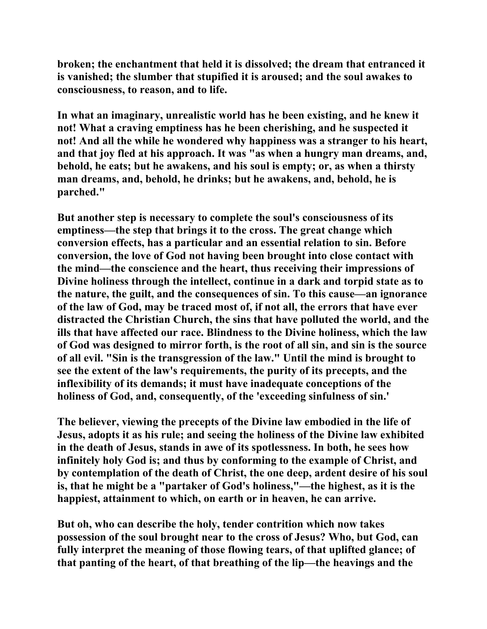**broken; the enchantment that held it is dissolved; the dream that entranced it is vanished; the slumber that stupified it is aroused; and the soul awakes to consciousness, to reason, and to life.** 

**In what an imaginary, unrealistic world has he been existing, and he knew it not! What a craving emptiness has he been cherishing, and he suspected it not! And all the while he wondered why happiness was a stranger to his heart, and that joy fled at his approach. It was "as when a hungry man dreams, and, behold, he eats; but he awakens, and his soul is empty; or, as when a thirsty man dreams, and, behold, he drinks; but he awakens, and, behold, he is parched."** 

**But another step is necessary to complete the soul's consciousness of its emptiness—the step that brings it to the cross. The great change which conversion effects, has a particular and an essential relation to sin. Before conversion, the love of God not having been brought into close contact with the mind—the conscience and the heart, thus receiving their impressions of Divine holiness through the intellect, continue in a dark and torpid state as to the nature, the guilt, and the consequences of sin. To this cause—an ignorance of the law of God, may be traced most of, if not all, the errors that have ever distracted the Christian Church, the sins that have polluted the world, and the ills that have affected our race. Blindness to the Divine holiness, which the law of God was designed to mirror forth, is the root of all sin, and sin is the source of all evil. "Sin is the transgression of the law." Until the mind is brought to see the extent of the law's requirements, the purity of its precepts, and the inflexibility of its demands; it must have inadequate conceptions of the holiness of God, and, consequently, of the 'exceeding sinfulness of sin.'** 

**The believer, viewing the precepts of the Divine law embodied in the life of Jesus, adopts it as his rule; and seeing the holiness of the Divine law exhibited in the death of Jesus, stands in awe of its spotlessness. In both, he sees how infinitely holy God is; and thus by conforming to the example of Christ, and by contemplation of the death of Christ, the one deep, ardent desire of his soul is, that he might be a "partaker of God's holiness,"—the highest, as it is the happiest, attainment to which, on earth or in heaven, he can arrive.** 

**But oh, who can describe the holy, tender contrition which now takes possession of the soul brought near to the cross of Jesus? Who, but God, can fully interpret the meaning of those flowing tears, of that uplifted glance; of that panting of the heart, of that breathing of the lip—the heavings and the**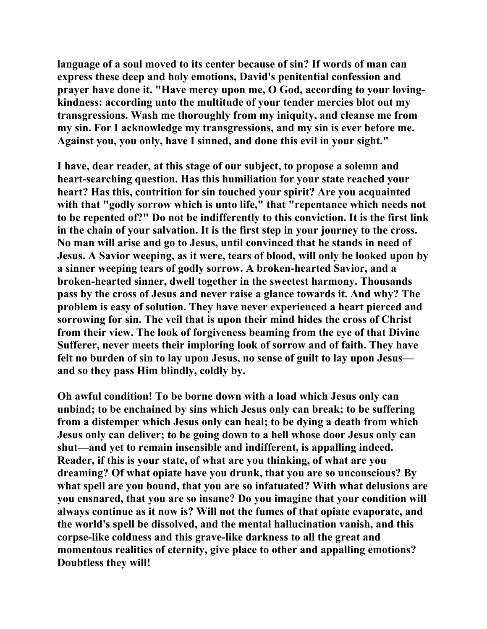**language of a soul moved to its center because of sin? If words of man can express these deep and holy emotions, David's penitential confession and prayer have done it. "Have mercy upon me, O God, according to your lovingkindness: according unto the multitude of your tender mercies blot out my transgressions. Wash me thoroughly from my iniquity, and cleanse me from my sin. For I acknowledge my transgressions, and my sin is ever before me. Against you, you only, have I sinned, and done this evil in your sight."** 

**I have, dear reader, at this stage of our subject, to propose a solemn and heart-searching question. Has this humiliation for your state reached your heart? Has this, contrition for sin touched your spirit? Are you acquainted with that "godly sorrow which is unto life," that "repentance which needs not to be repented of?" Do not be indifferently to this conviction. It is the first link in the chain of your salvation. It is the first step in your journey to the cross. No man will arise and go to Jesus, until convinced that he stands in need of Jesus. A Savior weeping, as it were, tears of blood, will only be looked upon by a sinner weeping tears of godly sorrow. A broken-hearted Savior, and a broken-hearted sinner, dwell together in the sweetest harmony. Thousands pass by the cross of Jesus and never raise a glance towards it. And why? The problem is easy of solution. They have never experienced a heart pierced and sorrowing for sin. The veil that is upon their mind hides the cross of Christ from their view. The look of forgiveness beaming from the eye of that Divine Sufferer, never meets their imploring look of sorrow and of faith. They have felt no burden of sin to lay upon Jesus, no sense of guilt to lay upon Jesus and so they pass Him blindly, coldly by.** 

**Oh awful condition! To be borne down with a load which Jesus only can unbind; to be enchained by sins which Jesus only can break; to be suffering from a distemper which Jesus only can heal; to be dying a death from which Jesus only can deliver; to be going down to a hell whose door Jesus only can shut—and yet to remain insensible and indifferent, is appalling indeed. Reader, if this is your state, of what are you thinking, of what are you dreaming? Of what opiate have you drunk, that you are so unconscious? By what spell are you bound, that you are so infatuated? With what delusions are you ensnared, that you are so insane? Do you imagine that your condition will always continue as it now is? Will not the fumes of that opiate evaporate, and the world's spell be dissolved, and the mental hallucination vanish, and this corpse-like coldness and this grave-like darkness to all the great and momentous realities of eternity, give place to other and appalling emotions? Doubtless they will!**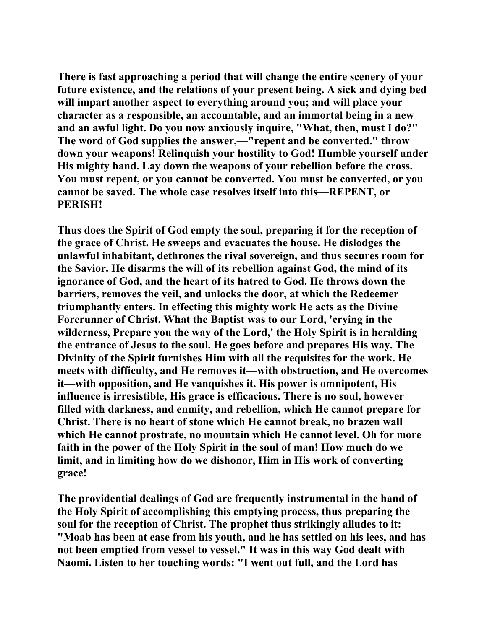**There is fast approaching a period that will change the entire scenery of your future existence, and the relations of your present being. A sick and dying bed will impart another aspect to everything around you; and will place your character as a responsible, an accountable, and an immortal being in a new and an awful light. Do you now anxiously inquire, "What, then, must I do?" The word of God supplies the answer,—"repent and be converted." throw down your weapons! Relinquish your hostility to God! Humble yourself under His mighty hand. Lay down the weapons of your rebellion before the cross. You must repent, or you cannot be converted. You must be converted, or you cannot be saved. The whole case resolves itself into this—REPENT, or PERISH!** 

**Thus does the Spirit of God empty the soul, preparing it for the reception of the grace of Christ. He sweeps and evacuates the house. He dislodges the unlawful inhabitant, dethrones the rival sovereign, and thus secures room for the Savior. He disarms the will of its rebellion against God, the mind of its ignorance of God, and the heart of its hatred to God. He throws down the barriers, removes the veil, and unlocks the door, at which the Redeemer triumphantly enters. In effecting this mighty work He acts as the Divine Forerunner of Christ. What the Baptist was to our Lord, 'crying in the wilderness, Prepare you the way of the Lord,' the Holy Spirit is in heralding the entrance of Jesus to the soul. He goes before and prepares His way. The Divinity of the Spirit furnishes Him with all the requisites for the work. He meets with difficulty, and He removes it—with obstruction, and He overcomes it—with opposition, and He vanquishes it. His power is omnipotent, His influence is irresistible, His grace is efficacious. There is no soul, however filled with darkness, and enmity, and rebellion, which He cannot prepare for Christ. There is no heart of stone which He cannot break, no brazen wall which He cannot prostrate, no mountain which He cannot level. Oh for more faith in the power of the Holy Spirit in the soul of man! How much do we limit, and in limiting how do we dishonor, Him in His work of converting grace!** 

**The providential dealings of God are frequently instrumental in the hand of the Holy Spirit of accomplishing this emptying process, thus preparing the soul for the reception of Christ. The prophet thus strikingly alludes to it: "Moab has been at ease from his youth, and he has settled on his lees, and has not been emptied from vessel to vessel." It was in this way God dealt with Naomi. Listen to her touching words: "I went out full, and the Lord has**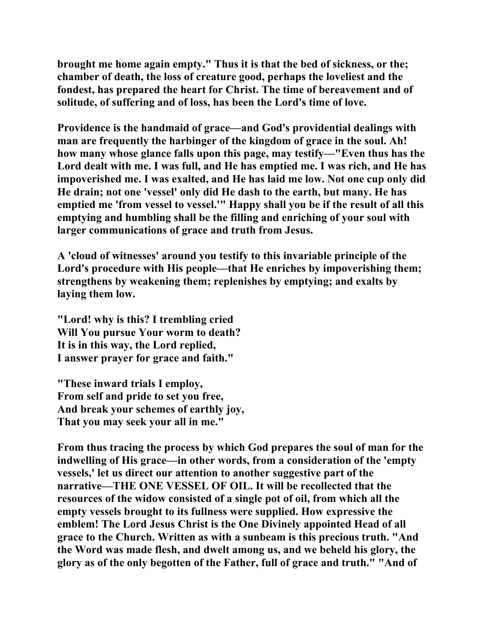**brought me home again empty." Thus it is that the bed of sickness, or the; chamber of death, the loss of creature good, perhaps the loveliest and the fondest, has prepared the heart for Christ. The time of bereavement and of solitude, of suffering and of loss, has been the Lord's time of love.** 

**Providence is the handmaid of grace—and God's providential dealings with man are frequently the harbinger of the kingdom of grace in the soul. Ah! how many whose glance falls upon this page, may testify—"Even thus has the Lord dealt with me. I was full, and He has emptied me. I was rich, and He has impoverished me. I was exalted, and He has laid me low. Not one cup only did He drain; not one 'vessel' only did He dash to the earth, but many. He has emptied me 'from vessel to vessel.'" Happy shall you be if the result of all this emptying and humbling shall be the filling and enriching of your soul with larger communications of grace and truth from Jesus.** 

**A 'cloud of witnesses' around you testify to this invariable principle of the Lord's procedure with His people—that He enriches by impoverishing them; strengthens by weakening them; replenishes by emptying; and exalts by laying them low.** 

**"Lord! why is this? I trembling cried Will You pursue Your worm to death? It is in this way, the Lord replied, I answer prayer for grace and faith."** 

**"These inward trials I employ, From self and pride to set you free, And break your schemes of earthly joy, That you may seek your all in me."** 

**From thus tracing the process by which God prepares the soul of man for the indwelling of His grace—in other words, from a consideration of the 'empty vessels,' let us direct our attention to another suggestive part of the narrative—THE ONE VESSEL OF OIL. It will be recollected that the resources of the widow consisted of a single pot of oil, from which all the empty vessels brought to its fullness were supplied. How expressive the emblem! The Lord Jesus Christ is the One Divinely appointed Head of all grace to the Church. Written as with a sunbeam is this precious truth. "And the Word was made flesh, and dwelt among us, and we beheld his glory, the glory as of the only begotten of the Father, full of grace and truth." "And of**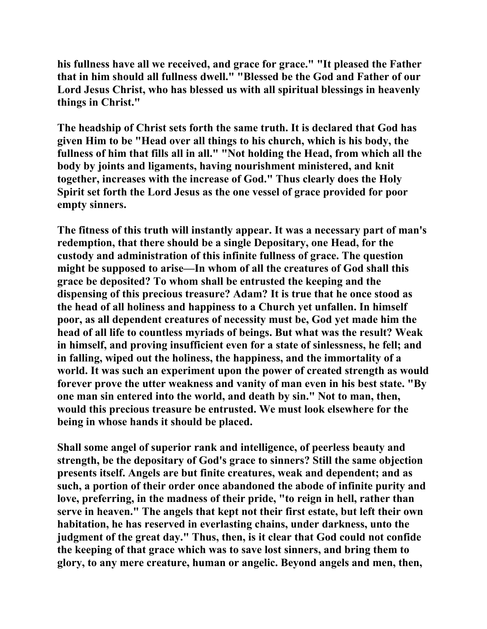**his fullness have all we received, and grace for grace." "It pleased the Father that in him should all fullness dwell." "Blessed be the God and Father of our Lord Jesus Christ, who has blessed us with all spiritual blessings in heavenly things in Christ."** 

**The headship of Christ sets forth the same truth. It is declared that God has given Him to be "Head over all things to his church, which is his body, the fullness of him that fills all in all." "Not holding the Head, from which all the body by joints and ligaments, having nourishment ministered, and knit together, increases with the increase of God." Thus clearly does the Holy Spirit set forth the Lord Jesus as the one vessel of grace provided for poor empty sinners.** 

**The fitness of this truth will instantly appear. It was a necessary part of man's redemption, that there should be a single Depositary, one Head, for the custody and administration of this infinite fullness of grace. The question might be supposed to arise—In whom of all the creatures of God shall this grace be deposited? To whom shall be entrusted the keeping and the dispensing of this precious treasure? Adam? It is true that he once stood as the head of all holiness and happiness to a Church yet unfallen. In himself poor, as all dependent creatures of necessity must be, God yet made him the head of all life to countless myriads of beings. But what was the result? Weak in himself, and proving insufficient even for a state of sinlessness, he fell; and in falling, wiped out the holiness, the happiness, and the immortality of a world. It was such an experiment upon the power of created strength as would forever prove the utter weakness and vanity of man even in his best state. "By one man sin entered into the world, and death by sin." Not to man, then, would this precious treasure be entrusted. We must look elsewhere for the being in whose hands it should be placed.** 

**Shall some angel of superior rank and intelligence, of peerless beauty and strength, be the depositary of God's grace to sinners? Still the same objection presents itself. Angels are but finite creatures, weak and dependent; and as such, a portion of their order once abandoned the abode of infinite purity and love, preferring, in the madness of their pride, "to reign in hell, rather than serve in heaven." The angels that kept not their first estate, but left their own habitation, he has reserved in everlasting chains, under darkness, unto the judgment of the great day." Thus, then, is it clear that God could not confide the keeping of that grace which was to save lost sinners, and bring them to glory, to any mere creature, human or angelic. Beyond angels and men, then,**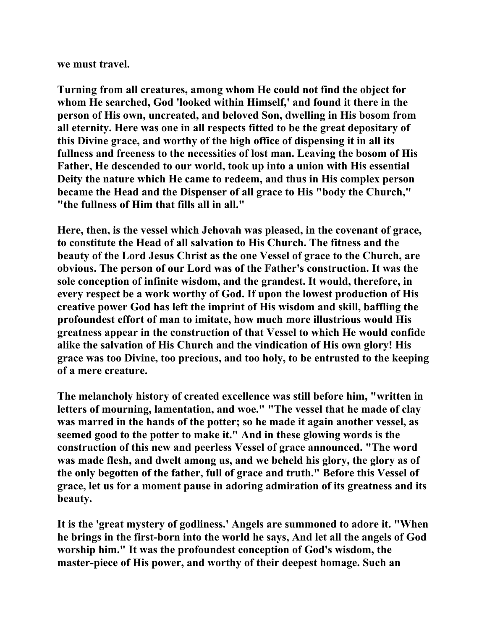**we must travel.** 

**Turning from all creatures, among whom He could not find the object for whom He searched, God 'looked within Himself,' and found it there in the person of His own, uncreated, and beloved Son, dwelling in His bosom from all eternity. Here was one in all respects fitted to be the great depositary of this Divine grace, and worthy of the high office of dispensing it in all its fullness and freeness to the necessities of lost man. Leaving the bosom of His Father, He descended to our world, took up into a union with His essential Deity the nature which He came to redeem, and thus in His complex person became the Head and the Dispenser of all grace to His "body the Church," "the fullness of Him that fills all in all."** 

**Here, then, is the vessel which Jehovah was pleased, in the covenant of grace, to constitute the Head of all salvation to His Church. The fitness and the beauty of the Lord Jesus Christ as the one Vessel of grace to the Church, are obvious. The person of our Lord was of the Father's construction. It was the sole conception of infinite wisdom, and the grandest. It would, therefore, in every respect be a work worthy of God. If upon the lowest production of His creative power God has left the imprint of His wisdom and skill, baffling the profoundest effort of man to imitate, how much more illustrious would His greatness appear in the construction of that Vessel to which He would confide alike the salvation of His Church and the vindication of His own glory! His grace was too Divine, too precious, and too holy, to be entrusted to the keeping of a mere creature.** 

**The melancholy history of created excellence was still before him, "written in letters of mourning, lamentation, and woe." "The vessel that he made of clay was marred in the hands of the potter; so he made it again another vessel, as seemed good to the potter to make it." And in these glowing words is the construction of this new and peerless Vessel of grace announced. "The word was made flesh, and dwelt among us, and we beheld his glory, the glory as of the only begotten of the father, full of grace and truth." Before this Vessel of grace, let us for a moment pause in adoring admiration of its greatness and its beauty.** 

**It is the 'great mystery of godliness.' Angels are summoned to adore it. "When he brings in the first-born into the world he says, And let all the angels of God worship him." It was the profoundest conception of God's wisdom, the master-piece of His power, and worthy of their deepest homage. Such an**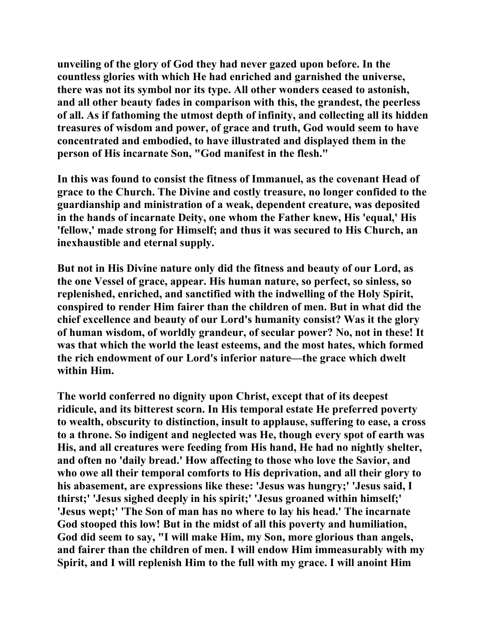**unveiling of the glory of God they had never gazed upon before. In the countless glories with which He had enriched and garnished the universe, there was not its symbol nor its type. All other wonders ceased to astonish, and all other beauty fades in comparison with this, the grandest, the peerless of all. As if fathoming the utmost depth of infinity, and collecting all its hidden treasures of wisdom and power, of grace and truth, God would seem to have concentrated and embodied, to have illustrated and displayed them in the person of His incarnate Son, "God manifest in the flesh."** 

**In this was found to consist the fitness of Immanuel, as the covenant Head of grace to the Church. The Divine and costly treasure, no longer confided to the guardianship and ministration of a weak, dependent creature, was deposited in the hands of incarnate Deity, one whom the Father knew, His 'equal,' His 'fellow,' made strong for Himself; and thus it was secured to His Church, an inexhaustible and eternal supply.** 

**But not in His Divine nature only did the fitness and beauty of our Lord, as the one Vessel of grace, appear. His human nature, so perfect, so sinless, so replenished, enriched, and sanctified with the indwelling of the Holy Spirit, conspired to render Him fairer than the children of men. But in what did the chief excellence and beauty of our Lord's humanity consist? Was it the glory of human wisdom, of worldly grandeur, of secular power? No, not in these! It was that which the world the least esteems, and the most hates, which formed the rich endowment of our Lord's inferior nature—the grace which dwelt within Him.** 

**The world conferred no dignity upon Christ, except that of its deepest ridicule, and its bitterest scorn. In His temporal estate He preferred poverty to wealth, obscurity to distinction, insult to applause, suffering to ease, a cross to a throne. So indigent and neglected was He, though every spot of earth was His, and all creatures were feeding from His hand, He had no nightly shelter, and often no 'daily bread.' How affecting to those who love the Savior, and who owe all their temporal comforts to His deprivation, and all their glory to his abasement, are expressions like these: 'Jesus was hungry;' 'Jesus said, I thirst;' 'Jesus sighed deeply in his spirit;' 'Jesus groaned within himself;' 'Jesus wept;' 'The Son of man has no where to lay his head.' The incarnate God stooped this low! But in the midst of all this poverty and humiliation, God did seem to say, "I will make Him, my Son, more glorious than angels, and fairer than the children of men. I will endow Him immeasurably with my Spirit, and I will replenish Him to the full with my grace. I will anoint Him**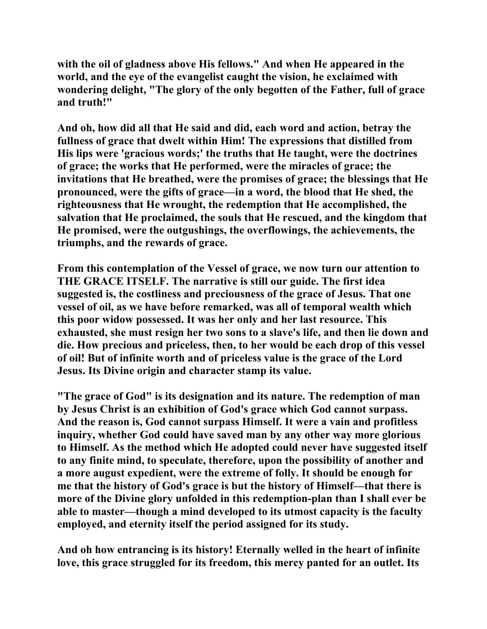**with the oil of gladness above His fellows." And when He appeared in the world, and the eye of the evangelist caught the vision, he exclaimed with wondering delight, "The glory of the only begotten of the Father, full of grace and truth!"** 

**And oh, how did all that He said and did, each word and action, betray the fullness of grace that dwelt within Him! The expressions that distilled from His lips were 'gracious words;' the truths that He taught, were the doctrines of grace; the works that He performed, were the miracles of grace; the invitations that He breathed, were the promises of grace; the blessings that He pronounced, were the gifts of grace—in a word, the blood that He shed, the righteousness that He wrought, the redemption that He accomplished, the salvation that He proclaimed, the souls that He rescued, and the kingdom that He promised, were the outgushings, the overflowings, the achievements, the triumphs, and the rewards of grace.** 

**From this contemplation of the Vessel of grace, we now turn our attention to THE GRACE ITSELF. The narrative is still our guide. The first idea suggested is, the costliness and preciousness of the grace of Jesus. That one vessel of oil, as we have before remarked, was all of temporal wealth which this poor widow possessed. It was her only and her last resource. This exhausted, she must resign her two sons to a slave's life, and then lie down and die. How precious and priceless, then, to her would be each drop of this vessel of oil! But of infinite worth and of priceless value is the grace of the Lord Jesus. Its Divine origin and character stamp its value.** 

**"The grace of God" is its designation and its nature. The redemption of man by Jesus Christ is an exhibition of God's grace which God cannot surpass. And the reason is, God cannot surpass Himself. It were a vain and profitless inquiry, whether God could have saved man by any other way more glorious to Himself. As the method which He adopted could never have suggested itself to any finite mind, to speculate, therefore, upon the possibility of another and a more august expedient, were the extreme of folly. It should be enough for me that the history of God's grace is but the history of Himself—that there is more of the Divine glory unfolded in this redemption-plan than I shall ever be able to master—though a mind developed to its utmost capacity is the faculty employed, and eternity itself the period assigned for its study.** 

**And oh how entrancing is its history! Eternally welled in the heart of infinite love, this grace struggled for its freedom, this mercy panted for an outlet. Its**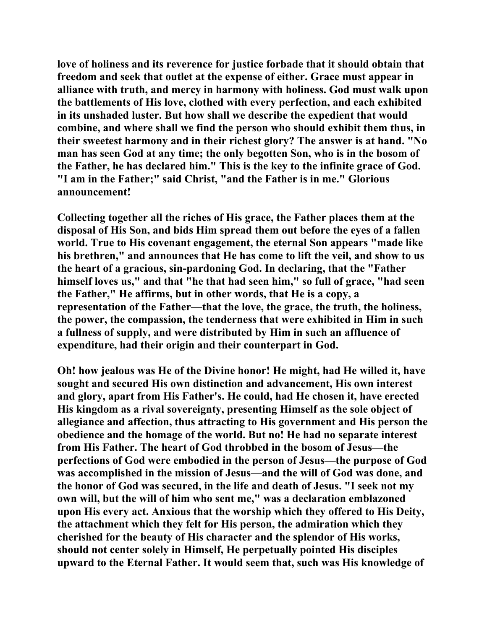**love of holiness and its reverence for justice forbade that it should obtain that freedom and seek that outlet at the expense of either. Grace must appear in alliance with truth, and mercy in harmony with holiness. God must walk upon the battlements of His love, clothed with every perfection, and each exhibited in its unshaded luster. But how shall we describe the expedient that would combine, and where shall we find the person who should exhibit them thus, in their sweetest harmony and in their richest glory? The answer is at hand. "No man has seen God at any time; the only begotten Son, who is in the bosom of the Father, he has declared him." This is the key to the infinite grace of God. "I am in the Father;" said Christ, "and the Father is in me." Glorious announcement!** 

**Collecting together all the riches of His grace, the Father places them at the disposal of His Son, and bids Him spread them out before the eyes of a fallen world. True to His covenant engagement, the eternal Son appears "made like his brethren," and announces that He has come to lift the veil, and show to us the heart of a gracious, sin-pardoning God. In declaring, that the "Father himself loves us," and that "he that had seen him," so full of grace, "had seen the Father," He affirms, but in other words, that He is a copy, a representation of the Father—that the love, the grace, the truth, the holiness, the power, the compassion, the tenderness that were exhibited in Him in such a fullness of supply, and were distributed by Him in such an affluence of expenditure, had their origin and their counterpart in God.** 

**Oh! how jealous was He of the Divine honor! He might, had He willed it, have sought and secured His own distinction and advancement, His own interest and glory, apart from His Father's. He could, had He chosen it, have erected His kingdom as a rival sovereignty, presenting Himself as the sole object of allegiance and affection, thus attracting to His government and His person the obedience and the homage of the world. But no! He had no separate interest from His Father. The heart of God throbbed in the bosom of Jesus—the perfections of God were embodied in the person of Jesus—the purpose of God was accomplished in the mission of Jesus—and the will of God was done, and the honor of God was secured, in the life and death of Jesus. "I seek not my own will, but the will of him who sent me," was a declaration emblazoned upon His every act. Anxious that the worship which they offered to His Deity, the attachment which they felt for His person, the admiration which they cherished for the beauty of His character and the splendor of His works, should not center solely in Himself, He perpetually pointed His disciples upward to the Eternal Father. It would seem that, such was His knowledge of**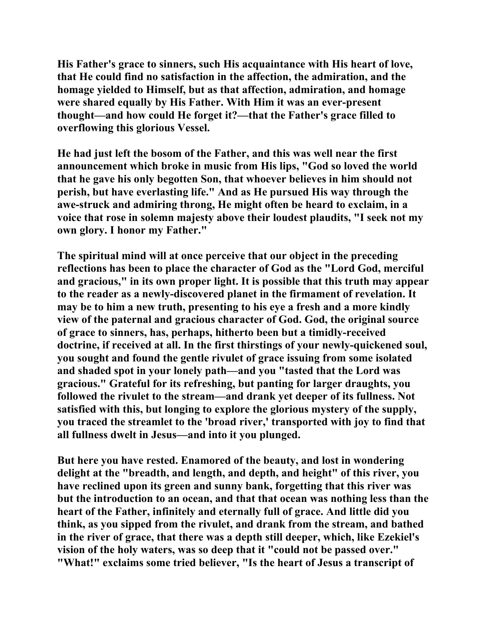**His Father's grace to sinners, such His acquaintance with His heart of love, that He could find no satisfaction in the affection, the admiration, and the homage yielded to Himself, but as that affection, admiration, and homage were shared equally by His Father. With Him it was an ever-present thought—and how could He forget it?—that the Father's grace filled to overflowing this glorious Vessel.** 

**He had just left the bosom of the Father, and this was well near the first announcement which broke in music from His lips, "God so loved the world that he gave his only begotten Son, that whoever believes in him should not perish, but have everlasting life." And as He pursued His way through the awe-struck and admiring throng, He might often be heard to exclaim, in a voice that rose in solemn majesty above their loudest plaudits, "I seek not my own glory. I honor my Father."** 

**The spiritual mind will at once perceive that our object in the preceding reflections has been to place the character of God as the "Lord God, merciful and gracious," in its own proper light. It is possible that this truth may appear to the reader as a newly-discovered planet in the firmament of revelation. It may be to him a new truth, presenting to his eye a fresh and a more kindly view of the paternal and gracious character of God. God, the original source of grace to sinners, has, perhaps, hitherto been but a timidly-received doctrine, if received at all. In the first thirstings of your newly-quickened soul, you sought and found the gentle rivulet of grace issuing from some isolated and shaded spot in your lonely path—and you "tasted that the Lord was gracious." Grateful for its refreshing, but panting for larger draughts, you followed the rivulet to the stream—and drank yet deeper of its fullness. Not satisfied with this, but longing to explore the glorious mystery of the supply, you traced the streamlet to the 'broad river,' transported with joy to find that all fullness dwelt in Jesus—and into it you plunged.** 

**But here you have rested. Enamored of the beauty, and lost in wondering delight at the "breadth, and length, and depth, and height" of this river, you have reclined upon its green and sunny bank, forgetting that this river was but the introduction to an ocean, and that that ocean was nothing less than the heart of the Father, infinitely and eternally full of grace. And little did you think, as you sipped from the rivulet, and drank from the stream, and bathed in the river of grace, that there was a depth still deeper, which, like Ezekiel's vision of the holy waters, was so deep that it "could not be passed over." "What!" exclaims some tried believer, "Is the heart of Jesus a transcript of**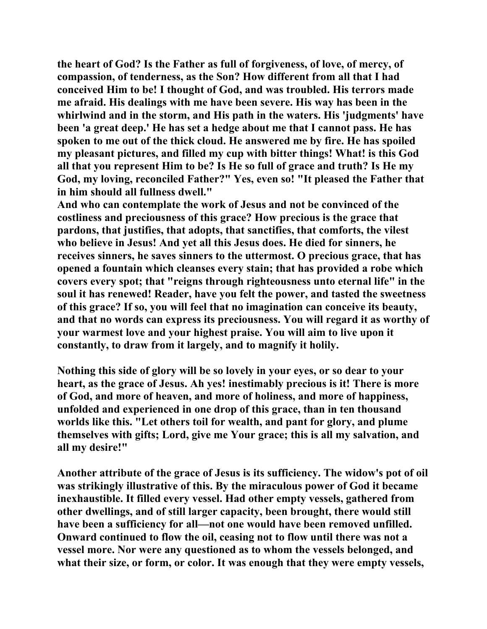**the heart of God? Is the Father as full of forgiveness, of love, of mercy, of compassion, of tenderness, as the Son? How different from all that I had conceived Him to be! I thought of God, and was troubled. His terrors made me afraid. His dealings with me have been severe. His way has been in the whirlwind and in the storm, and His path in the waters. His 'judgments' have been 'a great deep.' He has set a hedge about me that I cannot pass. He has spoken to me out of the thick cloud. He answered me by fire. He has spoiled my pleasant pictures, and filled my cup with bitter things! What! is this God all that you represent Him to be? Is He so full of grace and truth? Is He my God, my loving, reconciled Father?" Yes, even so! "It pleased the Father that in him should all fullness dwell."** 

**And who can contemplate the work of Jesus and not be convinced of the costliness and preciousness of this grace? How precious is the grace that pardons, that justifies, that adopts, that sanctifies, that comforts, the vilest who believe in Jesus! And yet all this Jesus does. He died for sinners, he receives sinners, he saves sinners to the uttermost. O precious grace, that has opened a fountain which cleanses every stain; that has provided a robe which covers every spot; that "reigns through righteousness unto eternal life" in the soul it has renewed! Reader, have you felt the power, and tasted the sweetness of this grace? If so, you will feel that no imagination can conceive its beauty, and that no words can express its preciousness. You will regard it as worthy of your warmest love and your highest praise. You will aim to live upon it constantly, to draw from it largely, and to magnify it holily.** 

**Nothing this side of glory will be so lovely in your eyes, or so dear to your heart, as the grace of Jesus. Ah yes! inestimably precious is it! There is more of God, and more of heaven, and more of holiness, and more of happiness, unfolded and experienced in one drop of this grace, than in ten thousand worlds like this. "Let others toil for wealth, and pant for glory, and plume themselves with gifts; Lord, give me Your grace; this is all my salvation, and all my desire!"** 

**Another attribute of the grace of Jesus is its sufficiency. The widow's pot of oil was strikingly illustrative of this. By the miraculous power of God it became inexhaustible. It filled every vessel. Had other empty vessels, gathered from other dwellings, and of still larger capacity, been brought, there would still have been a sufficiency for all—not one would have been removed unfilled. Onward continued to flow the oil, ceasing not to flow until there was not a vessel more. Nor were any questioned as to whom the vessels belonged, and what their size, or form, or color. It was enough that they were empty vessels,**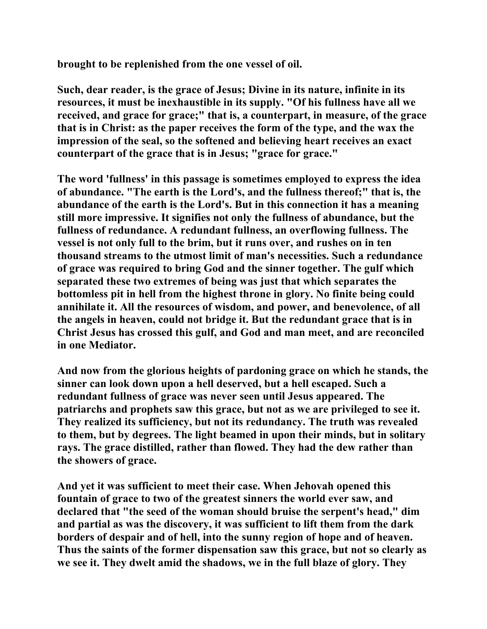**brought to be replenished from the one vessel of oil.** 

**Such, dear reader, is the grace of Jesus; Divine in its nature, infinite in its resources, it must be inexhaustible in its supply. "Of his fullness have all we received, and grace for grace;" that is, a counterpart, in measure, of the grace that is in Christ: as the paper receives the form of the type, and the wax the impression of the seal, so the softened and believing heart receives an exact counterpart of the grace that is in Jesus; "grace for grace."** 

**The word 'fullness' in this passage is sometimes employed to express the idea of abundance. "The earth is the Lord's, and the fullness thereof;" that is, the abundance of the earth is the Lord's. But in this connection it has a meaning still more impressive. It signifies not only the fullness of abundance, but the fullness of redundance. A redundant fullness, an overflowing fullness. The vessel is not only full to the brim, but it runs over, and rushes on in ten thousand streams to the utmost limit of man's necessities. Such a redundance of grace was required to bring God and the sinner together. The gulf which separated these two extremes of being was just that which separates the bottomless pit in hell from the highest throne in glory. No finite being could annihilate it. All the resources of wisdom, and power, and benevolence, of all the angels in heaven, could not bridge it. But the redundant grace that is in Christ Jesus has crossed this gulf, and God and man meet, and are reconciled in one Mediator.** 

**And now from the glorious heights of pardoning grace on which he stands, the sinner can look down upon a hell deserved, but a hell escaped. Such a redundant fullness of grace was never seen until Jesus appeared. The patriarchs and prophets saw this grace, but not as we are privileged to see it. They realized its sufficiency, but not its redundancy. The truth was revealed to them, but by degrees. The light beamed in upon their minds, but in solitary rays. The grace distilled, rather than flowed. They had the dew rather than the showers of grace.** 

**And yet it was sufficient to meet their case. When Jehovah opened this fountain of grace to two of the greatest sinners the world ever saw, and declared that "the seed of the woman should bruise the serpent's head," dim and partial as was the discovery, it was sufficient to lift them from the dark borders of despair and of hell, into the sunny region of hope and of heaven. Thus the saints of the former dispensation saw this grace, but not so clearly as we see it. They dwelt amid the shadows, we in the full blaze of glory. They**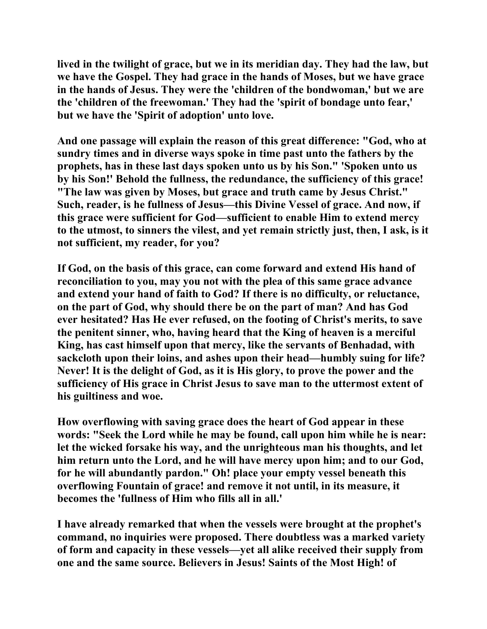**lived in the twilight of grace, but we in its meridian day. They had the law, but we have the Gospel. They had grace in the hands of Moses, but we have grace in the hands of Jesus. They were the 'children of the bondwoman,' but we are the 'children of the freewoman.' They had the 'spirit of bondage unto fear,' but we have the 'Spirit of adoption' unto love.** 

**And one passage will explain the reason of this great difference: "God, who at sundry times and in diverse ways spoke in time past unto the fathers by the prophets, has in these last days spoken unto us by his Son." 'Spoken unto us by his Son!' Behold the fullness, the redundance, the sufficiency of this grace! "The law was given by Moses, but grace and truth came by Jesus Christ." Such, reader, is he fullness of Jesus—this Divine Vessel of grace. And now, if this grace were sufficient for God—sufficient to enable Him to extend mercy to the utmost, to sinners the vilest, and yet remain strictly just, then, I ask, is it not sufficient, my reader, for you?** 

**If God, on the basis of this grace, can come forward and extend His hand of reconciliation to you, may you not with the plea of this same grace advance and extend your hand of faith to God? If there is no difficulty, or reluctance, on the part of God, why should there be on the part of man? And has God ever hesitated? Has He ever refused, on the footing of Christ's merits, to save the penitent sinner, who, having heard that the King of heaven is a merciful King, has cast himself upon that mercy, like the servants of Benhadad, with sackcloth upon their loins, and ashes upon their head—humbly suing for life? Never! It is the delight of God, as it is His glory, to prove the power and the sufficiency of His grace in Christ Jesus to save man to the uttermost extent of his guiltiness and woe.** 

**How overflowing with saving grace does the heart of God appear in these words: "Seek the Lord while he may be found, call upon him while he is near: let the wicked forsake his way, and the unrighteous man his thoughts, and let him return unto the Lord, and he will have mercy upon him; and to our God, for he will abundantly pardon." Oh! place your empty vessel beneath this overflowing Fountain of grace! and remove it not until, in its measure, it becomes the 'fullness of Him who fills all in all.'** 

**I have already remarked that when the vessels were brought at the prophet's command, no inquiries were proposed. There doubtless was a marked variety of form and capacity in these vessels—yet all alike received their supply from one and the same source. Believers in Jesus! Saints of the Most High! of**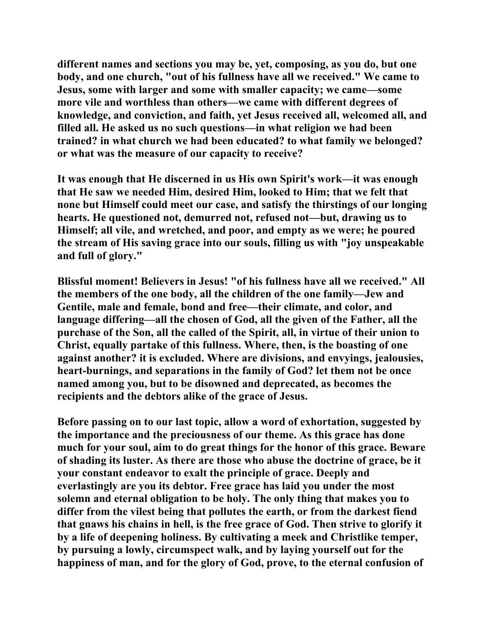**different names and sections you may be, yet, composing, as you do, but one body, and one church, "out of his fullness have all we received." We came to Jesus, some with larger and some with smaller capacity; we came—some more vile and worthless than others—we came with different degrees of knowledge, and conviction, and faith, yet Jesus received all, welcomed all, and filled all. He asked us no such questions—in what religion we had been trained? in what church we had been educated? to what family we belonged? or what was the measure of our capacity to receive?** 

**It was enough that He discerned in us His own Spirit's work—it was enough that He saw we needed Him, desired Him, looked to Him; that we felt that none but Himself could meet our case, and satisfy the thirstings of our longing hearts. He questioned not, demurred not, refused not—but, drawing us to Himself; all vile, and wretched, and poor, and empty as we were; he poured the stream of His saving grace into our souls, filling us with "joy unspeakable and full of glory."** 

**Blissful moment! Believers in Jesus! "of his fullness have all we received." All the members of the one body, all the children of the one family—Jew and Gentile, male and female, bond and free—their climate, and color, and language differing—all the chosen of God, all the given of the Father, all the purchase of the Son, all the called of the Spirit, all, in virtue of their union to Christ, equally partake of this fullness. Where, then, is the boasting of one against another? it is excluded. Where are divisions, and envyings, jealousies, heart-burnings, and separations in the family of God? let them not be once named among you, but to be disowned and deprecated, as becomes the recipients and the debtors alike of the grace of Jesus.** 

**Before passing on to our last topic, allow a word of exhortation, suggested by the importance and the preciousness of our theme. As this grace has done much for your soul, aim to do great things for the honor of this grace. Beware of shading its luster. As there are those who abuse the doctrine of grace, be it your constant endeavor to exalt the principle of grace. Deeply and everlastingly are you its debtor. Free grace has laid you under the most solemn and eternal obligation to be holy. The only thing that makes you to differ from the vilest being that pollutes the earth, or from the darkest fiend that gnaws his chains in hell, is the free grace of God. Then strive to glorify it by a life of deepening holiness. By cultivating a meek and Christlike temper, by pursuing a lowly, circumspect walk, and by laying yourself out for the happiness of man, and for the glory of God, prove, to the eternal confusion of**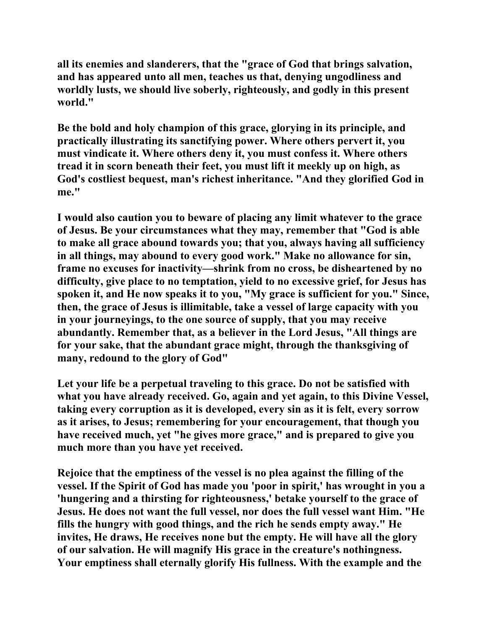**all its enemies and slanderers, that the "grace of God that brings salvation, and has appeared unto all men, teaches us that, denying ungodliness and worldly lusts, we should live soberly, righteously, and godly in this present world."** 

**Be the bold and holy champion of this grace, glorying in its principle, and practically illustrating its sanctifying power. Where others pervert it, you must vindicate it. Where others deny it, you must confess it. Where others tread it in scorn beneath their feet, you must lift it meekly up on high, as God's costliest bequest, man's richest inheritance. "And they glorified God in me."** 

**I would also caution you to beware of placing any limit whatever to the grace of Jesus. Be your circumstances what they may, remember that "God is able to make all grace abound towards you; that you, always having all sufficiency in all things, may abound to every good work." Make no allowance for sin, frame no excuses for inactivity—shrink from no cross, be disheartened by no difficulty, give place to no temptation, yield to no excessive grief, for Jesus has spoken it, and He now speaks it to you, "My grace is sufficient for you." Since, then, the grace of Jesus is illimitable, take a vessel of large capacity with you in your journeyings, to the one source of supply, that you may receive abundantly. Remember that, as a believer in the Lord Jesus, "All things are for your sake, that the abundant grace might, through the thanksgiving of many, redound to the glory of God"** 

**Let your life be a perpetual traveling to this grace. Do not be satisfied with what you have already received. Go, again and yet again, to this Divine Vessel, taking every corruption as it is developed, every sin as it is felt, every sorrow as it arises, to Jesus; remembering for your encouragement, that though you have received much, yet "he gives more grace," and is prepared to give you much more than you have yet received.** 

**Rejoice that the emptiness of the vessel is no plea against the filling of the vessel. If the Spirit of God has made you 'poor in spirit,' has wrought in you a 'hungering and a thirsting for righteousness,' betake yourself to the grace of Jesus. He does not want the full vessel, nor does the full vessel want Him. "He fills the hungry with good things, and the rich he sends empty away." He invites, He draws, He receives none but the empty. He will have all the glory of our salvation. He will magnify His grace in the creature's nothingness. Your emptiness shall eternally glorify His fullness. With the example and the**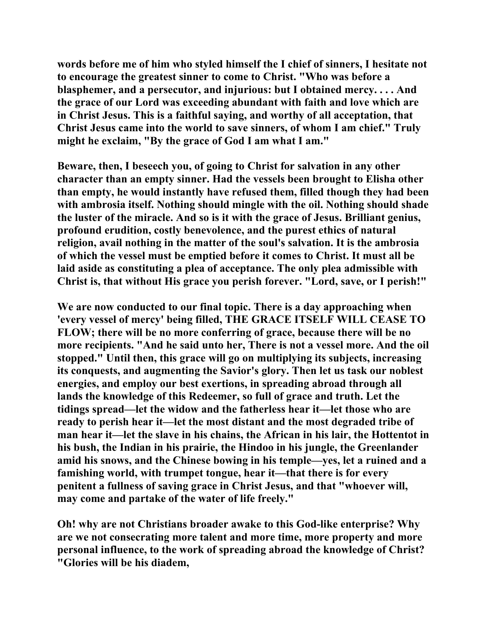**words before me of him who styled himself the I chief of sinners, I hesitate not to encourage the greatest sinner to come to Christ. "Who was before a blasphemer, and a persecutor, and injurious: but I obtained mercy. . . . And the grace of our Lord was exceeding abundant with faith and love which are in Christ Jesus. This is a faithful saying, and worthy of all acceptation, that Christ Jesus came into the world to save sinners, of whom I am chief." Truly might he exclaim, "By the grace of God I am what I am."** 

**Beware, then, I beseech you, of going to Christ for salvation in any other character than an empty sinner. Had the vessels been brought to Elisha other than empty, he would instantly have refused them, filled though they had been with ambrosia itself. Nothing should mingle with the oil. Nothing should shade the luster of the miracle. And so is it with the grace of Jesus. Brilliant genius, profound erudition, costly benevolence, and the purest ethics of natural religion, avail nothing in the matter of the soul's salvation. It is the ambrosia of which the vessel must be emptied before it comes to Christ. It must all be laid aside as constituting a plea of acceptance. The only plea admissible with Christ is, that without His grace you perish forever. "Lord, save, or I perish!"** 

**We are now conducted to our final topic. There is a day approaching when 'every vessel of mercy' being filled, THE GRACE ITSELF WILL CEASE TO FLOW; there will be no more conferring of grace, because there will be no more recipients. "And he said unto her, There is not a vessel more. And the oil stopped." Until then, this grace will go on multiplying its subjects, increasing its conquests, and augmenting the Savior's glory. Then let us task our noblest energies, and employ our best exertions, in spreading abroad through all lands the knowledge of this Redeemer, so full of grace and truth. Let the tidings spread—let the widow and the fatherless hear it—let those who are ready to perish hear it—let the most distant and the most degraded tribe of man hear it—let the slave in his chains, the African in his lair, the Hottentot in his bush, the Indian in his prairie, the Hindoo in his jungle, the Greenlander amid his snows, and the Chinese bowing in his temple—yes, let a ruined and a famishing world, with trumpet tongue, hear it—that there is for every penitent a fullness of saving grace in Christ Jesus, and that "whoever will, may come and partake of the water of life freely."** 

**Oh! why are not Christians broader awake to this God-like enterprise? Why are we not consecrating more talent and more time, more property and more personal influence, to the work of spreading abroad the knowledge of Christ? "Glories will be his diadem,**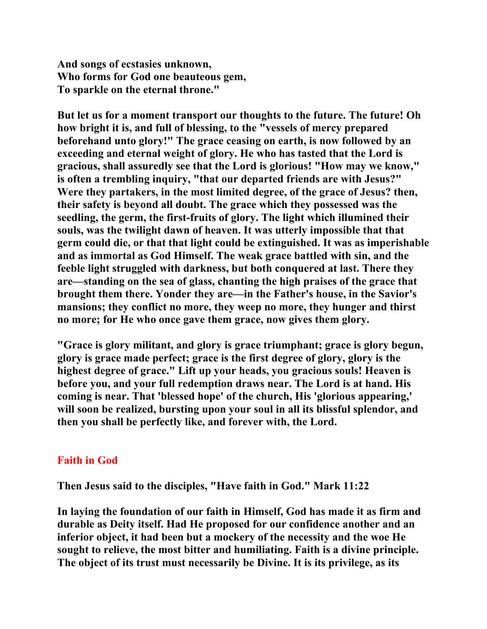**And songs of ecstasies unknown, Who forms for God one beauteous gem, To sparkle on the eternal throne."** 

**But let us for a moment transport our thoughts to the future. The future! Oh how bright it is, and full of blessing, to the "vessels of mercy prepared beforehand unto glory!" The grace ceasing on earth, is now followed by an exceeding and eternal weight of glory. He who has tasted that the Lord is gracious, shall assuredly see that the Lord is glorious! "How may we know," is often a trembling inquiry, "that our departed friends are with Jesus?" Were they partakers, in the most limited degree, of the grace of Jesus? then, their safety is beyond all doubt. The grace which they possessed was the seedling, the germ, the first-fruits of glory. The light which illumined their souls, was the twilight dawn of heaven. It was utterly impossible that that germ could die, or that that light could be extinguished. It was as imperishable and as immortal as God Himself. The weak grace battled with sin, and the feeble light struggled with darkness, but both conquered at last. There they are—standing on the sea of glass, chanting the high praises of the grace that brought them there. Yonder they are—in the Father's house, in the Savior's mansions; they conflict no more, they weep no more, they hunger and thirst no more; for He who once gave them grace, now gives them glory.** 

**"Grace is glory militant, and glory is grace triumphant; grace is glory begun, glory is grace made perfect; grace is the first degree of glory, glory is the highest degree of grace." Lift up your heads, you gracious souls! Heaven is before you, and your full redemption draws near. The Lord is at hand. His coming is near. That 'blessed hope' of the church, His 'glorious appearing,' will soon be realized, bursting upon your soul in all its blissful splendor, and then you shall be perfectly like, and forever with, the Lord.** 

## **Faith in God**

**Then Jesus said to the disciples, "Have faith in God." Mark 11:22** 

**In laying the foundation of our faith in Himself, God has made it as firm and durable as Deity itself. Had He proposed for our confidence another and an inferior object, it had been but a mockery of the necessity and the woe He sought to relieve, the most bitter and humiliating. Faith is a divine principle. The object of its trust must necessarily be Divine. It is its privilege, as its**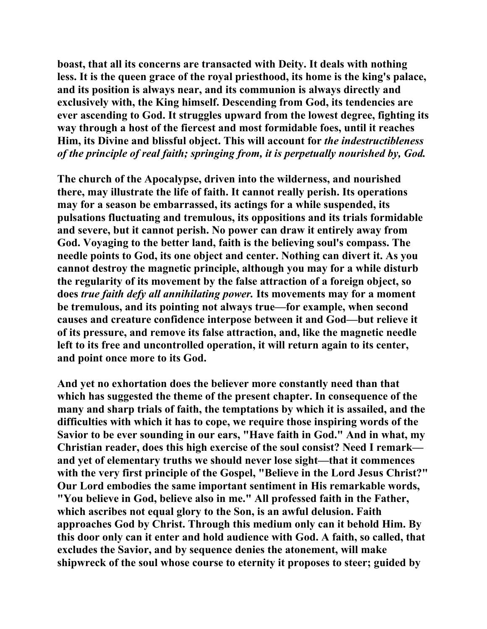**boast, that all its concerns are transacted with Deity. It deals with nothing less. It is the queen grace of the royal priesthood, its home is the king's palace, and its position is always near, and its communion is always directly and exclusively with, the King himself. Descending from God, its tendencies are ever ascending to God. It struggles upward from the lowest degree, fighting its way through a host of the fiercest and most formidable foes, until it reaches Him, its Divine and blissful object. This will account for** *the indestructibleness of the principle of real faith; springing from, it is perpetually nourished by, God.*

**The church of the Apocalypse, driven into the wilderness, and nourished there, may illustrate the life of faith. It cannot really perish. Its operations may for a season be embarrassed, its actings for a while suspended, its pulsations fluctuating and tremulous, its oppositions and its trials formidable and severe, but it cannot perish. No power can draw it entirely away from God. Voyaging to the better land, faith is the believing soul's compass. The needle points to God, its one object and center. Nothing can divert it. As you cannot destroy the magnetic principle, although you may for a while disturb the regularity of its movement by the false attraction of a foreign object, so does** *true faith defy all annihilating power.* **Its movements may for a moment be tremulous, and its pointing not always true—for example, when second causes and creature confidence interpose between it and God—but relieve it of its pressure, and remove its false attraction, and, like the magnetic needle left to its free and uncontrolled operation, it will return again to its center, and point once more to its God.** 

**And yet no exhortation does the believer more constantly need than that which has suggested the theme of the present chapter. In consequence of the many and sharp trials of faith, the temptations by which it is assailed, and the difficulties with which it has to cope, we require those inspiring words of the Savior to be ever sounding in our ears, "Have faith in God." And in what, my Christian reader, does this high exercise of the soul consist? Need I remark and yet of elementary truths we should never lose sight—that it commences with the very first principle of the Gospel, "Believe in the Lord Jesus Christ?" Our Lord embodies the same important sentiment in His remarkable words, "You believe in God, believe also in me." All professed faith in the Father, which ascribes not equal glory to the Son, is an awful delusion. Faith approaches God by Christ. Through this medium only can it behold Him. By this door only can it enter and hold audience with God. A faith, so called, that excludes the Savior, and by sequence denies the atonement, will make shipwreck of the soul whose course to eternity it proposes to steer; guided by**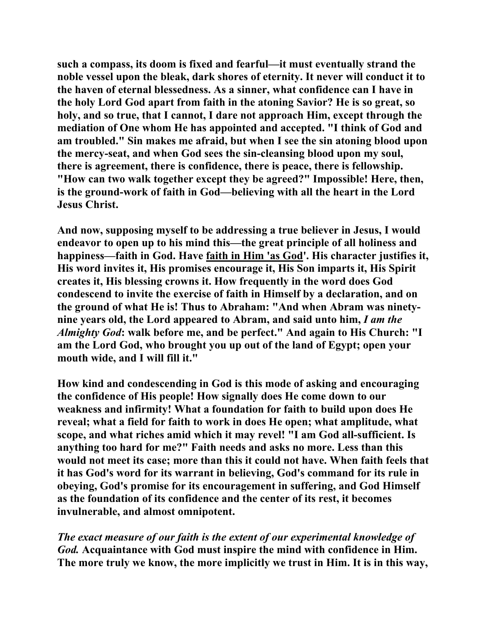**such a compass, its doom is fixed and fearful—it must eventually strand the noble vessel upon the bleak, dark shores of eternity. It never will conduct it to the haven of eternal blessedness. As a sinner, what confidence can I have in the holy Lord God apart from faith in the atoning Savior? He is so great, so holy, and so true, that I cannot, I dare not approach Him, except through the mediation of One whom He has appointed and accepted. "I think of God and am troubled." Sin makes me afraid, but when I see the sin atoning blood upon the mercy-seat, and when God sees the sin-cleansing blood upon my soul, there is agreement, there is confidence, there is peace, there is fellowship. "How can two walk together except they be agreed?" Impossible! Here, then, is the ground-work of faith in God—believing with all the heart in the Lord Jesus Christ.** 

**And now, supposing myself to be addressing a true believer in Jesus, I would endeavor to open up to his mind this—the great principle of all holiness and happiness—faith in God. Have faith in Him 'as God'. His character justifies it, His word invites it, His promises encourage it, His Son imparts it, His Spirit creates it, His blessing crowns it. How frequently in the word does God condescend to invite the exercise of faith in Himself by a declaration, and on the ground of what He is! Thus to Abraham: "And when Abram was ninetynine years old, the Lord appeared to Abram, and said unto him,** *I am the Almighty God***: walk before me, and be perfect." And again to His Church: "I am the Lord God, who brought you up out of the land of Egypt; open your mouth wide, and I will fill it."** 

**How kind and condescending in God is this mode of asking and encouraging the confidence of His people! How signally does He come down to our weakness and infirmity! What a foundation for faith to build upon does He reveal; what a field for faith to work in does He open; what amplitude, what scope, and what riches amid which it may revel! "I am God all-sufficient. Is anything too hard for me?" Faith needs and asks no more. Less than this would not meet its case; more than this it could not have. When faith feels that it has God's word for its warrant in believing, God's command for its rule in obeying, God's promise for its encouragement in suffering, and God Himself as the foundation of its confidence and the center of its rest, it becomes invulnerable, and almost omnipotent.** 

*The exact measure of our faith is the extent of our experimental knowledge of God.* **Acquaintance with God must inspire the mind with confidence in Him. The more truly we know, the more implicitly we trust in Him. It is in this way,**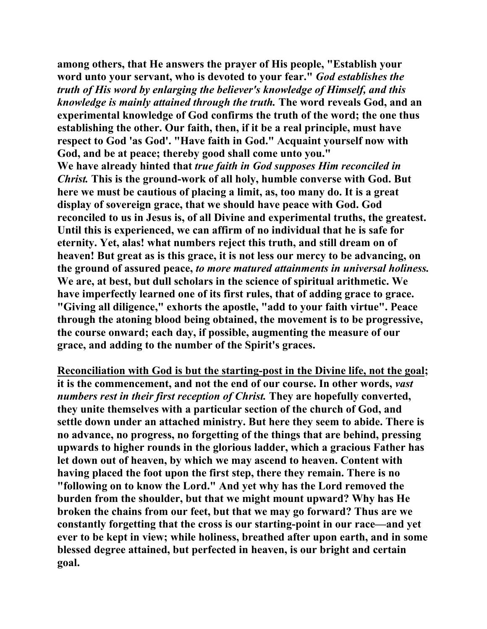**among others, that He answers the prayer of His people, "Establish your word unto your servant, who is devoted to your fear."** *God establishes the truth of His word by enlarging the believer's knowledge of Himself, and this knowledge is mainly attained through the truth.* **The word reveals God, and an experimental knowledge of God confirms the truth of the word; the one thus establishing the other. Our faith, then, if it be a real principle, must have respect to God 'as God'. "Have faith in God." Acquaint yourself now with God, and be at peace; thereby good shall come unto you." We have already hinted that** *true faith in God supposes Him reconciled in Christ.* **This is the ground-work of all holy, humble converse with God. But here we must be cautious of placing a limit, as, too many do. It is a great display of sovereign grace, that we should have peace with God. God reconciled to us in Jesus is, of all Divine and experimental truths, the greatest. Until this is experienced, we can affirm of no individual that he is safe for eternity. Yet, alas! what numbers reject this truth, and still dream on of heaven! But great as is this grace, it is not less our mercy to be advancing, on the ground of assured peace,** *to more matured attainments in universal holiness.* **We are, at best, but dull scholars in the science of spiritual arithmetic. We have imperfectly learned one of its first rules, that of adding grace to grace. "Giving all diligence," exhorts the apostle, "add to your faith virtue". Peace through the atoning blood being obtained, the movement is to be progressive, the course onward; each day, if possible, augmenting the measure of our grace, and adding to the number of the Spirit's graces.** 

**Reconciliation with God is but the starting-post in the Divine life, not the goal; it is the commencement, and not the end of our course. In other words,** *vast numbers rest in their first reception of Christ.* **They are hopefully converted, they unite themselves with a particular section of the church of God, and settle down under an attached ministry. But here they seem to abide. There is no advance, no progress, no forgetting of the things that are behind, pressing upwards to higher rounds in the glorious ladder, which a gracious Father has let down out of heaven, by which we may ascend to heaven. Content with having placed the foot upon the first step, there they remain. There is no "following on to know the Lord." And yet why has the Lord removed the burden from the shoulder, but that we might mount upward? Why has He broken the chains from our feet, but that we may go forward? Thus are we constantly forgetting that the cross is our starting-point in our race—and yet ever to be kept in view; while holiness, breathed after upon earth, and in some blessed degree attained, but perfected in heaven, is our bright and certain goal.**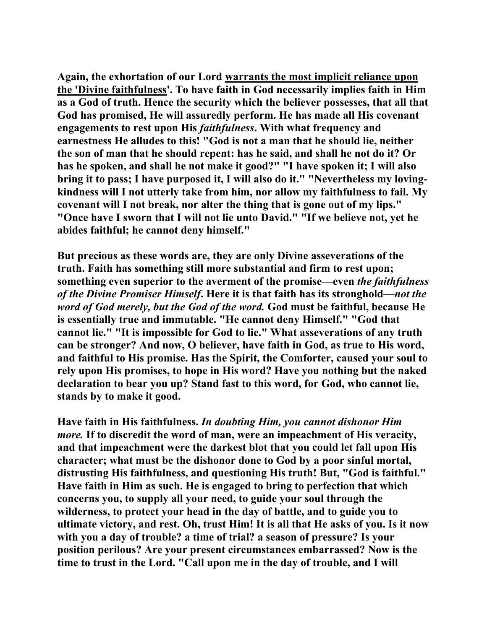**Again, the exhortation of our Lord warrants the most implicit reliance upon the 'Divine faithfulness'. To have faith in God necessarily implies faith in Him as a God of truth. Hence the security which the believer possesses, that all that God has promised, He will assuredly perform. He has made all His covenant engagements to rest upon His** *faithfulness***. With what frequency and earnestness He alludes to this! "God is not a man that he should lie, neither the son of man that he should repent: has he said, and shall he not do it? Or has he spoken, and shall he not make it good?" "I have spoken it; I will also bring it to pass; I have purposed it, I will also do it." "Nevertheless my lovingkindness will I not utterly take from him, nor allow my faithfulness to fail. My covenant will I not break, nor alter the thing that is gone out of my lips." "Once have I sworn that I will not lie unto David." "If we believe not, yet he abides faithful; he cannot deny himself."** 

**But precious as these words are, they are only Divine asseverations of the truth. Faith has something still more substantial and firm to rest upon; something even superior to the averment of the promise—even** *the faithfulness of the Divine Promiser Himself***. Here it is that faith has its stronghold***—not the word of God merely, but the God of the word.* **God must be faithful, because He is essentially true and immutable. "He cannot deny Himself." "God that cannot lie." "It is impossible for God to lie." What asseverations of any truth can be stronger? And now, O believer, have faith in God, as true to His word, and faithful to His promise. Has the Spirit, the Comforter, caused your soul to rely upon His promises, to hope in His word? Have you nothing but the naked declaration to bear you up? Stand fast to this word, for God, who cannot lie, stands by to make it good.** 

**Have faith in His faithfulness.** *In doubting Him, you cannot dishonor Him more.* **If to discredit the word of man, were an impeachment of His veracity, and that impeachment were the darkest blot that you could let fall upon His character; what must be the dishonor done to God by a poor sinful mortal, distrusting His faithfulness, and questioning His truth! But, "God is faithful." Have faith in Him as such. He is engaged to bring to perfection that which concerns you, to supply all your need, to guide your soul through the wilderness, to protect your head in the day of battle, and to guide you to ultimate victory, and rest. Oh, trust Him! It is all that He asks of you. Is it now with you a day of trouble? a time of trial? a season of pressure? Is your position perilous? Are your present circumstances embarrassed? Now is the time to trust in the Lord. "Call upon me in the day of trouble, and I will**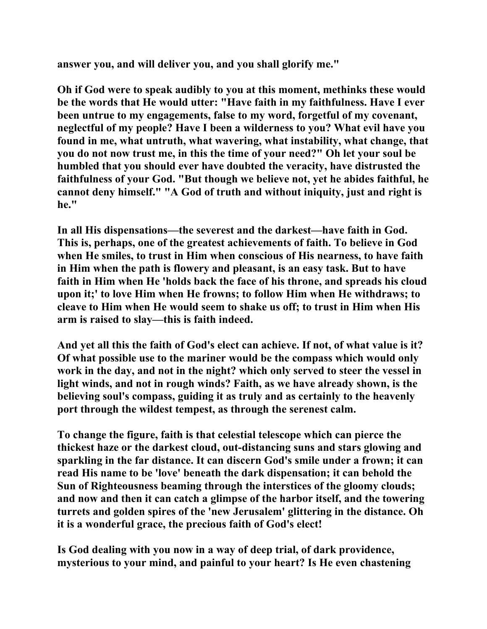**answer you, and will deliver you, and you shall glorify me."** 

**Oh if God were to speak audibly to you at this moment, methinks these would be the words that He would utter: "Have faith in my faithfulness. Have I ever been untrue to my engagements, false to my word, forgetful of my covenant, neglectful of my people? Have I been a wilderness to you? What evil have you found in me, what untruth, what wavering, what instability, what change, that you do not now trust me, in this the time of your need?" Oh let your soul be humbled that you should ever have doubted the veracity, have distrusted the faithfulness of your God. "But though we believe not, yet he abides faithful, he cannot deny himself." "A God of truth and without iniquity, just and right is he."** 

**In all His dispensations—the severest and the darkest—have faith in God. This is, perhaps, one of the greatest achievements of faith. To believe in God when He smiles, to trust in Him when conscious of His nearness, to have faith in Him when the path is flowery and pleasant, is an easy task. But to have faith in Him when He 'holds back the face of his throne, and spreads his cloud upon it;' to love Him when He frowns; to follow Him when He withdraws; to cleave to Him when He would seem to shake us off; to trust in Him when His arm is raised to slay—this is faith indeed.** 

**And yet all this the faith of God's elect can achieve. If not, of what value is it? Of what possible use to the mariner would be the compass which would only work in the day, and not in the night? which only served to steer the vessel in light winds, and not in rough winds? Faith, as we have already shown, is the believing soul's compass, guiding it as truly and as certainly to the heavenly port through the wildest tempest, as through the serenest calm.** 

**To change the figure, faith is that celestial telescope which can pierce the thickest haze or the darkest cloud, out-distancing suns and stars glowing and sparkling in the far distance. It can discern God's smile under a frown; it can read His name to be 'love' beneath the dark dispensation; it can behold the Sun of Righteousness beaming through the interstices of the gloomy clouds; and now and then it can catch a glimpse of the harbor itself, and the towering turrets and golden spires of the 'new Jerusalem' glittering in the distance. Oh it is a wonderful grace, the precious faith of God's elect!** 

**Is God dealing with you now in a way of deep trial, of dark providence, mysterious to your mind, and painful to your heart? Is He even chastening**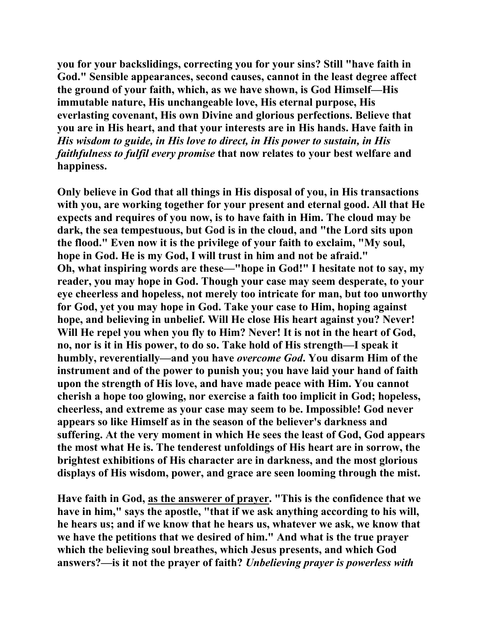**you for your backslidings, correcting you for your sins? Still "have faith in God." Sensible appearances, second causes, cannot in the least degree affect the ground of your faith, which, as we have shown, is God Himself—His immutable nature, His unchangeable love, His eternal purpose, His everlasting covenant, His own Divine and glorious perfections. Believe that you are in His heart, and that your interests are in His hands. Have faith in**  *His wisdom to guide, in His love to direct, in His power to sustain, in His faithfulness to fulfil every promise* **that now relates to your best welfare and happiness.** 

**Only believe in God that all things in His disposal of you, in His transactions with you, are working together for your present and eternal good. All that He expects and requires of you now, is to have faith in Him. The cloud may be dark, the sea tempestuous, but God is in the cloud, and "the Lord sits upon the flood." Even now it is the privilege of your faith to exclaim, "My soul, hope in God. He is my God, I will trust in him and not be afraid." Oh, what inspiring words are these—"hope in God!" I hesitate not to say, my reader, you may hope in God. Though your case may seem desperate, to your eye cheerless and hopeless, not merely too intricate for man, but too unworthy for God, yet you may hope in God. Take your case to Him, hoping against hope, and believing in unbelief. Will He close His heart against you? Never! Will He repel you when you fly to Him? Never! It is not in the heart of God, no, nor is it in His power, to do so. Take hold of His strength—I speak it humbly, reverentially—and you have** *overcome God***. You disarm Him of the instrument and of the power to punish you; you have laid your hand of faith upon the strength of His love, and have made peace with Him. You cannot cherish a hope too glowing, nor exercise a faith too implicit in God; hopeless, cheerless, and extreme as your case may seem to be. Impossible! God never appears so like Himself as in the season of the believer's darkness and suffering. At the very moment in which He sees the least of God, God appears the most what He is. The tenderest unfoldings of His heart are in sorrow, the brightest exhibitions of His character are in darkness, and the most glorious displays of His wisdom, power, and grace are seen looming through the mist.** 

**Have faith in God, as the answerer of prayer. "This is the confidence that we have in him," says the apostle, "that if we ask anything according to his will, he hears us; and if we know that he hears us, whatever we ask, we know that we have the petitions that we desired of him." And what is the true prayer which the believing soul breathes, which Jesus presents, and which God answers?—is it not the prayer of faith?** *Unbelieving prayer is powerless with*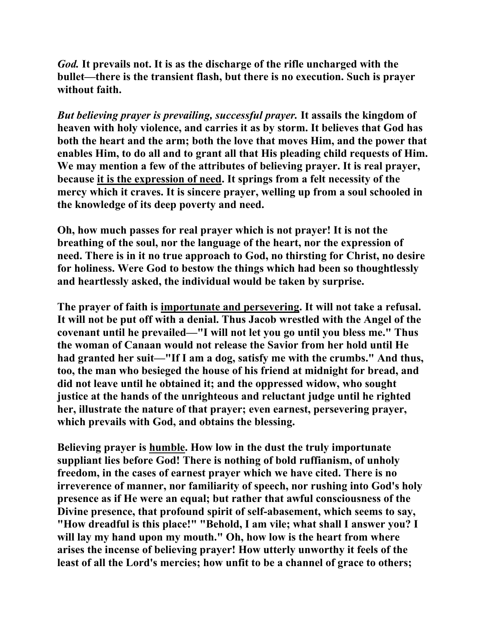*God.* **It prevails not. It is as the discharge of the rifle uncharged with the bullet—there is the transient flash, but there is no execution. Such is prayer without faith.**

*But believing prayer is prevailing, successful prayer.* **It assails the kingdom of heaven with holy violence, and carries it as by storm. It believes that God has both the heart and the arm; both the love that moves Him, and the power that enables Him, to do all and to grant all that His pleading child requests of Him. We may mention a few of the attributes of believing prayer. It is real prayer, because it is the expression of need. It springs from a felt necessity of the mercy which it craves. It is sincere prayer, welling up from a soul schooled in the knowledge of its deep poverty and need.** 

**Oh, how much passes for real prayer which is not prayer! It is not the breathing of the soul, nor the language of the heart, nor the expression of need. There is in it no true approach to God, no thirsting for Christ, no desire for holiness. Were God to bestow the things which had been so thoughtlessly and heartlessly asked, the individual would be taken by surprise.** 

**The prayer of faith is importunate and persevering. It will not take a refusal. It will not be put off with a denial. Thus Jacob wrestled with the Angel of the covenant until he prevailed—"I will not let you go until you bless me." Thus the woman of Canaan would not release the Savior from her hold until He had granted her suit—"If I am a dog, satisfy me with the crumbs." And thus, too, the man who besieged the house of his friend at midnight for bread, and did not leave until he obtained it; and the oppressed widow, who sought justice at the hands of the unrighteous and reluctant judge until he righted her, illustrate the nature of that prayer; even earnest, persevering prayer, which prevails with God, and obtains the blessing.** 

**Believing prayer is humble. How low in the dust the truly importunate suppliant lies before God! There is nothing of bold ruffianism, of unholy freedom, in the cases of earnest prayer which we have cited. There is no irreverence of manner, nor familiarity of speech, nor rushing into God's holy presence as if He were an equal; but rather that awful consciousness of the Divine presence, that profound spirit of self-abasement, which seems to say, "How dreadful is this place!" "Behold, I am vile; what shall I answer you? I will lay my hand upon my mouth." Oh, how low is the heart from where arises the incense of believing prayer! How utterly unworthy it feels of the least of all the Lord's mercies; how unfit to be a channel of grace to others;**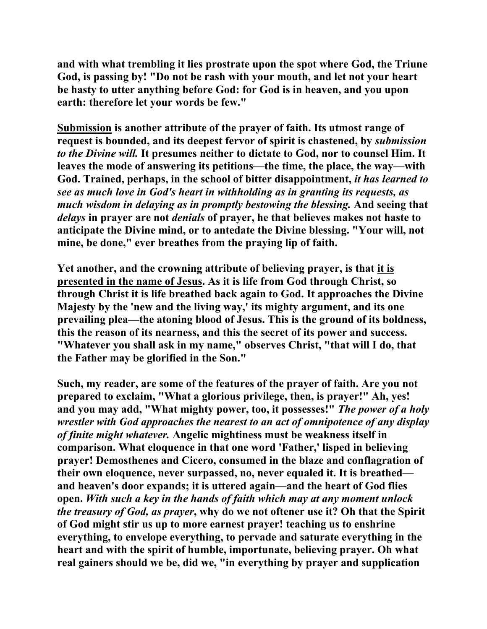**and with what trembling it lies prostrate upon the spot where God, the Triune God, is passing by! "Do not be rash with your mouth, and let not your heart be hasty to utter anything before God: for God is in heaven, and you upon earth: therefore let your words be few."** 

**Submission is another attribute of the prayer of faith. Its utmost range of request is bounded, and its deepest fervor of spirit is chastened, by** *submission to the Divine will.* **It presumes neither to dictate to God, nor to counsel Him. It leaves the mode of answering its petitions—the time, the place, the way—with God. Trained, perhaps, in the school of bitter disappointment,** *it has learned to see as much love in God's heart in withholding as in granting its requests, as much wisdom in delaying as in promptly bestowing the blessing.* **And seeing that**  *delays* **in prayer are not** *denials* **of prayer, he that believes makes not haste to anticipate the Divine mind, or to antedate the Divine blessing. "Your will, not mine, be done," ever breathes from the praying lip of faith.** 

**Yet another, and the crowning attribute of believing prayer, is that it is presented in the name of Jesus. As it is life from God through Christ, so through Christ it is life breathed back again to God. It approaches the Divine Majesty by the 'new and the living way,' its mighty argument, and its one prevailing plea—the atoning blood of Jesus. This is the ground of its boldness, this the reason of its nearness, and this the secret of its power and success. "Whatever you shall ask in my name," observes Christ, "that will I do, that the Father may be glorified in the Son."** 

**Such, my reader, are some of the features of the prayer of faith. Are you not prepared to exclaim, "What a glorious privilege, then, is prayer!" Ah, yes! and you may add, "What mighty power, too, it possesses!"** *The power of a holy wrestler with God approaches the nearest to an act of omnipotence of any display of finite might whatever.* **Angelic mightiness must be weakness itself in comparison. What eloquence in that one word 'Father,' lisped in believing prayer! Demosthenes and Cicero, consumed in the blaze and conflagration of their own eloquence, never surpassed, no, never equaled it. It is breathed and heaven's door expands; it is uttered again—and the heart of God flies open.** *With such a key in the hands of faith which may at any moment unlock the treasury of God, as prayer***, why do we not oftener use it? Oh that the Spirit of God might stir us up to more earnest prayer! teaching us to enshrine everything, to envelope everything, to pervade and saturate everything in the heart and with the spirit of humble, importunate, believing prayer. Oh what real gainers should we be, did we, "in everything by prayer and supplication**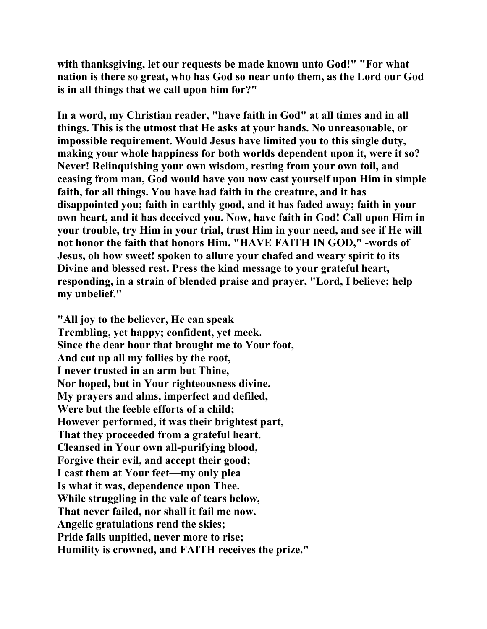**with thanksgiving, let our requests be made known unto God!" "For what nation is there so great, who has God so near unto them, as the Lord our God is in all things that we call upon him for?"** 

**In a word, my Christian reader, "have faith in God" at all times and in all things. This is the utmost that He asks at your hands. No unreasonable, or impossible requirement. Would Jesus have limited you to this single duty, making your whole happiness for both worlds dependent upon it, were it so? Never! Relinquishing your own wisdom, resting from your own toil, and ceasing from man, God would have you now cast yourself upon Him in simple faith, for all things. You have had faith in the creature, and it has disappointed you; faith in earthly good, and it has faded away; faith in your own heart, and it has deceived you. Now, have faith in God! Call upon Him in your trouble, try Him in your trial, trust Him in your need, and see if He will not honor the faith that honors Him. "HAVE FAITH IN GOD," -words of Jesus, oh how sweet! spoken to allure your chafed and weary spirit to its Divine and blessed rest. Press the kind message to your grateful heart, responding, in a strain of blended praise and prayer, "Lord, I believe; help my unbelief."** 

**"All joy to the believer, He can speak Trembling, yet happy; confident, yet meek. Since the dear hour that brought me to Your foot, And cut up all my follies by the root, I never trusted in an arm but Thine, Nor hoped, but in Your righteousness divine. My prayers and alms, imperfect and defiled, Were but the feeble efforts of a child; However performed, it was their brightest part, That they proceeded from a grateful heart. Cleansed in Your own all-purifying blood, Forgive their evil, and accept their good; I cast them at Your feet—my only plea Is what it was, dependence upon Thee. While struggling in the vale of tears below, That never failed, nor shall it fail me now. Angelic gratulations rend the skies; Pride falls unpitied, never more to rise; Humility is crowned, and FAITH receives the prize."**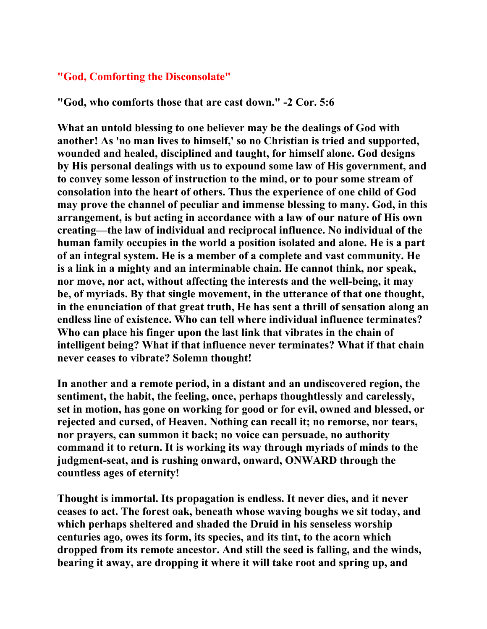### **"God, Comforting the Disconsolate"**

**"God, who comforts those that are cast down." -2 Cor. 5:6** 

**What an untold blessing to one believer may be the dealings of God with another! As 'no man lives to himself,' so no Christian is tried and supported, wounded and healed, disciplined and taught, for himself alone. God designs by His personal dealings with us to expound some law of His government, and to convey some lesson of instruction to the mind, or to pour some stream of consolation into the heart of others. Thus the experience of one child of God may prove the channel of peculiar and immense blessing to many. God, in this arrangement, is but acting in accordance with a law of our nature of His own creating—the law of individual and reciprocal influence. No individual of the human family occupies in the world a position isolated and alone. He is a part of an integral system. He is a member of a complete and vast community. He is a link in a mighty and an interminable chain. He cannot think, nor speak, nor move, nor act, without affecting the interests and the well-being, it may be, of myriads. By that single movement, in the utterance of that one thought, in the enunciation of that great truth, He has sent a thrill of sensation along an endless line of existence. Who can tell where individual influence terminates? Who can place his finger upon the last link that vibrates in the chain of intelligent being? What if that influence never terminates? What if that chain never ceases to vibrate? Solemn thought!** 

**In another and a remote period, in a distant and an undiscovered region, the sentiment, the habit, the feeling, once, perhaps thoughtlessly and carelessly, set in motion, has gone on working for good or for evil, owned and blessed, or rejected and cursed, of Heaven. Nothing can recall it; no remorse, nor tears, nor prayers, can summon it back; no voice can persuade, no authority command it to return. It is working its way through myriads of minds to the judgment-seat, and is rushing onward, onward, ONWARD through the countless ages of eternity!** 

**Thought is immortal. Its propagation is endless. It never dies, and it never ceases to act. The forest oak, beneath whose waving boughs we sit today, and which perhaps sheltered and shaded the Druid in his senseless worship centuries ago, owes its form, its species, and its tint, to the acorn which dropped from its remote ancestor. And still the seed is falling, and the winds, bearing it away, are dropping it where it will take root and spring up, and**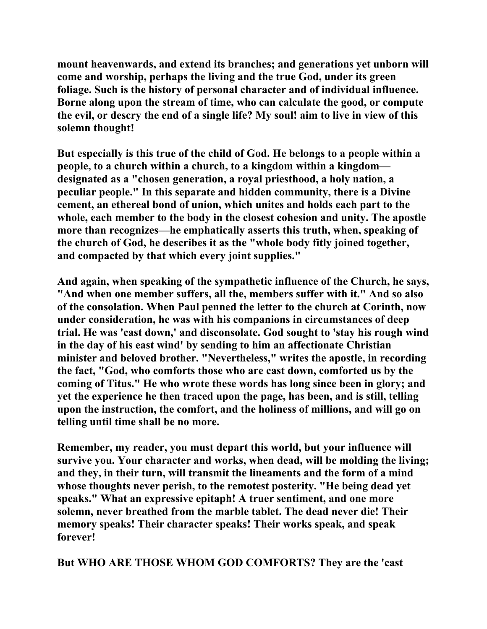**mount heavenwards, and extend its branches; and generations yet unborn will come and worship, perhaps the living and the true God, under its green foliage. Such is the history of personal character and of individual influence. Borne along upon the stream of time, who can calculate the good, or compute the evil, or descry the end of a single life? My soul! aim to live in view of this solemn thought!** 

**But especially is this true of the child of God. He belongs to a people within a people, to a church within a church, to a kingdom within a kingdom designated as a "chosen generation, a royal priesthood, a holy nation, a peculiar people." In this separate and hidden community, there is a Divine cement, an ethereal bond of union, which unites and holds each part to the whole, each member to the body in the closest cohesion and unity. The apostle more than recognizes—he emphatically asserts this truth, when, speaking of the church of God, he describes it as the "whole body fitly joined together, and compacted by that which every joint supplies."** 

**And again, when speaking of the sympathetic influence of the Church, he says, "And when one member suffers, all the, members suffer with it." And so also of the consolation. When Paul penned the letter to the church at Corinth, now under consideration, he was with his companions in circumstances of deep trial. He was 'cast down,' and disconsolate. God sought to 'stay his rough wind in the day of his east wind' by sending to him an affectionate Christian minister and beloved brother. "Nevertheless," writes the apostle, in recording the fact, "God, who comforts those who are cast down, comforted us by the coming of Titus." He who wrote these words has long since been in glory; and yet the experience he then traced upon the page, has been, and is still, telling upon the instruction, the comfort, and the holiness of millions, and will go on telling until time shall be no more.** 

**Remember, my reader, you must depart this world, but your influence will survive you. Your character and works, when dead, will be molding the living; and they, in their turn, will transmit the lineaments and the form of a mind whose thoughts never perish, to the remotest posterity. "He being dead yet speaks." What an expressive epitaph! A truer sentiment, and one more solemn, never breathed from the marble tablet. The dead never die! Their memory speaks! Their character speaks! Their works speak, and speak forever!** 

**But WHO ARE THOSE WHOM GOD COMFORTS? They are the 'cast**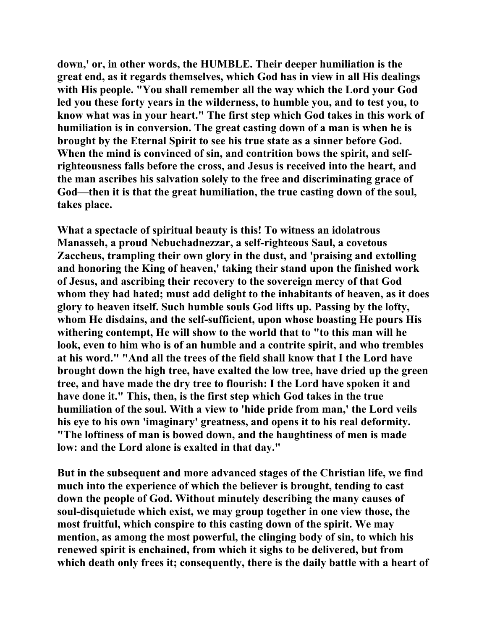**down,' or, in other words, the HUMBLE. Their deeper humiliation is the great end, as it regards themselves, which God has in view in all His dealings with His people. "You shall remember all the way which the Lord your God led you these forty years in the wilderness, to humble you, and to test you, to know what was in your heart." The first step which God takes in this work of humiliation is in conversion. The great casting down of a man is when he is brought by the Eternal Spirit to see his true state as a sinner before God. When the mind is convinced of sin, and contrition bows the spirit, and selfrighteousness falls before the cross, and Jesus is received into the heart, and the man ascribes his salvation solely to the free and discriminating grace of God—then it is that the great humiliation, the true casting down of the soul, takes place.** 

**What a spectacle of spiritual beauty is this! To witness an idolatrous Manasseh, a proud Nebuchadnezzar, a self-righteous Saul, a covetous Zaccheus, trampling their own glory in the dust, and 'praising and extolling and honoring the King of heaven,' taking their stand upon the finished work of Jesus, and ascribing their recovery to the sovereign mercy of that God whom they had hated; must add delight to the inhabitants of heaven, as it does glory to heaven itself. Such humble souls God lifts up. Passing by the lofty, whom He disdains, and the self-sufficient, upon whose boasting He pours His withering contempt, He will show to the world that to "to this man will he look, even to him who is of an humble and a contrite spirit, and who trembles at his word." "And all the trees of the field shall know that I the Lord have brought down the high tree, have exalted the low tree, have dried up the green tree, and have made the dry tree to flourish: I the Lord have spoken it and have done it." This, then, is the first step which God takes in the true humiliation of the soul. With a view to 'hide pride from man,' the Lord veils his eye to his own 'imaginary' greatness, and opens it to his real deformity. "The loftiness of man is bowed down, and the haughtiness of men is made low: and the Lord alone is exalted in that day."** 

**But in the subsequent and more advanced stages of the Christian life, we find much into the experience of which the believer is brought, tending to cast down the people of God. Without minutely describing the many causes of soul-disquietude which exist, we may group together in one view those, the most fruitful, which conspire to this casting down of the spirit. We may mention, as among the most powerful, the clinging body of sin, to which his renewed spirit is enchained, from which it sighs to be delivered, but from**  which death only frees it; consequently, there is the daily battle with a heart of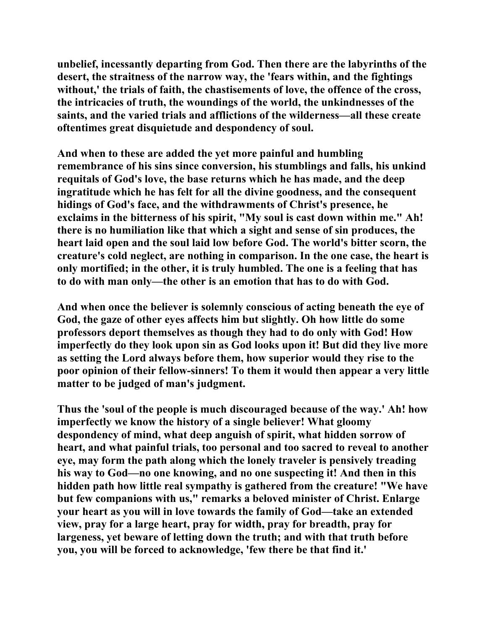**unbelief, incessantly departing from God. Then there are the labyrinths of the desert, the straitness of the narrow way, the 'fears within, and the fightings without,' the trials of faith, the chastisements of love, the offence of the cross, the intricacies of truth, the woundings of the world, the unkindnesses of the saints, and the varied trials and afflictions of the wilderness—all these create oftentimes great disquietude and despondency of soul.** 

**And when to these are added the yet more painful and humbling remembrance of his sins since conversion, his stumblings and falls, his unkind requitals of God's love, the base returns which he has made, and the deep ingratitude which he has felt for all the divine goodness, and the consequent hidings of God's face, and the withdrawments of Christ's presence, he exclaims in the bitterness of his spirit, "My soul is cast down within me." Ah! there is no humiliation like that which a sight and sense of sin produces, the heart laid open and the soul laid low before God. The world's bitter scorn, the creature's cold neglect, are nothing in comparison. In the one case, the heart is only mortified; in the other, it is truly humbled. The one is a feeling that has to do with man only—the other is an emotion that has to do with God.** 

**And when once the believer is solemnly conscious of acting beneath the eye of God, the gaze of other eyes affects him but slightly. Oh how little do some professors deport themselves as though they had to do only with God! How imperfectly do they look upon sin as God looks upon it! But did they live more as setting the Lord always before them, how superior would they rise to the poor opinion of their fellow-sinners! To them it would then appear a very little matter to be judged of man's judgment.** 

**Thus the 'soul of the people is much discouraged because of the way.' Ah! how imperfectly we know the history of a single believer! What gloomy despondency of mind, what deep anguish of spirit, what hidden sorrow of heart, and what painful trials, too personal and too sacred to reveal to another eye, may form the path along which the lonely traveler is pensively treading his way to God—no one knowing, and no one suspecting it! And then in this hidden path how little real sympathy is gathered from the creature! "We have but few companions with us," remarks a beloved minister of Christ. Enlarge your heart as you will in love towards the family of God—take an extended view, pray for a large heart, pray for width, pray for breadth, pray for largeness, yet beware of letting down the truth; and with that truth before you, you will be forced to acknowledge, 'few there be that find it.'**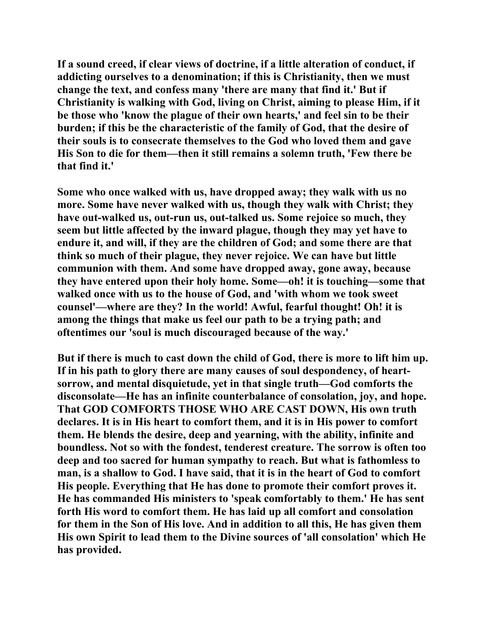**If a sound creed, if clear views of doctrine, if a little alteration of conduct, if addicting ourselves to a denomination; if this is Christianity, then we must change the text, and confess many 'there are many that find it.' But if Christianity is walking with God, living on Christ, aiming to please Him, if it be those who 'know the plague of their own hearts,' and feel sin to be their burden; if this be the characteristic of the family of God, that the desire of their souls is to consecrate themselves to the God who loved them and gave His Son to die for them—then it still remains a solemn truth, 'Few there be that find it.'** 

**Some who once walked with us, have dropped away; they walk with us no more. Some have never walked with us, though they walk with Christ; they have out-walked us, out-run us, out-talked us. Some rejoice so much, they seem but little affected by the inward plague, though they may yet have to endure it, and will, if they are the children of God; and some there are that think so much of their plague, they never rejoice. We can have but little communion with them. And some have dropped away, gone away, because they have entered upon their holy home. Some—oh! it is touching—some that walked once with us to the house of God, and 'with whom we took sweet counsel'—where are they? In the world! Awful, fearful thought! Oh! it is among the things that make us feel our path to be a trying path; and oftentimes our 'soul is much discouraged because of the way.'** 

**But if there is much to cast down the child of God, there is more to lift him up. If in his path to glory there are many causes of soul despondency, of heartsorrow, and mental disquietude, yet in that single truth—God comforts the disconsolate—He has an infinite counterbalance of consolation, joy, and hope. That GOD COMFORTS THOSE WHO ARE CAST DOWN, His own truth declares. It is in His heart to comfort them, and it is in His power to comfort them. He blends the desire, deep and yearning, with the ability, infinite and boundless. Not so with the fondest, tenderest creature. The sorrow is often too deep and too sacred for human sympathy to reach. But what is fathomless to man, is a shallow to God. I have said, that it is in the heart of God to comfort His people. Everything that He has done to promote their comfort proves it. He has commanded His ministers to 'speak comfortably to them.' He has sent forth His word to comfort them. He has laid up all comfort and consolation for them in the Son of His love. And in addition to all this, He has given them His own Spirit to lead them to the Divine sources of 'all consolation' which He has provided.**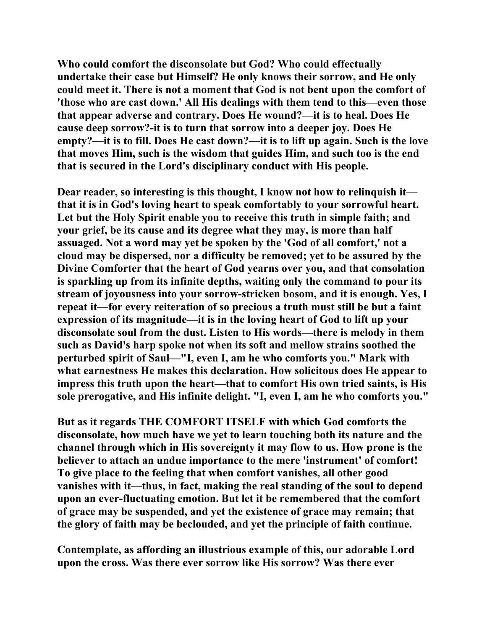**Who could comfort the disconsolate but God? Who could effectually undertake their case but Himself? He only knows their sorrow, and He only could meet it. There is not a moment that God is not bent upon the comfort of 'those who are cast down.' All His dealings with them tend to this—even those that appear adverse and contrary. Does He wound?—it is to heal. Does He cause deep sorrow?-it is to turn that sorrow into a deeper joy. Does He empty?—it is to fill. Does He cast down?—it is to lift up again. Such is the love that moves Him, such is the wisdom that guides Him, and such too is the end that is secured in the Lord's disciplinary conduct with His people.** 

**Dear reader, so interesting is this thought, I know not how to relinquish it that it is in God's loving heart to speak comfortably to your sorrowful heart. Let but the Holy Spirit enable you to receive this truth in simple faith; and your grief, be its cause and its degree what they may, is more than half assuaged. Not a word may yet be spoken by the 'God of all comfort,' not a cloud may be dispersed, nor a difficulty be removed; yet to be assured by the Divine Comforter that the heart of God yearns over you, and that consolation is sparkling up from its infinite depths, waiting only the command to pour its stream of joyousness into your sorrow-stricken bosom, and it is enough. Yes, I repeat it—for every reiteration of so precious a truth must still be but a faint expression of its magnitude—it is in the loving heart of God to lift up your disconsolate soul from the dust. Listen to His words—there is melody in them such as David's harp spoke not when its soft and mellow strains soothed the perturbed spirit of Saul—"I, even I, am he who comforts you." Mark with what earnestness He makes this declaration. How solicitous does He appear to impress this truth upon the heart—that to comfort His own tried saints, is His sole prerogative, and His infinite delight. "I, even I, am he who comforts you."** 

**But as it regards THE COMFORT ITSELF with which God comforts the disconsolate, how much have we yet to learn touching both its nature and the channel through which in His sovereignty it may flow to us. How prone is the believer to attach an undue importance to the mere 'instrument' of comfort! To give place to the feeling that when comfort vanishes, all other good vanishes with it—thus, in fact, making the real standing of the soul to depend upon an ever-fluctuating emotion. But let it be remembered that the comfort of grace may be suspended, and yet the existence of grace may remain; that the glory of faith may be beclouded, and yet the principle of faith continue.** 

**Contemplate, as affording an illustrious example of this, our adorable Lord upon the cross. Was there ever sorrow like His sorrow? Was there ever**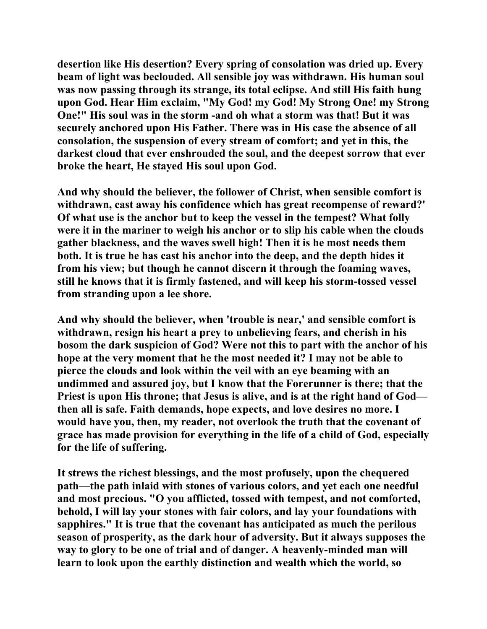**desertion like His desertion? Every spring of consolation was dried up. Every beam of light was beclouded. All sensible joy was withdrawn. His human soul was now passing through its strange, its total eclipse. And still His faith hung upon God. Hear Him exclaim, "My God! my God! My Strong One! my Strong One!" His soul was in the storm -and oh what a storm was that! But it was securely anchored upon His Father. There was in His case the absence of all consolation, the suspension of every stream of comfort; and yet in this, the darkest cloud that ever enshrouded the soul, and the deepest sorrow that ever broke the heart, He stayed His soul upon God.** 

**And why should the believer, the follower of Christ, when sensible comfort is withdrawn, cast away his confidence which has great recompense of reward?' Of what use is the anchor but to keep the vessel in the tempest? What folly were it in the mariner to weigh his anchor or to slip his cable when the clouds gather blackness, and the waves swell high! Then it is he most needs them both. It is true he has cast his anchor into the deep, and the depth hides it from his view; but though he cannot discern it through the foaming waves, still he knows that it is firmly fastened, and will keep his storm-tossed vessel from stranding upon a lee shore.** 

**And why should the believer, when 'trouble is near,' and sensible comfort is withdrawn, resign his heart a prey to unbelieving fears, and cherish in his bosom the dark suspicion of God? Were not this to part with the anchor of his hope at the very moment that he the most needed it? I may not be able to pierce the clouds and look within the veil with an eye beaming with an undimmed and assured joy, but I know that the Forerunner is there; that the Priest is upon His throne; that Jesus is alive, and is at the right hand of God then all is safe. Faith demands, hope expects, and love desires no more. I would have you, then, my reader, not overlook the truth that the covenant of grace has made provision for everything in the life of a child of God, especially for the life of suffering.** 

**It strews the richest blessings, and the most profusely, upon the chequered path—the path inlaid with stones of various colors, and yet each one needful and most precious. "O you afflicted, tossed with tempest, and not comforted, behold, I will lay your stones with fair colors, and lay your foundations with sapphires." It is true that the covenant has anticipated as much the perilous season of prosperity, as the dark hour of adversity. But it always supposes the way to glory to be one of trial and of danger. A heavenly-minded man will learn to look upon the earthly distinction and wealth which the world, so**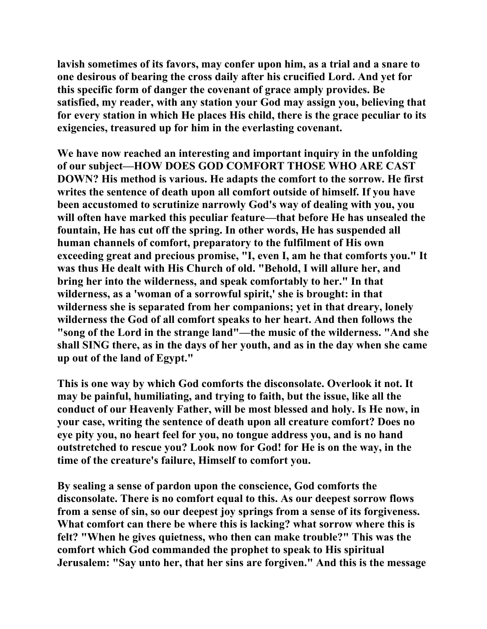**lavish sometimes of its favors, may confer upon him, as a trial and a snare to one desirous of bearing the cross daily after his crucified Lord. And yet for this specific form of danger the covenant of grace amply provides. Be satisfied, my reader, with any station your God may assign you, believing that for every station in which He places His child, there is the grace peculiar to its exigencies, treasured up for him in the everlasting covenant.** 

**We have now reached an interesting and important inquiry in the unfolding of our subject—HOW DOES GOD COMFORT THOSE WHO ARE CAST DOWN? His method is various. He adapts the comfort to the sorrow. He first writes the sentence of death upon all comfort outside of himself. If you have been accustomed to scrutinize narrowly God's way of dealing with you, you will often have marked this peculiar feature—that before He has unsealed the fountain, He has cut off the spring. In other words, He has suspended all human channels of comfort, preparatory to the fulfilment of His own exceeding great and precious promise, "I, even I, am he that comforts you." It was thus He dealt with His Church of old. "Behold, I will allure her, and bring her into the wilderness, and speak comfortably to her." In that wilderness, as a 'woman of a sorrowful spirit,' she is brought: in that wilderness she is separated from her companions; yet in that dreary, lonely wilderness the God of all comfort speaks to her heart. And then follows the "song of the Lord in the strange land"—the music of the wilderness. "And she shall SING there, as in the days of her youth, and as in the day when she came up out of the land of Egypt."** 

**This is one way by which God comforts the disconsolate. Overlook it not. It may be painful, humiliating, and trying to faith, but the issue, like all the conduct of our Heavenly Father, will be most blessed and holy. Is He now, in your case, writing the sentence of death upon all creature comfort? Does no eye pity you, no heart feel for you, no tongue address you, and is no hand outstretched to rescue you? Look now for God! for He is on the way, in the time of the creature's failure, Himself to comfort you.** 

**By sealing a sense of pardon upon the conscience, God comforts the disconsolate. There is no comfort equal to this. As our deepest sorrow flows from a sense of sin, so our deepest joy springs from a sense of its forgiveness. What comfort can there be where this is lacking? what sorrow where this is felt? "When he gives quietness, who then can make trouble?" This was the comfort which God commanded the prophet to speak to His spiritual Jerusalem: "Say unto her, that her sins are forgiven." And this is the message**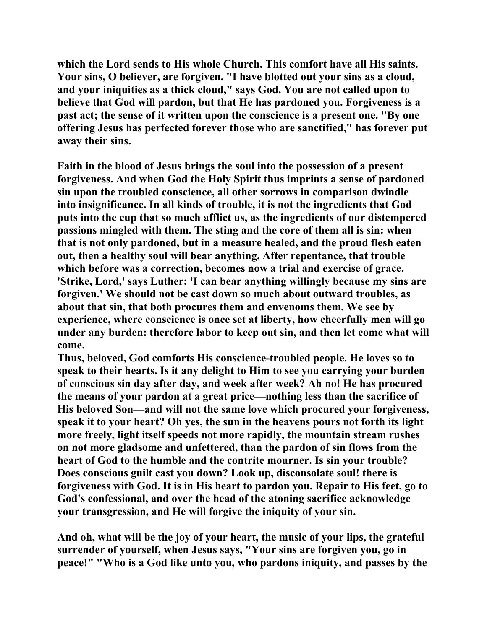**which the Lord sends to His whole Church. This comfort have all His saints. Your sins, O believer, are forgiven. "I have blotted out your sins as a cloud, and your iniquities as a thick cloud," says God. You are not called upon to believe that God will pardon, but that He has pardoned you. Forgiveness is a past act; the sense of it written upon the conscience is a present one. "By one offering Jesus has perfected forever those who are sanctified," has forever put away their sins.** 

**Faith in the blood of Jesus brings the soul into the possession of a present forgiveness. And when God the Holy Spirit thus imprints a sense of pardoned sin upon the troubled conscience, all other sorrows in comparison dwindle into insignificance. In all kinds of trouble, it is not the ingredients that God puts into the cup that so much afflict us, as the ingredients of our distempered passions mingled with them. The sting and the core of them all is sin: when that is not only pardoned, but in a measure healed, and the proud flesh eaten out, then a healthy soul will bear anything. After repentance, that trouble which before was a correction, becomes now a trial and exercise of grace. 'Strike, Lord,' says Luther; 'I can bear anything willingly because my sins are forgiven.' We should not be cast down so much about outward troubles, as about that sin, that both procures them and envenoms them. We see by experience, where conscience is once set at liberty, how cheerfully men will go under any burden: therefore labor to keep out sin, and then let come what will come.** 

**Thus, beloved, God comforts His conscience-troubled people. He loves so to speak to their hearts. Is it any delight to Him to see you carrying your burden of conscious sin day after day, and week after week? Ah no! He has procured the means of your pardon at a great price—nothing less than the sacrifice of His beloved Son—and will not the same love which procured your forgiveness, speak it to your heart? Oh yes, the sun in the heavens pours not forth its light more freely, light itself speeds not more rapidly, the mountain stream rushes on not more gladsome and unfettered, than the pardon of sin flows from the heart of God to the humble and the contrite mourner. Is sin your trouble? Does conscious guilt cast you down? Look up, disconsolate soul! there is forgiveness with God. It is in His heart to pardon you. Repair to His feet, go to God's confessional, and over the head of the atoning sacrifice acknowledge your transgression, and He will forgive the iniquity of your sin.** 

**And oh, what will be the joy of your heart, the music of your lips, the grateful surrender of yourself, when Jesus says, "Your sins are forgiven you, go in peace!" "Who is a God like unto you, who pardons iniquity, and passes by the**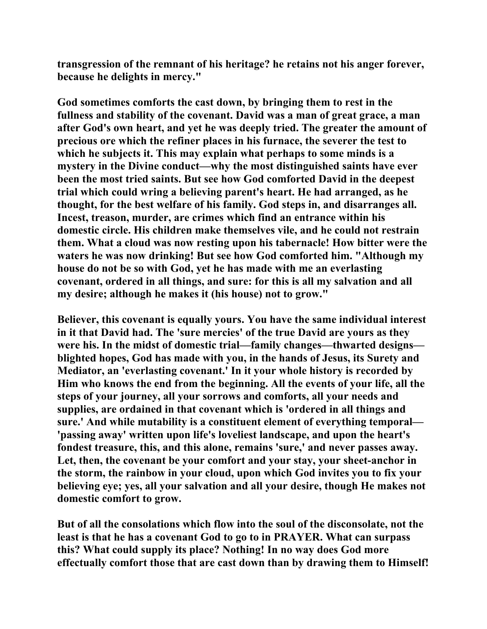**transgression of the remnant of his heritage? he retains not his anger forever, because he delights in mercy."** 

**God sometimes comforts the cast down, by bringing them to rest in the fullness and stability of the covenant. David was a man of great grace, a man after God's own heart, and yet he was deeply tried. The greater the amount of precious ore which the refiner places in his furnace, the severer the test to which he subjects it. This may explain what perhaps to some minds is a mystery in the Divine conduct—why the most distinguished saints have ever been the most tried saints. But see how God comforted David in the deepest trial which could wring a believing parent's heart. He had arranged, as he thought, for the best welfare of his family. God steps in, and disarranges all. Incest, treason, murder, are crimes which find an entrance within his domestic circle. His children make themselves vile, and he could not restrain them. What a cloud was now resting upon his tabernacle! How bitter were the waters he was now drinking! But see how God comforted him. "Although my house do not be so with God, yet he has made with me an everlasting covenant, ordered in all things, and sure: for this is all my salvation and all my desire; although he makes it (his house) not to grow."** 

**Believer, this covenant is equally yours. You have the same individual interest in it that David had. The 'sure mercies' of the true David are yours as they were his. In the midst of domestic trial—family changes—thwarted designs blighted hopes, God has made with you, in the hands of Jesus, its Surety and Mediator, an 'everlasting covenant.' In it your whole history is recorded by Him who knows the end from the beginning. All the events of your life, all the steps of your journey, all your sorrows and comforts, all your needs and supplies, are ordained in that covenant which is 'ordered in all things and sure.' And while mutability is a constituent element of everything temporal— 'passing away' written upon life's loveliest landscape, and upon the heart's fondest treasure, this, and this alone, remains 'sure,' and never passes away. Let, then, the covenant be your comfort and your stay, your sheet-anchor in the storm, the rainbow in your cloud, upon which God invites you to fix your believing eye; yes, all your salvation and all your desire, though He makes not domestic comfort to grow.** 

**But of all the consolations which flow into the soul of the disconsolate, not the least is that he has a covenant God to go to in PRAYER. What can surpass this? What could supply its place? Nothing! In no way does God more effectually comfort those that are cast down than by drawing them to Himself!**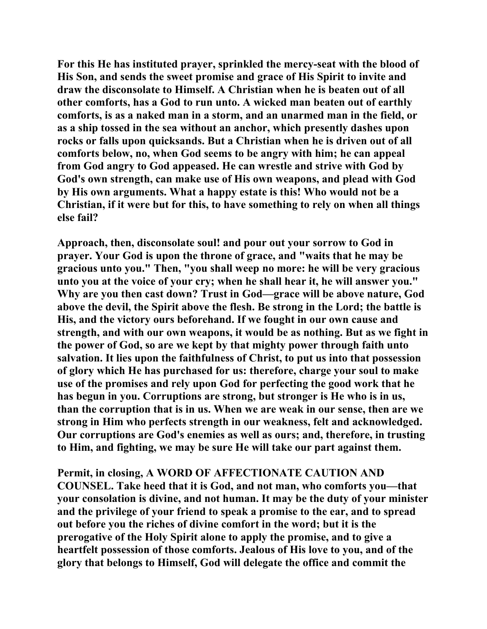**For this He has instituted prayer, sprinkled the mercy-seat with the blood of His Son, and sends the sweet promise and grace of His Spirit to invite and draw the disconsolate to Himself. A Christian when he is beaten out of all other comforts, has a God to run unto. A wicked man beaten out of earthly comforts, is as a naked man in a storm, and an unarmed man in the field, or as a ship tossed in the sea without an anchor, which presently dashes upon rocks or falls upon quicksands. But a Christian when he is driven out of all comforts below, no, when God seems to be angry with him; he can appeal from God angry to God appeased. He can wrestle and strive with God by God's own strength, can make use of His own weapons, and plead with God by His own arguments. What a happy estate is this! Who would not be a Christian, if it were but for this, to have something to rely on when all things else fail?** 

**Approach, then, disconsolate soul! and pour out your sorrow to God in prayer. Your God is upon the throne of grace, and "waits that he may be gracious unto you." Then, "you shall weep no more: he will be very gracious unto you at the voice of your cry; when he shall hear it, he will answer you." Why are you then cast down? Trust in God—grace will be above nature, God above the devil, the Spirit above the flesh. Be strong in the Lord; the battle is His, and the victory ours beforehand. If we fought in our own cause and strength, and with our own weapons, it would be as nothing. But as we fight in the power of God, so are we kept by that mighty power through faith unto salvation. It lies upon the faithfulness of Christ, to put us into that possession of glory which He has purchased for us: therefore, charge your soul to make use of the promises and rely upon God for perfecting the good work that he has begun in you. Corruptions are strong, but stronger is He who is in us, than the corruption that is in us. When we are weak in our sense, then are we strong in Him who perfects strength in our weakness, felt and acknowledged. Our corruptions are God's enemies as well as ours; and, therefore, in trusting to Him, and fighting, we may be sure He will take our part against them.** 

**Permit, in closing, A WORD OF AFFECTIONATE CAUTION AND COUNSEL. Take heed that it is God, and not man, who comforts you—that your consolation is divine, and not human. It may be the duty of your minister and the privilege of your friend to speak a promise to the ear, and to spread out before you the riches of divine comfort in the word; but it is the prerogative of the Holy Spirit alone to apply the promise, and to give a heartfelt possession of those comforts. Jealous of His love to you, and of the glory that belongs to Himself, God will delegate the office and commit the**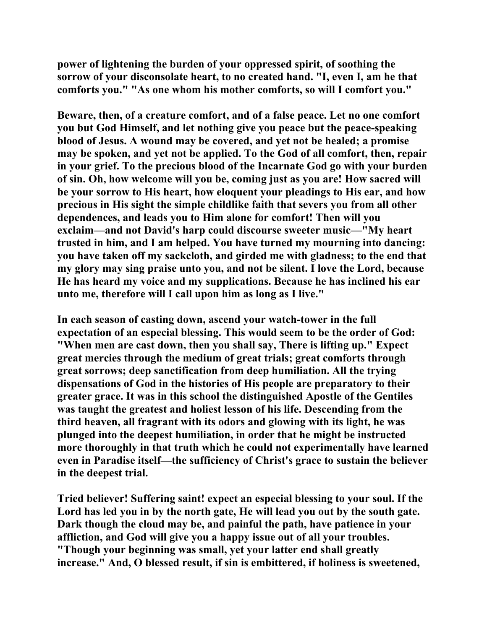**power of lightening the burden of your oppressed spirit, of soothing the sorrow of your disconsolate heart, to no created hand. "I, even I, am he that comforts you." "As one whom his mother comforts, so will I comfort you."** 

**Beware, then, of a creature comfort, and of a false peace. Let no one comfort you but God Himself, and let nothing give you peace but the peace-speaking blood of Jesus. A wound may be covered, and yet not be healed; a promise may be spoken, and yet not be applied. To the God of all comfort, then, repair in your grief. To the precious blood of the Incarnate God go with your burden of sin. Oh, how welcome will you be, coming just as you are! How sacred will be your sorrow to His heart, how eloquent your pleadings to His ear, and how precious in His sight the simple childlike faith that severs you from all other dependences, and leads you to Him alone for comfort! Then will you exclaim—and not David's harp could discourse sweeter music—"My heart trusted in him, and I am helped. You have turned my mourning into dancing: you have taken off my sackcloth, and girded me with gladness; to the end that my glory may sing praise unto you, and not be silent. I love the Lord, because He has heard my voice and my supplications. Because he has inclined his ear unto me, therefore will I call upon him as long as I live."** 

**In each season of casting down, ascend your watch-tower in the full expectation of an especial blessing. This would seem to be the order of God: "When men are cast down, then you shall say, There is lifting up." Expect great mercies through the medium of great trials; great comforts through great sorrows; deep sanctification from deep humiliation. All the trying dispensations of God in the histories of His people are preparatory to their greater grace. It was in this school the distinguished Apostle of the Gentiles was taught the greatest and holiest lesson of his life. Descending from the third heaven, all fragrant with its odors and glowing with its light, he was plunged into the deepest humiliation, in order that he might be instructed more thoroughly in that truth which he could not experimentally have learned even in Paradise itself—the sufficiency of Christ's grace to sustain the believer in the deepest trial.** 

**Tried believer! Suffering saint! expect an especial blessing to your soul. If the Lord has led you in by the north gate, He will lead you out by the south gate. Dark though the cloud may be, and painful the path, have patience in your affliction, and God will give you a happy issue out of all your troubles. "Though your beginning was small, yet your latter end shall greatly increase." And, O blessed result, if sin is embittered, if holiness is sweetened,**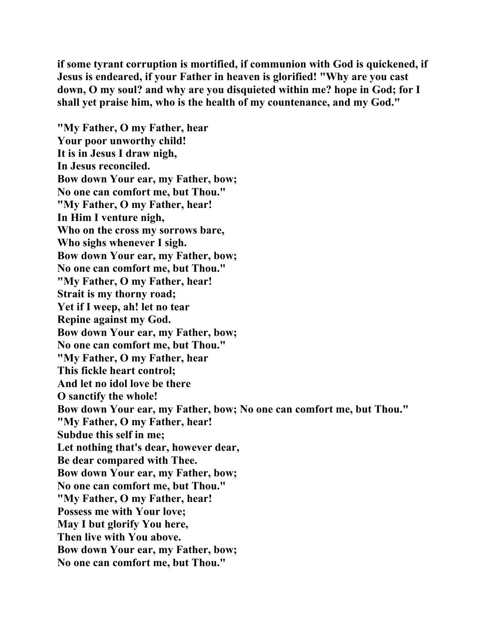**if some tyrant corruption is mortified, if communion with God is quickened, if Jesus is endeared, if your Father in heaven is glorified! "Why are you cast down, O my soul? and why are you disquieted within me? hope in God; for I shall yet praise him, who is the health of my countenance, and my God."** 

**"My Father, O my Father, hear Your poor unworthy child! It is in Jesus I draw nigh, In Jesus reconciled. Bow down Your ear, my Father, bow; No one can comfort me, but Thou." "My Father, O my Father, hear! In Him I venture nigh, Who on the cross my sorrows bare, Who sighs whenever I sigh. Bow down Your ear, my Father, bow; No one can comfort me, but Thou." "My Father, O my Father, hear! Strait is my thorny road; Yet if I weep, ah! let no tear Repine against my God. Bow down Your ear, my Father, bow; No one can comfort me, but Thou." "My Father, O my Father, hear This fickle heart control; And let no idol love be there O sanctify the whole! Bow down Your ear, my Father, bow; No one can comfort me, but Thou." "My Father, O my Father, hear! Subdue this self in me; Let nothing that's dear, however dear, Be dear compared with Thee. Bow down Your ear, my Father, bow; No one can comfort me, but Thou." "My Father, O my Father, hear! Possess me with Your love; May I but glorify You here, Then live with You above. Bow down Your ear, my Father, bow; No one can comfort me, but Thou."**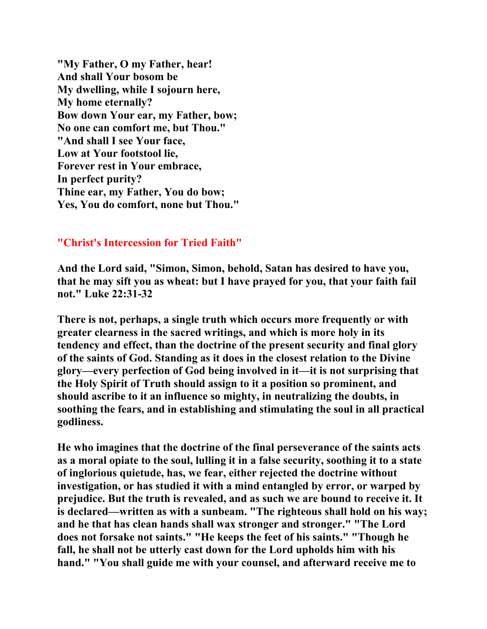**"My Father, O my Father, hear! And shall Your bosom be My dwelling, while I sojourn here, My home eternally? Bow down Your ear, my Father, bow; No one can comfort me, but Thou." "And shall I see Your face, Low at Your footstool lie, Forever rest in Your embrace, In perfect purity? Thine ear, my Father, You do bow; Yes, You do comfort, none but Thou."** 

## **"Christ's Intercession for Tried Faith"**

**And the Lord said, "Simon, Simon, behold, Satan has desired to have you, that he may sift you as wheat: but I have prayed for you, that your faith fail not." Luke 22:31-32** 

**There is not, perhaps, a single truth which occurs more frequently or with greater clearness in the sacred writings, and which is more holy in its tendency and effect, than the doctrine of the present security and final glory of the saints of God. Standing as it does in the closest relation to the Divine glory—every perfection of God being involved in it—it is not surprising that the Holy Spirit of Truth should assign to it a position so prominent, and should ascribe to it an influence so mighty, in neutralizing the doubts, in soothing the fears, and in establishing and stimulating the soul in all practical godliness.** 

**He who imagines that the doctrine of the final perseverance of the saints acts as a moral opiate to the soul, lulling it in a false security, soothing it to a state of inglorious quietude, has, we fear, either rejected the doctrine without investigation, or has studied it with a mind entangled by error, or warped by prejudice. But the truth is revealed, and as such we are bound to receive it. It is declared—written as with a sunbeam. "The righteous shall hold on his way; and he that has clean hands shall wax stronger and stronger." "The Lord does not forsake not saints." "He keeps the feet of his saints." "Though he fall, he shall not be utterly cast down for the Lord upholds him with his hand." "You shall guide me with your counsel, and afterward receive me to**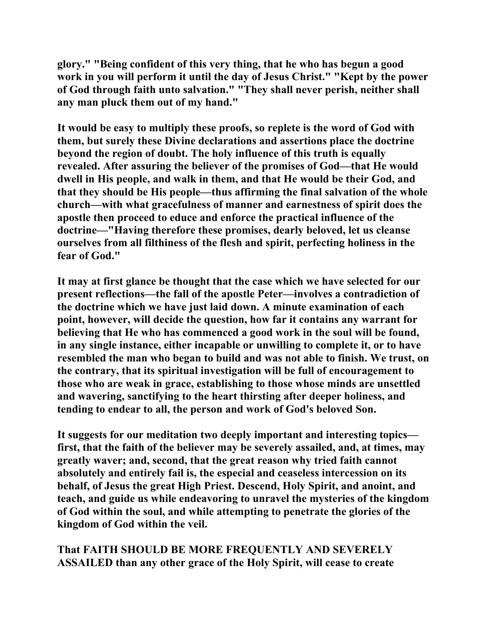**glory." "Being confident of this very thing, that he who has begun a good work in you will perform it until the day of Jesus Christ." "Kept by the power of God through faith unto salvation." "They shall never perish, neither shall any man pluck them out of my hand."** 

**It would be easy to multiply these proofs, so replete is the word of God with them, but surely these Divine declarations and assertions place the doctrine beyond the region of doubt. The holy influence of this truth is equally revealed. After assuring the believer of the promises of God—that He would dwell in His people, and walk in them, and that He would be their God, and that they should be His people—thus affirming the final salvation of the whole church—with what gracefulness of manner and earnestness of spirit does the apostle then proceed to educe and enforce the practical influence of the doctrine—"Having therefore these promises, dearly beloved, let us cleanse ourselves from all filthiness of the flesh and spirit, perfecting holiness in the fear of God."** 

**It may at first glance be thought that the case which we have selected for our present reflections—the fall of the apostle Peter—involves a contradiction of the doctrine which we have just laid down. A minute examination of each point, however, will decide the question, how far it contains any warrant for believing that He who has commenced a good work in the soul will be found, in any single instance, either incapable or unwilling to complete it, or to have resembled the man who began to build and was not able to finish. We trust, on the contrary, that its spiritual investigation will be full of encouragement to those who are weak in grace, establishing to those whose minds are unsettled and wavering, sanctifying to the heart thirsting after deeper holiness, and tending to endear to all, the person and work of God's beloved Son.** 

**It suggests for our meditation two deeply important and interesting topics first, that the faith of the believer may be severely assailed, and, at times, may greatly waver; and, second, that the great reason why tried faith cannot absolutely and entirely fail is, the especial and ceaseless intercession on its behalf, of Jesus the great High Priest. Descend, Holy Spirit, and anoint, and teach, and guide us while endeavoring to unravel the mysteries of the kingdom of God within the soul, and while attempting to penetrate the glories of the kingdom of God within the veil.** 

**That FAITH SHOULD BE MORE FREQUENTLY AND SEVERELY ASSAILED than any other grace of the Holy Spirit, will cease to create**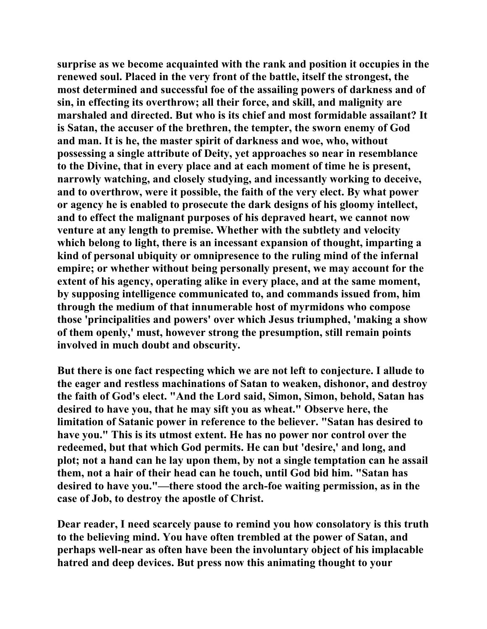**surprise as we become acquainted with the rank and position it occupies in the renewed soul. Placed in the very front of the battle, itself the strongest, the most determined and successful foe of the assailing powers of darkness and of sin, in effecting its overthrow; all their force, and skill, and malignity are marshaled and directed. But who is its chief and most formidable assailant? It is Satan, the accuser of the brethren, the tempter, the sworn enemy of God and man. It is he, the master spirit of darkness and woe, who, without possessing a single attribute of Deity, yet approaches so near in resemblance to the Divine, that in every place and at each moment of time he is present, narrowly watching, and closely studying, and incessantly working to deceive, and to overthrow, were it possible, the faith of the very elect. By what power or agency he is enabled to prosecute the dark designs of his gloomy intellect, and to effect the malignant purposes of his depraved heart, we cannot now venture at any length to premise. Whether with the subtlety and velocity which belong to light, there is an incessant expansion of thought, imparting a kind of personal ubiquity or omnipresence to the ruling mind of the infernal empire; or whether without being personally present, we may account for the extent of his agency, operating alike in every place, and at the same moment, by supposing intelligence communicated to, and commands issued from, him through the medium of that innumerable host of myrmidons who compose those 'principalities and powers' over which Jesus triumphed, 'making a show of them openly,' must, however strong the presumption, still remain points involved in much doubt and obscurity.** 

**But there is one fact respecting which we are not left to conjecture. I allude to the eager and restless machinations of Satan to weaken, dishonor, and destroy the faith of God's elect. "And the Lord said, Simon, Simon, behold, Satan has desired to have you, that he may sift you as wheat." Observe here, the limitation of Satanic power in reference to the believer. "Satan has desired to have you." This is its utmost extent. He has no power nor control over the redeemed, but that which God permits. He can but 'desire,' and long, and plot; not a hand can he lay upon them, by not a single temptation can he assail them, not a hair of their head can he touch, until God bid him. "Satan has desired to have you."—there stood the arch-foe waiting permission, as in the case of Job, to destroy the apostle of Christ.** 

**Dear reader, I need scarcely pause to remind you how consolatory is this truth to the believing mind. You have often trembled at the power of Satan, and perhaps well-near as often have been the involuntary object of his implacable hatred and deep devices. But press now this animating thought to your**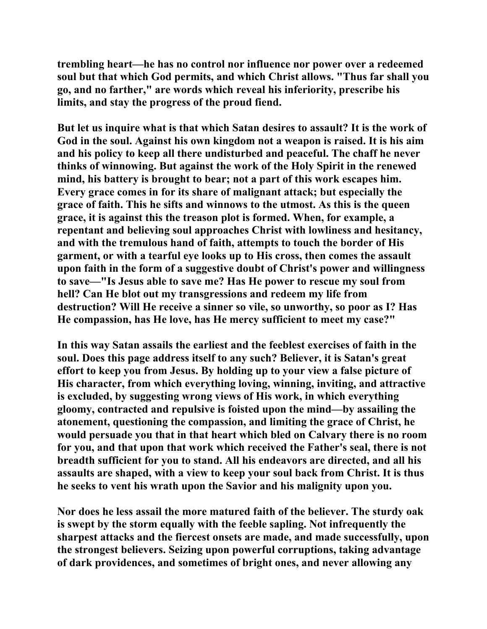**trembling heart—he has no control nor influence nor power over a redeemed soul but that which God permits, and which Christ allows. "Thus far shall you go, and no farther," are words which reveal his inferiority, prescribe his limits, and stay the progress of the proud fiend.** 

**But let us inquire what is that which Satan desires to assault? It is the work of God in the soul. Against his own kingdom not a weapon is raised. It is his aim and his policy to keep all there undisturbed and peaceful. The chaff he never thinks of winnowing. But against the work of the Holy Spirit in the renewed mind, his battery is brought to bear; not a part of this work escapes him. Every grace comes in for its share of malignant attack; but especially the grace of faith. This he sifts and winnows to the utmost. As this is the queen grace, it is against this the treason plot is formed. When, for example, a repentant and believing soul approaches Christ with lowliness and hesitancy, and with the tremulous hand of faith, attempts to touch the border of His garment, or with a tearful eye looks up to His cross, then comes the assault upon faith in the form of a suggestive doubt of Christ's power and willingness to save—"Is Jesus able to save me? Has He power to rescue my soul from hell? Can He blot out my transgressions and redeem my life from destruction? Will He receive a sinner so vile, so unworthy, so poor as I? Has He compassion, has He love, has He mercy sufficient to meet my case?"** 

**In this way Satan assails the earliest and the feeblest exercises of faith in the soul. Does this page address itself to any such? Believer, it is Satan's great effort to keep you from Jesus. By holding up to your view a false picture of His character, from which everything loving, winning, inviting, and attractive is excluded, by suggesting wrong views of His work, in which everything gloomy, contracted and repulsive is foisted upon the mind—by assailing the atonement, questioning the compassion, and limiting the grace of Christ, he would persuade you that in that heart which bled on Calvary there is no room for you, and that upon that work which received the Father's seal, there is not breadth sufficient for you to stand. All his endeavors are directed, and all his assaults are shaped, with a view to keep your soul back from Christ. It is thus he seeks to vent his wrath upon the Savior and his malignity upon you.** 

**Nor does he less assail the more matured faith of the believer. The sturdy oak is swept by the storm equally with the feeble sapling. Not infrequently the sharpest attacks and the fiercest onsets are made, and made successfully, upon the strongest believers. Seizing upon powerful corruptions, taking advantage of dark providences, and sometimes of bright ones, and never allowing any**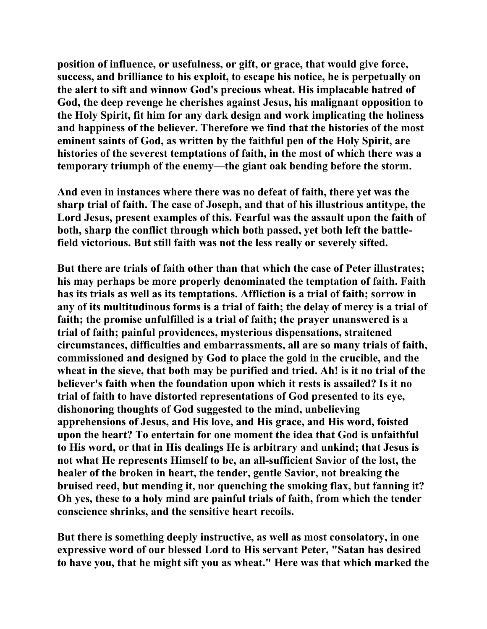**position of influence, or usefulness, or gift, or grace, that would give force, success, and brilliance to his exploit, to escape his notice, he is perpetually on the alert to sift and winnow God's precious wheat. His implacable hatred of God, the deep revenge he cherishes against Jesus, his malignant opposition to the Holy Spirit, fit him for any dark design and work implicating the holiness and happiness of the believer. Therefore we find that the histories of the most eminent saints of God, as written by the faithful pen of the Holy Spirit, are histories of the severest temptations of faith, in the most of which there was a temporary triumph of the enemy—the giant oak bending before the storm.** 

**And even in instances where there was no defeat of faith, there yet was the sharp trial of faith. The case of Joseph, and that of his illustrious antitype, the Lord Jesus, present examples of this. Fearful was the assault upon the faith of both, sharp the conflict through which both passed, yet both left the battlefield victorious. But still faith was not the less really or severely sifted.** 

**But there are trials of faith other than that which the case of Peter illustrates; his may perhaps be more properly denominated the temptation of faith. Faith has its trials as well as its temptations. Affliction is a trial of faith; sorrow in any of its multitudinous forms is a trial of faith; the delay of mercy is a trial of faith; the promise unfulfilled is a trial of faith; the prayer unanswered is a trial of faith; painful providences, mysterious dispensations, straitened circumstances, difficulties and embarrassments, all are so many trials of faith, commissioned and designed by God to place the gold in the crucible, and the wheat in the sieve, that both may be purified and tried. Ah! is it no trial of the believer's faith when the foundation upon which it rests is assailed? Is it no trial of faith to have distorted representations of God presented to its eye, dishonoring thoughts of God suggested to the mind, unbelieving apprehensions of Jesus, and His love, and His grace, and His word, foisted upon the heart? To entertain for one moment the idea that God is unfaithful to His word, or that in His dealings He is arbitrary and unkind; that Jesus is not what He represents Himself to be, an all-sufficient Savior of the lost, the healer of the broken in heart, the tender, gentle Savior, not breaking the bruised reed, but mending it, nor quenching the smoking flax, but fanning it? Oh yes, these to a holy mind are painful trials of faith, from which the tender conscience shrinks, and the sensitive heart recoils.** 

**But there is something deeply instructive, as well as most consolatory, in one expressive word of our blessed Lord to His servant Peter, "Satan has desired to have you, that he might sift you as wheat." Here was that which marked the**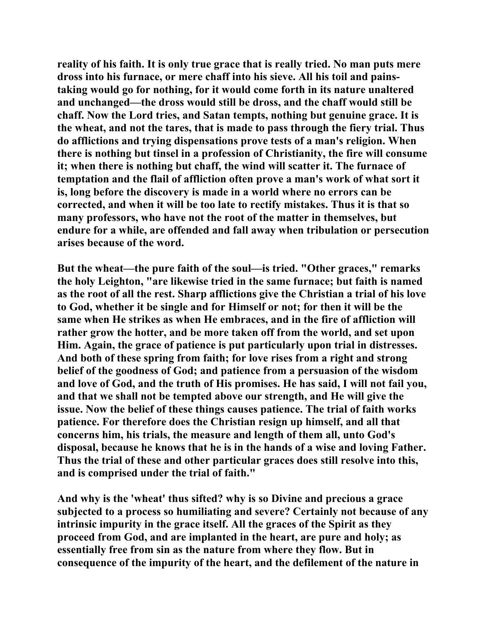**reality of his faith. It is only true grace that is really tried. No man puts mere dross into his furnace, or mere chaff into his sieve. All his toil and painstaking would go for nothing, for it would come forth in its nature unaltered and unchanged—the dross would still be dross, and the chaff would still be chaff. Now the Lord tries, and Satan tempts, nothing but genuine grace. It is the wheat, and not the tares, that is made to pass through the fiery trial. Thus do afflictions and trying dispensations prove tests of a man's religion. When there is nothing but tinsel in a profession of Christianity, the fire will consume it; when there is nothing but chaff, the wind will scatter it. The furnace of temptation and the flail of affliction often prove a man's work of what sort it is, long before the discovery is made in a world where no errors can be corrected, and when it will be too late to rectify mistakes. Thus it is that so many professors, who have not the root of the matter in themselves, but endure for a while, are offended and fall away when tribulation or persecution arises because of the word.** 

**But the wheat—the pure faith of the soul—is tried. "Other graces," remarks the holy Leighton, "are likewise tried in the same furnace; but faith is named as the root of all the rest. Sharp afflictions give the Christian a trial of his love to God, whether it be single and for Himself or not; for then it will be the same when He strikes as when He embraces, and in the fire of affliction will rather grow the hotter, and be more taken off from the world, and set upon Him. Again, the grace of patience is put particularly upon trial in distresses. And both of these spring from faith; for love rises from a right and strong belief of the goodness of God; and patience from a persuasion of the wisdom and love of God, and the truth of His promises. He has said, I will not fail you, and that we shall not be tempted above our strength, and He will give the issue. Now the belief of these things causes patience. The trial of faith works patience. For therefore does the Christian resign up himself, and all that concerns him, his trials, the measure and length of them all, unto God's disposal, because he knows that he is in the hands of a wise and loving Father. Thus the trial of these and other particular graces does still resolve into this, and is comprised under the trial of faith."** 

**And why is the 'wheat' thus sifted? why is so Divine and precious a grace subjected to a process so humiliating and severe? Certainly not because of any intrinsic impurity in the grace itself. All the graces of the Spirit as they proceed from God, and are implanted in the heart, are pure and holy; as essentially free from sin as the nature from where they flow. But in consequence of the impurity of the heart, and the defilement of the nature in**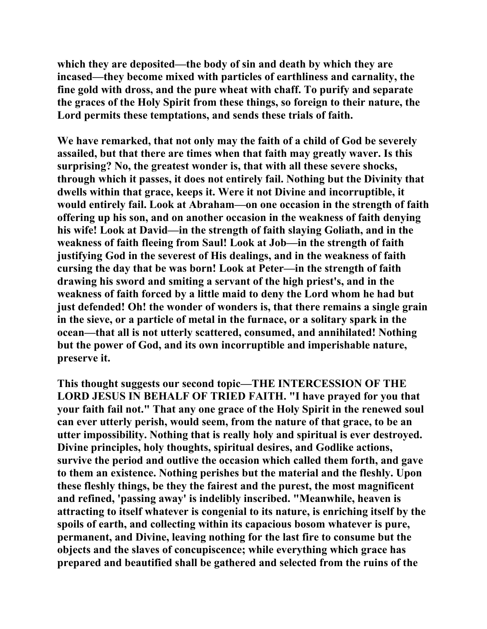**which they are deposited—the body of sin and death by which they are incased—they become mixed with particles of earthliness and carnality, the fine gold with dross, and the pure wheat with chaff. To purify and separate the graces of the Holy Spirit from these things, so foreign to their nature, the Lord permits these temptations, and sends these trials of faith.** 

**We have remarked, that not only may the faith of a child of God be severely assailed, but that there are times when that faith may greatly waver. Is this surprising? No, the greatest wonder is, that with all these severe shocks, through which it passes, it does not entirely fail. Nothing but the Divinity that dwells within that grace, keeps it. Were it not Divine and incorruptible, it would entirely fail. Look at Abraham—on one occasion in the strength of faith offering up his son, and on another occasion in the weakness of faith denying his wife! Look at David—in the strength of faith slaying Goliath, and in the weakness of faith fleeing from Saul! Look at Job—in the strength of faith justifying God in the severest of His dealings, and in the weakness of faith cursing the day that be was born! Look at Peter—in the strength of faith drawing his sword and smiting a servant of the high priest's, and in the weakness of faith forced by a little maid to deny the Lord whom he had but just defended! Oh! the wonder of wonders is, that there remains a single grain in the sieve, or a particle of metal in the furnace, or a solitary spark in the ocean—that all is not utterly scattered, consumed, and annihilated! Nothing but the power of God, and its own incorruptible and imperishable nature, preserve it.** 

**This thought suggests our second topic—THE INTERCESSION OF THE LORD JESUS IN BEHALF OF TRIED FAITH. "I have prayed for you that your faith fail not." That any one grace of the Holy Spirit in the renewed soul can ever utterly perish, would seem, from the nature of that grace, to be an utter impossibility. Nothing that is really holy and spiritual is ever destroyed. Divine principles, holy thoughts, spiritual desires, and Godlike actions, survive the period and outlive the occasion which called them forth, and gave to them an existence. Nothing perishes but the material and the fleshly. Upon these fleshly things, be they the fairest and the purest, the most magnificent and refined, 'passing away' is indelibly inscribed. "Meanwhile, heaven is attracting to itself whatever is congenial to its nature, is enriching itself by the spoils of earth, and collecting within its capacious bosom whatever is pure, permanent, and Divine, leaving nothing for the last fire to consume but the objects and the slaves of concupiscence; while everything which grace has prepared and beautified shall be gathered and selected from the ruins of the**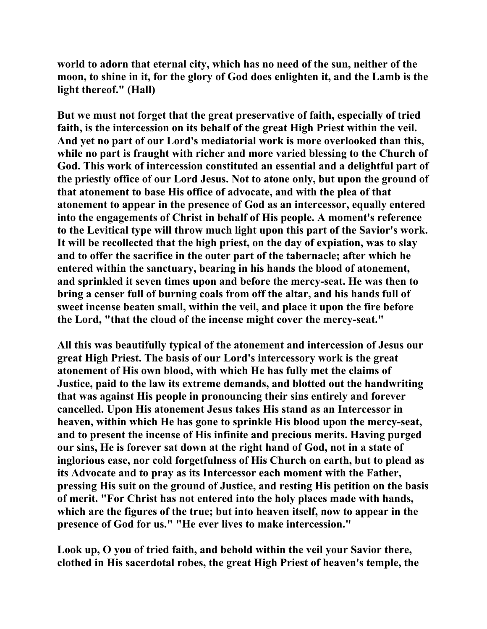**world to adorn that eternal city, which has no need of the sun, neither of the moon, to shine in it, for the glory of God does enlighten it, and the Lamb is the light thereof." (Hall)** 

**But we must not forget that the great preservative of faith, especially of tried faith, is the intercession on its behalf of the great High Priest within the veil. And yet no part of our Lord's mediatorial work is more overlooked than this, while no part is fraught with richer and more varied blessing to the Church of God. This work of intercession constituted an essential and a delightful part of the priestly office of our Lord Jesus. Not to atone only, but upon the ground of that atonement to base His office of advocate, and with the plea of that atonement to appear in the presence of God as an intercessor, equally entered into the engagements of Christ in behalf of His people. A moment's reference to the Levitical type will throw much light upon this part of the Savior's work. It will be recollected that the high priest, on the day of expiation, was to slay and to offer the sacrifice in the outer part of the tabernacle; after which he entered within the sanctuary, bearing in his hands the blood of atonement, and sprinkled it seven times upon and before the mercy-seat. He was then to bring a censer full of burning coals from off the altar, and his hands full of sweet incense beaten small, within the veil, and place it upon the fire before the Lord, "that the cloud of the incense might cover the mercy-seat."** 

**All this was beautifully typical of the atonement and intercession of Jesus our great High Priest. The basis of our Lord's intercessory work is the great atonement of His own blood, with which He has fully met the claims of Justice, paid to the law its extreme demands, and blotted out the handwriting that was against His people in pronouncing their sins entirely and forever cancelled. Upon His atonement Jesus takes His stand as an Intercessor in heaven, within which He has gone to sprinkle His blood upon the mercy-seat, and to present the incense of His infinite and precious merits. Having purged our sins, He is forever sat down at the right hand of God, not in a state of inglorious ease, nor cold forgetfulness of His Church on earth, but to plead as its Advocate and to pray as its Intercessor each moment with the Father, pressing His suit on the ground of Justice, and resting His petition on the basis of merit. "For Christ has not entered into the holy places made with hands, which are the figures of the true; but into heaven itself, now to appear in the presence of God for us." "He ever lives to make intercession."** 

**Look up, O you of tried faith, and behold within the veil your Savior there, clothed in His sacerdotal robes, the great High Priest of heaven's temple, the**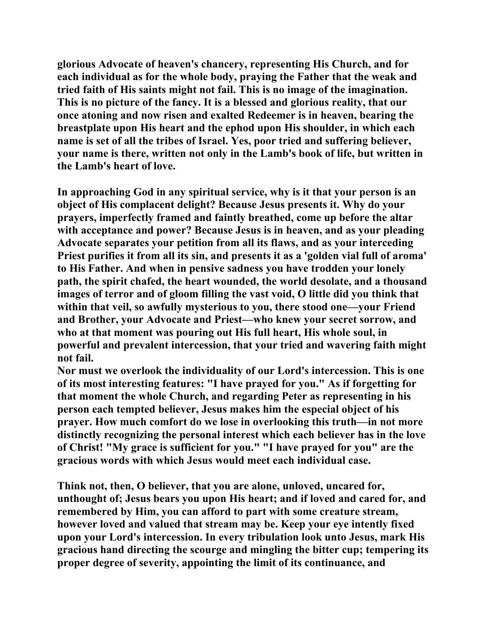**glorious Advocate of heaven's chancery, representing His Church, and for each individual as for the whole body, praying the Father that the weak and tried faith of His saints might not fail. This is no image of the imagination. This is no picture of the fancy. It is a blessed and glorious reality, that our once atoning and now risen and exalted Redeemer is in heaven, bearing the breastplate upon His heart and the ephod upon His shoulder, in which each name is set of all the tribes of Israel. Yes, poor tried and suffering believer, your name is there, written not only in the Lamb's book of life, but written in the Lamb's heart of love.** 

**In approaching God in any spiritual service, why is it that your person is an object of His complacent delight? Because Jesus presents it. Why do your prayers, imperfectly framed and faintly breathed, come up before the altar with acceptance and power? Because Jesus is in heaven, and as your pleading Advocate separates your petition from all its flaws, and as your interceding Priest purifies it from all its sin, and presents it as a 'golden vial full of aroma' to His Father. And when in pensive sadness you have trodden your lonely path, the spirit chafed, the heart wounded, the world desolate, and a thousand images of terror and of gloom filling the vast void, O little did you think that within that veil, so awfully mysterious to you, there stood one—your Friend and Brother, your Advocate and Priest—who knew your secret sorrow, and who at that moment was pouring out His full heart, His whole soul, in powerful and prevalent intercession, that your tried and wavering faith might not fail.** 

**Nor must we overlook the individuality of our Lord's intercession. This is one of its most interesting features: "I have prayed for you." As if forgetting for that moment the whole Church, and regarding Peter as representing in his person each tempted believer, Jesus makes him the especial object of his prayer. How much comfort do we lose in overlooking this truth—in not more distinctly recognizing the personal interest which each believer has in the love of Christ! "My grace is sufficient for you." "I have prayed for you" are the gracious words with which Jesus would meet each individual case.** 

**Think not, then, O believer, that you are alone, unloved, uncared for, unthought of; Jesus bears you upon His heart; and if loved and cared for, and remembered by Him, you can afford to part with some creature stream, however loved and valued that stream may be. Keep your eye intently fixed upon your Lord's intercession. In every tribulation look unto Jesus, mark His gracious hand directing the scourge and mingling the bitter cup; tempering its proper degree of severity, appointing the limit of its continuance, and**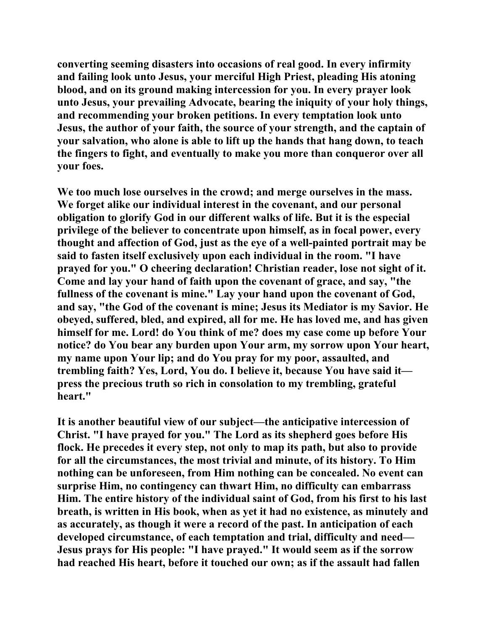**converting seeming disasters into occasions of real good. In every infirmity and failing look unto Jesus, your merciful High Priest, pleading His atoning blood, and on its ground making intercession for you. In every prayer look unto Jesus, your prevailing Advocate, bearing the iniquity of your holy things, and recommending your broken petitions. In every temptation look unto Jesus, the author of your faith, the source of your strength, and the captain of your salvation, who alone is able to lift up the hands that hang down, to teach the fingers to fight, and eventually to make you more than conqueror over all your foes.** 

**We too much lose ourselves in the crowd; and merge ourselves in the mass. We forget alike our individual interest in the covenant, and our personal obligation to glorify God in our different walks of life. But it is the especial privilege of the believer to concentrate upon himself, as in focal power, every thought and affection of God, just as the eye of a well-painted portrait may be said to fasten itself exclusively upon each individual in the room. "I have prayed for you." O cheering declaration! Christian reader, lose not sight of it. Come and lay your hand of faith upon the covenant of grace, and say, "the fullness of the covenant is mine." Lay your hand upon the covenant of God, and say, "the God of the covenant is mine; Jesus its Mediator is my Savior. He obeyed, suffered, bled, and expired, all for me. He has loved me, and has given himself for me. Lord! do You think of me? does my case come up before Your notice? do You bear any burden upon Your arm, my sorrow upon Your heart, my name upon Your lip; and do You pray for my poor, assaulted, and trembling faith? Yes, Lord, You do. I believe it, because You have said it press the precious truth so rich in consolation to my trembling, grateful heart."** 

**It is another beautiful view of our subject—the anticipative intercession of Christ. "I have prayed for you." The Lord as its shepherd goes before His flock. He precedes it every step, not only to map its path, but also to provide for all the circumstances, the most trivial and minute, of its history. To Him nothing can be unforeseen, from Him nothing can be concealed. No event can surprise Him, no contingency can thwart Him, no difficulty can embarrass Him. The entire history of the individual saint of God, from his first to his last breath, is written in His book, when as yet it had no existence, as minutely and as accurately, as though it were a record of the past. In anticipation of each developed circumstance, of each temptation and trial, difficulty and need— Jesus prays for His people: "I have prayed." It would seem as if the sorrow had reached His heart, before it touched our own; as if the assault had fallen**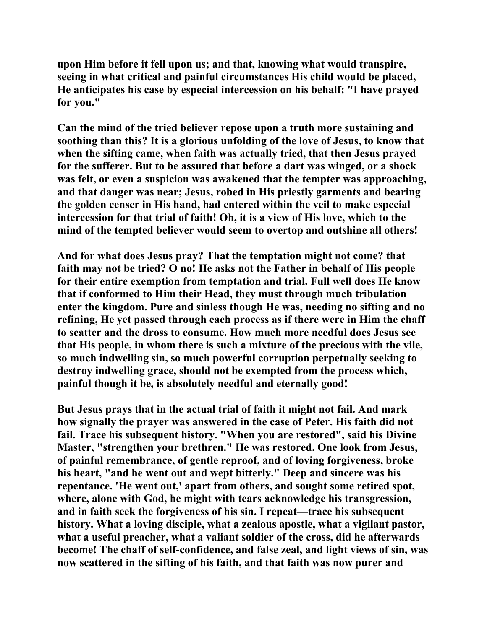**upon Him before it fell upon us; and that, knowing what would transpire, seeing in what critical and painful circumstances His child would be placed, He anticipates his case by especial intercession on his behalf: "I have prayed for you."** 

**Can the mind of the tried believer repose upon a truth more sustaining and soothing than this? It is a glorious unfolding of the love of Jesus, to know that when the sifting came, when faith was actually tried, that then Jesus prayed for the sufferer. But to be assured that before a dart was winged, or a shock was felt, or even a suspicion was awakened that the tempter was approaching, and that danger was near; Jesus, robed in His priestly garments and bearing the golden censer in His hand, had entered within the veil to make especial intercession for that trial of faith! Oh, it is a view of His love, which to the mind of the tempted believer would seem to overtop and outshine all others!** 

**And for what does Jesus pray? That the temptation might not come? that faith may not be tried? O no! He asks not the Father in behalf of His people for their entire exemption from temptation and trial. Full well does He know that if conformed to Him their Head, they must through much tribulation enter the kingdom. Pure and sinless though He was, needing no sifting and no refining, He yet passed through each process as if there were in Him the chaff to scatter and the dross to consume. How much more needful does Jesus see that His people, in whom there is such a mixture of the precious with the vile, so much indwelling sin, so much powerful corruption perpetually seeking to destroy indwelling grace, should not be exempted from the process which, painful though it be, is absolutely needful and eternally good!** 

**But Jesus prays that in the actual trial of faith it might not fail. And mark how signally the prayer was answered in the case of Peter. His faith did not fail. Trace his subsequent history. "When you are restored", said his Divine Master, "strengthen your brethren." He was restored. One look from Jesus, of painful remembrance, of gentle reproof, and of loving forgiveness, broke his heart, "and he went out and wept bitterly." Deep and sincere was his repentance. 'He went out,' apart from others, and sought some retired spot, where, alone with God, he might with tears acknowledge his transgression, and in faith seek the forgiveness of his sin. I repeat—trace his subsequent history. What a loving disciple, what a zealous apostle, what a vigilant pastor, what a useful preacher, what a valiant soldier of the cross, did he afterwards become! The chaff of self-confidence, and false zeal, and light views of sin, was now scattered in the sifting of his faith, and that faith was now purer and**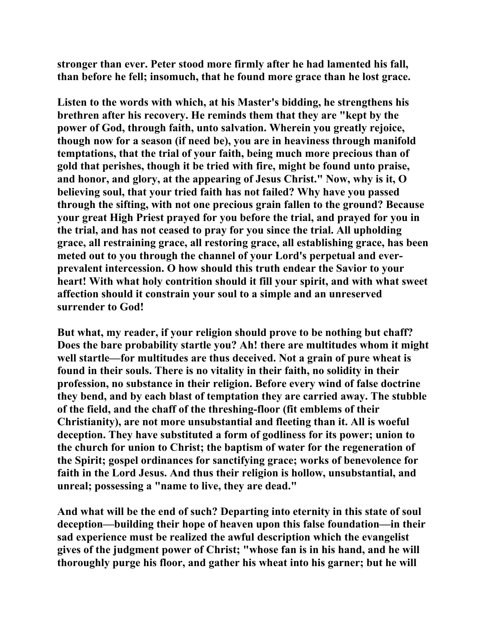**stronger than ever. Peter stood more firmly after he had lamented his fall, than before he fell; insomuch, that he found more grace than he lost grace.** 

**Listen to the words with which, at his Master's bidding, he strengthens his brethren after his recovery. He reminds them that they are "kept by the power of God, through faith, unto salvation. Wherein you greatly rejoice, though now for a season (if need be), you are in heaviness through manifold temptations, that the trial of your faith, being much more precious than of gold that perishes, though it be tried with fire, might be found unto praise, and honor, and glory, at the appearing of Jesus Christ." Now, why is it, O believing soul, that your tried faith has not failed? Why have you passed through the sifting, with not one precious grain fallen to the ground? Because your great High Priest prayed for you before the trial, and prayed for you in the trial, and has not ceased to pray for you since the trial. All upholding grace, all restraining grace, all restoring grace, all establishing grace, has been meted out to you through the channel of your Lord's perpetual and everprevalent intercession. O how should this truth endear the Savior to your heart! With what holy contrition should it fill your spirit, and with what sweet affection should it constrain your soul to a simple and an unreserved surrender to God!** 

**But what, my reader, if your religion should prove to be nothing but chaff? Does the bare probability startle you? Ah! there are multitudes whom it might well startle—for multitudes are thus deceived. Not a grain of pure wheat is found in their souls. There is no vitality in their faith, no solidity in their profession, no substance in their religion. Before every wind of false doctrine they bend, and by each blast of temptation they are carried away. The stubble of the field, and the chaff of the threshing-floor (fit emblems of their Christianity), are not more unsubstantial and fleeting than it. All is woeful deception. They have substituted a form of godliness for its power; union to the church for union to Christ; the baptism of water for the regeneration of the Spirit; gospel ordinances for sanctifying grace; works of benevolence for faith in the Lord Jesus. And thus their religion is hollow, unsubstantial, and unreal; possessing a "name to live, they are dead."** 

**And what will be the end of such? Departing into eternity in this state of soul deception—building their hope of heaven upon this false foundation—in their sad experience must be realized the awful description which the evangelist gives of the judgment power of Christ; "whose fan is in his hand, and he will thoroughly purge his floor, and gather his wheat into his garner; but he will**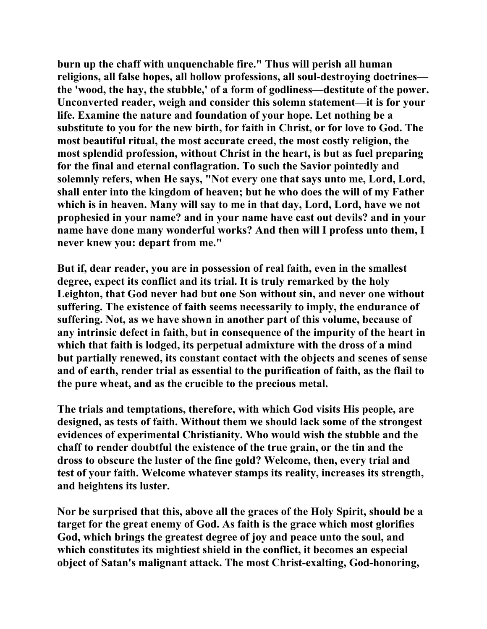**burn up the chaff with unquenchable fire." Thus will perish all human religions, all false hopes, all hollow professions, all soul-destroying doctrines the 'wood, the hay, the stubble,' of a form of godliness—destitute of the power. Unconverted reader, weigh and consider this solemn statement—it is for your life. Examine the nature and foundation of your hope. Let nothing be a substitute to you for the new birth, for faith in Christ, or for love to God. The most beautiful ritual, the most accurate creed, the most costly religion, the most splendid profession, without Christ in the heart, is but as fuel preparing for the final and eternal conflagration. To such the Savior pointedly and solemnly refers, when He says, "Not every one that says unto me, Lord, Lord, shall enter into the kingdom of heaven; but he who does the will of my Father which is in heaven. Many will say to me in that day, Lord, Lord, have we not prophesied in your name? and in your name have cast out devils? and in your name have done many wonderful works? And then will I profess unto them, I never knew you: depart from me."** 

**But if, dear reader, you are in possession of real faith, even in the smallest degree, expect its conflict and its trial. It is truly remarked by the holy Leighton, that God never had but one Son without sin, and never one without suffering. The existence of faith seems necessarily to imply, the endurance of suffering. Not, as we have shown in another part of this volume, because of any intrinsic defect in faith, but in consequence of the impurity of the heart in which that faith is lodged, its perpetual admixture with the dross of a mind but partially renewed, its constant contact with the objects and scenes of sense and of earth, render trial as essential to the purification of faith, as the flail to the pure wheat, and as the crucible to the precious metal.** 

**The trials and temptations, therefore, with which God visits His people, are designed, as tests of faith. Without them we should lack some of the strongest evidences of experimental Christianity. Who would wish the stubble and the chaff to render doubtful the existence of the true grain, or the tin and the dross to obscure the luster of the fine gold? Welcome, then, every trial and test of your faith. Welcome whatever stamps its reality, increases its strength, and heightens its luster.** 

**Nor be surprised that this, above all the graces of the Holy Spirit, should be a target for the great enemy of God. As faith is the grace which most glorifies God, which brings the greatest degree of joy and peace unto the soul, and which constitutes its mightiest shield in the conflict, it becomes an especial object of Satan's malignant attack. The most Christ-exalting, God-honoring,**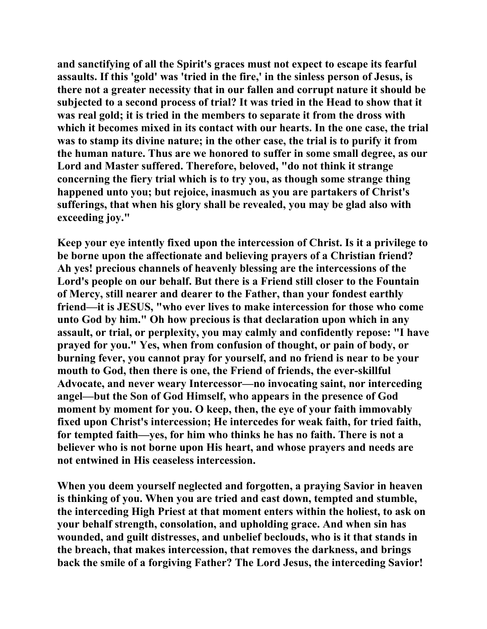**and sanctifying of all the Spirit's graces must not expect to escape its fearful assaults. If this 'gold' was 'tried in the fire,' in the sinless person of Jesus, is there not a greater necessity that in our fallen and corrupt nature it should be subjected to a second process of trial? It was tried in the Head to show that it was real gold; it is tried in the members to separate it from the dross with which it becomes mixed in its contact with our hearts. In the one case, the trial was to stamp its divine nature; in the other case, the trial is to purify it from the human nature. Thus are we honored to suffer in some small degree, as our Lord and Master suffered. Therefore, beloved, "do not think it strange concerning the fiery trial which is to try you, as though some strange thing happened unto you; but rejoice, inasmuch as you are partakers of Christ's sufferings, that when his glory shall be revealed, you may be glad also with exceeding joy."** 

**Keep your eye intently fixed upon the intercession of Christ. Is it a privilege to be borne upon the affectionate and believing prayers of a Christian friend? Ah yes! precious channels of heavenly blessing are the intercessions of the Lord's people on our behalf. But there is a Friend still closer to the Fountain of Mercy, still nearer and dearer to the Father, than your fondest earthly friend—it is JESUS, "who ever lives to make intercession for those who come unto God by him." Oh how precious is that declaration upon which in any assault, or trial, or perplexity, you may calmly and confidently repose: "I have prayed for you." Yes, when from confusion of thought, or pain of body, or burning fever, you cannot pray for yourself, and no friend is near to be your mouth to God, then there is one, the Friend of friends, the ever-skillful Advocate, and never weary Intercessor—no invocating saint, nor interceding angel—but the Son of God Himself, who appears in the presence of God moment by moment for you. O keep, then, the eye of your faith immovably fixed upon Christ's intercession; He intercedes for weak faith, for tried faith, for tempted faith—yes, for him who thinks he has no faith. There is not a believer who is not borne upon His heart, and whose prayers and needs are not entwined in His ceaseless intercession.** 

**When you deem yourself neglected and forgotten, a praying Savior in heaven is thinking of you. When you are tried and cast down, tempted and stumble, the interceding High Priest at that moment enters within the holiest, to ask on your behalf strength, consolation, and upholding grace. And when sin has wounded, and guilt distresses, and unbelief beclouds, who is it that stands in the breach, that makes intercession, that removes the darkness, and brings back the smile of a forgiving Father? The Lord Jesus, the interceding Savior!**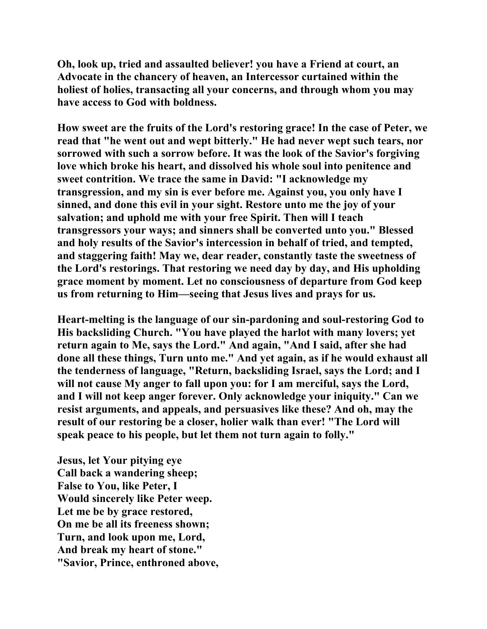**Oh, look up, tried and assaulted believer! you have a Friend at court, an Advocate in the chancery of heaven, an Intercessor curtained within the holiest of holies, transacting all your concerns, and through whom you may have access to God with boldness.** 

**How sweet are the fruits of the Lord's restoring grace! In the case of Peter, we read that "he went out and wept bitterly." He had never wept such tears, nor sorrowed with such a sorrow before. It was the look of the Savior's forgiving love which broke his heart, and dissolved his whole soul into penitence and sweet contrition. We trace the same in David: "I acknowledge my transgression, and my sin is ever before me. Against you, you only have I sinned, and done this evil in your sight. Restore unto me the joy of your salvation; and uphold me with your free Spirit. Then will I teach transgressors your ways; and sinners shall be converted unto you." Blessed and holy results of the Savior's intercession in behalf of tried, and tempted, and staggering faith! May we, dear reader, constantly taste the sweetness of the Lord's restorings. That restoring we need day by day, and His upholding grace moment by moment. Let no consciousness of departure from God keep us from returning to Him—seeing that Jesus lives and prays for us.** 

**Heart-melting is the language of our sin-pardoning and soul-restoring God to His backsliding Church. "You have played the harlot with many lovers; yet return again to Me, says the Lord." And again, "And I said, after she had done all these things, Turn unto me." And yet again, as if he would exhaust all the tenderness of language, "Return, backsliding Israel, says the Lord; and I will not cause My anger to fall upon you: for I am merciful, says the Lord, and I will not keep anger forever. Only acknowledge your iniquity." Can we resist arguments, and appeals, and persuasives like these? And oh, may the result of our restoring be a closer, holier walk than ever! "The Lord will speak peace to his people, but let them not turn again to folly."** 

**Jesus, let Your pitying eye Call back a wandering sheep; False to You, like Peter, I Would sincerely like Peter weep. Let me be by grace restored, On me be all its freeness shown; Turn, and look upon me, Lord, And break my heart of stone." "Savior, Prince, enthroned above,**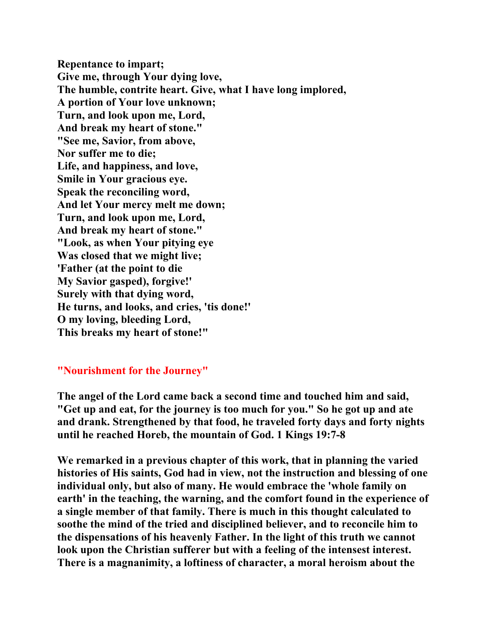**Repentance to impart; Give me, through Your dying love, The humble, contrite heart. Give, what I have long implored, A portion of Your love unknown; Turn, and look upon me, Lord, And break my heart of stone." "See me, Savior, from above, Nor suffer me to die; Life, and happiness, and love, Smile in Your gracious eye. Speak the reconciling word, And let Your mercy melt me down; Turn, and look upon me, Lord, And break my heart of stone." "Look, as when Your pitying eye Was closed that we might live; 'Father (at the point to die My Savior gasped), forgive!' Surely with that dying word, He turns, and looks, and cries, 'tis done!' O my loving, bleeding Lord, This breaks my heart of stone!"** 

## **"Nourishment for the Journey"**

**The angel of the Lord came back a second time and touched him and said, "Get up and eat, for the journey is too much for you." So he got up and ate and drank. Strengthened by that food, he traveled forty days and forty nights until he reached Horeb, the mountain of God. 1 Kings 19:7-8** 

**We remarked in a previous chapter of this work, that in planning the varied histories of His saints, God had in view, not the instruction and blessing of one individual only, but also of many. He would embrace the 'whole family on earth' in the teaching, the warning, and the comfort found in the experience of a single member of that family. There is much in this thought calculated to soothe the mind of the tried and disciplined believer, and to reconcile him to the dispensations of his heavenly Father. In the light of this truth we cannot look upon the Christian sufferer but with a feeling of the intensest interest. There is a magnanimity, a loftiness of character, a moral heroism about the**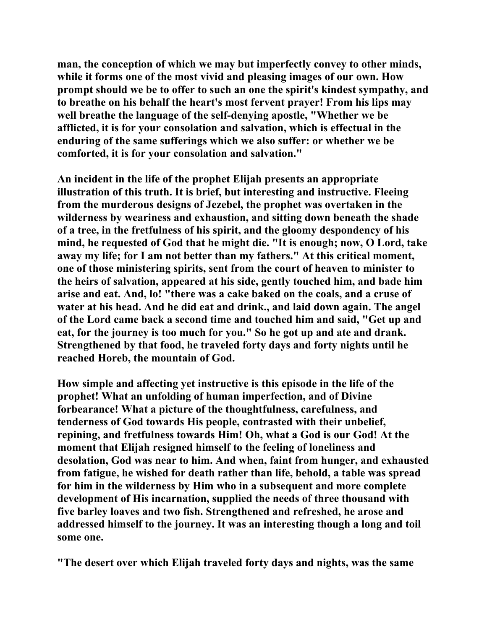**man, the conception of which we may but imperfectly convey to other minds, while it forms one of the most vivid and pleasing images of our own. How prompt should we be to offer to such an one the spirit's kindest sympathy, and to breathe on his behalf the heart's most fervent prayer! From his lips may well breathe the language of the self-denying apostle, "Whether we be afflicted, it is for your consolation and salvation, which is effectual in the enduring of the same sufferings which we also suffer: or whether we be comforted, it is for your consolation and salvation."** 

**An incident in the life of the prophet Elijah presents an appropriate illustration of this truth. It is brief, but interesting and instructive. Fleeing from the murderous designs of Jezebel, the prophet was overtaken in the wilderness by weariness and exhaustion, and sitting down beneath the shade of a tree, in the fretfulness of his spirit, and the gloomy despondency of his mind, he requested of God that he might die. "It is enough; now, O Lord, take away my life; for I am not better than my fathers." At this critical moment, one of those ministering spirits, sent from the court of heaven to minister to the heirs of salvation, appeared at his side, gently touched him, and bade him arise and eat. And, lo! "there was a cake baked on the coals, and a cruse of water at his head. And he did eat and drink., and laid down again. The angel of the Lord came back a second time and touched him and said, "Get up and eat, for the journey is too much for you." So he got up and ate and drank. Strengthened by that food, he traveled forty days and forty nights until he reached Horeb, the mountain of God.** 

**How simple and affecting yet instructive is this episode in the life of the prophet! What an unfolding of human imperfection, and of Divine forbearance! What a picture of the thoughtfulness, carefulness, and tenderness of God towards His people, contrasted with their unbelief, repining, and fretfulness towards Him! Oh, what a God is our God! At the moment that Elijah resigned himself to the feeling of loneliness and desolation, God was near to him. And when, faint from hunger, and exhausted from fatigue, he wished for death rather than life, behold, a table was spread for him in the wilderness by Him who in a subsequent and more complete development of His incarnation, supplied the needs of three thousand with five barley loaves and two fish. Strengthened and refreshed, he arose and addressed himself to the journey. It was an interesting though a long and toil some one.** 

**"The desert over which Elijah traveled forty days and nights, was the same**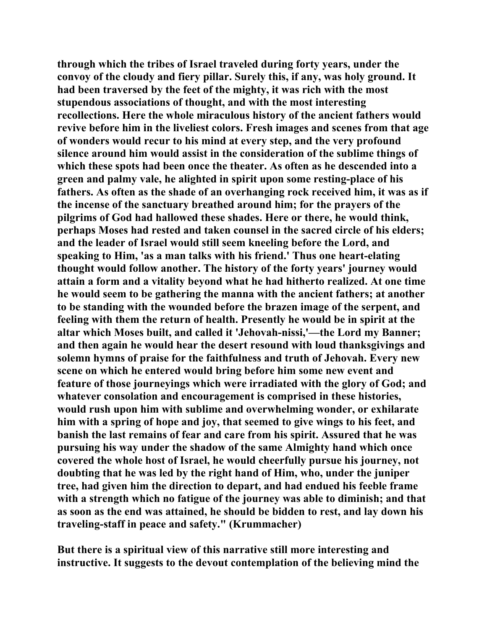**through which the tribes of Israel traveled during forty years, under the convoy of the cloudy and fiery pillar. Surely this, if any, was holy ground. It had been traversed by the feet of the mighty, it was rich with the most stupendous associations of thought, and with the most interesting recollections. Here the whole miraculous history of the ancient fathers would revive before him in the liveliest colors. Fresh images and scenes from that age of wonders would recur to his mind at every step, and the very profound silence around him would assist in the consideration of the sublime things of which these spots had been once the theater. As often as he descended into a green and palmy vale, he alighted in spirit upon some resting-place of his fathers. As often as the shade of an overhanging rock received him, it was as if the incense of the sanctuary breathed around him; for the prayers of the pilgrims of God had hallowed these shades. Here or there, he would think, perhaps Moses had rested and taken counsel in the sacred circle of his elders; and the leader of Israel would still seem kneeling before the Lord, and speaking to Him, 'as a man talks with his friend.' Thus one heart-elating thought would follow another. The history of the forty years' journey would attain a form and a vitality beyond what he had hitherto realized. At one time he would seem to be gathering the manna with the ancient fathers; at another to be standing with the wounded before the brazen image of the serpent, and feeling with them the return of health. Presently he would be in spirit at the altar which Moses built, and called it 'Jehovah-nissi,'—the Lord my Banner; and then again he would hear the desert resound with loud thanksgivings and solemn hymns of praise for the faithfulness and truth of Jehovah. Every new scene on which he entered would bring before him some new event and feature of those journeyings which were irradiated with the glory of God; and whatever consolation and encouragement is comprised in these histories, would rush upon him with sublime and overwhelming wonder, or exhilarate him with a spring of hope and joy, that seemed to give wings to his feet, and banish the last remains of fear and care from his spirit. Assured that he was pursuing his way under the shadow of the same Almighty hand which once covered the whole host of Israel, he would cheerfully pursue his journey, not doubting that he was led by the right hand of Him, who, under the juniper tree, had given him the direction to depart, and had endued his feeble frame with a strength which no fatigue of the journey was able to diminish; and that as soon as the end was attained, he should be bidden to rest, and lay down his traveling-staff in peace and safety." (Krummacher)** 

**But there is a spiritual view of this narrative still more interesting and instructive. It suggests to the devout contemplation of the believing mind the**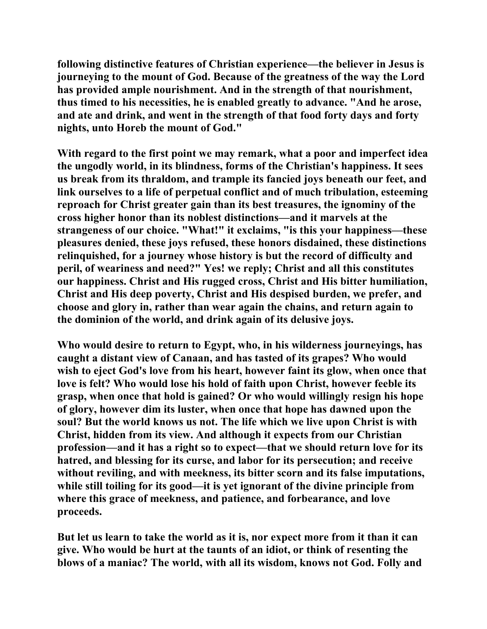**following distinctive features of Christian experience—the believer in Jesus is journeying to the mount of God. Because of the greatness of the way the Lord has provided ample nourishment. And in the strength of that nourishment, thus timed to his necessities, he is enabled greatly to advance. "And he arose, and ate and drink, and went in the strength of that food forty days and forty nights, unto Horeb the mount of God."** 

**With regard to the first point we may remark, what a poor and imperfect idea the ungodly world, in its blindness, forms of the Christian's happiness. It sees us break from its thraldom, and trample its fancied joys beneath our feet, and link ourselves to a life of perpetual conflict and of much tribulation, esteeming reproach for Christ greater gain than its best treasures, the ignominy of the cross higher honor than its noblest distinctions—and it marvels at the strangeness of our choice. "What!" it exclaims, "is this your happiness—these pleasures denied, these joys refused, these honors disdained, these distinctions relinquished, for a journey whose history is but the record of difficulty and peril, of weariness and need?" Yes! we reply; Christ and all this constitutes our happiness. Christ and His rugged cross, Christ and His bitter humiliation, Christ and His deep poverty, Christ and His despised burden, we prefer, and choose and glory in, rather than wear again the chains, and return again to the dominion of the world, and drink again of its delusive joys.** 

**Who would desire to return to Egypt, who, in his wilderness journeyings, has caught a distant view of Canaan, and has tasted of its grapes? Who would wish to eject God's love from his heart, however faint its glow, when once that love is felt? Who would lose his hold of faith upon Christ, however feeble its grasp, when once that hold is gained? Or who would willingly resign his hope of glory, however dim its luster, when once that hope has dawned upon the soul? But the world knows us not. The life which we live upon Christ is with Christ, hidden from its view. And although it expects from our Christian profession—and it has a right so to expect—that we should return love for its hatred, and blessing for its curse, and labor for its persecution; and receive without reviling, and with meekness, its bitter scorn and its false imputations, while still toiling for its good—it is yet ignorant of the divine principle from where this grace of meekness, and patience, and forbearance, and love proceeds.** 

**But let us learn to take the world as it is, nor expect more from it than it can give. Who would be hurt at the taunts of an idiot, or think of resenting the blows of a maniac? The world, with all its wisdom, knows not God. Folly and**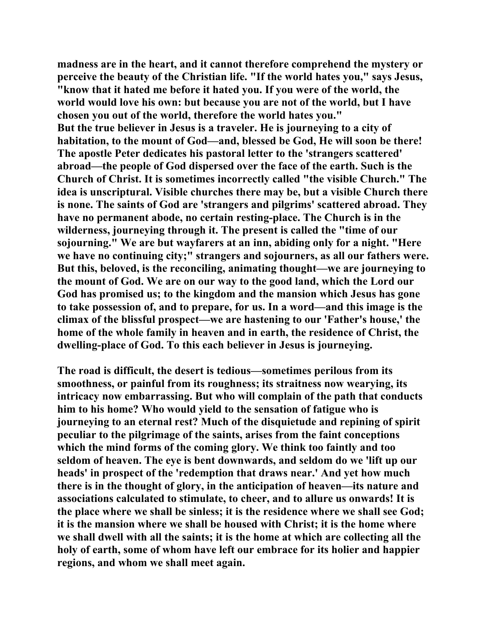**madness are in the heart, and it cannot therefore comprehend the mystery or perceive the beauty of the Christian life. "If the world hates you," says Jesus, "know that it hated me before it hated you. If you were of the world, the world would love his own: but because you are not of the world, but I have chosen you out of the world, therefore the world hates you." But the true believer in Jesus is a traveler. He is journeying to a city of habitation, to the mount of God—and, blessed be God, He will soon be there! The apostle Peter dedicates his pastoral letter to the 'strangers scattered' abroad—the people of God dispersed over the face of the earth. Such is the Church of Christ. It is sometimes incorrectly called "the visible Church." The idea is unscriptural. Visible churches there may be, but a visible Church there is none. The saints of God are 'strangers and pilgrims' scattered abroad. They have no permanent abode, no certain resting-place. The Church is in the wilderness, journeying through it. The present is called the "time of our sojourning." We are but wayfarers at an inn, abiding only for a night. "Here we have no continuing city;" strangers and sojourners, as all our fathers were. But this, beloved, is the reconciling, animating thought—we are journeying to the mount of God. We are on our way to the good land, which the Lord our God has promised us; to the kingdom and the mansion which Jesus has gone to take possession of, and to prepare, for us. In a word—and this image is the climax of the blissful prospect—we are hastening to our 'Father's house,' the home of the whole family in heaven and in earth, the residence of Christ, the dwelling-place of God. To this each believer in Jesus is journeying.** 

**The road is difficult, the desert is tedious—sometimes perilous from its smoothness, or painful from its roughness; its straitness now wearying, its intricacy now embarrassing. But who will complain of the path that conducts him to his home? Who would yield to the sensation of fatigue who is journeying to an eternal rest? Much of the disquietude and repining of spirit peculiar to the pilgrimage of the saints, arises from the faint conceptions which the mind forms of the coming glory. We think too faintly and too seldom of heaven. The eye is bent downwards, and seldom do we 'lift up our heads' in prospect of the 'redemption that draws near.' And yet how much there is in the thought of glory, in the anticipation of heaven—its nature and associations calculated to stimulate, to cheer, and to allure us onwards! It is the place where we shall be sinless; it is the residence where we shall see God; it is the mansion where we shall be housed with Christ; it is the home where we shall dwell with all the saints; it is the home at which are collecting all the holy of earth, some of whom have left our embrace for its holier and happier regions, and whom we shall meet again.**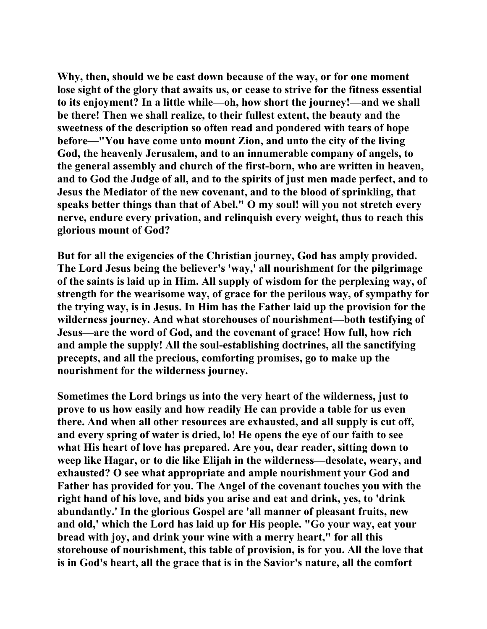**Why, then, should we be cast down because of the way, or for one moment lose sight of the glory that awaits us, or cease to strive for the fitness essential to its enjoyment? In a little while—oh, how short the journey!—and we shall be there! Then we shall realize, to their fullest extent, the beauty and the sweetness of the description so often read and pondered with tears of hope before—"You have come unto mount Zion, and unto the city of the living God, the heavenly Jerusalem, and to an innumerable company of angels, to the general assembly and church of the first-born, who are written in heaven, and to God the Judge of all, and to the spirits of just men made perfect, and to Jesus the Mediator of the new covenant, and to the blood of sprinkling, that speaks better things than that of Abel." O my soul! will you not stretch every nerve, endure every privation, and relinquish every weight, thus to reach this glorious mount of God?** 

**But for all the exigencies of the Christian journey, God has amply provided. The Lord Jesus being the believer's 'way,' all nourishment for the pilgrimage of the saints is laid up in Him. All supply of wisdom for the perplexing way, of strength for the wearisome way, of grace for the perilous way, of sympathy for the trying way, is in Jesus. In Him has the Father laid up the provision for the wilderness journey. And what storehouses of nourishment—both testifying of Jesus—are the word of God, and the covenant of grace! How full, how rich and ample the supply! All the soul-establishing doctrines, all the sanctifying precepts, and all the precious, comforting promises, go to make up the nourishment for the wilderness journey.** 

**Sometimes the Lord brings us into the very heart of the wilderness, just to prove to us how easily and how readily He can provide a table for us even there. And when all other resources are exhausted, and all supply is cut off, and every spring of water is dried, lo! He opens the eye of our faith to see what His heart of love has prepared. Are you, dear reader, sitting down to weep like Hagar, or to die like Elijah in the wilderness—desolate, weary, and exhausted? O see what appropriate and ample nourishment your God and Father has provided for you. The Angel of the covenant touches you with the right hand of his love, and bids you arise and eat and drink, yes, to 'drink abundantly.' In the glorious Gospel are 'all manner of pleasant fruits, new and old,' which the Lord has laid up for His people. "Go your way, eat your bread with joy, and drink your wine with a merry heart," for all this storehouse of nourishment, this table of provision, is for you. All the love that is in God's heart, all the grace that is in the Savior's nature, all the comfort**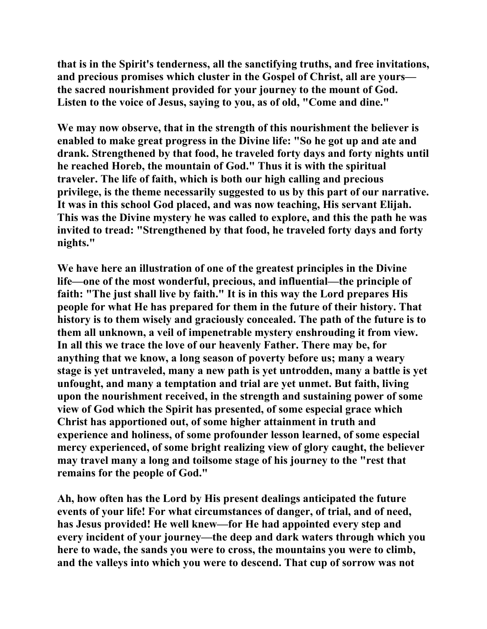**that is in the Spirit's tenderness, all the sanctifying truths, and free invitations, and precious promises which cluster in the Gospel of Christ, all are yours the sacred nourishment provided for your journey to the mount of God. Listen to the voice of Jesus, saying to you, as of old, "Come and dine."** 

**We may now observe, that in the strength of this nourishment the believer is enabled to make great progress in the Divine life: "So he got up and ate and drank. Strengthened by that food, he traveled forty days and forty nights until he reached Horeb, the mountain of God." Thus it is with the spiritual traveler. The life of faith, which is both our high calling and precious privilege, is the theme necessarily suggested to us by this part of our narrative. It was in this school God placed, and was now teaching, His servant Elijah. This was the Divine mystery he was called to explore, and this the path he was invited to tread: "Strengthened by that food, he traveled forty days and forty nights."** 

**We have here an illustration of one of the greatest principles in the Divine life—one of the most wonderful, precious, and influential—the principle of faith: "The just shall live by faith." It is in this way the Lord prepares His people for what He has prepared for them in the future of their history. That history is to them wisely and graciously concealed. The path of the future is to them all unknown, a veil of impenetrable mystery enshrouding it from view. In all this we trace the love of our heavenly Father. There may be, for anything that we know, a long season of poverty before us; many a weary stage is yet untraveled, many a new path is yet untrodden, many a battle is yet unfought, and many a temptation and trial are yet unmet. But faith, living upon the nourishment received, in the strength and sustaining power of some view of God which the Spirit has presented, of some especial grace which Christ has apportioned out, of some higher attainment in truth and experience and holiness, of some profounder lesson learned, of some especial mercy experienced, of some bright realizing view of glory caught, the believer may travel many a long and toilsome stage of his journey to the "rest that remains for the people of God."** 

**Ah, how often has the Lord by His present dealings anticipated the future events of your life! For what circumstances of danger, of trial, and of need, has Jesus provided! He well knew—for He had appointed every step and every incident of your journey—the deep and dark waters through which you here to wade, the sands you were to cross, the mountains you were to climb, and the valleys into which you were to descend. That cup of sorrow was not**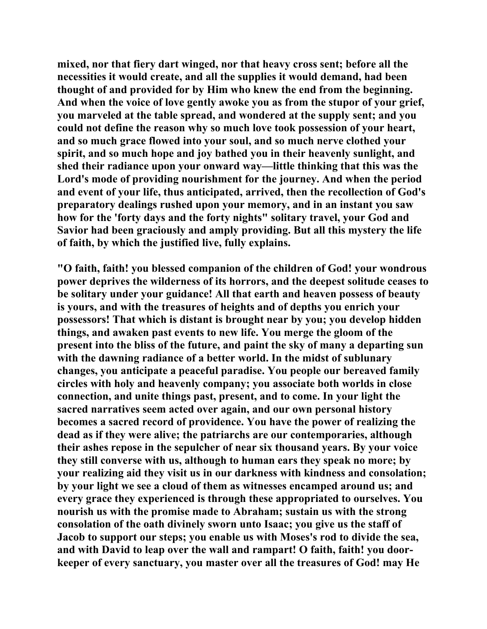**mixed, nor that fiery dart winged, nor that heavy cross sent; before all the necessities it would create, and all the supplies it would demand, had been thought of and provided for by Him who knew the end from the beginning. And when the voice of love gently awoke you as from the stupor of your grief, you marveled at the table spread, and wondered at the supply sent; and you could not define the reason why so much love took possession of your heart, and so much grace flowed into your soul, and so much nerve clothed your spirit, and so much hope and joy bathed you in their heavenly sunlight, and shed their radiance upon your onward way—little thinking that this was the Lord's mode of providing nourishment for the journey. And when the period and event of your life, thus anticipated, arrived, then the recollection of God's preparatory dealings rushed upon your memory, and in an instant you saw how for the 'forty days and the forty nights" solitary travel, your God and Savior had been graciously and amply providing. But all this mystery the life of faith, by which the justified live, fully explains.** 

**"O faith, faith! you blessed companion of the children of God! your wondrous power deprives the wilderness of its horrors, and the deepest solitude ceases to be solitary under your guidance! All that earth and heaven possess of beauty is yours, and with the treasures of heights and of depths you enrich your possessors! That which is distant is brought near by you; you develop hidden things, and awaken past events to new life. You merge the gloom of the present into the bliss of the future, and paint the sky of many a departing sun with the dawning radiance of a better world. In the midst of sublunary changes, you anticipate a peaceful paradise. You people our bereaved family circles with holy and heavenly company; you associate both worlds in close connection, and unite things past, present, and to come. In your light the sacred narratives seem acted over again, and our own personal history becomes a sacred record of providence. You have the power of realizing the dead as if they were alive; the patriarchs are our contemporaries, although their ashes repose in the sepulcher of near six thousand years. By your voice they still converse with us, although to human ears they speak no more; by your realizing aid they visit us in our darkness with kindness and consolation; by your light we see a cloud of them as witnesses encamped around us; and every grace they experienced is through these appropriated to ourselves. You nourish us with the promise made to Abraham; sustain us with the strong consolation of the oath divinely sworn unto Isaac; you give us the staff of Jacob to support our steps; you enable us with Moses's rod to divide the sea, and with David to leap over the wall and rampart! O faith, faith! you doorkeeper of every sanctuary, you master over all the treasures of God! may He**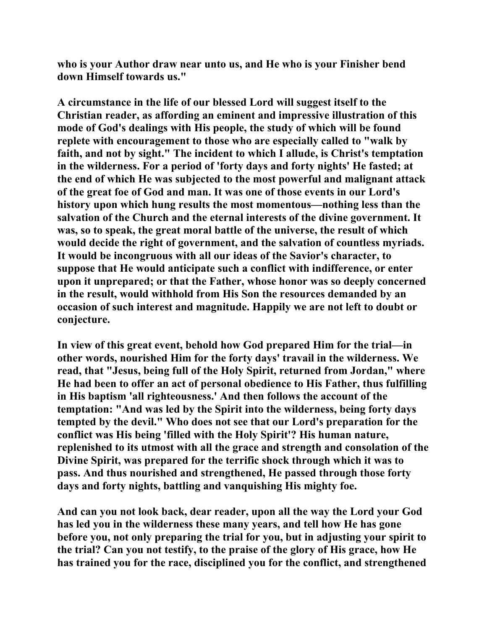**who is your Author draw near unto us, and He who is your Finisher bend down Himself towards us."** 

**A circumstance in the life of our blessed Lord will suggest itself to the Christian reader, as affording an eminent and impressive illustration of this mode of God's dealings with His people, the study of which will be found replete with encouragement to those who are especially called to "walk by faith, and not by sight." The incident to which I allude, is Christ's temptation in the wilderness. For a period of 'forty days and forty nights' He fasted; at the end of which He was subjected to the most powerful and malignant attack of the great foe of God and man. It was one of those events in our Lord's history upon which hung results the most momentous—nothing less than the salvation of the Church and the eternal interests of the divine government. It was, so to speak, the great moral battle of the universe, the result of which would decide the right of government, and the salvation of countless myriads. It would be incongruous with all our ideas of the Savior's character, to suppose that He would anticipate such a conflict with indifference, or enter upon it unprepared; or that the Father, whose honor was so deeply concerned in the result, would withhold from His Son the resources demanded by an occasion of such interest and magnitude. Happily we are not left to doubt or conjecture.** 

**In view of this great event, behold how God prepared Him for the trial—in other words, nourished Him for the forty days' travail in the wilderness. We read, that "Jesus, being full of the Holy Spirit, returned from Jordan," where He had been to offer an act of personal obedience to His Father, thus fulfilling in His baptism 'all righteousness.' And then follows the account of the temptation: "And was led by the Spirit into the wilderness, being forty days tempted by the devil." Who does not see that our Lord's preparation for the conflict was His being 'filled with the Holy Spirit'? His human nature, replenished to its utmost with all the grace and strength and consolation of the Divine Spirit, was prepared for the terrific shock through which it was to pass. And thus nourished and strengthened, He passed through those forty days and forty nights, battling and vanquishing His mighty foe.** 

**And can you not look back, dear reader, upon all the way the Lord your God has led you in the wilderness these many years, and tell how He has gone before you, not only preparing the trial for you, but in adjusting your spirit to the trial? Can you not testify, to the praise of the glory of His grace, how He has trained you for the race, disciplined you for the conflict, and strengthened**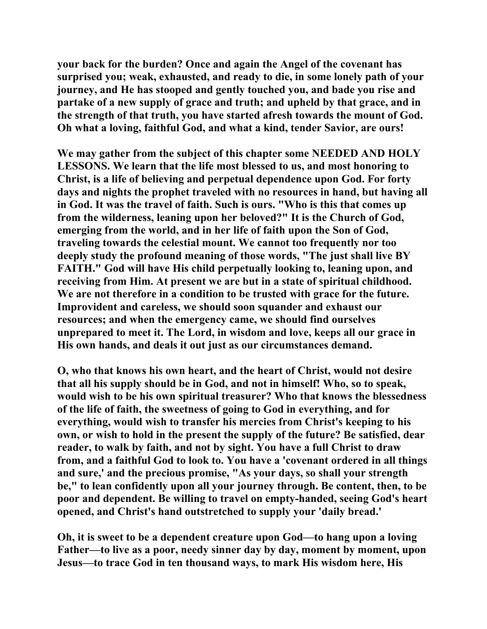**your back for the burden? Once and again the Angel of the covenant has surprised you; weak, exhausted, and ready to die, in some lonely path of your journey, and He has stooped and gently touched you, and bade you rise and partake of a new supply of grace and truth; and upheld by that grace, and in the strength of that truth, you have started afresh towards the mount of God. Oh what a loving, faithful God, and what a kind, tender Savior, are ours!** 

**We may gather from the subject of this chapter some NEEDED AND HOLY LESSONS. We learn that the life most blessed to us, and most honoring to Christ, is a life of believing and perpetual dependence upon God. For forty days and nights the prophet traveled with no resources in hand, but having all in God. It was the travel of faith. Such is ours. "Who is this that comes up from the wilderness, leaning upon her beloved?" It is the Church of God, emerging from the world, and in her life of faith upon the Son of God, traveling towards the celestial mount. We cannot too frequently nor too deeply study the profound meaning of those words, "The just shall live BY FAITH." God will have His child perpetually looking to, leaning upon, and receiving from Him. At present we are but in a state of spiritual childhood. We are not therefore in a condition to be trusted with grace for the future. Improvident and careless, we should soon squander and exhaust our resources; and when the emergency came, we should find ourselves unprepared to meet it. The Lord, in wisdom and love, keeps all our grace in His own hands, and deals it out just as our circumstances demand.** 

**O, who that knows his own heart, and the heart of Christ, would not desire that all his supply should be in God, and not in himself! Who, so to speak, would wish to be his own spiritual treasurer? Who that knows the blessedness of the life of faith, the sweetness of going to God in everything, and for everything, would wish to transfer his mercies from Christ's keeping to his own, or wish to hold in the present the supply of the future? Be satisfied, dear reader, to walk by faith, and not by sight. You have a full Christ to draw from, and a faithful God to look to. You have a 'covenant ordered in all things and sure,' and the precious promise, "As your days, so shall your strength be," to lean confidently upon all your journey through. Be content, then, to be poor and dependent. Be willing to travel on empty-handed, seeing God's heart opened, and Christ's hand outstretched to supply your 'daily bread.'** 

**Oh, it is sweet to be a dependent creature upon God—to hang upon a loving Father—to live as a poor, needy sinner day by day, moment by moment, upon Jesus—to trace God in ten thousand ways, to mark His wisdom here, His**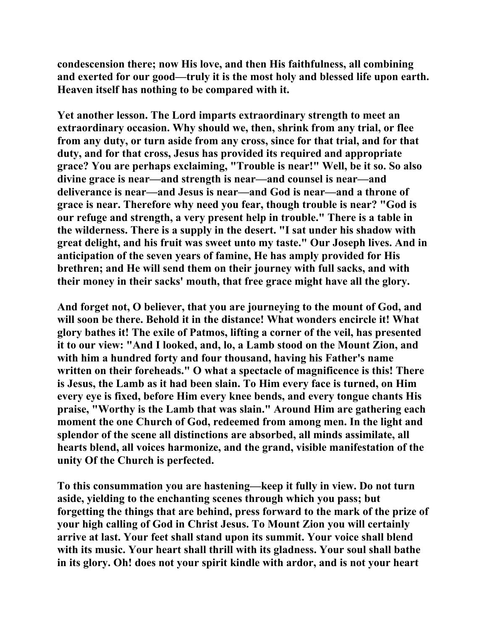**condescension there; now His love, and then His faithfulness, all combining and exerted for our good—truly it is the most holy and blessed life upon earth. Heaven itself has nothing to be compared with it.** 

**Yet another lesson. The Lord imparts extraordinary strength to meet an extraordinary occasion. Why should we, then, shrink from any trial, or flee from any duty, or turn aside from any cross, since for that trial, and for that duty, and for that cross, Jesus has provided its required and appropriate grace? You are perhaps exclaiming, "Trouble is near!" Well, be it so. So also divine grace is near—and strength is near—and counsel is near—and deliverance is near—and Jesus is near—and God is near—and a throne of grace is near. Therefore why need you fear, though trouble is near? "God is our refuge and strength, a very present help in trouble." There is a table in the wilderness. There is a supply in the desert. "I sat under his shadow with great delight, and his fruit was sweet unto my taste." Our Joseph lives. And in anticipation of the seven years of famine, He has amply provided for His brethren; and He will send them on their journey with full sacks, and with their money in their sacks' mouth, that free grace might have all the glory.** 

**And forget not, O believer, that you are journeying to the mount of God, and will soon be there. Behold it in the distance! What wonders encircle it! What glory bathes it! The exile of Patmos, lifting a corner of the veil, has presented it to our view: "And I looked, and, lo, a Lamb stood on the Mount Zion, and with him a hundred forty and four thousand, having his Father's name written on their foreheads." O what a spectacle of magnificence is this! There is Jesus, the Lamb as it had been slain. To Him every face is turned, on Him every eye is fixed, before Him every knee bends, and every tongue chants His praise, "Worthy is the Lamb that was slain." Around Him are gathering each moment the one Church of God, redeemed from among men. In the light and splendor of the scene all distinctions are absorbed, all minds assimilate, all hearts blend, all voices harmonize, and the grand, visible manifestation of the unity Of the Church is perfected.** 

**To this consummation you are hastening—keep it fully in view. Do not turn aside, yielding to the enchanting scenes through which you pass; but forgetting the things that are behind, press forward to the mark of the prize of your high calling of God in Christ Jesus. To Mount Zion you will certainly arrive at last. Your feet shall stand upon its summit. Your voice shall blend with its music. Your heart shall thrill with its gladness. Your soul shall bathe in its glory. Oh! does not your spirit kindle with ardor, and is not your heart**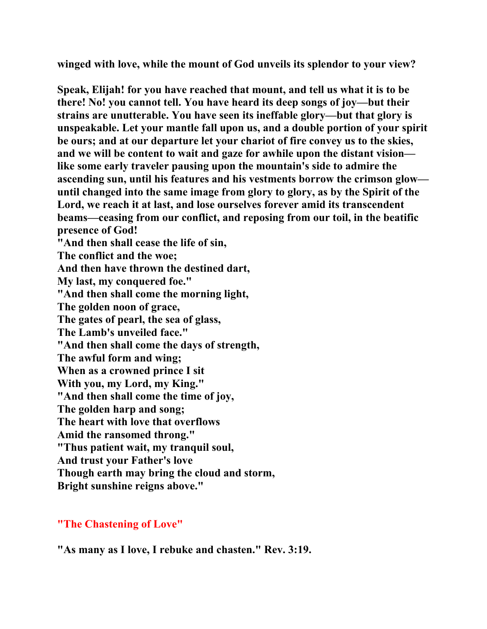**winged with love, while the mount of God unveils its splendor to your view?** 

**Speak, Elijah! for you have reached that mount, and tell us what it is to be there! No! you cannot tell. You have heard its deep songs of joy—but their strains are unutterable. You have seen its ineffable glory—but that glory is unspeakable. Let your mantle fall upon us, and a double portion of your spirit be ours; and at our departure let your chariot of fire convey us to the skies, and we will be content to wait and gaze for awhile upon the distant vision like some early traveler pausing upon the mountain's side to admire the ascending sun, until his features and his vestments borrow the crimson glow until changed into the same image from glory to glory, as by the Spirit of the Lord, we reach it at last, and lose ourselves forever amid its transcendent beams—ceasing from our conflict, and reposing from our toil, in the beatific presence of God! "And then shall cease the life of sin, The conflict and the woe; And then have thrown the destined dart, My last, my conquered foe." "And then shall come the morning light, The golden noon of grace, The gates of pearl, the sea of glass, The Lamb's unveiled face." "And then shall come the days of strength, The awful form and wing; When as a crowned prince I sit With you, my Lord, my King." "And then shall come the time of joy, The golden harp and song; The heart with love that overflows Amid the ransomed throng." "Thus patient wait, my tranquil soul, And trust your Father's love Though earth may bring the cloud and storm, Bright sunshine reigns above."** 

## **"The Chastening of Love"**

**"As many as I love, I rebuke and chasten." Rev. 3:19.**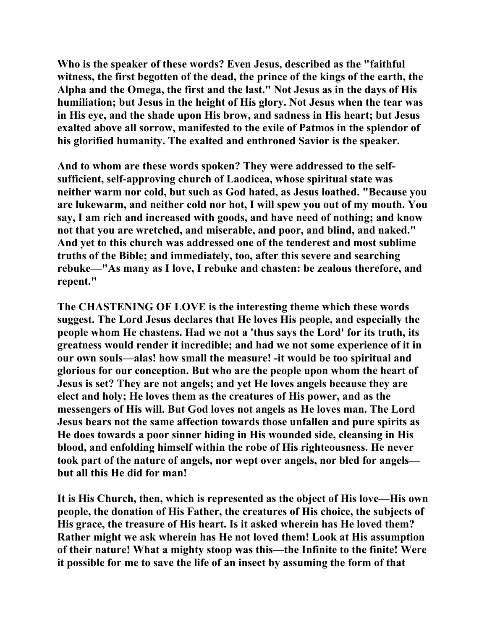**Who is the speaker of these words? Even Jesus, described as the "faithful witness, the first begotten of the dead, the prince of the kings of the earth, the Alpha and the Omega, the first and the last." Not Jesus as in the days of His humiliation; but Jesus in the height of His glory. Not Jesus when the tear was in His eye, and the shade upon His brow, and sadness in His heart; but Jesus exalted above all sorrow, manifested to the exile of Patmos in the splendor of his glorified humanity. The exalted and enthroned Savior is the speaker.** 

**And to whom are these words spoken? They were addressed to the selfsufficient, self-approving church of Laodicea, whose spiritual state was neither warm nor cold, but such as God hated, as Jesus loathed. "Because you are lukewarm, and neither cold nor hot, I will spew you out of my mouth. You say, I am rich and increased with goods, and have need of nothing; and know not that you are wretched, and miserable, and poor, and blind, and naked." And yet to this church was addressed one of the tenderest and most sublime truths of the Bible; and immediately, too, after this severe and searching rebuke—"As many as I love, I rebuke and chasten: be zealous therefore, and repent."** 

**The CHASTENING OF LOVE is the interesting theme which these words suggest. The Lord Jesus declares that He loves His people, and especially the people whom He chastens. Had we not a 'thus says the Lord' for its truth, its greatness would render it incredible; and had we not some experience of it in our own souls—alas! how small the measure! -it would be too spiritual and glorious for our conception. But who are the people upon whom the heart of Jesus is set? They are not angels; and yet He loves angels because they are elect and holy; He loves them as the creatures of His power, and as the messengers of His will. But God loves not angels as He loves man. The Lord Jesus bears not the same affection towards those unfallen and pure spirits as He does towards a poor sinner hiding in His wounded side, cleansing in His blood, and enfolding himself within the robe of His righteousness. He never took part of the nature of angels, nor wept over angels, nor bled for angels but all this He did for man!** 

**It is His Church, then, which is represented as the object of His love—His own people, the donation of His Father, the creatures of His choice, the subjects of His grace, the treasure of His heart. Is it asked wherein has He loved them? Rather might we ask wherein has He not loved them! Look at His assumption of their nature! What a mighty stoop was this—the Infinite to the finite! Were it possible for me to save the life of an insect by assuming the form of that**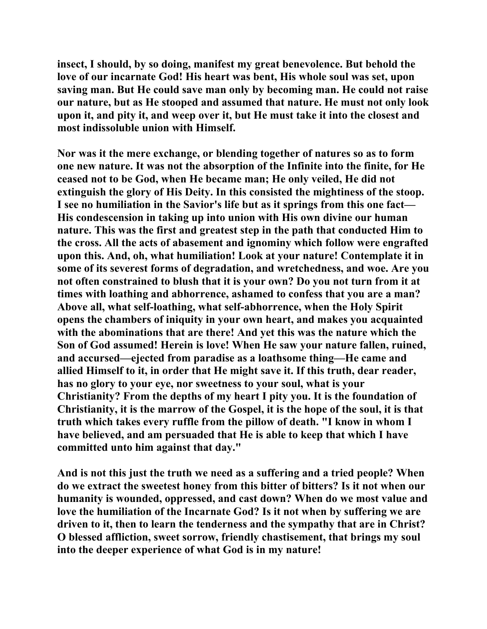**insect, I should, by so doing, manifest my great benevolence. But behold the love of our incarnate God! His heart was bent, His whole soul was set, upon saving man. But He could save man only by becoming man. He could not raise our nature, but as He stooped and assumed that nature. He must not only look upon it, and pity it, and weep over it, but He must take it into the closest and most indissoluble union with Himself.** 

**Nor was it the mere exchange, or blending together of natures so as to form one new nature. It was not the absorption of the Infinite into the finite, for He ceased not to be God, when He became man; He only veiled, He did not extinguish the glory of His Deity. In this consisted the mightiness of the stoop. I see no humiliation in the Savior's life but as it springs from this one fact— His condescension in taking up into union with His own divine our human nature. This was the first and greatest step in the path that conducted Him to the cross. All the acts of abasement and ignominy which follow were engrafted upon this. And, oh, what humiliation! Look at your nature! Contemplate it in some of its severest forms of degradation, and wretchedness, and woe. Are you not often constrained to blush that it is your own? Do you not turn from it at times with loathing and abhorrence, ashamed to confess that you are a man? Above all, what self-loathing, what self-abhorrence, when the Holy Spirit opens the chambers of iniquity in your own heart, and makes you acquainted with the abominations that are there! And yet this was the nature which the Son of God assumed! Herein is love! When He saw your nature fallen, ruined, and accursed—ejected from paradise as a loathsome thing—He came and allied Himself to it, in order that He might save it. If this truth, dear reader, has no glory to your eye, nor sweetness to your soul, what is your Christianity? From the depths of my heart I pity you. It is the foundation of Christianity, it is the marrow of the Gospel, it is the hope of the soul, it is that truth which takes every ruffle from the pillow of death. "I know in whom I have believed, and am persuaded that He is able to keep that which I have committed unto him against that day."** 

**And is not this just the truth we need as a suffering and a tried people? When do we extract the sweetest honey from this bitter of bitters? Is it not when our humanity is wounded, oppressed, and cast down? When do we most value and love the humiliation of the Incarnate God? Is it not when by suffering we are driven to it, then to learn the tenderness and the sympathy that are in Christ? O blessed affliction, sweet sorrow, friendly chastisement, that brings my soul into the deeper experience of what God is in my nature!**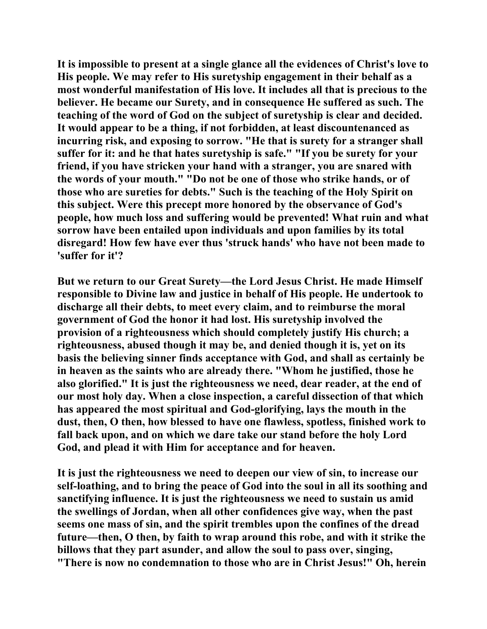**It is impossible to present at a single glance all the evidences of Christ's love to His people. We may refer to His suretyship engagement in their behalf as a most wonderful manifestation of His love. It includes all that is precious to the believer. He became our Surety, and in consequence He suffered as such. The teaching of the word of God on the subject of suretyship is clear and decided. It would appear to be a thing, if not forbidden, at least discountenanced as incurring risk, and exposing to sorrow. "He that is surety for a stranger shall suffer for it: and he that hates suretyship is safe." "If you be surety for your friend, if you have stricken your hand with a stranger, you are snared with the words of your mouth." "Do not be one of those who strike hands, or of those who are sureties for debts." Such is the teaching of the Holy Spirit on this subject. Were this precept more honored by the observance of God's people, how much loss and suffering would be prevented! What ruin and what sorrow have been entailed upon individuals and upon families by its total disregard! How few have ever thus 'struck hands' who have not been made to 'suffer for it'?** 

**But we return to our Great Surety—the Lord Jesus Christ. He made Himself responsible to Divine law and justice in behalf of His people. He undertook to discharge all their debts, to meet every claim, and to reimburse the moral government of God the honor it had lost. His suretyship involved the provision of a righteousness which should completely justify His church; a righteousness, abused though it may be, and denied though it is, yet on its basis the believing sinner finds acceptance with God, and shall as certainly be in heaven as the saints who are already there. "Whom he justified, those he also glorified." It is just the righteousness we need, dear reader, at the end of our most holy day. When a close inspection, a careful dissection of that which has appeared the most spiritual and God-glorifying, lays the mouth in the dust, then, O then, how blessed to have one flawless, spotless, finished work to fall back upon, and on which we dare take our stand before the holy Lord God, and plead it with Him for acceptance and for heaven.** 

**It is just the righteousness we need to deepen our view of sin, to increase our self-loathing, and to bring the peace of God into the soul in all its soothing and sanctifying influence. It is just the righteousness we need to sustain us amid the swellings of Jordan, when all other confidences give way, when the past seems one mass of sin, and the spirit trembles upon the confines of the dread future—then, O then, by faith to wrap around this robe, and with it strike the billows that they part asunder, and allow the soul to pass over, singing, "There is now no condemnation to those who are in Christ Jesus!" Oh, herein**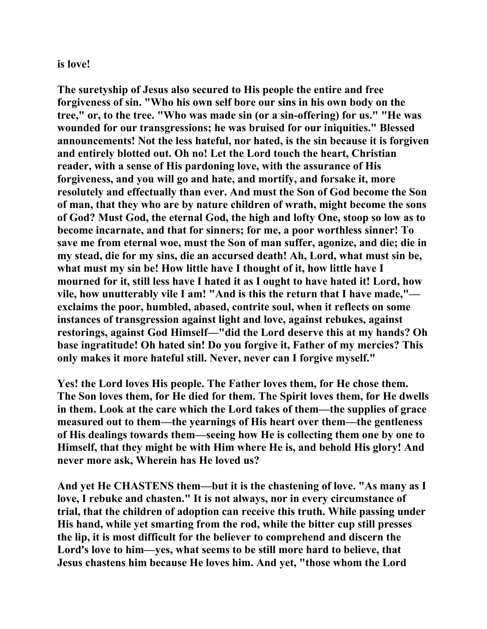## **is love!**

**The suretyship of Jesus also secured to His people the entire and free forgiveness of sin. "Who his own self bore our sins in his own body on the tree," or, to the tree. "Who was made sin (or a sin-offering) for us." "He was wounded for our transgressions; he was bruised for our iniquities." Blessed announcements! Not the less hateful, nor hated, is the sin because it is forgiven and entirely blotted out. Oh no! Let the Lord touch the heart, Christian reader, with a sense of His pardoning love, with the assurance of His forgiveness, and you will go and hate, and mortify, and forsake it, more resolutely and effectually than ever. And must the Son of God become the Son of man, that they who are by nature children of wrath, might become the sons of God? Must God, the eternal God, the high and lofty One, stoop so low as to become incarnate, and that for sinners; for me, a poor worthless sinner! To save me from eternal woe, must the Son of man suffer, agonize, and die; die in my stead, die for my sins, die an accursed death! Ah, Lord, what must sin be, what must my sin be! How little have I thought of it, how little have I mourned for it, still less have I hated it as I ought to have hated it! Lord, how vile, how unutterably vile I am! "And is this the return that I have made," exclaims the poor, humbled, abased, contrite soul, when it reflects on some instances of transgression against light and love, against rebukes, against restorings, against God Himself—"did the Lord deserve this at my hands? Oh base ingratitude! Oh hated sin! Do you forgive it, Father of my mercies? This only makes it more hateful still. Never, never can I forgive myself."** 

**Yes! the Lord loves His people. The Father loves them, for He chose them. The Son loves them, for He died for them. The Spirit loves them, for He dwells in them. Look at the care which the Lord takes of them—the supplies of grace measured out to them—the yearnings of His heart over them—the gentleness of His dealings towards them—seeing how He is collecting them one by one to Himself, that they might be with Him where He is, and behold His glory! And never more ask, Wherein has He loved us?** 

**And yet He CHASTENS them—but it is the chastening of love. "As many as I love, I rebuke and chasten." It is not always, nor in every circumstance of trial, that the children of adoption can receive this truth. While passing under His hand, while yet smarting from the rod, while the bitter cup still presses the lip, it is most difficult for the believer to comprehend and discern the Lord's love to him—yes, what seems to be still more hard to believe, that Jesus chastens him because He loves him. And yet, "those whom the Lord**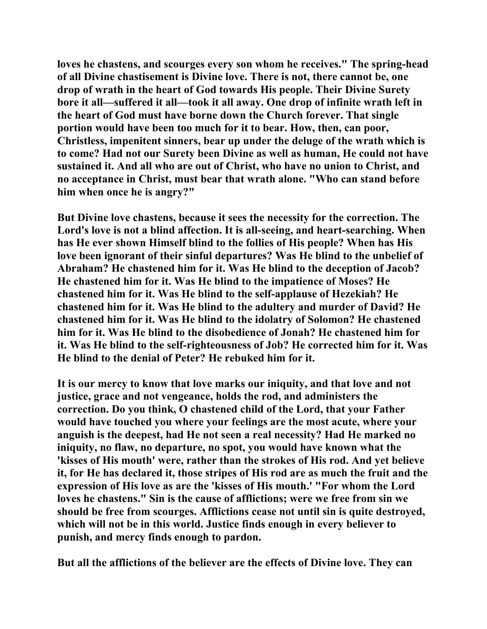**loves he chastens, and scourges every son whom he receives." The spring-head of all Divine chastisement is Divine love. There is not, there cannot be, one drop of wrath in the heart of God towards His people. Their Divine Surety bore it all—suffered it all—took it all away. One drop of infinite wrath left in the heart of God must have borne down the Church forever. That single portion would have been too much for it to bear. How, then, can poor, Christless, impenitent sinners, bear up under the deluge of the wrath which is to come? Had not our Surety been Divine as well as human, He could not have sustained it. And all who are out of Christ, who have no union to Christ, and no acceptance in Christ, must bear that wrath alone. "Who can stand before him when once he is angry?"** 

**But Divine love chastens, because it sees the necessity for the correction. The Lord's love is not a blind affection. It is all-seeing, and heart-searching. When has He ever shown Himself blind to the follies of His people? When has His love been ignorant of their sinful departures? Was He blind to the unbelief of Abraham? He chastened him for it. Was He blind to the deception of Jacob? He chastened him for it. Was He blind to the impatience of Moses? He chastened him for it. Was He blind to the self-applause of Hezekiah? He chastened him for it. Was He blind to the adultery and murder of David? He chastened him for it. Was He blind to the idolatry of Solomon? He chastened him for it. Was He blind to the disobedience of Jonah? He chastened him for it. Was He blind to the self-righteousness of Job? He corrected him for it. Was He blind to the denial of Peter? He rebuked him for it.** 

**It is our mercy to know that love marks our iniquity, and that love and not justice, grace and not vengeance, holds the rod, and administers the correction. Do you think, O chastened child of the Lord, that your Father would have touched you where your feelings are the most acute, where your anguish is the deepest, had He not seen a real necessity? Had He marked no iniquity, no flaw, no departure, no spot, you would have known what the 'kisses of His mouth' were, rather than the strokes of His rod. And yet believe it, for He has declared it, those stripes of His rod are as much the fruit and the expression of His love as are the 'kisses of His mouth.' "For whom the Lord loves he chastens." Sin is the cause of afflictions; were we free from sin we should be free from scourges. Afflictions cease not until sin is quite destroyed, which will not be in this world. Justice finds enough in every believer to punish, and mercy finds enough to pardon.** 

**But all the afflictions of the believer are the effects of Divine love. They can**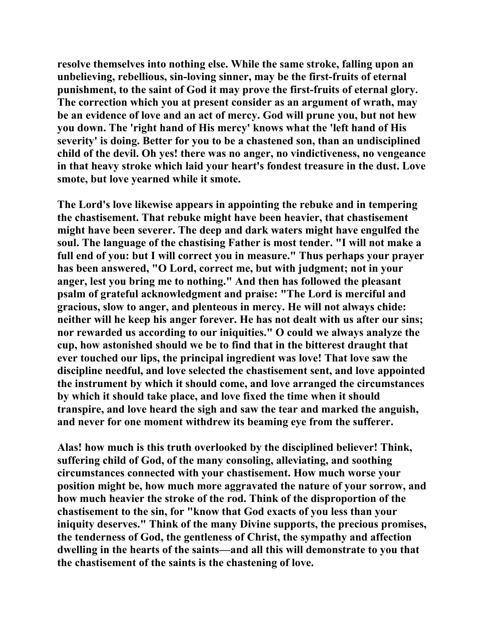**resolve themselves into nothing else. While the same stroke, falling upon an unbelieving, rebellious, sin-loving sinner, may be the first-fruits of eternal punishment, to the saint of God it may prove the first-fruits of eternal glory. The correction which you at present consider as an argument of wrath, may be an evidence of love and an act of mercy. God will prune you, but not hew you down. The 'right hand of His mercy' knows what the 'left hand of His severity' is doing. Better for you to be a chastened son, than an undisciplined child of the devil. Oh yes! there was no anger, no vindictiveness, no vengeance in that heavy stroke which laid your heart's fondest treasure in the dust. Love smote, but love yearned while it smote.** 

**The Lord's love likewise appears in appointing the rebuke and in tempering the chastisement. That rebuke might have been heavier, that chastisement might have been severer. The deep and dark waters might have engulfed the soul. The language of the chastising Father is most tender. "I will not make a full end of you: but I will correct you in measure." Thus perhaps your prayer has been answered, "O Lord, correct me, but with judgment; not in your anger, lest you bring me to nothing." And then has followed the pleasant psalm of grateful acknowledgment and praise: "The Lord is merciful and gracious, slow to anger, and plenteous in mercy. He will not always chide: neither will he keep his anger forever. He has not dealt with us after our sins; nor rewarded us according to our iniquities." O could we always analyze the cup, how astonished should we be to find that in the bitterest draught that ever touched our lips, the principal ingredient was love! That love saw the discipline needful, and love selected the chastisement sent, and love appointed the instrument by which it should come, and love arranged the circumstances by which it should take place, and love fixed the time when it should transpire, and love heard the sigh and saw the tear and marked the anguish, and never for one moment withdrew its beaming eye from the sufferer.** 

**Alas! how much is this truth overlooked by the disciplined believer! Think, suffering child of God, of the many consoling, alleviating, and soothing circumstances connected with your chastisement. How much worse your position might be, how much more aggravated the nature of your sorrow, and how much heavier the stroke of the rod. Think of the disproportion of the chastisement to the sin, for "know that God exacts of you less than your iniquity deserves." Think of the many Divine supports, the precious promises, the tenderness of God, the gentleness of Christ, the sympathy and affection dwelling in the hearts of the saints—and all this will demonstrate to you that the chastisement of the saints is the chastening of love.**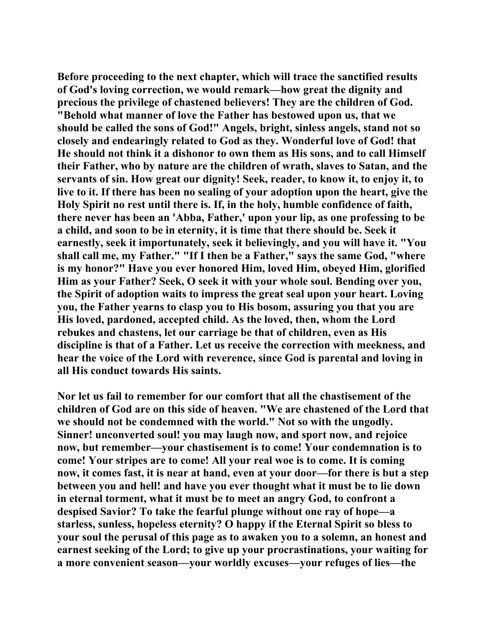**Before proceeding to the next chapter, which will trace the sanctified results of God's loving correction, we would remark—how great the dignity and precious the privilege of chastened believers! They are the children of God. "Behold what manner of love the Father has bestowed upon us, that we should be called the sons of God!" Angels, bright, sinless angels, stand not so closely and endearingly related to God as they. Wonderful love of God! that He should not think it a dishonor to own them as His sons, and to call Himself their Father, who by nature are the children of wrath, slaves to Satan, and the servants of sin. How great our dignity! Seek, reader, to know it, to enjoy it, to live to it. If there has been no sealing of your adoption upon the heart, give the Holy Spirit no rest until there is. If, in the holy, humble confidence of faith, there never has been an 'Abba, Father,' upon your lip, as one professing to be a child, and soon to be in eternity, it is time that there should be. Seek it earnestly, seek it importunately, seek it believingly, and you will have it. "You shall call me, my Father." "If I then be a Father," says the same God, "where is my honor?" Have you ever honored Him, loved Him, obeyed Him, glorified Him as your Father? Seek, O seek it with your whole soul. Bending over you, the Spirit of adoption waits to impress the great seal upon your heart. Loving you, the Father yearns to clasp you to His bosom, assuring you that you are His loved, pardoned, accepted child. As the loved, then, whom the Lord rebukes and chastens, let our carriage be that of children, even as His discipline is that of a Father. Let us receive the correction with meekness, and hear the voice of the Lord with reverence, since God is parental and loving in all His conduct towards His saints.** 

**Nor let us fail to remember for our comfort that all the chastisement of the children of God are on this side of heaven. "We are chastened of the Lord that we should not be condemned with the world." Not so with the ungodly. Sinner! unconverted soul! you may laugh now, and sport now, and rejoice now, but remember—your chastisement is to come! Your condemnation is to come! Your stripes are to come! All your real woe is to come. It is coming now, it comes fast, it is near at hand, even at your door—for there is but a step between you and hell! and have you ever thought what it must be to lie down in eternal torment, what it must be to meet an angry God, to confront a despised Savior? To take the fearful plunge without one ray of hope—a starless, sunless, hopeless eternity? O happy if the Eternal Spirit so bless to your soul the perusal of this page as to awaken you to a solemn, an honest and earnest seeking of the Lord; to give up your procrastinations, your waiting for a more convenient season—your worldly excuses—your refuges of lies—the**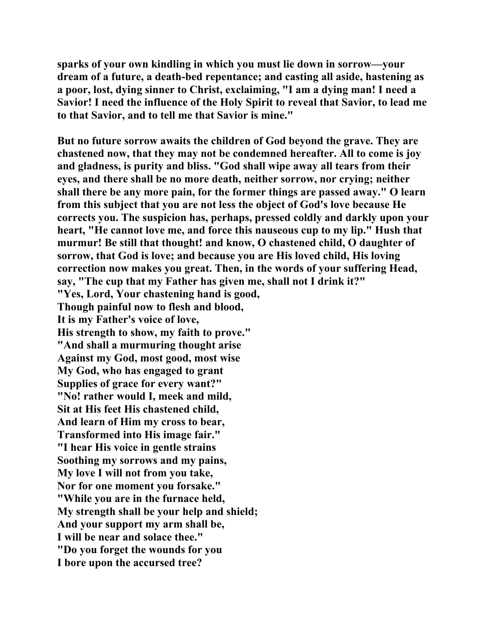**sparks of your own kindling in which you must lie down in sorrow—your dream of a future, a death-bed repentance; and casting all aside, hastening as a poor, lost, dying sinner to Christ, exclaiming, "I am a dying man! I need a Savior! I need the influence of the Holy Spirit to reveal that Savior, to lead me to that Savior, and to tell me that Savior is mine."** 

**But no future sorrow awaits the children of God beyond the grave. They are chastened now, that they may not be condemned hereafter. All to come is joy and gladness, is purity and bliss. "God shall wipe away all tears from their eyes, and there shall be no more death, neither sorrow, nor crying; neither shall there be any more pain, for the former things are passed away." O learn from this subject that you are not less the object of God's love because He corrects you. The suspicion has, perhaps, pressed coldly and darkly upon your heart, "He cannot love me, and force this nauseous cup to my lip." Hush that murmur! Be still that thought! and know, O chastened child, O daughter of sorrow, that God is love; and because you are His loved child, His loving correction now makes you great. Then, in the words of your suffering Head, say, "The cup that my Father has given me, shall not I drink it?" "Yes, Lord, Your chastening hand is good, Though painful now to flesh and blood, It is my Father's voice of love, His strength to show, my faith to prove." "And shall a murmuring thought arise Against my God, most good, most wise My God, who has engaged to grant Supplies of grace for every want?" "No! rather would I, meek and mild, Sit at His feet His chastened child, And learn of Him my cross to bear, Transformed into His image fair." "I hear His voice in gentle strains Soothing my sorrows and my pains, My love I will not from you take, Nor for one moment you forsake." "While you are in the furnace held, My strength shall be your help and shield; And your support my arm shall be, I will be near and solace thee." "Do you forget the wounds for you I bore upon the accursed tree?**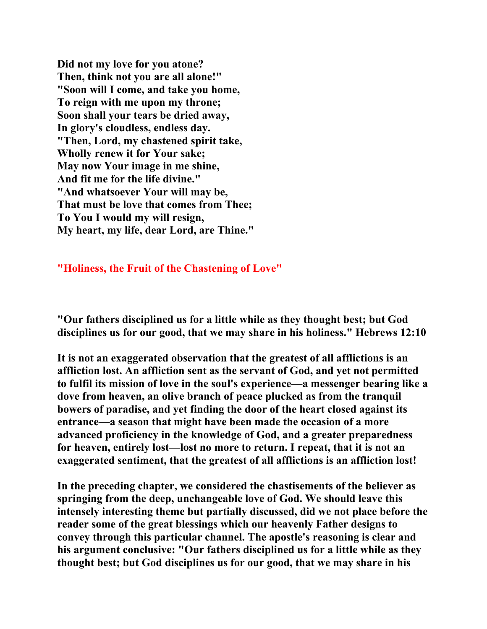**Did not my love for you atone? Then, think not you are all alone!" "Soon will I come, and take you home, To reign with me upon my throne; Soon shall your tears be dried away, In glory's cloudless, endless day. "Then, Lord, my chastened spirit take, Wholly renew it for Your sake; May now Your image in me shine, And fit me for the life divine." "And whatsoever Your will may be, That must be love that comes from Thee; To You I would my will resign, My heart, my life, dear Lord, are Thine."** 

**"Holiness, the Fruit of the Chastening of Love"** 

**"Our fathers disciplined us for a little while as they thought best; but God disciplines us for our good, that we may share in his holiness." Hebrews 12:10** 

**It is not an exaggerated observation that the greatest of all afflictions is an affliction lost. An affliction sent as the servant of God, and yet not permitted to fulfil its mission of love in the soul's experience—a messenger bearing like a dove from heaven, an olive branch of peace plucked as from the tranquil bowers of paradise, and yet finding the door of the heart closed against its entrance—a season that might have been made the occasion of a more advanced proficiency in the knowledge of God, and a greater preparedness for heaven, entirely lost—lost no more to return. I repeat, that it is not an exaggerated sentiment, that the greatest of all afflictions is an affliction lost!** 

**In the preceding chapter, we considered the chastisements of the believer as springing from the deep, unchangeable love of God. We should leave this intensely interesting theme but partially discussed, did we not place before the reader some of the great blessings which our heavenly Father designs to convey through this particular channel. The apostle's reasoning is clear and his argument conclusive: "Our fathers disciplined us for a little while as they thought best; but God disciplines us for our good, that we may share in his**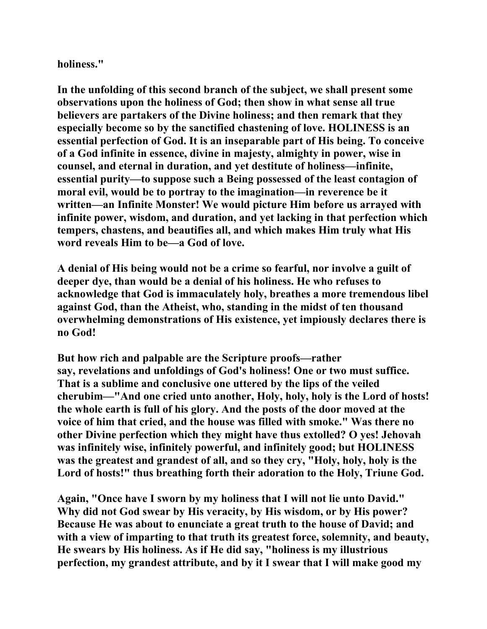**holiness."** 

**In the unfolding of this second branch of the subject, we shall present some observations upon the holiness of God; then show in what sense all true believers are partakers of the Divine holiness; and then remark that they especially become so by the sanctified chastening of love. HOLINESS is an essential perfection of God. It is an inseparable part of His being. To conceive of a God infinite in essence, divine in majesty, almighty in power, wise in counsel, and eternal in duration, and yet destitute of holiness—infinite, essential purity—to suppose such a Being possessed of the least contagion of moral evil, would be to portray to the imagination—in reverence be it written—an Infinite Monster! We would picture Him before us arrayed with infinite power, wisdom, and duration, and yet lacking in that perfection which tempers, chastens, and beautifies all, and which makes Him truly what His word reveals Him to be—a God of love.** 

**A denial of His being would not be a crime so fearful, nor involve a guilt of deeper dye, than would be a denial of his holiness. He who refuses to acknowledge that God is immaculately holy, breathes a more tremendous libel against God, than the Atheist, who, standing in the midst of ten thousand overwhelming demonstrations of His existence, yet impiously declares there is no God!** 

**But how rich and palpable are the Scripture proofs—rather say, revelations and unfoldings of God's holiness! One or two must suffice. That is a sublime and conclusive one uttered by the lips of the veiled cherubim—"And one cried unto another, Holy, holy, holy is the Lord of hosts! the whole earth is full of his glory. And the posts of the door moved at the voice of him that cried, and the house was filled with smoke." Was there no other Divine perfection which they might have thus extolled? O yes! Jehovah was infinitely wise, infinitely powerful, and infinitely good; but HOLINESS was the greatest and grandest of all, and so they cry, "Holy, holy, holy is the Lord of hosts!" thus breathing forth their adoration to the Holy, Triune God.** 

**Again, "Once have I sworn by my holiness that I will not lie unto David." Why did not God swear by His veracity, by His wisdom, or by His power? Because He was about to enunciate a great truth to the house of David; and with a view of imparting to that truth its greatest force, solemnity, and beauty, He swears by His holiness. As if He did say, "holiness is my illustrious perfection, my grandest attribute, and by it I swear that I will make good my**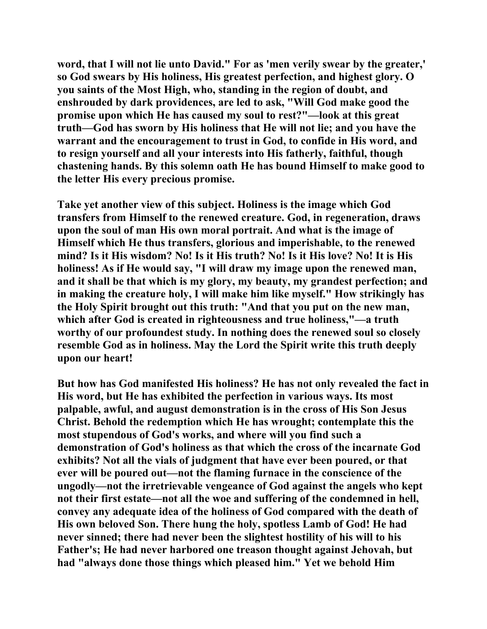**word, that I will not lie unto David." For as 'men verily swear by the greater,' so God swears by His holiness, His greatest perfection, and highest glory. O you saints of the Most High, who, standing in the region of doubt, and enshrouded by dark providences, are led to ask, "Will God make good the promise upon which He has caused my soul to rest?"—look at this great truth—God has sworn by His holiness that He will not lie; and you have the warrant and the encouragement to trust in God, to confide in His word, and to resign yourself and all your interests into His fatherly, faithful, though chastening hands. By this solemn oath He has bound Himself to make good to the letter His every precious promise.** 

**Take yet another view of this subject. Holiness is the image which God transfers from Himself to the renewed creature. God, in regeneration, draws upon the soul of man His own moral portrait. And what is the image of Himself which He thus transfers, glorious and imperishable, to the renewed mind? Is it His wisdom? No! Is it His truth? No! Is it His love? No! It is His holiness! As if He would say, "I will draw my image upon the renewed man, and it shall be that which is my glory, my beauty, my grandest perfection; and in making the creature holy, I will make him like myself." How strikingly has the Holy Spirit brought out this truth: "And that you put on the new man, which after God is created in righteousness and true holiness,"—a truth worthy of our profoundest study. In nothing does the renewed soul so closely resemble God as in holiness. May the Lord the Spirit write this truth deeply upon our heart!** 

**But how has God manifested His holiness? He has not only revealed the fact in His word, but He has exhibited the perfection in various ways. Its most palpable, awful, and august demonstration is in the cross of His Son Jesus Christ. Behold the redemption which He has wrought; contemplate this the most stupendous of God's works, and where will you find such a demonstration of God's holiness as that which the cross of the incarnate God exhibits? Not all the vials of judgment that have ever been poured, or that ever will be poured out—not the flaming furnace in the conscience of the ungodly—not the irretrievable vengeance of God against the angels who kept not their first estate—not all the woe and suffering of the condemned in hell, convey any adequate idea of the holiness of God compared with the death of His own beloved Son. There hung the holy, spotless Lamb of God! He had never sinned; there had never been the slightest hostility of his will to his Father's; He had never harbored one treason thought against Jehovah, but had "always done those things which pleased him." Yet we behold Him**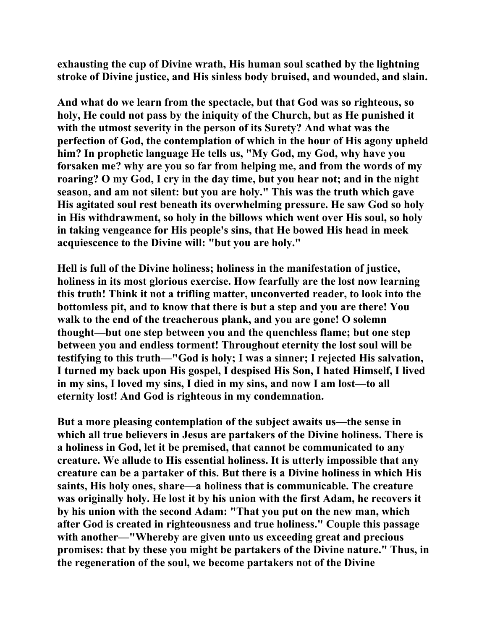**exhausting the cup of Divine wrath, His human soul scathed by the lightning stroke of Divine justice, and His sinless body bruised, and wounded, and slain.** 

**And what do we learn from the spectacle, but that God was so righteous, so holy, He could not pass by the iniquity of the Church, but as He punished it with the utmost severity in the person of its Surety? And what was the perfection of God, the contemplation of which in the hour of His agony upheld him? In prophetic language He tells us, "My God, my God, why have you forsaken me? why are you so far from helping me, and from the words of my roaring? O my God, I cry in the day time, but you hear not; and in the night season, and am not silent: but you are holy." This was the truth which gave His agitated soul rest beneath its overwhelming pressure. He saw God so holy in His withdrawment, so holy in the billows which went over His soul, so holy in taking vengeance for His people's sins, that He bowed His head in meek acquiescence to the Divine will: "but you are holy."** 

**Hell is full of the Divine holiness; holiness in the manifestation of justice, holiness in its most glorious exercise. How fearfully are the lost now learning this truth! Think it not a trifling matter, unconverted reader, to look into the bottomless pit, and to know that there is but a step and you are there! You walk to the end of the treacherous plank, and you are gone! O solemn thought—but one step between you and the quenchless flame; but one step between you and endless torment! Throughout eternity the lost soul will be testifying to this truth—"God is holy; I was a sinner; I rejected His salvation, I turned my back upon His gospel, I despised His Son, I hated Himself, I lived in my sins, I loved my sins, I died in my sins, and now I am lost—to all eternity lost! And God is righteous in my condemnation.** 

**But a more pleasing contemplation of the subject awaits us—the sense in which all true believers in Jesus are partakers of the Divine holiness. There is a holiness in God, let it be premised, that cannot be communicated to any creature. We allude to His essential holiness. It is utterly impossible that any creature can be a partaker of this. But there is a Divine holiness in which His saints, His holy ones, share—a holiness that is communicable. The creature was originally holy. He lost it by his union with the first Adam, he recovers it by his union with the second Adam: "That you put on the new man, which after God is created in righteousness and true holiness." Couple this passage with another—"Whereby are given unto us exceeding great and precious promises: that by these you might be partakers of the Divine nature." Thus, in the regeneration of the soul, we become partakers not of the Divine**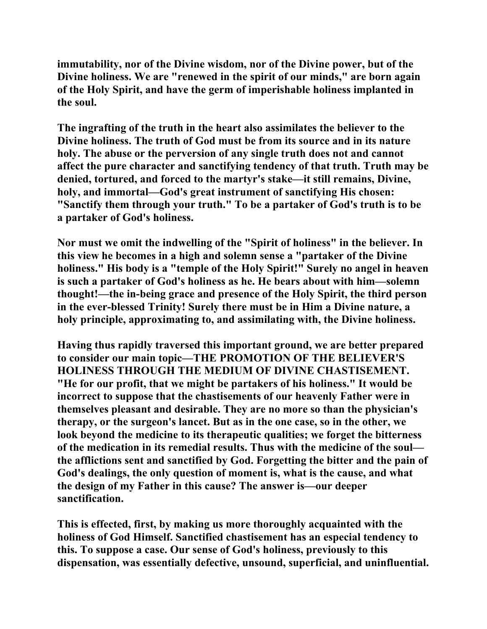**immutability, nor of the Divine wisdom, nor of the Divine power, but of the Divine holiness. We are "renewed in the spirit of our minds," are born again of the Holy Spirit, and have the germ of imperishable holiness implanted in the soul.** 

**The ingrafting of the truth in the heart also assimilates the believer to the Divine holiness. The truth of God must be from its source and in its nature holy. The abuse or the perversion of any single truth does not and cannot affect the pure character and sanctifying tendency of that truth. Truth may be denied, tortured, and forced to the martyr's stake—it still remains, Divine, holy, and immortal—God's great instrument of sanctifying His chosen: "Sanctify them through your truth." To be a partaker of God's truth is to be a partaker of God's holiness.** 

**Nor must we omit the indwelling of the "Spirit of holiness" in the believer. In this view he becomes in a high and solemn sense a "partaker of the Divine holiness." His body is a "temple of the Holy Spirit!" Surely no angel in heaven is such a partaker of God's holiness as he. He bears about with him—solemn thought!—the in-being grace and presence of the Holy Spirit, the third person in the ever-blessed Trinity! Surely there must be in Him a Divine nature, a holy principle, approximating to, and assimilating with, the Divine holiness.** 

**Having thus rapidly traversed this important ground, we are better prepared to consider our main topic—THE PROMOTION OF THE BELIEVER'S HOLINESS THROUGH THE MEDIUM OF DIVINE CHASTISEMENT. "He for our profit, that we might be partakers of his holiness." It would be incorrect to suppose that the chastisements of our heavenly Father were in themselves pleasant and desirable. They are no more so than the physician's therapy, or the surgeon's lancet. But as in the one case, so in the other, we look beyond the medicine to its therapeutic qualities; we forget the bitterness of the medication in its remedial results. Thus with the medicine of the soul the afflictions sent and sanctified by God. Forgetting the bitter and the pain of God's dealings, the only question of moment is, what is the cause, and what the design of my Father in this cause? The answer is—our deeper sanctification.** 

**This is effected, first, by making us more thoroughly acquainted with the holiness of God Himself. Sanctified chastisement has an especial tendency to this. To suppose a case. Our sense of God's holiness, previously to this dispensation, was essentially defective, unsound, superficial, and uninfluential.**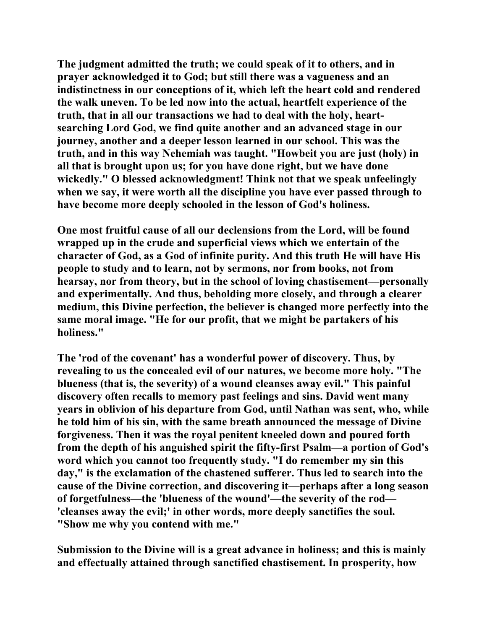**The judgment admitted the truth; we could speak of it to others, and in prayer acknowledged it to God; but still there was a vagueness and an indistinctness in our conceptions of it, which left the heart cold and rendered the walk uneven. To be led now into the actual, heartfelt experience of the truth, that in all our transactions we had to deal with the holy, heartsearching Lord God, we find quite another and an advanced stage in our journey, another and a deeper lesson learned in our school. This was the truth, and in this way Nehemiah was taught. "Howbeit you are just (holy) in all that is brought upon us; for you have done right, but we have done wickedly." O blessed acknowledgment! Think not that we speak unfeelingly when we say, it were worth all the discipline you have ever passed through to have become more deeply schooled in the lesson of God's holiness.** 

**One most fruitful cause of all our declensions from the Lord, will be found wrapped up in the crude and superficial views which we entertain of the character of God, as a God of infinite purity. And this truth He will have His people to study and to learn, not by sermons, nor from books, not from hearsay, nor from theory, but in the school of loving chastisement—personally and experimentally. And thus, beholding more closely, and through a clearer medium, this Divine perfection, the believer is changed more perfectly into the same moral image. "He for our profit, that we might be partakers of his holiness."** 

**The 'rod of the covenant' has a wonderful power of discovery. Thus, by revealing to us the concealed evil of our natures, we become more holy. "The blueness (that is, the severity) of a wound cleanses away evil." This painful discovery often recalls to memory past feelings and sins. David went many years in oblivion of his departure from God, until Nathan was sent, who, while he told him of his sin, with the same breath announced the message of Divine forgiveness. Then it was the royal penitent kneeled down and poured forth from the depth of his anguished spirit the fifty-first Psalm—a portion of God's word which you cannot too frequently study. "I do remember my sin this day," is the exclamation of the chastened sufferer. Thus led to search into the cause of the Divine correction, and discovering it—perhaps after a long season of forgetfulness—the 'blueness of the wound'—the severity of the rod— 'cleanses away the evil;' in other words, more deeply sanctifies the soul. "Show me why you contend with me."** 

**Submission to the Divine will is a great advance in holiness; and this is mainly and effectually attained through sanctified chastisement. In prosperity, how**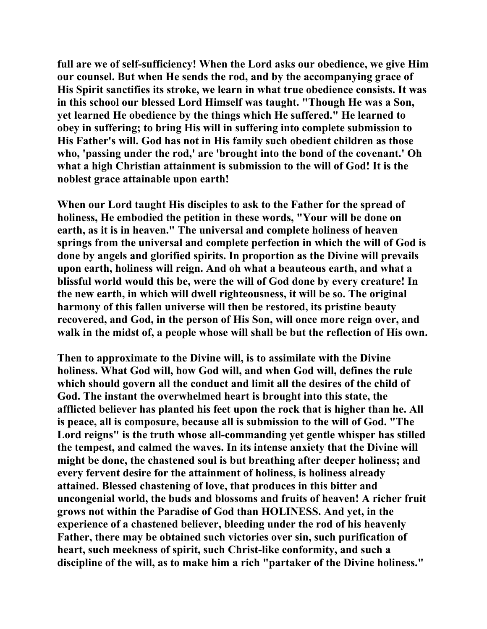**full are we of self-sufficiency! When the Lord asks our obedience, we give Him our counsel. But when He sends the rod, and by the accompanying grace of His Spirit sanctifies its stroke, we learn in what true obedience consists. It was in this school our blessed Lord Himself was taught. "Though He was a Son, yet learned He obedience by the things which He suffered." He learned to obey in suffering; to bring His will in suffering into complete submission to His Father's will. God has not in His family such obedient children as those who, 'passing under the rod,' are 'brought into the bond of the covenant.' Oh what a high Christian attainment is submission to the will of God! It is the noblest grace attainable upon earth!** 

**When our Lord taught His disciples to ask to the Father for the spread of holiness, He embodied the petition in these words, "Your will be done on earth, as it is in heaven." The universal and complete holiness of heaven springs from the universal and complete perfection in which the will of God is done by angels and glorified spirits. In proportion as the Divine will prevails upon earth, holiness will reign. And oh what a beauteous earth, and what a blissful world would this be, were the will of God done by every creature! In the new earth, in which will dwell righteousness, it will be so. The original harmony of this fallen universe will then be restored, its pristine beauty recovered, and God, in the person of His Son, will once more reign over, and walk in the midst of, a people whose will shall be but the reflection of His own.** 

**Then to approximate to the Divine will, is to assimilate with the Divine holiness. What God will, how God will, and when God will, defines the rule which should govern all the conduct and limit all the desires of the child of God. The instant the overwhelmed heart is brought into this state, the afflicted believer has planted his feet upon the rock that is higher than he. All is peace, all is composure, because all is submission to the will of God. "The Lord reigns" is the truth whose all-commanding yet gentle whisper has stilled the tempest, and calmed the waves. In its intense anxiety that the Divine will might be done, the chastened soul is but breathing after deeper holiness; and every fervent desire for the attainment of holiness, is holiness already attained. Blessed chastening of love, that produces in this bitter and uncongenial world, the buds and blossoms and fruits of heaven! A richer fruit grows not within the Paradise of God than HOLINESS. And yet, in the experience of a chastened believer, bleeding under the rod of his heavenly Father, there may be obtained such victories over sin, such purification of heart, such meekness of spirit, such Christ-like conformity, and such a discipline of the will, as to make him a rich "partaker of the Divine holiness."**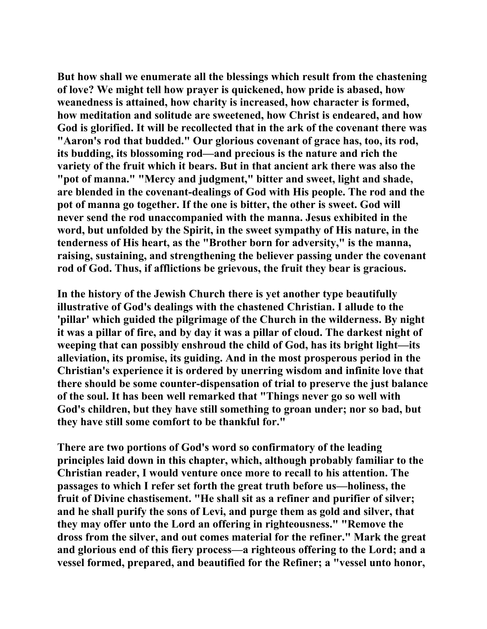**But how shall we enumerate all the blessings which result from the chastening of love? We might tell how prayer is quickened, how pride is abased, how weanedness is attained, how charity is increased, how character is formed, how meditation and solitude are sweetened, how Christ is endeared, and how God is glorified. It will be recollected that in the ark of the covenant there was "Aaron's rod that budded." Our glorious covenant of grace has, too, its rod, its budding, its blossoming rod—and precious is the nature and rich the variety of the fruit which it bears. But in that ancient ark there was also the "pot of manna." "Mercy and judgment," bitter and sweet, light and shade, are blended in the covenant-dealings of God with His people. The rod and the pot of manna go together. If the one is bitter, the other is sweet. God will never send the rod unaccompanied with the manna. Jesus exhibited in the word, but unfolded by the Spirit, in the sweet sympathy of His nature, in the tenderness of His heart, as the "Brother born for adversity," is the manna, raising, sustaining, and strengthening the believer passing under the covenant rod of God. Thus, if afflictions be grievous, the fruit they bear is gracious.** 

**In the history of the Jewish Church there is yet another type beautifully illustrative of God's dealings with the chastened Christian. I allude to the 'pillar' which guided the pilgrimage of the Church in the wilderness. By night it was a pillar of fire, and by day it was a pillar of cloud. The darkest night of weeping that can possibly enshroud the child of God, has its bright light—its alleviation, its promise, its guiding. And in the most prosperous period in the Christian's experience it is ordered by unerring wisdom and infinite love that there should be some counter-dispensation of trial to preserve the just balance of the soul. It has been well remarked that "Things never go so well with God's children, but they have still something to groan under; nor so bad, but they have still some comfort to be thankful for."** 

**There are two portions of God's word so confirmatory of the leading principles laid down in this chapter, which, although probably familiar to the Christian reader, I would venture once more to recall to his attention. The passages to which I refer set forth the great truth before us—holiness, the fruit of Divine chastisement. "He shall sit as a refiner and purifier of silver; and he shall purify the sons of Levi, and purge them as gold and silver, that they may offer unto the Lord an offering in righteousness." "Remove the dross from the silver, and out comes material for the refiner." Mark the great and glorious end of this fiery process—a righteous offering to the Lord; and a vessel formed, prepared, and beautified for the Refiner; a "vessel unto honor,**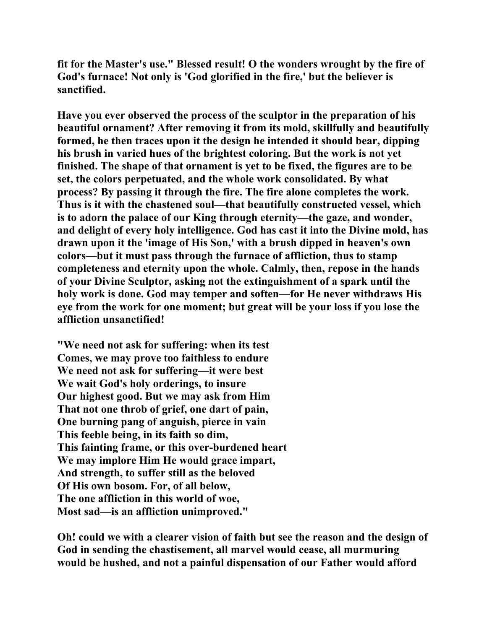**fit for the Master's use." Blessed result! O the wonders wrought by the fire of God's furnace! Not only is 'God glorified in the fire,' but the believer is sanctified.** 

**Have you ever observed the process of the sculptor in the preparation of his beautiful ornament? After removing it from its mold, skillfully and beautifully formed, he then traces upon it the design he intended it should bear, dipping his brush in varied hues of the brightest coloring. But the work is not yet finished. The shape of that ornament is yet to be fixed, the figures are to be set, the colors perpetuated, and the whole work consolidated. By what process? By passing it through the fire. The fire alone completes the work. Thus is it with the chastened soul—that beautifully constructed vessel, which is to adorn the palace of our King through eternity—the gaze, and wonder, and delight of every holy intelligence. God has cast it into the Divine mold, has drawn upon it the 'image of His Son,' with a brush dipped in heaven's own colors—but it must pass through the furnace of affliction, thus to stamp completeness and eternity upon the whole. Calmly, then, repose in the hands of your Divine Sculptor, asking not the extinguishment of a spark until the holy work is done. God may temper and soften—for He never withdraws His eye from the work for one moment; but great will be your loss if you lose the affliction unsanctified!** 

**"We need not ask for suffering: when its test Comes, we may prove too faithless to endure We need not ask for suffering—it were best We wait God's holy orderings, to insure Our highest good. But we may ask from Him That not one throb of grief, one dart of pain, One burning pang of anguish, pierce in vain This feeble being, in its faith so dim, This fainting frame, or this over-burdened heart We may implore Him He would grace impart, And strength, to suffer still as the beloved Of His own bosom. For, of all below, The one affliction in this world of woe, Most sad—is an affliction unimproved."** 

**Oh! could we with a clearer vision of faith but see the reason and the design of God in sending the chastisement, all marvel would cease, all murmuring would be hushed, and not a painful dispensation of our Father would afford**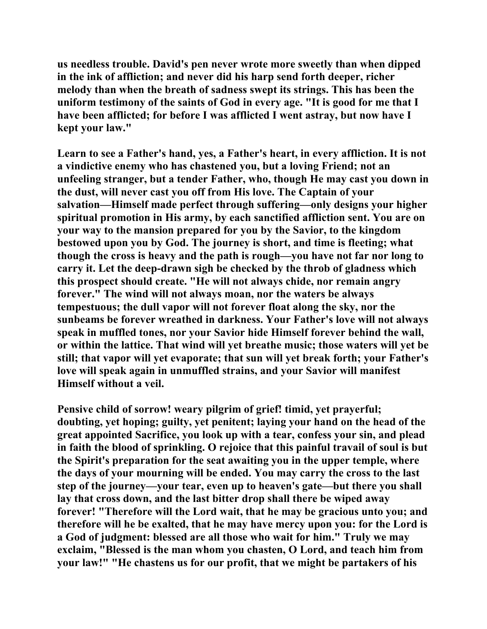**us needless trouble. David's pen never wrote more sweetly than when dipped in the ink of affliction; and never did his harp send forth deeper, richer melody than when the breath of sadness swept its strings. This has been the uniform testimony of the saints of God in every age. "It is good for me that I have been afflicted; for before I was afflicted I went astray, but now have I kept your law."** 

**Learn to see a Father's hand, yes, a Father's heart, in every affliction. It is not a vindictive enemy who has chastened you, but a loving Friend; not an unfeeling stranger, but a tender Father, who, though He may cast you down in the dust, will never cast you off from His love. The Captain of your salvation—Himself made perfect through suffering—only designs your higher spiritual promotion in His army, by each sanctified affliction sent. You are on your way to the mansion prepared for you by the Savior, to the kingdom bestowed upon you by God. The journey is short, and time is fleeting; what though the cross is heavy and the path is rough—you have not far nor long to carry it. Let the deep-drawn sigh be checked by the throb of gladness which this prospect should create. "He will not always chide, nor remain angry forever." The wind will not always moan, nor the waters be always tempestuous; the dull vapor will not forever float along the sky, nor the sunbeams be forever wreathed in darkness. Your Father's love will not always speak in muffled tones, nor your Savior hide Himself forever behind the wall, or within the lattice. That wind will yet breathe music; those waters will yet be still; that vapor will yet evaporate; that sun will yet break forth; your Father's love will speak again in unmuffled strains, and your Savior will manifest Himself without a veil.** 

**Pensive child of sorrow! weary pilgrim of grief! timid, yet prayerful; doubting, yet hoping; guilty, yet penitent; laying your hand on the head of the great appointed Sacrifice, you look up with a tear, confess your sin, and plead in faith the blood of sprinkling. O rejoice that this painful travail of soul is but the Spirit's preparation for the seat awaiting you in the upper temple, where the days of your mourning will be ended. You may carry the cross to the last step of the journey—your tear, even up to heaven's gate—but there you shall lay that cross down, and the last bitter drop shall there be wiped away forever! "Therefore will the Lord wait, that he may be gracious unto you; and therefore will he be exalted, that he may have mercy upon you: for the Lord is a God of judgment: blessed are all those who wait for him." Truly we may exclaim, "Blessed is the man whom you chasten, O Lord, and teach him from your law!" "He chastens us for our profit, that we might be partakers of his**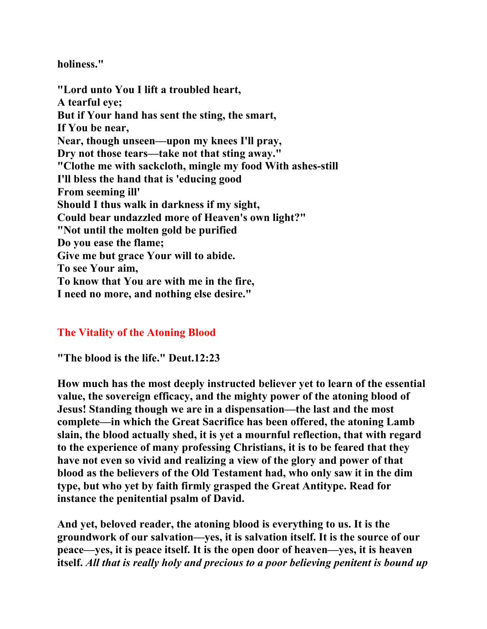**holiness."** 

**"Lord unto You I lift a troubled heart, A tearful eye; But if Your hand has sent the sting, the smart, If You be near, Near, though unseen—upon my knees I'll pray, Dry not those tears—take not that sting away." "Clothe me with sackcloth, mingle my food With ashes-still I'll bless the hand that is 'educing good From seeming ill' Should I thus walk in darkness if my sight, Could bear undazzled more of Heaven's own light?" "Not until the molten gold be purified Do you ease the flame; Give me but grace Your will to abide. To see Your aim, To know that You are with me in the fire, I need no more, and nothing else desire."** 

## **The Vitality of the Atoning Blood**

**"The blood is the life." Deut.12:23** 

**How much has the most deeply instructed believer yet to learn of the essential value, the sovereign efficacy, and the mighty power of the atoning blood of Jesus! Standing though we are in a dispensation—the last and the most complete—in which the Great Sacrifice has been offered, the atoning Lamb slain, the blood actually shed, it is yet a mournful reflection, that with regard to the experience of many professing Christians, it is to be feared that they have not even so vivid and realizing a view of the glory and power of that blood as the believers of the Old Testament had, who only saw it in the dim type, but who yet by faith firmly grasped the Great Antitype. Read for instance the penitential psalm of David.** 

**And yet, beloved reader, the atoning blood is everything to us. It is the groundwork of our salvation—yes, it is salvation itself. It is the source of our peace—yes, it is peace itself. It is the open door of heaven—yes, it is heaven itself.** *All that is really holy and precious to a poor believing penitent is bound up*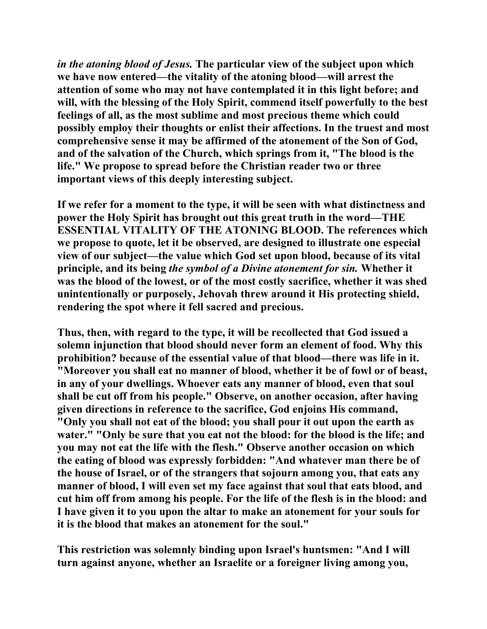*in the atoning blood of Jesus.* **The particular view of the subject upon which we have now entered—the vitality of the atoning blood—will arrest the attention of some who may not have contemplated it in this light before; and will, with the blessing of the Holy Spirit, commend itself powerfully to the best feelings of all, as the most sublime and most precious theme which could possibly employ their thoughts or enlist their affections. In the truest and most comprehensive sense it may be affirmed of the atonement of the Son of God, and of the salvation of the Church, which springs from it, "The blood is the life." We propose to spread before the Christian reader two or three important views of this deeply interesting subject.** 

**If we refer for a moment to the type, it will be seen with what distinctness and power the Holy Spirit has brought out this great truth in the word—THE ESSENTIAL VITALITY OF THE ATONING BLOOD. The references which we propose to quote, let it be observed, are designed to illustrate one especial view of our subject—the value which God set upon blood, because of its vital principle, and its being** *the symbol of a Divine atonement for sin.* **Whether it was the blood of the lowest, or of the most costly sacrifice, whether it was shed unintentionally or purposely, Jehovah threw around it His protecting shield, rendering the spot where it fell sacred and precious.** 

**Thus, then, with regard to the type, it will be recollected that God issued a solemn injunction that blood should never form an element of food. Why this prohibition? because of the essential value of that blood—there was life in it. "Moreover you shall eat no manner of blood, whether it be of fowl or of beast, in any of your dwellings. Whoever eats any manner of blood, even that soul shall be cut off from his people." Observe, on another occasion, after having given directions in reference to the sacrifice, God enjoins His command, "Only you shall not eat of the blood; you shall pour it out upon the earth as water." "Only be sure that you eat not the blood: for the blood is the life; and you may not eat the life with the flesh." Observe another occasion on which the eating of blood was expressly forbidden: "And whatever man there be of the house of Israel, or of the strangers that sojourn among you, that eats any manner of blood, I will even set my face against that soul that eats blood, and cut him off from among his people. For the life of the flesh is in the blood: and I have given it to you upon the altar to make an atonement for your souls for it is the blood that makes an atonement for the soul."** 

**This restriction was solemnly binding upon Israel's huntsmen: "And I will turn against anyone, whether an Israelite or a foreigner living among you,**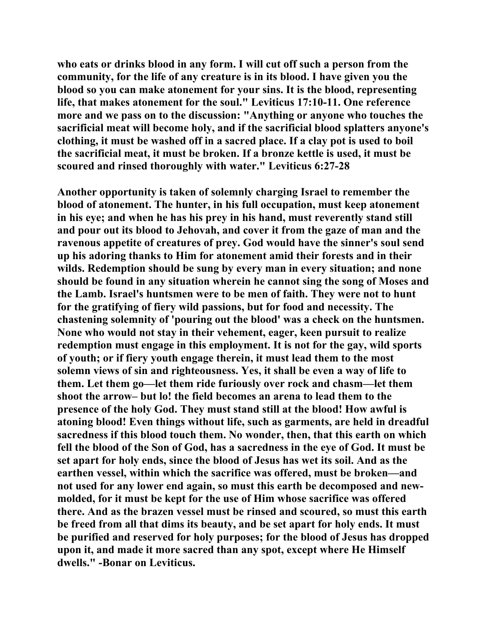**who eats or drinks blood in any form. I will cut off such a person from the community, for the life of any creature is in its blood. I have given you the blood so you can make atonement for your sins. It is the blood, representing life, that makes atonement for the soul." Leviticus 17:10-11. One reference more and we pass on to the discussion: "Anything or anyone who touches the sacrificial meat will become holy, and if the sacrificial blood splatters anyone's clothing, it must be washed off in a sacred place. If a clay pot is used to boil the sacrificial meat, it must be broken. If a bronze kettle is used, it must be scoured and rinsed thoroughly with water." Leviticus 6:27-28** 

**Another opportunity is taken of solemnly charging Israel to remember the blood of atonement. The hunter, in his full occupation, must keep atonement in his eye; and when he has his prey in his hand, must reverently stand still and pour out its blood to Jehovah, and cover it from the gaze of man and the ravenous appetite of creatures of prey. God would have the sinner's soul send up his adoring thanks to Him for atonement amid their forests and in their wilds. Redemption should be sung by every man in every situation; and none should be found in any situation wherein he cannot sing the song of Moses and the Lamb. Israel's huntsmen were to be men of faith. They were not to hunt for the gratifying of fiery wild passions, but for food and necessity. The chastening solemnity of 'pouring out the blood' was a check on the huntsmen. None who would not stay in their vehement, eager, keen pursuit to realize redemption must engage in this employment. It is not for the gay, wild sports of youth; or if fiery youth engage therein, it must lead them to the most solemn views of sin and righteousness. Yes, it shall be even a way of life to them. Let them go—let them ride furiously over rock and chasm—let them shoot the arrow– but lo! the field becomes an arena to lead them to the presence of the holy God. They must stand still at the blood! How awful is atoning blood! Even things without life, such as garments, are held in dreadful sacredness if this blood touch them. No wonder, then, that this earth on which fell the blood of the Son of God, has a sacredness in the eye of God. It must be set apart for holy ends, since the blood of Jesus has wet its soil. And as the earthen vessel, within which the sacrifice was offered, must be broken—and not used for any lower end again, so must this earth be decomposed and newmolded, for it must be kept for the use of Him whose sacrifice was offered there. And as the brazen vessel must be rinsed and scoured, so must this earth be freed from all that dims its beauty, and be set apart for holy ends. It must be purified and reserved for holy purposes; for the blood of Jesus has dropped upon it, and made it more sacred than any spot, except where He Himself dwells." -Bonar on Leviticus.**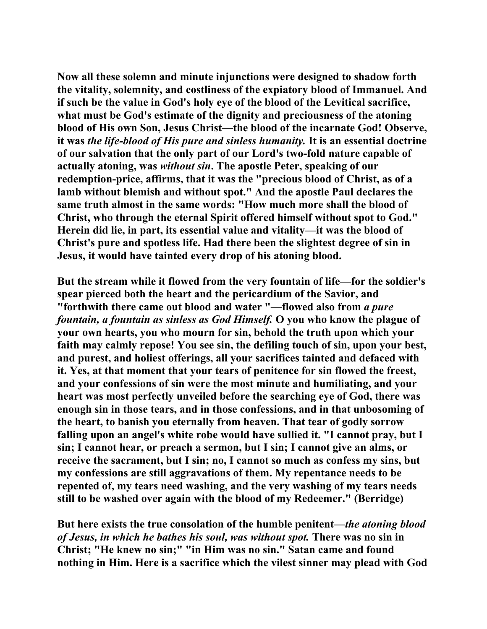**Now all these solemn and minute injunctions were designed to shadow forth the vitality, solemnity, and costliness of the expiatory blood of Immanuel. And if such be the value in God's holy eye of the blood of the Levitical sacrifice, what must be God's estimate of the dignity and preciousness of the atoning blood of His own Son, Jesus Christ—the blood of the incarnate God! Observe, it was** *the life-blood of His pure and sinless humanity.* **It is an essential doctrine of our salvation that the only part of our Lord's two-fold nature capable of actually atoning, was** *without sin***. The apostle Peter, speaking of our redemption-price, affirms, that it was the "precious blood of Christ, as of a lamb without blemish and without spot." And the apostle Paul declares the same truth almost in the same words: "How much more shall the blood of Christ, who through the eternal Spirit offered himself without spot to God." Herein did lie, in part, its essential value and vitality—it was the blood of Christ's pure and spotless life. Had there been the slightest degree of sin in Jesus, it would have tainted every drop of his atoning blood.** 

**But the stream while it flowed from the very fountain of life—for the soldier's spear pierced both the heart and the pericardium of the Savior, and "forthwith there came out blood and water "—flowed also from** *a pure fountain, a fountain as sinless as God Himself.* **O you who know the plague of your own hearts, you who mourn for sin, behold the truth upon which your faith may calmly repose! You see sin, the defiling touch of sin, upon your best, and purest, and holiest offerings, all your sacrifices tainted and defaced with it. Yes, at that moment that your tears of penitence for sin flowed the freest, and your confessions of sin were the most minute and humiliating, and your heart was most perfectly unveiled before the searching eye of God, there was enough sin in those tears, and in those confessions, and in that unbosoming of the heart, to banish you eternally from heaven. That tear of godly sorrow falling upon an angel's white robe would have sullied it. "I cannot pray, but I sin; I cannot hear, or preach a sermon, but I sin; I cannot give an alms, or receive the sacrament, but I sin; no, I cannot so much as confess my sins, but my confessions are still aggravations of them. My repentance needs to be repented of, my tears need washing, and the very washing of my tears needs still to be washed over again with the blood of my Redeemer." (Berridge)** 

**But here exists the true consolation of the humble penitent—***the atoning blood of Jesus, in which he bathes his soul, was without spot.* **There was no sin in Christ; "He knew no sin;" "in Him was no sin." Satan came and found nothing in Him. Here is a sacrifice which the vilest sinner may plead with God**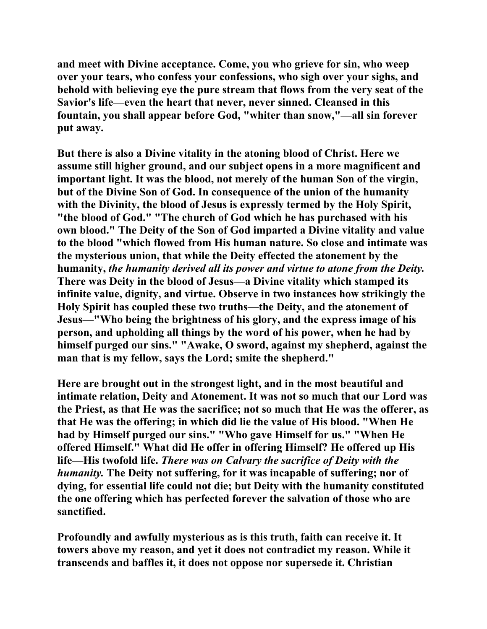**and meet with Divine acceptance. Come, you who grieve for sin, who weep over your tears, who confess your confessions, who sigh over your sighs, and behold with believing eye the pure stream that flows from the very seat of the Savior's life—even the heart that never, never sinned. Cleansed in this fountain, you shall appear before God, "whiter than snow,"—all sin forever put away.** 

**But there is also a Divine vitality in the atoning blood of Christ. Here we assume still higher ground, and our subject opens in a more magnificent and important light. It was the blood, not merely of the human Son of the virgin, but of the Divine Son of God. In consequence of the union of the humanity with the Divinity, the blood of Jesus is expressly termed by the Holy Spirit, "the blood of God." "The church of God which he has purchased with his own blood." The Deity of the Son of God imparted a Divine vitality and value to the blood "which flowed from His human nature. So close and intimate was the mysterious union, that while the Deity effected the atonement by the humanity,** *the humanity derived all its power and virtue to atone from the Deity.* **There was Deity in the blood of Jesus—a Divine vitality which stamped its infinite value, dignity, and virtue. Observe in two instances how strikingly the Holy Spirit has coupled these two truths—the Deity, and the atonement of Jesus—"Who being the brightness of his glory, and the express image of his person, and upholding all things by the word of his power, when he had by himself purged our sins." "Awake, O sword, against my shepherd, against the man that is my fellow, says the Lord; smite the shepherd."** 

**Here are brought out in the strongest light, and in the most beautiful and intimate relation, Deity and Atonement. It was not so much that our Lord was the Priest, as that He was the sacrifice; not so much that He was the offerer, as that He was the offering; in which did lie the value of His blood. "When He had by Himself purged our sins." "Who gave Himself for us." "When He offered Himself." What did He offer in offering Himself? He offered up His life—His twofold life.** *There was on Calvary the sacrifice of Deity with the humanity.* **The Deity not suffering, for it was incapable of suffering; nor of dying, for essential life could not die; but Deity with the humanity constituted the one offering which has perfected forever the salvation of those who are sanctified.** 

**Profoundly and awfully mysterious as is this truth, faith can receive it. It towers above my reason, and yet it does not contradict my reason. While it transcends and baffles it, it does not oppose nor supersede it. Christian**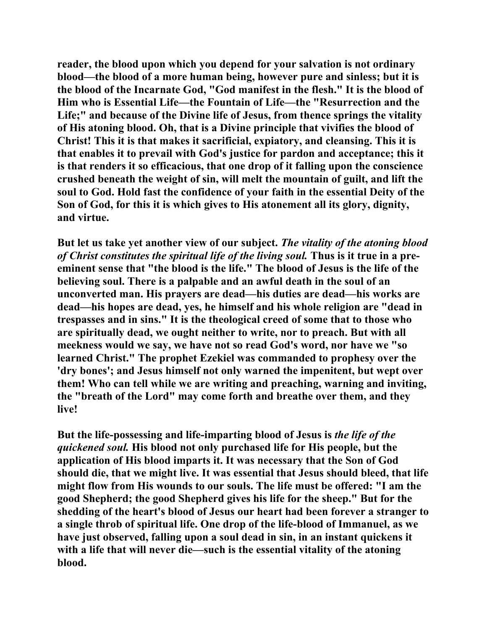**reader, the blood upon which you depend for your salvation is not ordinary blood—the blood of a more human being, however pure and sinless; but it is the blood of the Incarnate God, "God manifest in the flesh." It is the blood of Him who is Essential Life—the Fountain of Life—the "Resurrection and the Life;" and because of the Divine life of Jesus, from thence springs the vitality of His atoning blood. Oh, that is a Divine principle that vivifies the blood of Christ! This it is that makes it sacrificial, expiatory, and cleansing. This it is that enables it to prevail with God's justice for pardon and acceptance; this it is that renders it so efficacious, that one drop of it falling upon the conscience crushed beneath the weight of sin, will melt the mountain of guilt, and lift the soul to God. Hold fast the confidence of your faith in the essential Deity of the Son of God, for this it is which gives to His atonement all its glory, dignity, and virtue.** 

**But let us take yet another view of our subject.** *The vitality of the atoning blood of Christ constitutes the spiritual life of the living soul.* **Thus is it true in a preeminent sense that "the blood is the life." The blood of Jesus is the life of the believing soul. There is a palpable and an awful death in the soul of an unconverted man. His prayers are dead—his duties are dead—his works are dead—his hopes are dead, yes, he himself and his whole religion are "dead in trespasses and in sins." It is the theological creed of some that to those who are spiritually dead, we ought neither to write, nor to preach. But with all meekness would we say, we have not so read God's word, nor have we "so learned Christ." The prophet Ezekiel was commanded to prophesy over the 'dry bones'; and Jesus himself not only warned the impenitent, but wept over them! Who can tell while we are writing and preaching, warning and inviting, the "breath of the Lord" may come forth and breathe over them, and they live!** 

**But the life-possessing and life-imparting blood of Jesus is** *the life of the quickened soul.* **His blood not only purchased life for His people, but the application of His blood imparts it. It was necessary that the Son of God should die, that we might live. It was essential that Jesus should bleed, that life might flow from His wounds to our souls. The life must be offered: "I am the good Shepherd; the good Shepherd gives his life for the sheep." But for the shedding of the heart's blood of Jesus our heart had been forever a stranger to a single throb of spiritual life. One drop of the life-blood of Immanuel, as we have just observed, falling upon a soul dead in sin, in an instant quickens it**  with a life that will never die—such is the essential vitality of the atoning **blood.**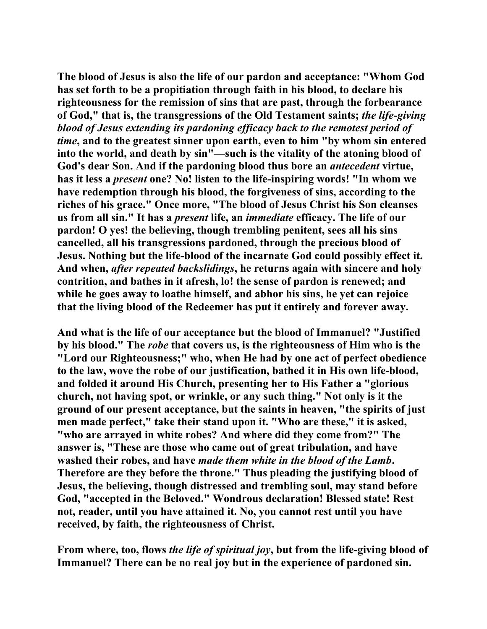**The blood of Jesus is also the life of our pardon and acceptance: "Whom God has set forth to be a propitiation through faith in his blood, to declare his righteousness for the remission of sins that are past, through the forbearance of God," that is, the transgressions of the Old Testament saints;** *the life-giving blood of Jesus extending its pardoning efficacy back to the remotest period of time***, and to the greatest sinner upon earth, even to him "by whom sin entered into the world, and death by sin"—such is the vitality of the atoning blood of God's dear Son. And if the pardoning blood thus bore an** *antecedent* **virtue, has it less a** *present* **one? No! listen to the life-inspiring words! "In whom we have redemption through his blood, the forgiveness of sins, according to the riches of his grace." Once more, "The blood of Jesus Christ his Son cleanses us from all sin." It has a** *present* **life, an** *immediate* **efficacy. The life of our pardon! O yes! the believing, though trembling penitent, sees all his sins cancelled, all his transgressions pardoned, through the precious blood of Jesus. Nothing but the life-blood of the incarnate God could possibly effect it. And when,** *after repeated backslidings***, he returns again with sincere and holy contrition, and bathes in it afresh, lo! the sense of pardon is renewed; and while he goes away to loathe himself, and abhor his sins, he yet can rejoice that the living blood of the Redeemer has put it entirely and forever away.** 

**And what is the life of our acceptance but the blood of Immanuel? "Justified by his blood." The** *robe* **that covers us, is the righteousness of Him who is the "Lord our Righteousness;" who, when He had by one act of perfect obedience to the law, wove the robe of our justification, bathed it in His own life-blood, and folded it around His Church, presenting her to His Father a "glorious church, not having spot, or wrinkle, or any such thing." Not only is it the ground of our present acceptance, but the saints in heaven, "the spirits of just men made perfect," take their stand upon it. "Who are these," it is asked, "who are arrayed in white robes? And where did they come from?" The answer is, "These are those who came out of great tribulation, and have washed their robes, and have** *made them white in the blood of the Lamb***. Therefore are they before the throne." Thus pleading the justifying blood of Jesus, the believing, though distressed and trembling soul, may stand before God, "accepted in the Beloved." Wondrous declaration! Blessed state! Rest not, reader, until you have attained it. No, you cannot rest until you have received, by faith, the righteousness of Christ.** 

**From where, too, flows** *the life of spiritual joy***, but from the life-giving blood of Immanuel? There can be no real joy but in the experience of pardoned sin.**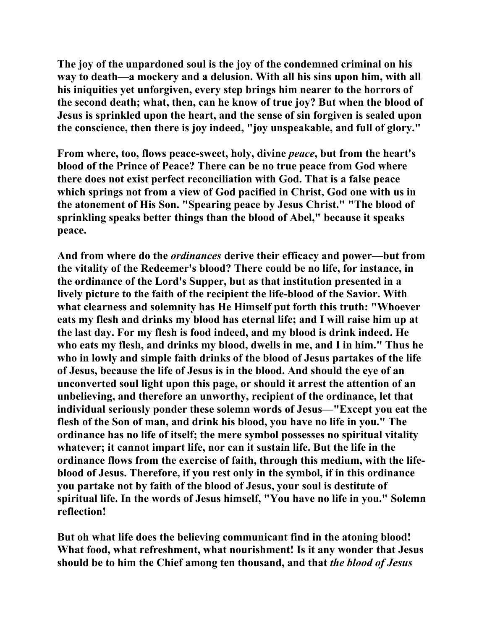**The joy of the unpardoned soul is the joy of the condemned criminal on his way to death—a mockery and a delusion. With all his sins upon him, with all his iniquities yet unforgiven, every step brings him nearer to the horrors of the second death; what, then, can he know of true joy? But when the blood of Jesus is sprinkled upon the heart, and the sense of sin forgiven is sealed upon the conscience, then there is joy indeed, "joy unspeakable, and full of glory."** 

**From where, too, flows peace-sweet, holy, divine** *peace***, but from the heart's blood of the Prince of Peace? There can be no true peace from God where there does not exist perfect reconciliation with God. That is a false peace which springs not from a view of God pacified in Christ, God one with us in the atonement of His Son. "Spearing peace by Jesus Christ." "The blood of sprinkling speaks better things than the blood of Abel," because it speaks peace.** 

**And from where do the** *ordinances* **derive their efficacy and power—but from the vitality of the Redeemer's blood? There could be no life, for instance, in the ordinance of the Lord's Supper, but as that institution presented in a lively picture to the faith of the recipient the life-blood of the Savior. With what clearness and solemnity has He Himself put forth this truth: "Whoever eats my flesh and drinks my blood has eternal life; and I will raise him up at the last day. For my flesh is food indeed, and my blood is drink indeed. He who eats my flesh, and drinks my blood, dwells in me, and I in him." Thus he who in lowly and simple faith drinks of the blood of Jesus partakes of the life of Jesus, because the life of Jesus is in the blood. And should the eye of an unconverted soul light upon this page, or should it arrest the attention of an unbelieving, and therefore an unworthy, recipient of the ordinance, let that individual seriously ponder these solemn words of Jesus—"Except you eat the flesh of the Son of man, and drink his blood, you have no life in you." The ordinance has no life of itself; the mere symbol possesses no spiritual vitality whatever; it cannot impart life, nor can it sustain life. But the life in the ordinance flows from the exercise of faith, through this medium, with the lifeblood of Jesus. Therefore, if you rest only in the symbol, if in this ordinance you partake not by faith of the blood of Jesus, your soul is destitute of spiritual life. In the words of Jesus himself, "You have no life in you." Solemn reflection!** 

**But oh what life does the believing communicant find in the atoning blood! What food, what refreshment, what nourishment! Is it any wonder that Jesus should be to him the Chief among ten thousand, and that** *the blood of Jesus*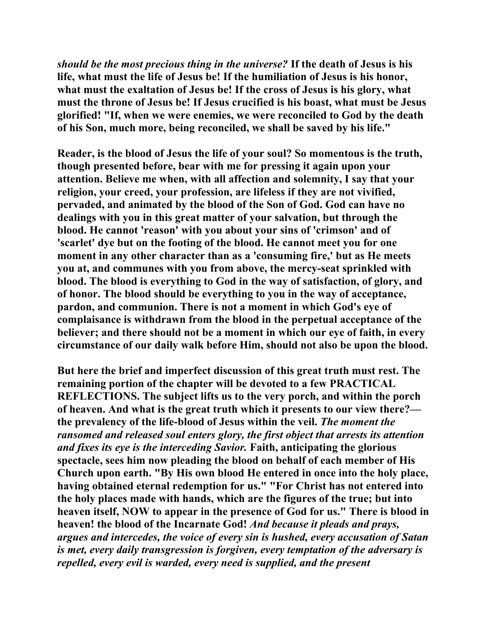*should be the most precious thing in the universe?* **If the death of Jesus is his life, what must the life of Jesus be! If the humiliation of Jesus is his honor, what must the exaltation of Jesus be! If the cross of Jesus is his glory, what must the throne of Jesus be! If Jesus crucified is his boast, what must be Jesus glorified! "If, when we were enemies, we were reconciled to God by the death of his Son, much more, being reconciled, we shall be saved by his life."** 

**Reader, is the blood of Jesus the life of your soul? So momentous is the truth, though presented before, bear with me for pressing it again upon your attention. Believe me when, with all affection and solemnity, I say that your religion, your creed, your profession, are lifeless if they are not vivified, pervaded, and animated by the blood of the Son of God. God can have no dealings with you in this great matter of your salvation, but through the blood. He cannot 'reason' with you about your sins of 'crimson' and of 'scarlet' dye but on the footing of the blood. He cannot meet you for one moment in any other character than as a 'consuming fire,' but as He meets you at, and communes with you from above, the mercy-seat sprinkled with blood. The blood is everything to God in the way of satisfaction, of glory, and of honor. The blood should be everything to you in the way of acceptance, pardon, and communion. There is not a moment in which God's eye of complaisance is withdrawn from the blood in the perpetual acceptance of the believer; and there should not be a moment in which our eye of faith, in every circumstance of our daily walk before Him, should not also be upon the blood.** 

**But here the brief and imperfect discussion of this great truth must rest. The remaining portion of the chapter will be devoted to a few PRACTICAL REFLECTIONS. The subject lifts us to the very porch, and within the porch of heaven. And what is the great truth which it presents to our view there? the prevalency of the life-blood of Jesus within the veil.** *The moment the ransomed and released soul enters glory, the first object that arrests its attention and fixes its eye is the interceding Savior.* **Faith, anticipating the glorious spectacle, sees him now pleading the blood on behalf of each member of His Church upon earth. "By His own blood He entered in once into the holy place, having obtained eternal redemption for us." "For Christ has not entered into the holy places made with hands, which are the figures of the true; but into heaven itself, NOW to appear in the presence of God for us." There is blood in heaven! the blood of the Incarnate God!** *And because it pleads and prays, argues and intercedes, the voice of every sin is hushed, every accusation of Satan is met, every daily transgression is forgiven, every temptation of the adversary is repelled, every evil is warded, every need is supplied, and the present*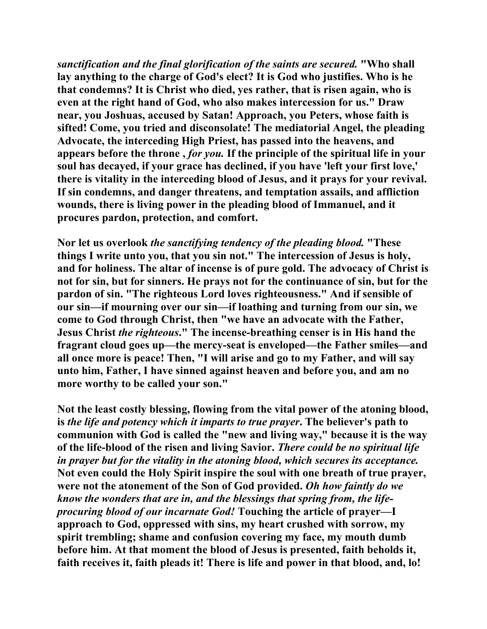*sanctification and the final glorification of the saints are secured.* **"Who shall lay anything to the charge of God's elect? It is God who justifies. Who is he that condemns? It is Christ who died, yes rather, that is risen again, who is even at the right hand of God, who also makes intercession for us." Draw near, you Joshuas, accused by Satan! Approach, you Peters, whose faith is sifted! Come, you tried and disconsolate! The mediatorial Angel, the pleading Advocate, the interceding High Priest, has passed into the heavens, and appears before the throne ,** *for you.* **If the principle of the spiritual life in your soul has decayed, if your grace has declined, if you have 'left your first love,' there is vitality in the interceding blood of Jesus, and it prays for your revival. If sin condemns, and danger threatens, and temptation assails, and affliction wounds, there is living power in the pleading blood of Immanuel, and it procures pardon, protection, and comfort.** 

**Nor let us overlook** *the sanctifying tendency of the pleading blood.* **"These things I write unto you, that you sin not." The intercession of Jesus is holy, and for holiness. The altar of incense is of pure gold. The advocacy of Christ is not for sin, but for sinners. He prays not for the continuance of sin, but for the pardon of sin. "The righteous Lord loves righteousness." And if sensible of our sin—if mourning over our sin—if loathing and turning from our sin, we come to God through Christ, then "we have an advocate with the Father, Jesus Christ** *the righteous***." The incense-breathing censer is in His hand the fragrant cloud goes up—the mercy-seat is enveloped—the Father smiles—and all once more is peace! Then, "I will arise and go to my Father, and will say unto him, Father, I have sinned against heaven and before you, and am no more worthy to be called your son."** 

**Not the least costly blessing, flowing from the vital power of the atoning blood, is** *the life and potency which it imparts to true prayer***. The believer's path to communion with God is called the "new and living way," because it is the way of the life-blood of the risen and living Savior.** *There could be no spiritual life in prayer but for the vitality in the atoning blood, which secures its acceptance.*  **Not even could the Holy Spirit inspire the soul with one breath of true prayer, were not the atonement of the Son of God provided.** *Oh how faintly do we know the wonders that are in, and the blessings that spring from, the lifeprocuring blood of our incarnate God!* **Touching the article of prayer—I approach to God, oppressed with sins, my heart crushed with sorrow, my spirit trembling; shame and confusion covering my face, my mouth dumb before him. At that moment the blood of Jesus is presented, faith beholds it, faith receives it, faith pleads it! There is life and power in that blood, and, lo!**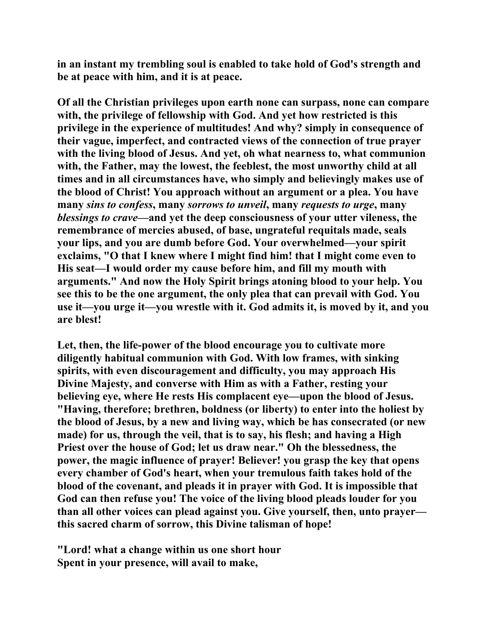**in an instant my trembling soul is enabled to take hold of God's strength and be at peace with him, and it is at peace.** 

**Of all the Christian privileges upon earth none can surpass, none can compare with, the privilege of fellowship with God. And yet how restricted is this privilege in the experience of multitudes! And why? simply in consequence of their vague, imperfect, and contracted views of the connection of true prayer with the living blood of Jesus. And yet, oh what nearness to, what communion**  with, the Father, may the lowest, the feeblest, the most unworthy child at all **times and in all circumstances have, who simply and believingly makes use of the blood of Christ! You approach without an argument or a plea. You have many** *sins to confess***, many** *sorrows to unveil***, many** *requests to urge***, many**  *blessings to crave***—and yet the deep consciousness of your utter vileness, the remembrance of mercies abused, of base, ungrateful requitals made, seals your lips, and you are dumb before God. Your overwhelmed—your spirit exclaims, "O that I knew where I might find him! that I might come even to His seat—I would order my cause before him, and fill my mouth with arguments." And now the Holy Spirit brings atoning blood to your help. You see this to be the one argument, the only plea that can prevail with God. You use it—you urge it—you wrestle with it. God admits it, is moved by it, and you are blest!** 

**Let, then, the life-power of the blood encourage you to cultivate more diligently habitual communion with God. With low frames, with sinking spirits, with even discouragement and difficulty, you may approach His Divine Majesty, and converse with Him as with a Father, resting your believing eye, where He rests His complacent eye—upon the blood of Jesus. "Having, therefore; brethren, boldness (or liberty) to enter into the holiest by the blood of Jesus, by a new and living way, which be has consecrated (or new made) for us, through the veil, that is to say, his flesh; and having a High Priest over the house of God; let us draw near." Oh the blessedness, the power, the magic influence of prayer! Believer! you grasp the key that opens every chamber of God's heart, when your tremulous faith takes hold of the blood of the covenant, and pleads it in prayer with God. It is impossible that God can then refuse you! The voice of the living blood pleads louder for you than all other voices can plead against you. Give yourself, then, unto prayer this sacred charm of sorrow, this Divine talisman of hope!** 

**"Lord! what a change within us one short hour Spent in your presence, will avail to make,**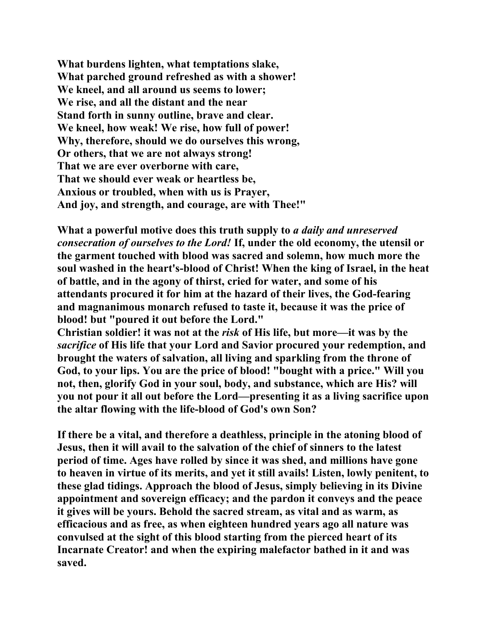**What burdens lighten, what temptations slake, What parched ground refreshed as with a shower! We kneel, and all around us seems to lower; We rise, and all the distant and the near Stand forth in sunny outline, brave and clear. We kneel, how weak! We rise, how full of power! Why, therefore, should we do ourselves this wrong, Or others, that we are not always strong! That we are ever overborne with care, That we should ever weak or heartless be, Anxious or troubled, when with us is Prayer, And joy, and strength, and courage, are with Thee!"** 

**What a powerful motive does this truth supply to** *a daily and unreserved consecration of ourselves to the Lord!* **If, under the old economy, the utensil or the garment touched with blood was sacred and solemn, how much more the soul washed in the heart's-blood of Christ! When the king of Israel, in the heat of battle, and in the agony of thirst, cried for water, and some of his attendants procured it for him at the hazard of their lives, the God-fearing and magnanimous monarch refused to taste it, because it was the price of blood! but "poured it out before the Lord."** 

**Christian soldier! it was not at the** *risk* **of His life, but more—it was by the**  *sacrifice* **of His life that your Lord and Savior procured your redemption, and brought the waters of salvation, all living and sparkling from the throne of God, to your lips. You are the price of blood! "bought with a price." Will you not, then, glorify God in your soul, body, and substance, which are His? will you not pour it all out before the Lord—presenting it as a living sacrifice upon the altar flowing with the life-blood of God's own Son?** 

**If there be a vital, and therefore a deathless, principle in the atoning blood of Jesus, then it will avail to the salvation of the chief of sinners to the latest period of time. Ages have rolled by since it was shed, and millions have gone to heaven in virtue of its merits, and yet it still avails! Listen, lowly penitent, to these glad tidings. Approach the blood of Jesus, simply believing in its Divine appointment and sovereign efficacy; and the pardon it conveys and the peace it gives will be yours. Behold the sacred stream, as vital and as warm, as efficacious and as free, as when eighteen hundred years ago all nature was convulsed at the sight of this blood starting from the pierced heart of its Incarnate Creator! and when the expiring malefactor bathed in it and was saved.**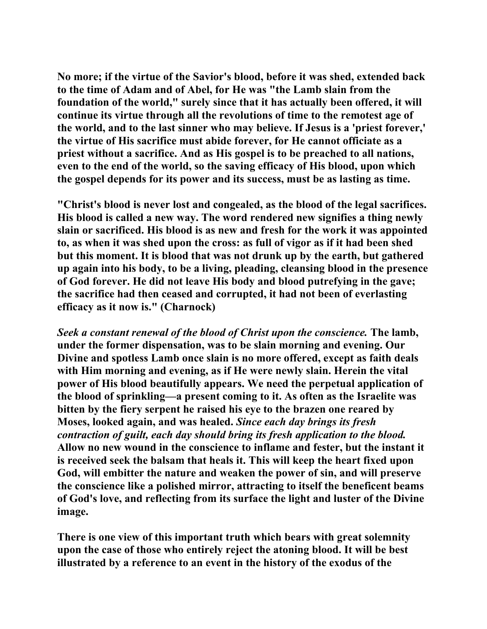**No more; if the virtue of the Savior's blood, before it was shed, extended back to the time of Adam and of Abel, for He was "the Lamb slain from the foundation of the world," surely since that it has actually been offered, it will continue its virtue through all the revolutions of time to the remotest age of the world, and to the last sinner who may believe. If Jesus is a 'priest forever,' the virtue of His sacrifice must abide forever, for He cannot officiate as a priest without a sacrifice. And as His gospel is to be preached to all nations, even to the end of the world, so the saving efficacy of His blood, upon which the gospel depends for its power and its success, must be as lasting as time.** 

**"Christ's blood is never lost and congealed, as the blood of the legal sacrifices. His blood is called a new way. The word rendered new signifies a thing newly slain or sacrificed. His blood is as new and fresh for the work it was appointed to, as when it was shed upon the cross: as full of vigor as if it had been shed but this moment. It is blood that was not drunk up by the earth, but gathered up again into his body, to be a living, pleading, cleansing blood in the presence of God forever. He did not leave His body and blood putrefying in the gave; the sacrifice had then ceased and corrupted, it had not been of everlasting efficacy as it now is." (Charnock)** 

*Seek a constant renewal of the blood of Christ upon the conscience.* **The lamb, under the former dispensation, was to be slain morning and evening. Our Divine and spotless Lamb once slain is no more offered, except as faith deals with Him morning and evening, as if He were newly slain. Herein the vital power of His blood beautifully appears. We need the perpetual application of the blood of sprinkling—a present coming to it. As often as the Israelite was bitten by the fiery serpent he raised his eye to the brazen one reared by Moses, looked again, and was healed.** *Since each day brings its fresh contraction of guilt, each day should bring its fresh application to the blood.*  **Allow no new wound in the conscience to inflame and fester, but the instant it is received seek the balsam that heals it. This will keep the heart fixed upon God, will embitter the nature and weaken the power of sin, and will preserve the conscience like a polished mirror, attracting to itself the beneficent beams of God's love, and reflecting from its surface the light and luster of the Divine image.** 

**There is one view of this important truth which bears with great solemnity upon the case of those who entirely reject the atoning blood. It will be best illustrated by a reference to an event in the history of the exodus of the**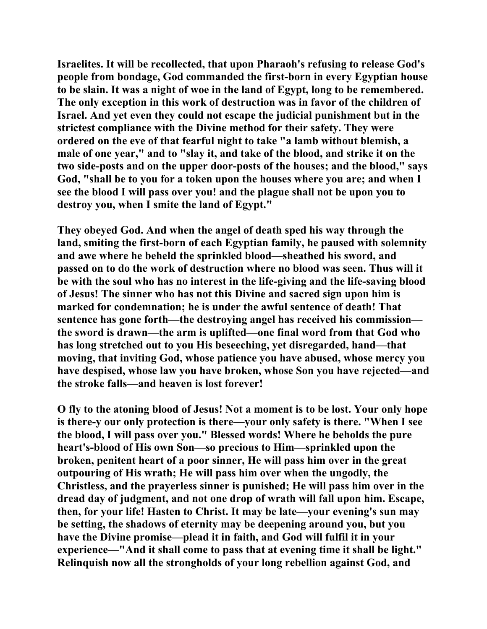**Israelites. It will be recollected, that upon Pharaoh's refusing to release God's people from bondage, God commanded the first-born in every Egyptian house to be slain. It was a night of woe in the land of Egypt, long to be remembered. The only exception in this work of destruction was in favor of the children of Israel. And yet even they could not escape the judicial punishment but in the strictest compliance with the Divine method for their safety. They were ordered on the eve of that fearful night to take "a lamb without blemish, a male of one year," and to "slay it, and take of the blood, and strike it on the two side-posts and on the upper door-posts of the houses; and the blood," says God, "shall be to you for a token upon the houses where you are; and when I see the blood I will pass over you! and the plague shall not be upon you to destroy you, when I smite the land of Egypt."** 

**They obeyed God. And when the angel of death sped his way through the land, smiting the first-born of each Egyptian family, he paused with solemnity and awe where he beheld the sprinkled blood—sheathed his sword, and passed on to do the work of destruction where no blood was seen. Thus will it be with the soul who has no interest in the life-giving and the life-saving blood of Jesus! The sinner who has not this Divine and sacred sign upon him is marked for condemnation; he is under the awful sentence of death! That sentence has gone forth—the destroying angel has received his commission the sword is drawn—the arm is uplifted—one final word from that God who has long stretched out to you His beseeching, yet disregarded, hand—that moving, that inviting God, whose patience you have abused, whose mercy you have despised, whose law you have broken, whose Son you have rejected—and the stroke falls—and heaven is lost forever!** 

**O fly to the atoning blood of Jesus! Not a moment is to be lost. Your only hope is there-y our only protection is there—your only safety is there. "When I see the blood, I will pass over you." Blessed words! Where he beholds the pure heart's-blood of His own Son—so precious to Him—sprinkled upon the broken, penitent heart of a poor sinner, He will pass him over in the great outpouring of His wrath; He will pass him over when the ungodly, the Christless, and the prayerless sinner is punished; He will pass him over in the dread day of judgment, and not one drop of wrath will fall upon him. Escape, then, for your life! Hasten to Christ. It may be late—your evening's sun may be setting, the shadows of eternity may be deepening around you, but you have the Divine promise—plead it in faith, and God will fulfil it in your experience—"And it shall come to pass that at evening time it shall be light." Relinquish now all the strongholds of your long rebellion against God, and**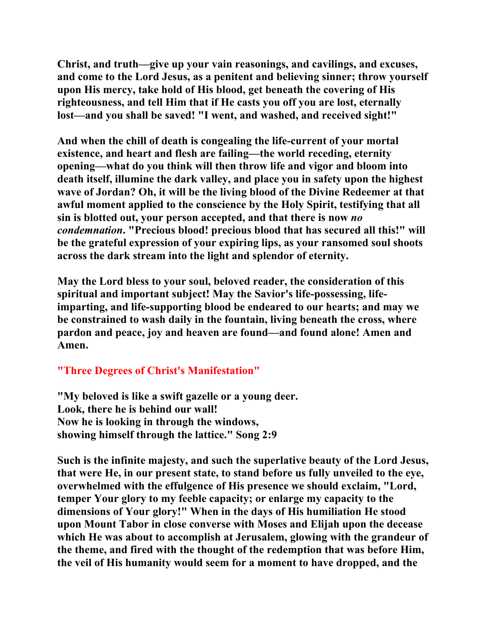**Christ, and truth—give up your vain reasonings, and cavilings, and excuses, and come to the Lord Jesus, as a penitent and believing sinner; throw yourself upon His mercy, take hold of His blood, get beneath the covering of His righteousness, and tell Him that if He casts you off you are lost, eternally lost—and you shall be saved! "I went, and washed, and received sight!"** 

**And when the chill of death is congealing the life-current of your mortal existence, and heart and flesh are failing—the world receding, eternity opening—what do you think will then throw life and vigor and bloom into death itself, illumine the dark valley, and place you in safety upon the highest wave of Jordan? Oh, it will be the living blood of the Divine Redeemer at that awful moment applied to the conscience by the Holy Spirit, testifying that all sin is blotted out, your person accepted, and that there is now** *no condemnation***. "Precious blood! precious blood that has secured all this!" will be the grateful expression of your expiring lips, as your ransomed soul shoots across the dark stream into the light and splendor of eternity.** 

**May the Lord bless to your soul, beloved reader, the consideration of this spiritual and important subject! May the Savior's life-possessing, lifeimparting, and life-supporting blood be endeared to our hearts; and may we be constrained to wash daily in the fountain, living beneath the cross, where pardon and peace, joy and heaven are found—and found alone! Amen and Amen.** 

## **"Three Degrees of Christ's Manifestation"**

**"My beloved is like a swift gazelle or a young deer. Look, there he is behind our wall! Now he is looking in through the windows, showing himself through the lattice." Song 2:9** 

**Such is the infinite majesty, and such the superlative beauty of the Lord Jesus, that were He, in our present state, to stand before us fully unveiled to the eye, overwhelmed with the effulgence of His presence we should exclaim, "Lord, temper Your glory to my feeble capacity; or enlarge my capacity to the dimensions of Your glory!" When in the days of His humiliation He stood upon Mount Tabor in close converse with Moses and Elijah upon the decease which He was about to accomplish at Jerusalem, glowing with the grandeur of the theme, and fired with the thought of the redemption that was before Him, the veil of His humanity would seem for a moment to have dropped, and the**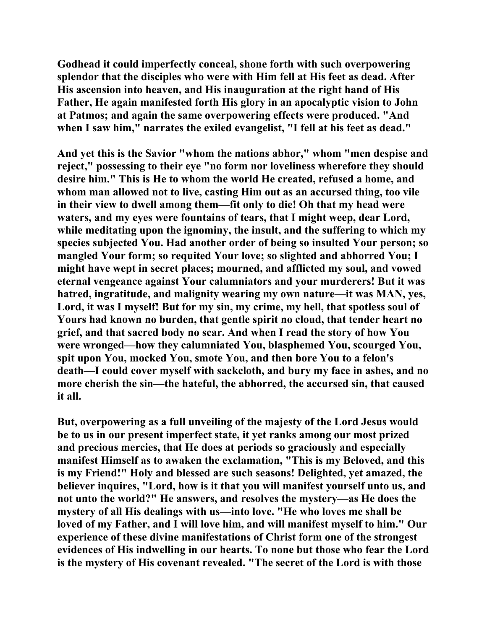**Godhead it could imperfectly conceal, shone forth with such overpowering splendor that the disciples who were with Him fell at His feet as dead. After His ascension into heaven, and His inauguration at the right hand of His Father, He again manifested forth His glory in an apocalyptic vision to John at Patmos; and again the same overpowering effects were produced. "And when I saw him," narrates the exiled evangelist, "I fell at his feet as dead."** 

**And yet this is the Savior "whom the nations abhor," whom "men despise and reject," possessing to their eye "no form nor loveliness wherefore they should desire him." This is He to whom the world He created, refused a home, and whom man allowed not to live, casting Him out as an accursed thing, too vile in their view to dwell among them—fit only to die! Oh that my head were waters, and my eyes were fountains of tears, that I might weep, dear Lord, while meditating upon the ignominy, the insult, and the suffering to which my species subjected You. Had another order of being so insulted Your person; so mangled Your form; so requited Your love; so slighted and abhorred You; I might have wept in secret places; mourned, and afflicted my soul, and vowed eternal vengeance against Your calumniators and your murderers! But it was hatred, ingratitude, and malignity wearing my own nature—it was MAN, yes, Lord, it was I myself! But for my sin, my crime, my hell, that spotless soul of Yours had known no burden, that gentle spirit no cloud, that tender heart no grief, and that sacred body no scar. And when I read the story of how You were wronged—how they calumniated You, blasphemed You, scourged You, spit upon You, mocked You, smote You, and then bore You to a felon's death—I could cover myself with sackcloth, and bury my face in ashes, and no more cherish the sin—the hateful, the abhorred, the accursed sin, that caused it all.** 

**But, overpowering as a full unveiling of the majesty of the Lord Jesus would be to us in our present imperfect state, it yet ranks among our most prized and precious mercies, that He does at periods so graciously and especially manifest Himself as to awaken the exclamation, "This is my Beloved, and this is my Friend!" Holy and blessed are such seasons! Delighted, yet amazed, the believer inquires, "Lord, how is it that you will manifest yourself unto us, and not unto the world?" He answers, and resolves the mystery—as He does the mystery of all His dealings with us—into love. "He who loves me shall be loved of my Father, and I will love him, and will manifest myself to him." Our experience of these divine manifestations of Christ form one of the strongest evidences of His indwelling in our hearts. To none but those who fear the Lord is the mystery of His covenant revealed. "The secret of the Lord is with those**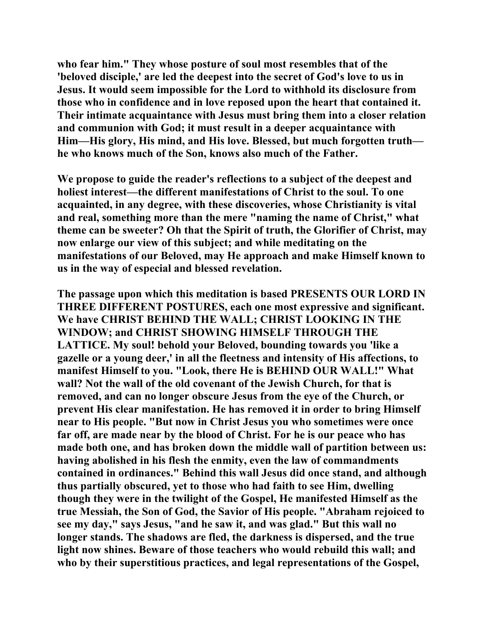**who fear him." They whose posture of soul most resembles that of the 'beloved disciple,' are led the deepest into the secret of God's love to us in Jesus. It would seem impossible for the Lord to withhold its disclosure from those who in confidence and in love reposed upon the heart that contained it. Their intimate acquaintance with Jesus must bring them into a closer relation and communion with God; it must result in a deeper acquaintance with Him—His glory, His mind, and His love. Blessed, but much forgotten truth he who knows much of the Son, knows also much of the Father.** 

**We propose to guide the reader's reflections to a subject of the deepest and holiest interest—the different manifestations of Christ to the soul. To one acquainted, in any degree, with these discoveries, whose Christianity is vital and real, something more than the mere "naming the name of Christ," what theme can be sweeter? Oh that the Spirit of truth, the Glorifier of Christ, may now enlarge our view of this subject; and while meditating on the manifestations of our Beloved, may He approach and make Himself known to us in the way of especial and blessed revelation.** 

**The passage upon which this meditation is based PRESENTS OUR LORD IN THREE DIFFERENT POSTURES, each one most expressive and significant. We have CHRIST BEHIND THE WALL; CHRIST LOOKING IN THE WINDOW; and CHRIST SHOWING HIMSELF THROUGH THE LATTICE. My soul! behold your Beloved, bounding towards you 'like a gazelle or a young deer,' in all the fleetness and intensity of His affections, to manifest Himself to you. "Look, there He is BEHIND OUR WALL!" What wall? Not the wall of the old covenant of the Jewish Church, for that is removed, and can no longer obscure Jesus from the eye of the Church, or prevent His clear manifestation. He has removed it in order to bring Himself near to His people. "But now in Christ Jesus you who sometimes were once far off, are made near by the blood of Christ. For he is our peace who has made both one, and has broken down the middle wall of partition between us: having abolished in his flesh the enmity, even the law of commandments contained in ordinances." Behind this wall Jesus did once stand, and although thus partially obscured, yet to those who had faith to see Him, dwelling though they were in the twilight of the Gospel, He manifested Himself as the true Messiah, the Son of God, the Savior of His people. "Abraham rejoiced to see my day," says Jesus, "and he saw it, and was glad." But this wall no longer stands. The shadows are fled, the darkness is dispersed, and the true light now shines. Beware of those teachers who would rebuild this wall; and who by their superstitious practices, and legal representations of the Gospel,**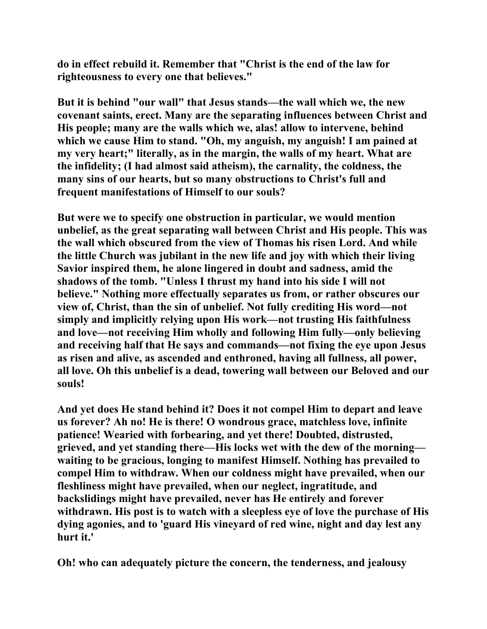**do in effect rebuild it. Remember that "Christ is the end of the law for righteousness to every one that believes."** 

**But it is behind "our wall" that Jesus stands—the wall which we, the new covenant saints, erect. Many are the separating influences between Christ and His people; many are the walls which we, alas! allow to intervene, behind which we cause Him to stand. "Oh, my anguish, my anguish! I am pained at my very heart;" literally, as in the margin, the walls of my heart. What are the infidelity; (I had almost said atheism), the carnality, the coldness, the many sins of our hearts, but so many obstructions to Christ's full and frequent manifestations of Himself to our souls?** 

**But were we to specify one obstruction in particular, we would mention unbelief, as the great separating wall between Christ and His people. This was the wall which obscured from the view of Thomas his risen Lord. And while the little Church was jubilant in the new life and joy with which their living Savior inspired them, he alone lingered in doubt and sadness, amid the shadows of the tomb. "Unless I thrust my hand into his side I will not believe." Nothing more effectually separates us from, or rather obscures our view of, Christ, than the sin of unbelief. Not fully crediting His word—not simply and implicitly relying upon His work—not trusting His faithfulness and love—not receiving Him wholly and following Him fully—only believing and receiving half that He says and commands—not fixing the eye upon Jesus as risen and alive, as ascended and enthroned, having all fullness, all power, all love. Oh this unbelief is a dead, towering wall between our Beloved and our souls!** 

**And yet does He stand behind it? Does it not compel Him to depart and leave us forever? Ah no! He is there! O wondrous grace, matchless love, infinite patience! Wearied with forbearing, and yet there! Doubted, distrusted, grieved, and yet standing there—His locks wet with the dew of the morning waiting to be gracious, longing to manifest Himself. Nothing has prevailed to compel Him to withdraw. When our coldness might have prevailed, when our fleshliness might have prevailed, when our neglect, ingratitude, and backslidings might have prevailed, never has He entirely and forever withdrawn. His post is to watch with a sleepless eye of love the purchase of His dying agonies, and to 'guard His vineyard of red wine, night and day lest any hurt it.'** 

**Oh! who can adequately picture the concern, the tenderness, and jealousy**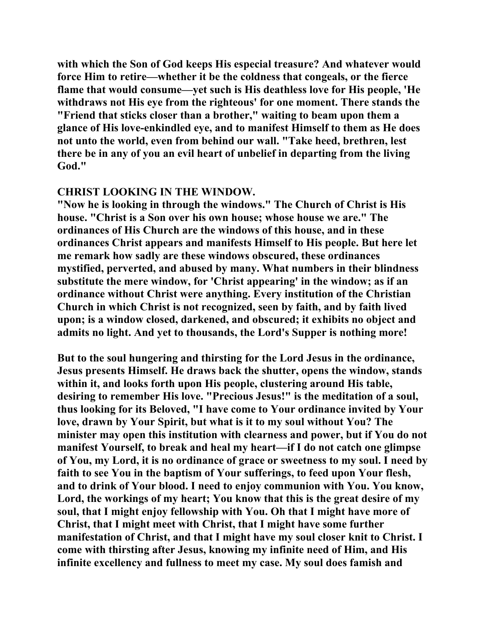**with which the Son of God keeps His especial treasure? And whatever would force Him to retire—whether it be the coldness that congeals, or the fierce flame that would consume—yet such is His deathless love for His people, 'He withdraws not His eye from the righteous' for one moment. There stands the "Friend that sticks closer than a brother," waiting to beam upon them a glance of His love-enkindled eye, and to manifest Himself to them as He does not unto the world, even from behind our wall. "Take heed, brethren, lest there be in any of you an evil heart of unbelief in departing from the living God."** 

## **CHRIST LOOKING IN THE WINDOW.**

**"Now he is looking in through the windows." The Church of Christ is His house. "Christ is a Son over his own house; whose house we are." The ordinances of His Church are the windows of this house, and in these ordinances Christ appears and manifests Himself to His people. But here let me remark how sadly are these windows obscured, these ordinances mystified, perverted, and abused by many. What numbers in their blindness substitute the mere window, for 'Christ appearing' in the window; as if an ordinance without Christ were anything. Every institution of the Christian Church in which Christ is not recognized, seen by faith, and by faith lived upon; is a window closed, darkened, and obscured; it exhibits no object and admits no light. And yet to thousands, the Lord's Supper is nothing more!** 

**But to the soul hungering and thirsting for the Lord Jesus in the ordinance, Jesus presents Himself. He draws back the shutter, opens the window, stands within it, and looks forth upon His people, clustering around His table, desiring to remember His love. "Precious Jesus!" is the meditation of a soul, thus looking for its Beloved, "I have come to Your ordinance invited by Your love, drawn by Your Spirit, but what is it to my soul without You? The minister may open this institution with clearness and power, but if You do not manifest Yourself, to break and heal my heart—if I do not catch one glimpse of You, my Lord, it is no ordinance of grace or sweetness to my soul. I need by faith to see You in the baptism of Your sufferings, to feed upon Your flesh, and to drink of Your blood. I need to enjoy communion with You. You know, Lord, the workings of my heart; You know that this is the great desire of my soul, that I might enjoy fellowship with You. Oh that I might have more of Christ, that I might meet with Christ, that I might have some further manifestation of Christ, and that I might have my soul closer knit to Christ. I come with thirsting after Jesus, knowing my infinite need of Him, and His infinite excellency and fullness to meet my case. My soul does famish and**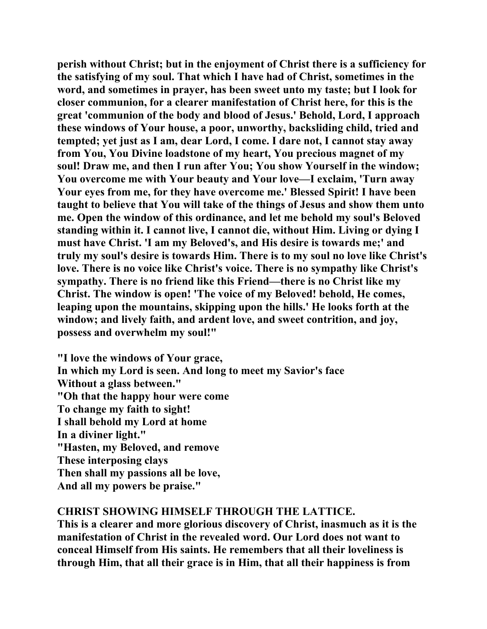**perish without Christ; but in the enjoyment of Christ there is a sufficiency for the satisfying of my soul. That which I have had of Christ, sometimes in the word, and sometimes in prayer, has been sweet unto my taste; but I look for closer communion, for a clearer manifestation of Christ here, for this is the great 'communion of the body and blood of Jesus.' Behold, Lord, I approach these windows of Your house, a poor, unworthy, backsliding child, tried and tempted; yet just as I am, dear Lord, I come. I dare not, I cannot stay away from You, You Divine loadstone of my heart, You precious magnet of my soul! Draw me, and then I run after You; You show Yourself in the window; You overcome me with Your beauty and Your love—I exclaim, 'Turn away Your eyes from me, for they have overcome me.' Blessed Spirit! I have been taught to believe that You will take of the things of Jesus and show them unto me. Open the window of this ordinance, and let me behold my soul's Beloved standing within it. I cannot live, I cannot die, without Him. Living or dying I must have Christ. 'I am my Beloved's, and His desire is towards me;' and truly my soul's desire is towards Him. There is to my soul no love like Christ's love. There is no voice like Christ's voice. There is no sympathy like Christ's sympathy. There is no friend like this Friend—there is no Christ like my Christ. The window is open! 'The voice of my Beloved! behold, He comes, leaping upon the mountains, skipping upon the hills.' He looks forth at the window; and lively faith, and ardent love, and sweet contrition, and joy, possess and overwhelm my soul!"** 

**"I love the windows of Your grace, In which my Lord is seen. And long to meet my Savior's face Without a glass between." "Oh that the happy hour were come To change my faith to sight! I shall behold my Lord at home In a diviner light." "Hasten, my Beloved, and remove These interposing clays Then shall my passions all be love, And all my powers be praise."** 

## **CHRIST SHOWING HIMSELF THROUGH THE LATTICE.**

**This is a clearer and more glorious discovery of Christ, inasmuch as it is the manifestation of Christ in the revealed word. Our Lord does not want to conceal Himself from His saints. He remembers that all their loveliness is through Him, that all their grace is in Him, that all their happiness is from**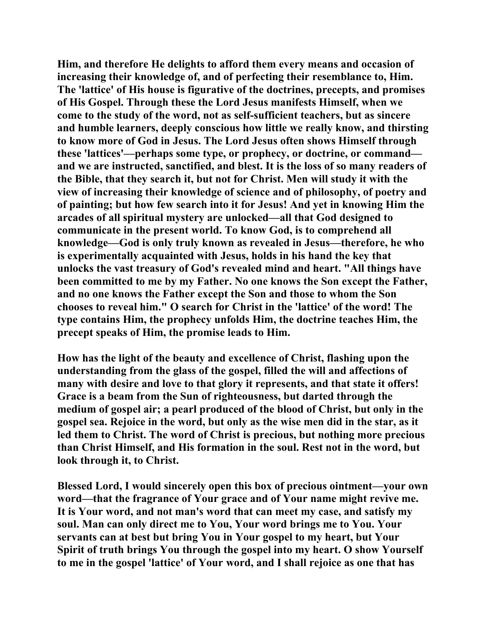**Him, and therefore He delights to afford them every means and occasion of increasing their knowledge of, and of perfecting their resemblance to, Him. The 'lattice' of His house is figurative of the doctrines, precepts, and promises of His Gospel. Through these the Lord Jesus manifests Himself, when we come to the study of the word, not as self-sufficient teachers, but as sincere and humble learners, deeply conscious how little we really know, and thirsting to know more of God in Jesus. The Lord Jesus often shows Himself through these 'lattices'—perhaps some type, or prophecy, or doctrine, or command and we are instructed, sanctified, and blest. It is the loss of so many readers of the Bible, that they search it, but not for Christ. Men will study it with the view of increasing their knowledge of science and of philosophy, of poetry and of painting; but how few search into it for Jesus! And yet in knowing Him the arcades of all spiritual mystery are unlocked—all that God designed to communicate in the present world. To know God, is to comprehend all knowledge—God is only truly known as revealed in Jesus—therefore, he who is experimentally acquainted with Jesus, holds in his hand the key that unlocks the vast treasury of God's revealed mind and heart. "All things have been committed to me by my Father. No one knows the Son except the Father, and no one knows the Father except the Son and those to whom the Son chooses to reveal him." O search for Christ in the 'lattice' of the word! The type contains Him, the prophecy unfolds Him, the doctrine teaches Him, the precept speaks of Him, the promise leads to Him.** 

**How has the light of the beauty and excellence of Christ, flashing upon the understanding from the glass of the gospel, filled the will and affections of many with desire and love to that glory it represents, and that state it offers! Grace is a beam from the Sun of righteousness, but darted through the medium of gospel air; a pearl produced of the blood of Christ, but only in the gospel sea. Rejoice in the word, but only as the wise men did in the star, as it led them to Christ. The word of Christ is precious, but nothing more precious than Christ Himself, and His formation in the soul. Rest not in the word, but look through it, to Christ.** 

**Blessed Lord, I would sincerely open this box of precious ointment—your own word—that the fragrance of Your grace and of Your name might revive me. It is Your word, and not man's word that can meet my case, and satisfy my soul. Man can only direct me to You, Your word brings me to You. Your servants can at best but bring You in Your gospel to my heart, but Your Spirit of truth brings You through the gospel into my heart. O show Yourself to me in the gospel 'lattice' of Your word, and I shall rejoice as one that has**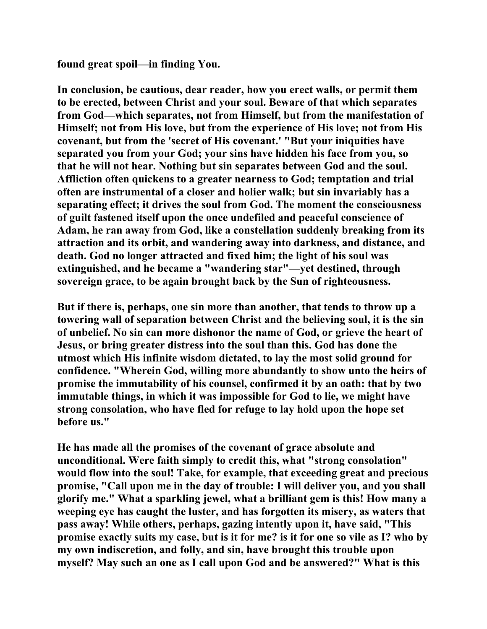**found great spoil—in finding You.** 

**In conclusion, be cautious, dear reader, how you erect walls, or permit them to be erected, between Christ and your soul. Beware of that which separates from God—which separates, not from Himself, but from the manifestation of Himself; not from His love, but from the experience of His love; not from His covenant, but from the 'secret of His covenant.' "But your iniquities have separated you from your God; your sins have hidden his face from you, so that he will not hear. Nothing but sin separates between God and the soul. Affliction often quickens to a greater nearness to God; temptation and trial often are instrumental of a closer and holier walk; but sin invariably has a separating effect; it drives the soul from God. The moment the consciousness of guilt fastened itself upon the once undefiled and peaceful conscience of Adam, he ran away from God, like a constellation suddenly breaking from its attraction and its orbit, and wandering away into darkness, and distance, and death. God no longer attracted and fixed him; the light of his soul was extinguished, and he became a "wandering star"—yet destined, through sovereign grace, to be again brought back by the Sun of righteousness.** 

**But if there is, perhaps, one sin more than another, that tends to throw up a towering wall of separation between Christ and the believing soul, it is the sin of unbelief. No sin can more dishonor the name of God, or grieve the heart of Jesus, or bring greater distress into the soul than this. God has done the utmost which His infinite wisdom dictated, to lay the most solid ground for confidence. "Wherein God, willing more abundantly to show unto the heirs of promise the immutability of his counsel, confirmed it by an oath: that by two immutable things, in which it was impossible for God to lie, we might have strong consolation, who have fled for refuge to lay hold upon the hope set before us."** 

**He has made all the promises of the covenant of grace absolute and unconditional. Were faith simply to credit this, what "strong consolation" would flow into the soul! Take, for example, that exceeding great and precious promise, "Call upon me in the day of trouble: I will deliver you, and you shall glorify me." What a sparkling jewel, what a brilliant gem is this! How many a weeping eye has caught the luster, and has forgotten its misery, as waters that pass away! While others, perhaps, gazing intently upon it, have said, "This promise exactly suits my case, but is it for me? is it for one so vile as I? who by my own indiscretion, and folly, and sin, have brought this trouble upon myself? May such an one as I call upon God and be answered?" What is this**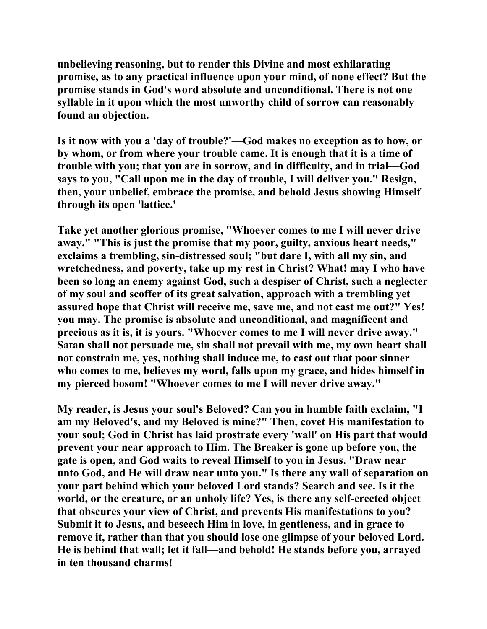**unbelieving reasoning, but to render this Divine and most exhilarating promise, as to any practical influence upon your mind, of none effect? But the promise stands in God's word absolute and unconditional. There is not one syllable in it upon which the most unworthy child of sorrow can reasonably found an objection.** 

**Is it now with you a 'day of trouble?'—God makes no exception as to how, or by whom, or from where your trouble came. It is enough that it is a time of trouble with you; that you are in sorrow, and in difficulty, and in trial—God says to you, "Call upon me in the day of trouble, I will deliver you." Resign, then, your unbelief, embrace the promise, and behold Jesus showing Himself through its open 'lattice.'** 

**Take yet another glorious promise, "Whoever comes to me I will never drive away." "This is just the promise that my poor, guilty, anxious heart needs," exclaims a trembling, sin-distressed soul; "but dare I, with all my sin, and wretchedness, and poverty, take up my rest in Christ? What! may I who have been so long an enemy against God, such a despiser of Christ, such a neglecter of my soul and scoffer of its great salvation, approach with a trembling yet assured hope that Christ will receive me, save me, and not cast me out?" Yes! you may. The promise is absolute and unconditional, and magnificent and precious as it is, it is yours. "Whoever comes to me I will never drive away." Satan shall not persuade me, sin shall not prevail with me, my own heart shall not constrain me, yes, nothing shall induce me, to cast out that poor sinner who comes to me, believes my word, falls upon my grace, and hides himself in my pierced bosom! "Whoever comes to me I will never drive away."** 

**My reader, is Jesus your soul's Beloved? Can you in humble faith exclaim, "I am my Beloved's, and my Beloved is mine?" Then, covet His manifestation to your soul; God in Christ has laid prostrate every 'wall' on His part that would prevent your near approach to Him. The Breaker is gone up before you, the gate is open, and God waits to reveal Himself to you in Jesus. "Draw near unto God, and He will draw near unto you." Is there any wall of separation on your part behind which your beloved Lord stands? Search and see. Is it the world, or the creature, or an unholy life? Yes, is there any self-erected object that obscures your view of Christ, and prevents His manifestations to you? Submit it to Jesus, and beseech Him in love, in gentleness, and in grace to remove it, rather than that you should lose one glimpse of your beloved Lord. He is behind that wall; let it fall—and behold! He stands before you, arrayed in ten thousand charms!**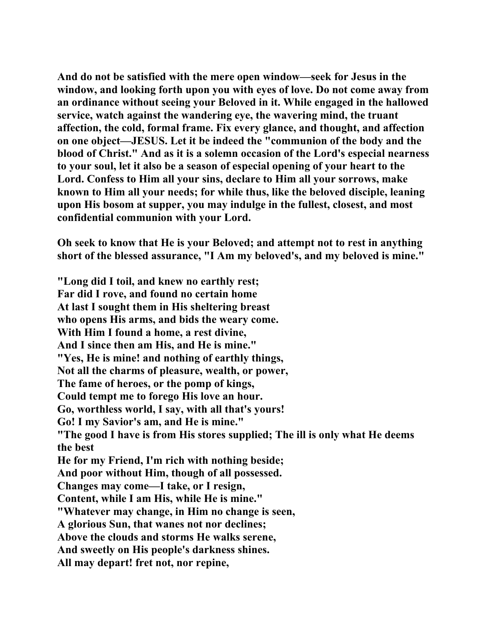**And do not be satisfied with the mere open window—seek for Jesus in the window, and looking forth upon you with eyes of love. Do not come away from an ordinance without seeing your Beloved in it. While engaged in the hallowed service, watch against the wandering eye, the wavering mind, the truant affection, the cold, formal frame. Fix every glance, and thought, and affection on one object—JESUS. Let it be indeed the "communion of the body and the blood of Christ." And as it is a solemn occasion of the Lord's especial nearness to your soul, let it also be a season of especial opening of your heart to the Lord. Confess to Him all your sins, declare to Him all your sorrows, make known to Him all your needs; for while thus, like the beloved disciple, leaning upon His bosom at supper, you may indulge in the fullest, closest, and most confidential communion with your Lord.** 

**Oh seek to know that He is your Beloved; and attempt not to rest in anything short of the blessed assurance, "I Am my beloved's, and my beloved is mine."** 

**"Long did I toil, and knew no earthly rest; Far did I rove, and found no certain home At last I sought them in His sheltering breast who opens His arms, and bids the weary come. With Him I found a home, a rest divine, And I since then am His, and He is mine." "Yes, He is mine! and nothing of earthly things, Not all the charms of pleasure, wealth, or power, The fame of heroes, or the pomp of kings, Could tempt me to forego His love an hour. Go, worthless world, I say, with all that's yours! Go! I my Savior's am, and He is mine." "The good I have is from His stores supplied; The ill is only what He deems the best He for my Friend, I'm rich with nothing beside; And poor without Him, though of all possessed. Changes may come—I take, or I resign, Content, while I am His, while He is mine." "Whatever may change, in Him no change is seen, A glorious Sun, that wanes not nor declines; Above the clouds and storms He walks serene, And sweetly on His people's darkness shines. All may depart! fret not, nor repine,**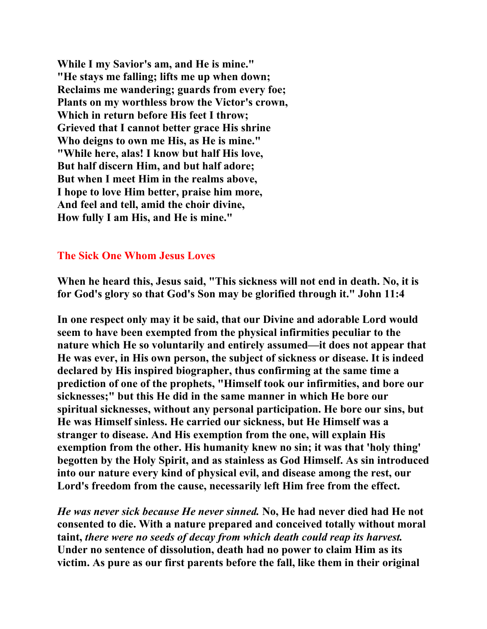**While I my Savior's am, and He is mine." "He stays me falling; lifts me up when down; Reclaims me wandering; guards from every foe; Plants on my worthless brow the Victor's crown, Which in return before His feet I throw; Grieved that I cannot better grace His shrine Who deigns to own me His, as He is mine." "While here, alas! I know but half His love, But half discern Him, and but half adore; But when I meet Him in the realms above, I hope to love Him better, praise him more, And feel and tell, amid the choir divine, How fully I am His, and He is mine."** 

## **The Sick One Whom Jesus Loves**

**When he heard this, Jesus said, "This sickness will not end in death. No, it is for God's glory so that God's Son may be glorified through it." John 11:4** 

**In one respect only may it be said, that our Divine and adorable Lord would seem to have been exempted from the physical infirmities peculiar to the nature which He so voluntarily and entirely assumed—it does not appear that He was ever, in His own person, the subject of sickness or disease. It is indeed declared by His inspired biographer, thus confirming at the same time a prediction of one of the prophets, "Himself took our infirmities, and bore our sicknesses;" but this He did in the same manner in which He bore our spiritual sicknesses, without any personal participation. He bore our sins, but He was Himself sinless. He carried our sickness, but He Himself was a stranger to disease. And His exemption from the one, will explain His exemption from the other. His humanity knew no sin; it was that 'holy thing' begotten by the Holy Spirit, and as stainless as God Himself. As sin introduced into our nature every kind of physical evil, and disease among the rest, our Lord's freedom from the cause, necessarily left Him free from the effect.** 

*He was never sick because He never sinned.* **No, He had never died had He not consented to die. With a nature prepared and conceived totally without moral taint,** *there were no seeds of decay from which death could reap its harvest.*  **Under no sentence of dissolution, death had no power to claim Him as its victim. As pure as our first parents before the fall, like them in their original**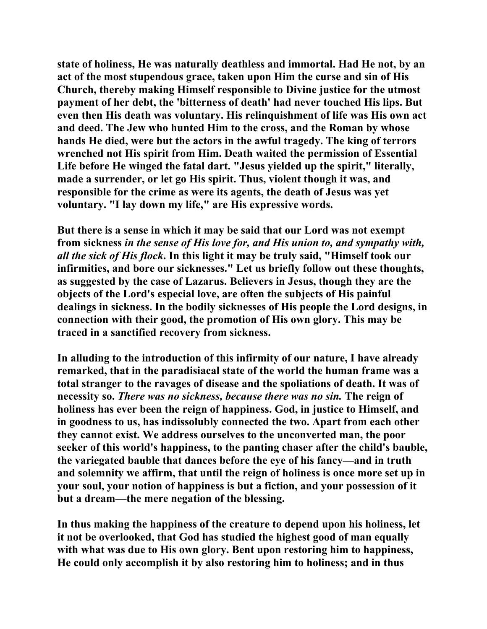**state of holiness, He was naturally deathless and immortal. Had He not, by an act of the most stupendous grace, taken upon Him the curse and sin of His Church, thereby making Himself responsible to Divine justice for the utmost payment of her debt, the 'bitterness of death' had never touched His lips. But even then His death was voluntary. His relinquishment of life was His own act and deed. The Jew who hunted Him to the cross, and the Roman by whose hands He died, were but the actors in the awful tragedy. The king of terrors wrenched not His spirit from Him. Death waited the permission of Essential Life before He winged the fatal dart. "Jesus yielded up the spirit," literally, made a surrender, or let go His spirit. Thus, violent though it was, and responsible for the crime as were its agents, the death of Jesus was yet voluntary. "I lay down my life," are His expressive words.** 

**But there is a sense in which it may be said that our Lord was not exempt from sickness** *in the sense of His love for, and His union to, and sympathy with, all the sick of His flock***. In this light it may be truly said, "Himself took our infirmities, and bore our sicknesses." Let us briefly follow out these thoughts, as suggested by the case of Lazarus. Believers in Jesus, though they are the objects of the Lord's especial love, are often the subjects of His painful dealings in sickness. In the bodily sicknesses of His people the Lord designs, in connection with their good, the promotion of His own glory. This may be traced in a sanctified recovery from sickness.** 

**In alluding to the introduction of this infirmity of our nature, I have already remarked, that in the paradisiacal state of the world the human frame was a total stranger to the ravages of disease and the spoliations of death. It was of necessity so.** *There was no sickness, because there was no sin.* **The reign of holiness has ever been the reign of happiness. God, in justice to Himself, and in goodness to us, has indissolubly connected the two. Apart from each other they cannot exist. We address ourselves to the unconverted man, the poor seeker of this world's happiness, to the panting chaser after the child's bauble, the variegated bauble that dances before the eye of his fancy—and in truth and solemnity we affirm, that until the reign of holiness is once more set up in your soul, your notion of happiness is but a fiction, and your possession of it but a dream—the mere negation of the blessing.** 

**In thus making the happiness of the creature to depend upon his holiness, let it not be overlooked, that God has studied the highest good of man equally with what was due to His own glory. Bent upon restoring him to happiness, He could only accomplish it by also restoring him to holiness; and in thus**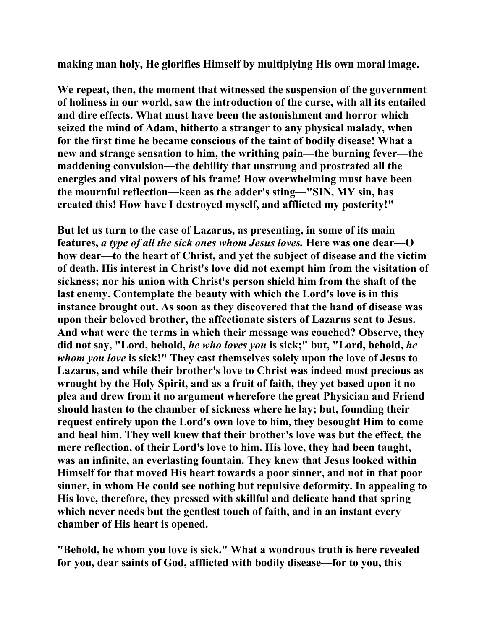**making man holy, He glorifies Himself by multiplying His own moral image.** 

**We repeat, then, the moment that witnessed the suspension of the government of holiness in our world, saw the introduction of the curse, with all its entailed and dire effects. What must have been the astonishment and horror which seized the mind of Adam, hitherto a stranger to any physical malady, when for the first time he became conscious of the taint of bodily disease! What a new and strange sensation to him, the writhing pain—the burning fever—the maddening convulsion—the debility that unstrung and prostrated all the energies and vital powers of his frame! How overwhelming must have been the mournful reflection—keen as the adder's sting—"SIN, MY sin, has created this! How have I destroyed myself, and afflicted my posterity!"** 

**But let us turn to the case of Lazarus, as presenting, in some of its main features,** *a type of all the sick ones whom Jesus loves.* **Here was one dear—O how dear—to the heart of Christ, and yet the subject of disease and the victim of death. His interest in Christ's love did not exempt him from the visitation of sickness; nor his union with Christ's person shield him from the shaft of the last enemy. Contemplate the beauty with which the Lord's love is in this instance brought out. As soon as they discovered that the hand of disease was upon their beloved brother, the affectionate sisters of Lazarus sent to Jesus. And what were the terms in which their message was couched? Observe, they did not say, "Lord, behold,** *he who loves you* **is sick;" but, "Lord, behold,** *he whom you love* **is sick!" They cast themselves solely upon the love of Jesus to Lazarus, and while their brother's love to Christ was indeed most precious as wrought by the Holy Spirit, and as a fruit of faith, they yet based upon it no plea and drew from it no argument wherefore the great Physician and Friend should hasten to the chamber of sickness where he lay; but, founding their request entirely upon the Lord's own love to him, they besought Him to come and heal him. They well knew that their brother's love was but the effect, the mere reflection, of their Lord's love to him. His love, they had been taught, was an infinite, an everlasting fountain. They knew that Jesus looked within Himself for that moved His heart towards a poor sinner, and not in that poor sinner, in whom He could see nothing but repulsive deformity. In appealing to His love, therefore, they pressed with skillful and delicate hand that spring which never needs but the gentlest touch of faith, and in an instant every chamber of His heart is opened.** 

**"Behold, he whom you love is sick." What a wondrous truth is here revealed for you, dear saints of God, afflicted with bodily disease—for to you, this**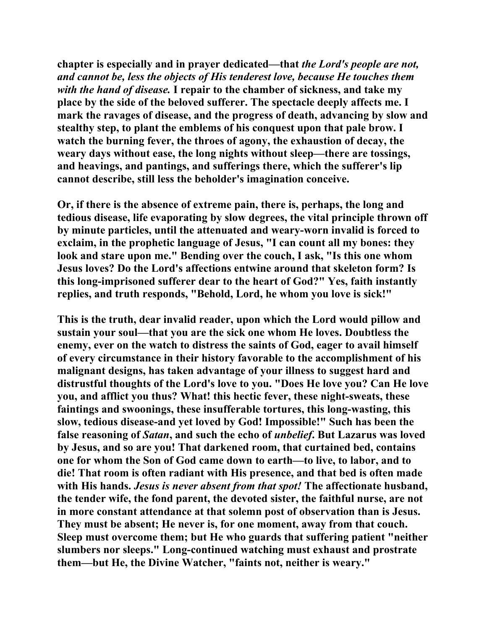**chapter is especially and in prayer dedicated—that** *the Lord's people are not, and cannot be, less the objects of His tenderest love, because He touches them with the hand of disease.* **I repair to the chamber of sickness, and take my place by the side of the beloved sufferer. The spectacle deeply affects me. I mark the ravages of disease, and the progress of death, advancing by slow and stealthy step, to plant the emblems of his conquest upon that pale brow. I watch the burning fever, the throes of agony, the exhaustion of decay, the weary days without ease, the long nights without sleep—there are tossings, and heavings, and pantings, and sufferings there, which the sufferer's lip cannot describe, still less the beholder's imagination conceive.** 

**Or, if there is the absence of extreme pain, there is, perhaps, the long and tedious disease, life evaporating by slow degrees, the vital principle thrown off by minute particles, until the attenuated and weary-worn invalid is forced to exclaim, in the prophetic language of Jesus, "I can count all my bones: they look and stare upon me." Bending over the couch, I ask, "Is this one whom Jesus loves? Do the Lord's affections entwine around that skeleton form? Is this long-imprisoned sufferer dear to the heart of God?" Yes, faith instantly replies, and truth responds, "Behold, Lord, he whom you love is sick!"** 

**This is the truth, dear invalid reader, upon which the Lord would pillow and sustain your soul—that you are the sick one whom He loves. Doubtless the enemy, ever on the watch to distress the saints of God, eager to avail himself of every circumstance in their history favorable to the accomplishment of his malignant designs, has taken advantage of your illness to suggest hard and distrustful thoughts of the Lord's love to you. "Does He love you? Can He love you, and afflict you thus? What! this hectic fever, these night-sweats, these faintings and swoonings, these insufferable tortures, this long-wasting, this slow, tedious disease-and yet loved by God! Impossible!" Such has been the false reasoning of** *Satan***, and such the echo of** *unbelief***. But Lazarus was loved by Jesus, and so are you! That darkened room, that curtained bed, contains one for whom the Son of God came down to earth—to live, to labor, and to die! That room is often radiant with His presence, and that bed is often made with His hands.** *Jesus is never absent from that spot!* **The affectionate husband, the tender wife, the fond parent, the devoted sister, the faithful nurse, are not in more constant attendance at that solemn post of observation than is Jesus. They must be absent; He never is, for one moment, away from that couch. Sleep must overcome them; but He who guards that suffering patient "neither slumbers nor sleeps." Long-continued watching must exhaust and prostrate them—but He, the Divine Watcher, "faints not, neither is weary."**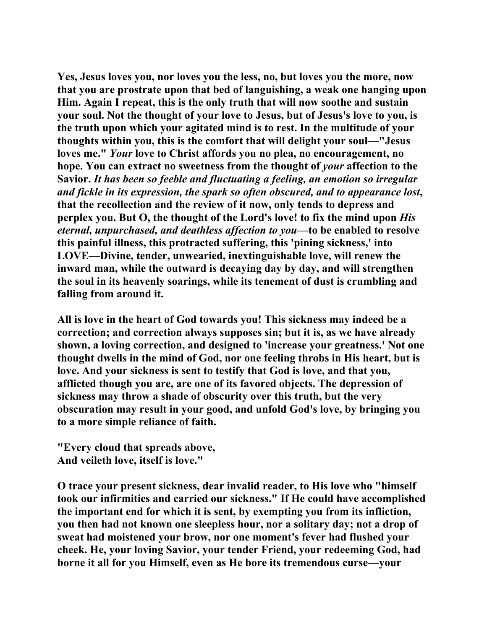**Yes, Jesus loves you, nor loves you the less, no, but loves you the more, now that you are prostrate upon that bed of languishing, a weak one hanging upon Him. Again I repeat, this is the only truth that will now soothe and sustain your soul. Not the thought of your love to Jesus, but of Jesus's love to you, is the truth upon which your agitated mind is to rest. In the multitude of your thoughts within you, this is the comfort that will delight your soul—"Jesus loves me."** *Your* **love to Christ affords you no plea, no encouragement, no hope. You can extract no sweetness from the thought of** *your* **affection to the Savior.** *It has been so feeble and fluctuating a feeling, an emotion so irregular and fickle in its expression, the spark so often obscured, and to appearance lost***, that the recollection and the review of it now, only tends to depress and perplex you. But O, the thought of the Lord's love! to fix the mind upon** *His eternal, unpurchased, and deathless affection to you***—to be enabled to resolve this painful illness, this protracted suffering, this 'pining sickness,' into LOVE—Divine, tender, unwearied, inextinguishable love, will renew the inward man, while the outward is decaying day by day, and will strengthen the soul in its heavenly soarings, while its tenement of dust is crumbling and falling from around it.** 

**All is love in the heart of God towards you! This sickness may indeed be a correction; and correction always supposes sin; but it is, as we have already shown, a loving correction, and designed to 'increase your greatness.' Not one thought dwells in the mind of God, nor one feeling throbs in His heart, but is love. And your sickness is sent to testify that God is love, and that you, afflicted though you are, are one of its favored objects. The depression of sickness may throw a shade of obscurity over this truth, but the very obscuration may result in your good, and unfold God's love, by bringing you to a more simple reliance of faith.** 

**"Every cloud that spreads above, And veileth love, itself is love."** 

**O trace your present sickness, dear invalid reader, to His love who "himself took our infirmities and carried our sickness." If He could have accomplished the important end for which it is sent, by exempting you from its infliction, you then had not known one sleepless hour, nor a solitary day; not a drop of sweat had moistened your brow, nor one moment's fever had flushed your cheek. He, your loving Savior, your tender Friend, your redeeming God, had borne it all for you Himself, even as He bore its tremendous curse—your**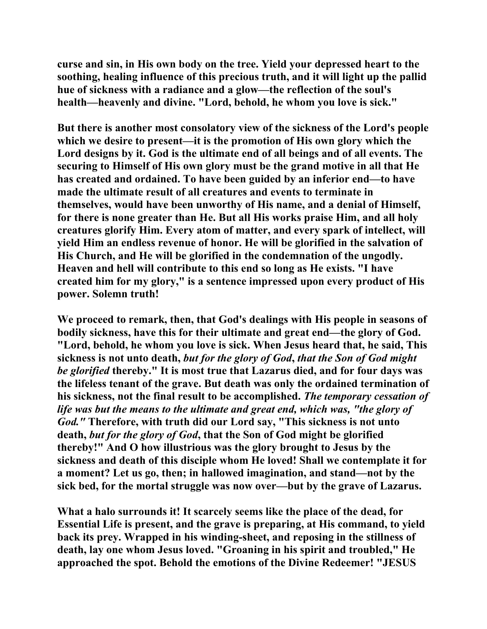**curse and sin, in His own body on the tree. Yield your depressed heart to the soothing, healing influence of this precious truth, and it will light up the pallid hue of sickness with a radiance and a glow—the reflection of the soul's health—heavenly and divine. "Lord, behold, he whom you love is sick."** 

**But there is another most consolatory view of the sickness of the Lord's people which we desire to present—it is the promotion of His own glory which the Lord designs by it. God is the ultimate end of all beings and of all events. The securing to Himself of His own glory must be the grand motive in all that He has created and ordained. To have been guided by an inferior end—to have made the ultimate result of all creatures and events to terminate in themselves, would have been unworthy of His name, and a denial of Himself, for there is none greater than He. But all His works praise Him, and all holy creatures glorify Him. Every atom of matter, and every spark of intellect, will yield Him an endless revenue of honor. He will be glorified in the salvation of His Church, and He will be glorified in the condemnation of the ungodly. Heaven and hell will contribute to this end so long as He exists. "I have created him for my glory," is a sentence impressed upon every product of His power. Solemn truth!** 

**We proceed to remark, then, that God's dealings with His people in seasons of bodily sickness, have this for their ultimate and great end—the glory of God. "Lord, behold, he whom you love is sick. When Jesus heard that, he said, This sickness is not unto death,** *but for the glory of God***,** *that the Son of God might be glorified* **thereby." It is most true that Lazarus died, and for four days was the lifeless tenant of the grave. But death was only the ordained termination of his sickness, not the final result to be accomplished.** *The temporary cessation of life was but the means to the ultimate and great end, which was, "the glory of God."* **Therefore, with truth did our Lord say, "This sickness is not unto death,** *but for the glory of God***, that the Son of God might be glorified thereby!" And O how illustrious was the glory brought to Jesus by the sickness and death of this disciple whom He loved! Shall we contemplate it for a moment? Let us go, then; in hallowed imagination, and stand—not by the sick bed, for the mortal struggle was now over—but by the grave of Lazarus.** 

**What a halo surrounds it! It scarcely seems like the place of the dead, for Essential Life is present, and the grave is preparing, at His command, to yield back its prey. Wrapped in his winding-sheet, and reposing in the stillness of death, lay one whom Jesus loved. "Groaning in his spirit and troubled," He approached the spot. Behold the emotions of the Divine Redeemer! "JESUS**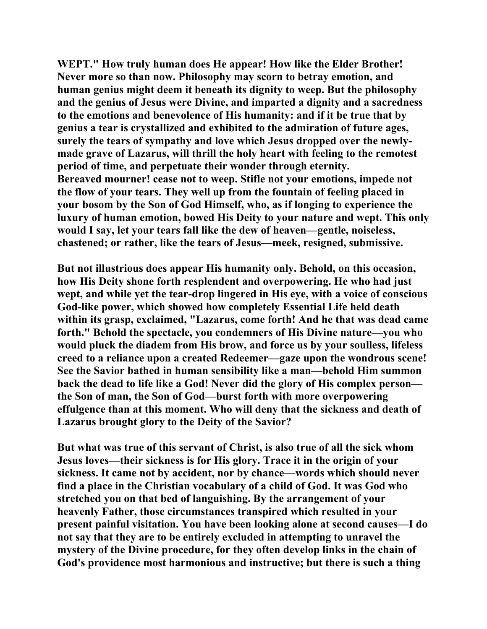**WEPT." How truly human does He appear! How like the Elder Brother! Never more so than now. Philosophy may scorn to betray emotion, and human genius might deem it beneath its dignity to weep. But the philosophy and the genius of Jesus were Divine, and imparted a dignity and a sacredness to the emotions and benevolence of His humanity: and if it be true that by genius a tear is crystallized and exhibited to the admiration of future ages, surely the tears of sympathy and love which Jesus dropped over the newlymade grave of Lazarus, will thrill the holy heart with feeling to the remotest period of time, and perpetuate their wonder through eternity. Bereaved mourner! cease not to weep. Stifle not your emotions, impede not the flow of your tears. They well up from the fountain of feeling placed in your bosom by the Son of God Himself, who, as if longing to experience the luxury of human emotion, bowed His Deity to your nature and wept. This only would I say, let your tears fall like the dew of heaven—gentle, noiseless, chastened; or rather, like the tears of Jesus—meek, resigned, submissive.** 

**But not illustrious does appear His humanity only. Behold, on this occasion, how His Deity shone forth resplendent and overpowering. He who had just wept, and while yet the tear-drop lingered in His eye, with a voice of conscious God-like power, which showed how completely Essential Life held death within its grasp, exclaimed, "Lazarus, come forth! And he that was dead came forth." Behold the spectacle, you condemners of His Divine nature—you who would pluck the diadem from His brow, and force us by your soulless, lifeless creed to a reliance upon a created Redeemer—gaze upon the wondrous scene! See the Savior bathed in human sensibility like a man—behold Him summon back the dead to life like a God! Never did the glory of His complex person the Son of man, the Son of God—burst forth with more overpowering effulgence than at this moment. Who will deny that the sickness and death of Lazarus brought glory to the Deity of the Savior?** 

**But what was true of this servant of Christ, is also true of all the sick whom Jesus loves—their sickness is for His glory. Trace it in the origin of your sickness. It came not by accident, nor by chance—words which should never find a place in the Christian vocabulary of a child of God. It was God who stretched you on that bed of languishing. By the arrangement of your heavenly Father, those circumstances transpired which resulted in your present painful visitation. You have been looking alone at second causes—I do not say that they are to be entirely excluded in attempting to unravel the mystery of the Divine procedure, for they often develop links in the chain of God's providence most harmonious and instructive; but there is such a thing**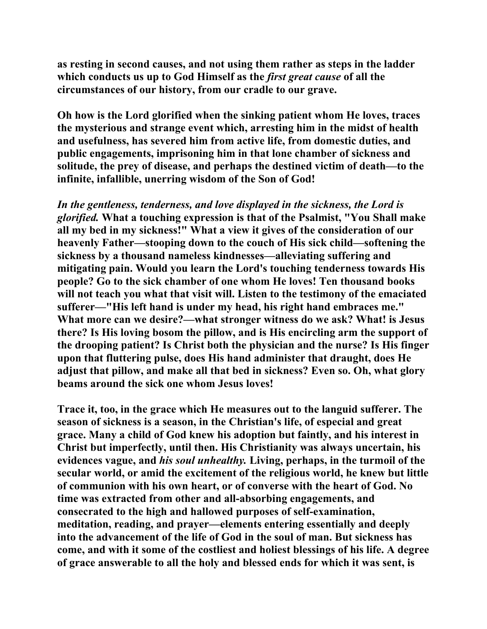**as resting in second causes, and not using them rather as steps in the ladder which conducts us up to God Himself as the** *first great cause* **of all the circumstances of our history, from our cradle to our grave.** 

**Oh how is the Lord glorified when the sinking patient whom He loves, traces the mysterious and strange event which, arresting him in the midst of health and usefulness, has severed him from active life, from domestic duties, and public engagements, imprisoning him in that lone chamber of sickness and solitude, the prey of disease, and perhaps the destined victim of death—to the infinite, infallible, unerring wisdom of the Son of God!** 

*In the gentleness, tenderness, and love displayed in the sickness, the Lord is glorified.* **What a touching expression is that of the Psalmist, "You Shall make all my bed in my sickness!" What a view it gives of the consideration of our heavenly Father—stooping down to the couch of His sick child—softening the sickness by a thousand nameless kindnesses—alleviating suffering and mitigating pain. Would you learn the Lord's touching tenderness towards His people? Go to the sick chamber of one whom He loves! Ten thousand books will not teach you what that visit will. Listen to the testimony of the emaciated sufferer—"His left hand is under my head, his right hand embraces me." What more can we desire?—what stronger witness do we ask? What! is Jesus there? Is His loving bosom the pillow, and is His encircling arm the support of the drooping patient? Is Christ both the physician and the nurse? Is His finger upon that fluttering pulse, does His hand administer that draught, does He adjust that pillow, and make all that bed in sickness? Even so. Oh, what glory beams around the sick one whom Jesus loves!** 

**Trace it, too, in the grace which He measures out to the languid sufferer. The season of sickness is a season, in the Christian's life, of especial and great grace. Many a child of God knew his adoption but faintly, and his interest in Christ but imperfectly, until then. His Christianity was always uncertain, his evidences vague, and** *his soul unhealthy.* **Living, perhaps, in the turmoil of the secular world, or amid the excitement of the religious world, he knew but little of communion with his own heart, or of converse with the heart of God. No time was extracted from other and all-absorbing engagements, and consecrated to the high and hallowed purposes of self-examination, meditation, reading, and prayer—elements entering essentially and deeply into the advancement of the life of God in the soul of man. But sickness has come, and with it some of the costliest and holiest blessings of his life. A degree of grace answerable to all the holy and blessed ends for which it was sent, is**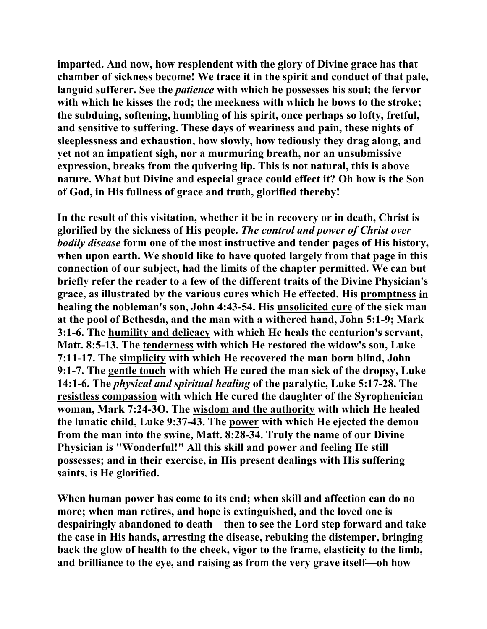**imparted. And now, how resplendent with the glory of Divine grace has that chamber of sickness become! We trace it in the spirit and conduct of that pale, languid sufferer. See the** *patience* **with which he possesses his soul; the fervor with which he kisses the rod; the meekness with which he bows to the stroke; the subduing, softening, humbling of his spirit, once perhaps so lofty, fretful, and sensitive to suffering. These days of weariness and pain, these nights of sleeplessness and exhaustion, how slowly, how tediously they drag along, and yet not an impatient sigh, nor a murmuring breath, nor an unsubmissive expression, breaks from the quivering lip. This is not natural, this is above nature. What but Divine and especial grace could effect it? Oh how is the Son of God, in His fullness of grace and truth, glorified thereby!** 

**In the result of this visitation, whether it be in recovery or in death, Christ is glorified by the sickness of His people.** *The control and power of Christ over bodily disease* **form one of the most instructive and tender pages of His history, when upon earth. We should like to have quoted largely from that page in this connection of our subject, had the limits of the chapter permitted. We can but briefly refer the reader to a few of the different traits of the Divine Physician's grace, as illustrated by the various cures which He effected. His promptness in healing the nobleman's son, John 4:43-54. His unsolicited cure of the sick man at the pool of Bethesda, and the man with a withered hand, John 5:1-9; Mark 3:1-6. The humility and delicacy with which He heals the centurion's servant, Matt. 8:5-13. The tenderness with which He restored the widow's son, Luke 7:11-17. The simplicity with which He recovered the man born blind, John 9:1-7. The gentle touch with which He cured the man sick of the dropsy, Luke 14:1-6. The** *physical and spiritual healing* **of the paralytic, Luke 5:17-28. The resistless compassion with which He cured the daughter of the Syrophenician woman, Mark 7:24-3O. The wisdom and the authority with which He healed the lunatic child, Luke 9:37-43. The power with which He ejected the demon from the man into the swine, Matt. 8:28-34. Truly the name of our Divine Physician is "Wonderful!" All this skill and power and feeling He still possesses; and in their exercise, in His present dealings with His suffering saints, is He glorified.** 

**When human power has come to its end; when skill and affection can do no more; when man retires, and hope is extinguished, and the loved one is despairingly abandoned to death—then to see the Lord step forward and take the case in His hands, arresting the disease, rebuking the distemper, bringing back the glow of health to the cheek, vigor to the frame, elasticity to the limb, and brilliance to the eye, and raising as from the very grave itself—oh how**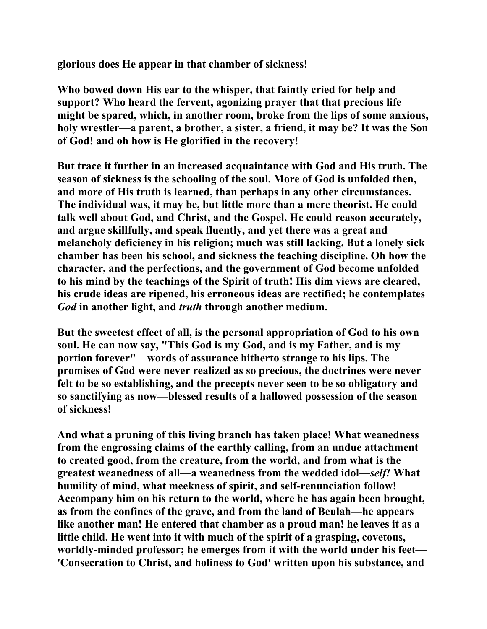**glorious does He appear in that chamber of sickness!** 

**Who bowed down His ear to the whisper, that faintly cried for help and support? Who heard the fervent, agonizing prayer that that precious life might be spared, which, in another room, broke from the lips of some anxious, holy wrestler—a parent, a brother, a sister, a friend, it may be? It was the Son of God! and oh how is He glorified in the recovery!** 

**But trace it further in an increased acquaintance with God and His truth. The season of sickness is the schooling of the soul. More of God is unfolded then, and more of His truth is learned, than perhaps in any other circumstances. The individual was, it may be, but little more than a mere theorist. He could talk well about God, and Christ, and the Gospel. He could reason accurately, and argue skillfully, and speak fluently, and yet there was a great and melancholy deficiency in his religion; much was still lacking. But a lonely sick chamber has been his school, and sickness the teaching discipline. Oh how the character, and the perfections, and the government of God become unfolded to his mind by the teachings of the Spirit of truth! His dim views are cleared, his crude ideas are ripened, his erroneous ideas are rectified; he contemplates**  *God* **in another light, and** *truth* **through another medium.** 

**But the sweetest effect of all, is the personal appropriation of God to his own soul. He can now say, "This God is my God, and is my Father, and is my portion forever"—words of assurance hitherto strange to his lips. The promises of God were never realized as so precious, the doctrines were never felt to be so establishing, and the precepts never seen to be so obligatory and so sanctifying as now—blessed results of a hallowed possession of the season of sickness!** 

**And what a pruning of this living branch has taken place! What weanedness from the engrossing claims of the earthly calling, from an undue attachment to created good, from the creature, from the world, and from what is the greatest weanedness of all—a weanedness from the wedded idol—***self!* **What humility of mind, what meekness of spirit, and self-renunciation follow! Accompany him on his return to the world, where he has again been brought, as from the confines of the grave, and from the land of Beulah—he appears like another man! He entered that chamber as a proud man! he leaves it as a little child. He went into it with much of the spirit of a grasping, covetous, worldly-minded professor; he emerges from it with the world under his feet— 'Consecration to Christ, and holiness to God' written upon his substance, and**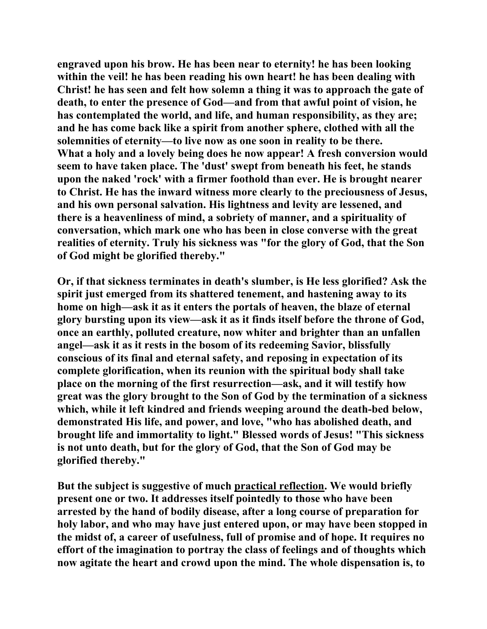**engraved upon his brow. He has been near to eternity! he has been looking within the veil! he has been reading his own heart! he has been dealing with Christ! he has seen and felt how solemn a thing it was to approach the gate of death, to enter the presence of God—and from that awful point of vision, he has contemplated the world, and life, and human responsibility, as they are; and he has come back like a spirit from another sphere, clothed with all the solemnities of eternity—to live now as one soon in reality to be there. What a holy and a lovely being does he now appear! A fresh conversion would seem to have taken place. The 'dust' swept from beneath his feet, he stands upon the naked 'rock' with a firmer foothold than ever. He is brought nearer to Christ. He has the inward witness more clearly to the preciousness of Jesus, and his own personal salvation. His lightness and levity are lessened, and there is a heavenliness of mind, a sobriety of manner, and a spirituality of conversation, which mark one who has been in close converse with the great realities of eternity. Truly his sickness was "for the glory of God, that the Son of God might be glorified thereby."** 

**Or, if that sickness terminates in death's slumber, is He less glorified? Ask the spirit just emerged from its shattered tenement, and hastening away to its home on high—ask it as it enters the portals of heaven, the blaze of eternal glory bursting upon its view—ask it as it finds itself before the throne of God, once an earthly, polluted creature, now whiter and brighter than an unfallen angel—ask it as it rests in the bosom of its redeeming Savior, blissfully conscious of its final and eternal safety, and reposing in expectation of its complete glorification, when its reunion with the spiritual body shall take place on the morning of the first resurrection—ask, and it will testify how great was the glory brought to the Son of God by the termination of a sickness which, while it left kindred and friends weeping around the death-bed below, demonstrated His life, and power, and love, "who has abolished death, and brought life and immortality to light." Blessed words of Jesus! "This sickness is not unto death, but for the glory of God, that the Son of God may be glorified thereby."** 

**But the subject is suggestive of much practical reflection. We would briefly present one or two. It addresses itself pointedly to those who have been arrested by the hand of bodily disease, after a long course of preparation for holy labor, and who may have just entered upon, or may have been stopped in the midst of, a career of usefulness, full of promise and of hope. It requires no effort of the imagination to portray the class of feelings and of thoughts which now agitate the heart and crowd upon the mind. The whole dispensation is, to**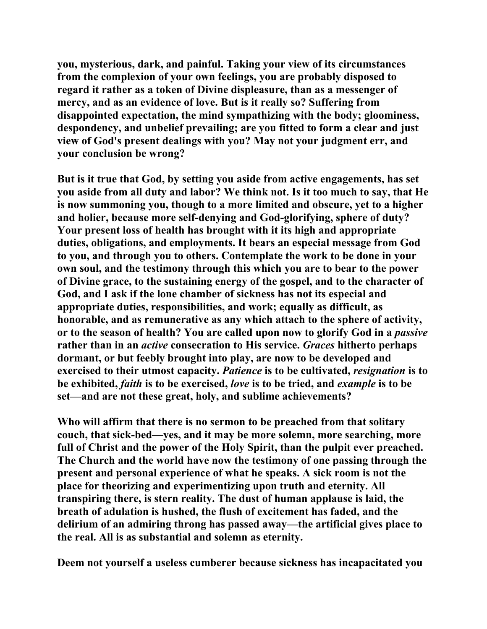**you, mysterious, dark, and painful. Taking your view of its circumstances from the complexion of your own feelings, you are probably disposed to regard it rather as a token of Divine displeasure, than as a messenger of mercy, and as an evidence of love. But is it really so? Suffering from disappointed expectation, the mind sympathizing with the body; gloominess, despondency, and unbelief prevailing; are you fitted to form a clear and just view of God's present dealings with you? May not your judgment err, and your conclusion be wrong?** 

**But is it true that God, by setting you aside from active engagements, has set you aside from all duty and labor? We think not. Is it too much to say, that He is now summoning you, though to a more limited and obscure, yet to a higher and holier, because more self-denying and God-glorifying, sphere of duty? Your present loss of health has brought with it its high and appropriate duties, obligations, and employments. It bears an especial message from God to you, and through you to others. Contemplate the work to be done in your own soul, and the testimony through this which you are to bear to the power of Divine grace, to the sustaining energy of the gospel, and to the character of God, and I ask if the lone chamber of sickness has not its especial and appropriate duties, responsibilities, and work; equally as difficult, as honorable, and as remunerative as any which attach to the sphere of activity, or to the season of health? You are called upon now to glorify God in a** *passive* **rather than in an** *active* **consecration to His service.** *Graces* **hitherto perhaps dormant, or but feebly brought into play, are now to be developed and exercised to their utmost capacity.** *Patience* **is to be cultivated,** *resignation* **is to be exhibited,** *faith* **is to be exercised,** *love* **is to be tried, and** *example* **is to be set—and are not these great, holy, and sublime achievements?** 

**Who will affirm that there is no sermon to be preached from that solitary couch, that sick-bed—yes, and it may be more solemn, more searching, more full of Christ and the power of the Holy Spirit, than the pulpit ever preached. The Church and the world have now the testimony of one passing through the present and personal experience of what he speaks. A sick room is not the place for theorizing and experimentizing upon truth and eternity. All transpiring there, is stern reality. The dust of human applause is laid, the breath of adulation is hushed, the flush of excitement has faded, and the delirium of an admiring throng has passed away—the artificial gives place to the real. All is as substantial and solemn as eternity.** 

**Deem not yourself a useless cumberer because sickness has incapacitated you**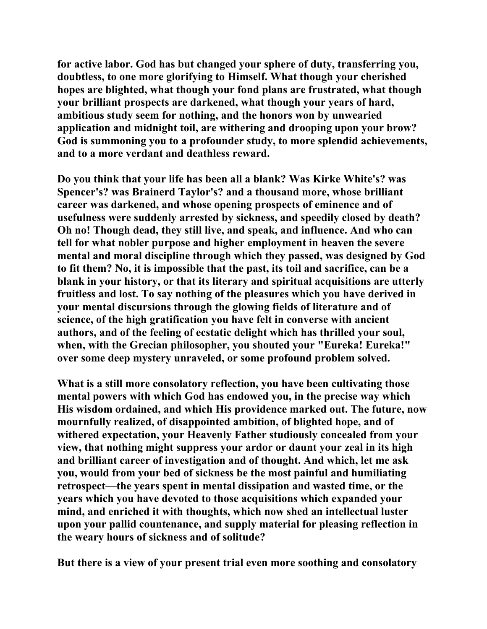**for active labor. God has but changed your sphere of duty, transferring you, doubtless, to one more glorifying to Himself. What though your cherished hopes are blighted, what though your fond plans are frustrated, what though your brilliant prospects are darkened, what though your years of hard, ambitious study seem for nothing, and the honors won by unwearied application and midnight toil, are withering and drooping upon your brow? God is summoning you to a profounder study, to more splendid achievements, and to a more verdant and deathless reward.** 

**Do you think that your life has been all a blank? Was Kirke White's? was Spencer's? was Brainerd Taylor's? and a thousand more, whose brilliant career was darkened, and whose opening prospects of eminence and of usefulness were suddenly arrested by sickness, and speedily closed by death? Oh no! Though dead, they still live, and speak, and influence. And who can tell for what nobler purpose and higher employment in heaven the severe mental and moral discipline through which they passed, was designed by God to fit them? No, it is impossible that the past, its toil and sacrifice, can be a blank in your history, or that its literary and spiritual acquisitions are utterly fruitless and lost. To say nothing of the pleasures which you have derived in your mental discursions through the glowing fields of literature and of science, of the high gratification you have felt in converse with ancient authors, and of the feeling of ecstatic delight which has thrilled your soul, when, with the Grecian philosopher, you shouted your "Eureka! Eureka!" over some deep mystery unraveled, or some profound problem solved.** 

**What is a still more consolatory reflection, you have been cultivating those mental powers with which God has endowed you, in the precise way which His wisdom ordained, and which His providence marked out. The future, now mournfully realized, of disappointed ambition, of blighted hope, and of withered expectation, your Heavenly Father studiously concealed from your view, that nothing might suppress your ardor or daunt your zeal in its high and brilliant career of investigation and of thought. And which, let me ask you, would from your bed of sickness be the most painful and humiliating retrospect—the years spent in mental dissipation and wasted time, or the years which you have devoted to those acquisitions which expanded your mind, and enriched it with thoughts, which now shed an intellectual luster upon your pallid countenance, and supply material for pleasing reflection in the weary hours of sickness and of solitude?** 

**But there is a view of your present trial even more soothing and consolatory**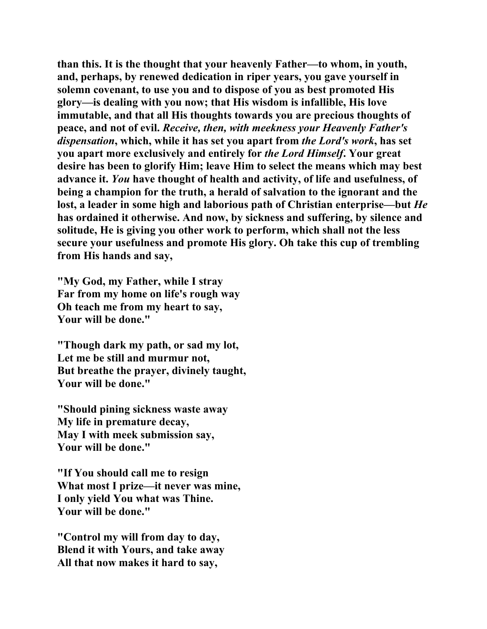**than this. It is the thought that your heavenly Father—to whom, in youth, and, perhaps, by renewed dedication in riper years, you gave yourself in solemn covenant, to use you and to dispose of you as best promoted His glory—is dealing with you now; that His wisdom is infallible, His love immutable, and that all His thoughts towards you are precious thoughts of peace, and not of evil.** *Receive, then, with meekness your Heavenly Father's dispensation***, which, while it has set you apart from** *the Lord's work***, has set you apart more exclusively and entirely for** *the Lord Himself***. Your great desire has been to glorify Him; leave Him to select the means which may best advance it.** *You* **have thought of health and activity, of life and usefulness, of being a champion for the truth, a herald of salvation to the ignorant and the lost, a leader in some high and laborious path of Christian enterprise—but** *He* **has ordained it otherwise. And now, by sickness and suffering, by silence and solitude, He is giving you other work to perform, which shall not the less secure your usefulness and promote His glory. Oh take this cup of trembling from His hands and say,** 

**"My God, my Father, while I stray Far from my home on life's rough way Oh teach me from my heart to say, Your will be done."** 

**"Though dark my path, or sad my lot, Let me be still and murmur not, But breathe the prayer, divinely taught, Your will be done."** 

**"Should pining sickness waste away My life in premature decay, May I with meek submission say, Your will be done."** 

**"If You should call me to resign What most I prize—it never was mine, I only yield You what was Thine. Your will be done."** 

**"Control my will from day to day, Blend it with Yours, and take away All that now makes it hard to say,**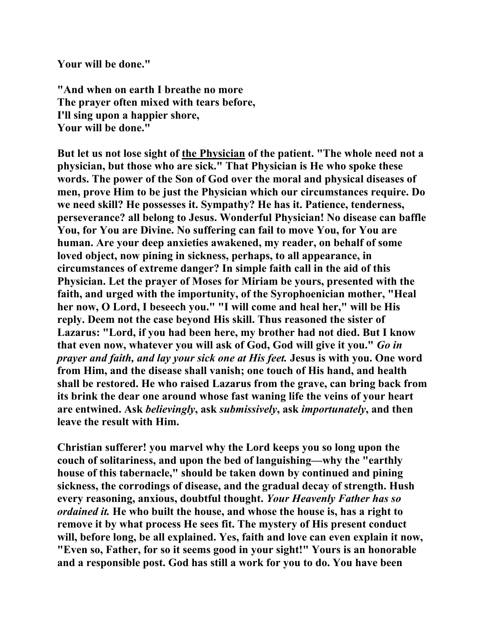**Your will be done."** 

**"And when on earth I breathe no more The prayer often mixed with tears before, I'll sing upon a happier shore, Your will be done."** 

**But let us not lose sight of the Physician of the patient. "The whole need not a physician, but those who are sick." That Physician is He who spoke these words. The power of the Son of God over the moral and physical diseases of men, prove Him to be just the Physician which our circumstances require. Do we need skill? He possesses it. Sympathy? He has it. Patience, tenderness, perseverance? all belong to Jesus. Wonderful Physician! No disease can baffle You, for You are Divine. No suffering can fail to move You, for You are human. Are your deep anxieties awakened, my reader, on behalf of some loved object, now pining in sickness, perhaps, to all appearance, in circumstances of extreme danger? In simple faith call in the aid of this Physician. Let the prayer of Moses for Miriam be yours, presented with the faith, and urged with the importunity, of the Syrophoenician mother, "Heal her now, O Lord, I beseech you." "I will come and heal her," will be His reply. Deem not the case beyond His skill. Thus reasoned the sister of Lazarus: "Lord, if you had been here, my brother had not died. But I know that even now, whatever you will ask of God, God will give it you."** *Go in prayer and faith, and lay your sick one at His feet.* **Jesus is with you. One word from Him, and the disease shall vanish; one touch of His hand, and health shall be restored. He who raised Lazarus from the grave, can bring back from its brink the dear one around whose fast waning life the veins of your heart are entwined. Ask** *believingly***, ask** *submissively***, ask** *importunately***, and then leave the result with Him.** 

**Christian sufferer! you marvel why the Lord keeps you so long upon the couch of solitariness, and upon the bed of languishing—why the "earthly house of this tabernacle," should be taken down by continued and pining sickness, the corrodings of disease, and the gradual decay of strength. Hush every reasoning, anxious, doubtful thought.** *Your Heavenly Father has so ordained it.* **He who built the house, and whose the house is, has a right to remove it by what process He sees fit. The mystery of His present conduct will, before long, be all explained. Yes, faith and love can even explain it now, "Even so, Father, for so it seems good in your sight!" Yours is an honorable and a responsible post. God has still a work for you to do. You have been**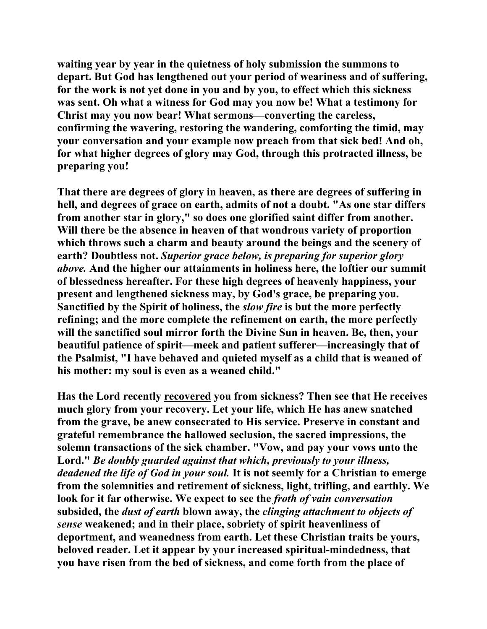**waiting year by year in the quietness of holy submission the summons to depart. But God has lengthened out your period of weariness and of suffering, for the work is not yet done in you and by you, to effect which this sickness was sent. Oh what a witness for God may you now be! What a testimony for Christ may you now bear! What sermons—converting the careless, confirming the wavering, restoring the wandering, comforting the timid, may your conversation and your example now preach from that sick bed! And oh, for what higher degrees of glory may God, through this protracted illness, be preparing you!** 

**That there are degrees of glory in heaven, as there are degrees of suffering in hell, and degrees of grace on earth, admits of not a doubt. "As one star differs from another star in glory," so does one glorified saint differ from another. Will there be the absence in heaven of that wondrous variety of proportion which throws such a charm and beauty around the beings and the scenery of earth? Doubtless not.** *Superior grace below, is preparing for superior glory above.* **And the higher our attainments in holiness here, the loftier our summit of blessedness hereafter. For these high degrees of heavenly happiness, your present and lengthened sickness may, by God's grace, be preparing you. Sanctified by the Spirit of holiness, the** *slow fire* **is but the more perfectly refining; and the more complete the refinement on earth, the more perfectly will the sanctified soul mirror forth the Divine Sun in heaven. Be, then, your beautiful patience of spirit—meek and patient sufferer—increasingly that of the Psalmist, "I have behaved and quieted myself as a child that is weaned of his mother: my soul is even as a weaned child."** 

**Has the Lord recently recovered you from sickness? Then see that He receives much glory from your recovery. Let your life, which He has anew snatched from the grave, be anew consecrated to His service. Preserve in constant and grateful remembrance the hallowed seclusion, the sacred impressions, the solemn transactions of the sick chamber. "Vow, and pay your vows unto the Lord."** *Be doubly guarded against that which, previously to your illness, deadened the life of God in your soul.* **It is not seemly for a Christian to emerge from the solemnities and retirement of sickness, light, trifling, and earthly. We look for it far otherwise. We expect to see the** *froth of vain conversation* **subsided, the** *dust of earth* **blown away, the** *clinging attachment to objects of sense* **weakened; and in their place, sobriety of spirit heavenliness of deportment, and weanedness from earth. Let these Christian traits be yours, beloved reader. Let it appear by your increased spiritual-mindedness, that you have risen from the bed of sickness, and come forth from the place of**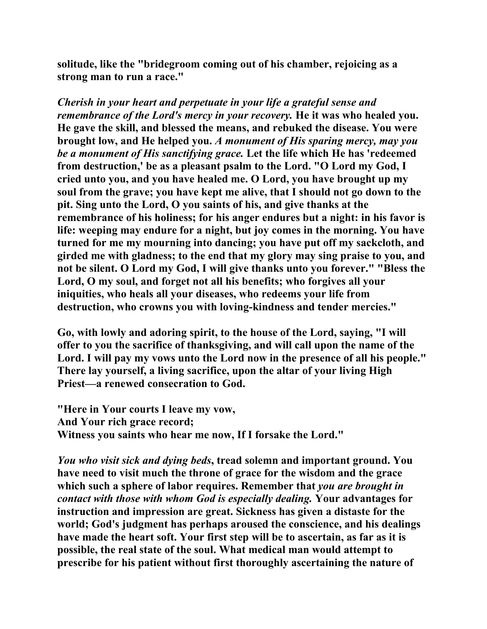**solitude, like the "bridegroom coming out of his chamber, rejoicing as a strong man to run a race."** 

*Cherish in your heart and perpetuate in your life a grateful sense and remembrance of the Lord's mercy in your recovery.* He it was who healed you. **He gave the skill, and blessed the means, and rebuked the disease. You were brought low, and He helped you.** *A monument of His sparing mercy, may you be a monument of His sanctifying grace.* **Let the life which He has 'redeemed from destruction,' be as a pleasant psalm to the Lord. "O Lord my God, I cried unto you, and you have healed me. O Lord, you have brought up my soul from the grave; you have kept me alive, that I should not go down to the pit. Sing unto the Lord, O you saints of his, and give thanks at the remembrance of his holiness; for his anger endures but a night: in his favor is life: weeping may endure for a night, but joy comes in the morning. You have turned for me my mourning into dancing; you have put off my sackcloth, and girded me with gladness; to the end that my glory may sing praise to you, and not be silent. O Lord my God, I will give thanks unto you forever." "Bless the Lord, O my soul, and forget not all his benefits; who forgives all your iniquities, who heals all your diseases, who redeems your life from destruction, who crowns you with loving-kindness and tender mercies."** 

**Go, with lowly and adoring spirit, to the house of the Lord, saying, "I will offer to you the sacrifice of thanksgiving, and will call upon the name of the Lord. I will pay my vows unto the Lord now in the presence of all his people." There lay yourself, a living sacrifice, upon the altar of your living High Priest—a renewed consecration to God.** 

**"Here in Your courts I leave my vow, And Your rich grace record; Witness you saints who hear me now, If I forsake the Lord."** 

*You who visit sick and dying beds***, tread solemn and important ground. You have need to visit much the throne of grace for the wisdom and the grace which such a sphere of labor requires. Remember that** *you are brought in contact with those with whom God is especially dealing.* **Your advantages for instruction and impression are great. Sickness has given a distaste for the world; God's judgment has perhaps aroused the conscience, and his dealings have made the heart soft. Your first step will be to ascertain, as far as it is possible, the real state of the soul. What medical man would attempt to prescribe for his patient without first thoroughly ascertaining the nature of**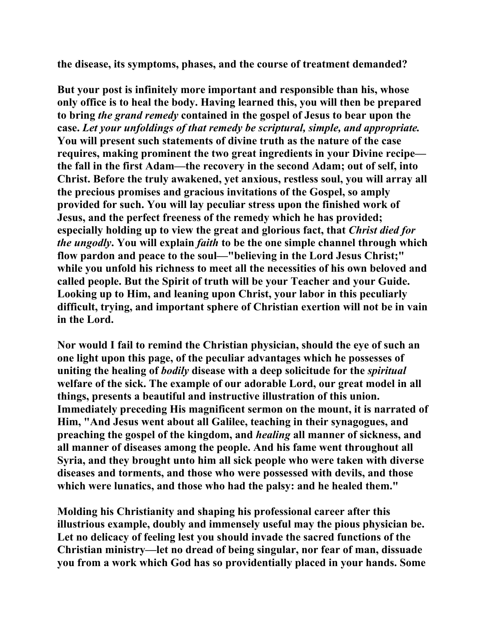**the disease, its symptoms, phases, and the course of treatment demanded?** 

**But your post is infinitely more important and responsible than his, whose only office is to heal the body. Having learned this, you will then be prepared to bring** *the grand remedy* **contained in the gospel of Jesus to bear upon the case.** *Let your unfoldings of that remedy be scriptural, simple, and appropriate.* **You will present such statements of divine truth as the nature of the case requires, making prominent the two great ingredients in your Divine recipe the fall in the first Adam—the recovery in the second Adam; out of self, into Christ. Before the truly awakened, yet anxious, restless soul, you will array all the precious promises and gracious invitations of the Gospel, so amply provided for such. You will lay peculiar stress upon the finished work of Jesus, and the perfect freeness of the remedy which he has provided; especially holding up to view the great and glorious fact, that** *Christ died for the ungodly***. You will explain** *faith* **to be the one simple channel through which flow pardon and peace to the soul—"believing in the Lord Jesus Christ;" while you unfold his richness to meet all the necessities of his own beloved and called people. But the Spirit of truth will be your Teacher and your Guide. Looking up to Him, and leaning upon Christ, your labor in this peculiarly difficult, trying, and important sphere of Christian exertion will not be in vain in the Lord.** 

**Nor would I fail to remind the Christian physician, should the eye of such an one light upon this page, of the peculiar advantages which he possesses of uniting the healing of** *bodily* **disease with a deep solicitude for the** *spiritual* **welfare of the sick. The example of our adorable Lord, our great model in all things, presents a beautiful and instructive illustration of this union. Immediately preceding His magnificent sermon on the mount, it is narrated of Him, "And Jesus went about all Galilee, teaching in their synagogues, and preaching the gospel of the kingdom, and** *healing* **all manner of sickness, and all manner of diseases among the people. And his fame went throughout all Syria, and they brought unto him all sick people who were taken with diverse diseases and torments, and those who were possessed with devils, and those which were lunatics, and those who had the palsy: and he healed them."** 

**Molding his Christianity and shaping his professional career after this illustrious example, doubly and immensely useful may the pious physician be. Let no delicacy of feeling lest you should invade the sacred functions of the Christian ministry—let no dread of being singular, nor fear of man, dissuade you from a work which God has so providentially placed in your hands. Some**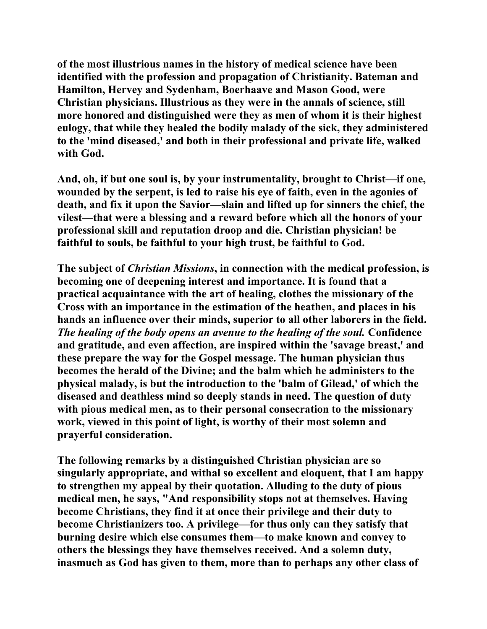**of the most illustrious names in the history of medical science have been identified with the profession and propagation of Christianity. Bateman and Hamilton, Hervey and Sydenham, Boerhaave and Mason Good, were Christian physicians. Illustrious as they were in the annals of science, still more honored and distinguished were they as men of whom it is their highest eulogy, that while they healed the bodily malady of the sick, they administered to the 'mind diseased,' and both in their professional and private life, walked with God.** 

**And, oh, if but one soul is, by your instrumentality, brought to Christ—if one, wounded by the serpent, is led to raise his eye of faith, even in the agonies of death, and fix it upon the Savior—slain and lifted up for sinners the chief, the vilest—that were a blessing and a reward before which all the honors of your professional skill and reputation droop and die. Christian physician! be faithful to souls, be faithful to your high trust, be faithful to God.** 

**The subject of** *Christian Missions***, in connection with the medical profession, is becoming one of deepening interest and importance. It is found that a practical acquaintance with the art of healing, clothes the missionary of the Cross with an importance in the estimation of the heathen, and places in his hands an influence over their minds, superior to all other laborers in the field.**  *The healing of the body opens an avenue to the healing of the soul.* **Confidence and gratitude, and even affection, are inspired within the 'savage breast,' and these prepare the way for the Gospel message. The human physician thus becomes the herald of the Divine; and the balm which he administers to the physical malady, is but the introduction to the 'balm of Gilead,' of which the diseased and deathless mind so deeply stands in need. The question of duty with pious medical men, as to their personal consecration to the missionary work, viewed in this point of light, is worthy of their most solemn and prayerful consideration.** 

**The following remarks by a distinguished Christian physician are so singularly appropriate, and withal so excellent and eloquent, that I am happy to strengthen my appeal by their quotation. Alluding to the duty of pious medical men, he says, "And responsibility stops not at themselves. Having become Christians, they find it at once their privilege and their duty to become Christianizers too. A privilege—for thus only can they satisfy that burning desire which else consumes them—to make known and convey to others the blessings they have themselves received. And a solemn duty, inasmuch as God has given to them, more than to perhaps any other class of**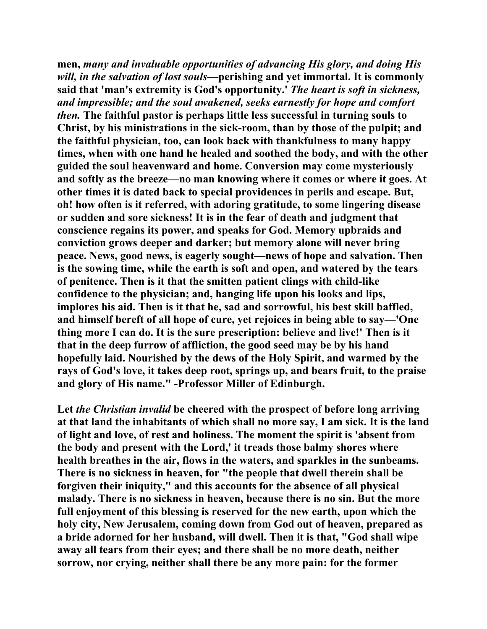**men,** *many and invaluable opportunities of advancing His glory, and doing His will, in the salvation of lost souls***—perishing and yet immortal. It is commonly said that 'man's extremity is God's opportunity.'** *The heart is soft in sickness, and impressible; and the soul awakened, seeks earnestly for hope and comfort then.* **The faithful pastor is perhaps little less successful in turning souls to Christ, by his ministrations in the sick-room, than by those of the pulpit; and the faithful physician, too, can look back with thankfulness to many happy times, when with one hand he healed and soothed the body, and with the other guided the soul heavenward and home. Conversion may come mysteriously and softly as the breeze—no man knowing where it comes or where it goes. At other times it is dated back to special providences in perils and escape. But, oh! how often is it referred, with adoring gratitude, to some lingering disease or sudden and sore sickness! It is in the fear of death and judgment that conscience regains its power, and speaks for God. Memory upbraids and conviction grows deeper and darker; but memory alone will never bring peace. News, good news, is eagerly sought—news of hope and salvation. Then is the sowing time, while the earth is soft and open, and watered by the tears of penitence. Then is it that the smitten patient clings with child-like confidence to the physician; and, hanging life upon his looks and lips, implores his aid. Then is it that he, sad and sorrowful, his best skill baffled, and himself bereft of all hope of cure, yet rejoices in being able to say—'One thing more I can do. It is the sure prescription: believe and live!' Then is it that in the deep furrow of affliction, the good seed may be by his hand hopefully laid. Nourished by the dews of the Holy Spirit, and warmed by the rays of God's love, it takes deep root, springs up, and bears fruit, to the praise and glory of His name." -Professor Miller of Edinburgh.** 

**Let** *the Christian invalid* **be cheered with the prospect of before long arriving at that land the inhabitants of which shall no more say, I am sick. It is the land of light and love, of rest and holiness. The moment the spirit is 'absent from the body and present with the Lord,' it treads those balmy shores where health breathes in the air, flows in the waters, and sparkles in the sunbeams. There is no sickness in heaven, for "the people that dwell therein shall be forgiven their iniquity," and this accounts for the absence of all physical malady. There is no sickness in heaven, because there is no sin. But the more full enjoyment of this blessing is reserved for the new earth, upon which the holy city, New Jerusalem, coming down from God out of heaven, prepared as a bride adorned for her husband, will dwell. Then it is that, "God shall wipe away all tears from their eyes; and there shall be no more death, neither sorrow, nor crying, neither shall there be any more pain: for the former**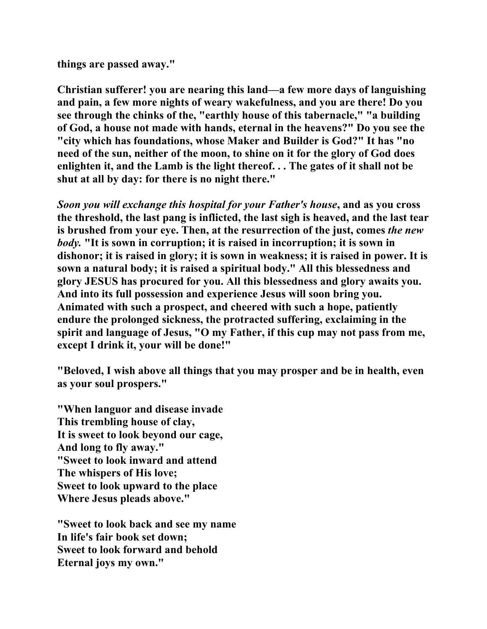**things are passed away."** 

**Christian sufferer! you are nearing this land—a few more days of languishing and pain, a few more nights of weary wakefulness, and you are there! Do you see through the chinks of the, "earthly house of this tabernacle," "a building of God, a house not made with hands, eternal in the heavens?" Do you see the "city which has foundations, whose Maker and Builder is God?" It has "no need of the sun, neither of the moon, to shine on it for the glory of God does enlighten it, and the Lamb is the light thereof. . . The gates of it shall not be shut at all by day: for there is no night there."** 

*Soon you will exchange this hospital for your Father's house***, and as you cross the threshold, the last pang is inflicted, the last sigh is heaved, and the last tear is brushed from your eye. Then, at the resurrection of the just, comes** *the new body.* **"It is sown in corruption; it is raised in incorruption; it is sown in dishonor; it is raised in glory; it is sown in weakness; it is raised in power. It is sown a natural body; it is raised a spiritual body." All this blessedness and glory JESUS has procured for you. All this blessedness and glory awaits you. And into its full possession and experience Jesus will soon bring you. Animated with such a prospect, and cheered with such a hope, patiently endure the prolonged sickness, the protracted suffering, exclaiming in the spirit and language of Jesus, "O my Father, if this cup may not pass from me, except I drink it, your will be done!"** 

**"Beloved, I wish above all things that you may prosper and be in health, even as your soul prospers."** 

**"When languor and disease invade This trembling house of clay, It is sweet to look beyond our cage, And long to fly away." "Sweet to look inward and attend The whispers of His love; Sweet to look upward to the place Where Jesus pleads above."** 

**"Sweet to look back and see my name In life's fair book set down; Sweet to look forward and behold Eternal joys my own."**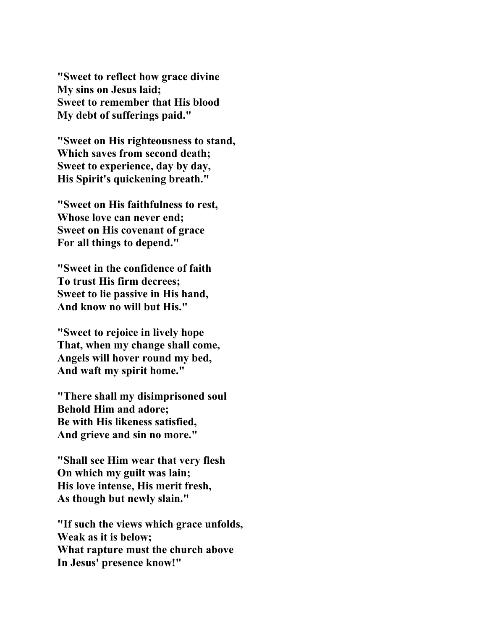**"Sweet to reflect how grace divine My sins on Jesus laid; Sweet to remember that His blood My debt of sufferings paid."** 

**"Sweet on His righteousness to stand, Which saves from second death; Sweet to experience, day by day, His Spirit's quickening breath."** 

**"Sweet on His faithfulness to rest, Whose love can never end; Sweet on His covenant of grace For all things to depend."** 

**"Sweet in the confidence of faith To trust His firm decrees; Sweet to lie passive in His hand, And know no will but His."** 

**"Sweet to rejoice in lively hope That, when my change shall come, Angels will hover round my bed, And waft my spirit home."** 

**"There shall my disimprisoned soul Behold Him and adore; Be with His likeness satisfied, And grieve and sin no more."** 

**"Shall see Him wear that very flesh On which my guilt was lain; His love intense, His merit fresh, As though but newly slain."** 

**"If such the views which grace unfolds, Weak as it is below; What rapture must the church above In Jesus' presence know!"**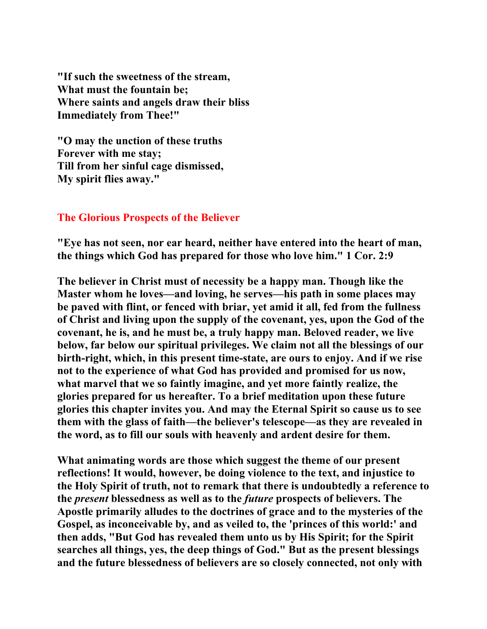**"If such the sweetness of the stream, What must the fountain be; Where saints and angels draw their bliss Immediately from Thee!"** 

**"O may the unction of these truths Forever with me stay; Till from her sinful cage dismissed, My spirit flies away."** 

## **The Glorious Prospects of the Believer**

**"Eye has not seen, nor ear heard, neither have entered into the heart of man, the things which God has prepared for those who love him." 1 Cor. 2:9** 

**The believer in Christ must of necessity be a happy man. Though like the Master whom he loves—and loving, he serves—his path in some places may be paved with flint, or fenced with briar, yet amid it all, fed from the fullness of Christ and living upon the supply of the covenant, yes, upon the God of the covenant, he is, and he must be, a truly happy man. Beloved reader, we live below, far below our spiritual privileges. We claim not all the blessings of our birth-right, which, in this present time-state, are ours to enjoy. And if we rise not to the experience of what God has provided and promised for us now, what marvel that we so faintly imagine, and yet more faintly realize, the glories prepared for us hereafter. To a brief meditation upon these future glories this chapter invites you. And may the Eternal Spirit so cause us to see them with the glass of faith—the believer's telescope—as they are revealed in the word, as to fill our souls with heavenly and ardent desire for them.** 

**What animating words are those which suggest the theme of our present reflections! It would, however, be doing violence to the text, and injustice to the Holy Spirit of truth, not to remark that there is undoubtedly a reference to the** *present* **blessedness as well as to the** *future* **prospects of believers. The Apostle primarily alludes to the doctrines of grace and to the mysteries of the Gospel, as inconceivable by, and as veiled to, the 'princes of this world:' and then adds, "But God has revealed them unto us by His Spirit; for the Spirit searches all things, yes, the deep things of God." But as the present blessings and the future blessedness of believers are so closely connected, not only with**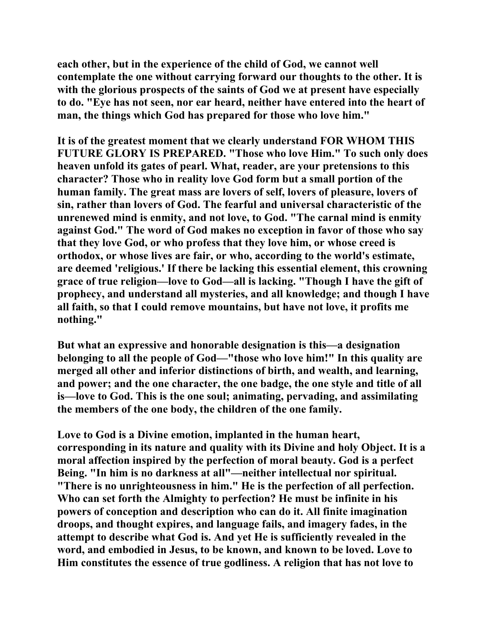**each other, but in the experience of the child of God, we cannot well contemplate the one without carrying forward our thoughts to the other. It is with the glorious prospects of the saints of God we at present have especially to do. "Eye has not seen, nor ear heard, neither have entered into the heart of man, the things which God has prepared for those who love him."** 

**It is of the greatest moment that we clearly understand FOR WHOM THIS FUTURE GLORY IS PREPARED. "Those who love Him." To such only does heaven unfold its gates of pearl. What, reader, are your pretensions to this character? Those who in reality love God form but a small portion of the human family. The great mass are lovers of self, lovers of pleasure, lovers of sin, rather than lovers of God. The fearful and universal characteristic of the unrenewed mind is enmity, and not love, to God. "The carnal mind is enmity against God." The word of God makes no exception in favor of those who say that they love God, or who profess that they love him, or whose creed is orthodox, or whose lives are fair, or who, according to the world's estimate, are deemed 'religious.' If there be lacking this essential element, this crowning grace of true religion—love to God—all is lacking. "Though I have the gift of prophecy, and understand all mysteries, and all knowledge; and though I have all faith, so that I could remove mountains, but have not love, it profits me nothing."** 

**But what an expressive and honorable designation is this—a designation belonging to all the people of God—"those who love him!" In this quality are merged all other and inferior distinctions of birth, and wealth, and learning, and power; and the one character, the one badge, the one style and title of all is—love to God. This is the one soul; animating, pervading, and assimilating the members of the one body, the children of the one family.** 

**Love to God is a Divine emotion, implanted in the human heart, corresponding in its nature and quality with its Divine and holy Object. It is a moral affection inspired by the perfection of moral beauty. God is a perfect Being. "In him is no darkness at all"—neither intellectual nor spiritual. "There is no unrighteousness in him." He is the perfection of all perfection. Who can set forth the Almighty to perfection? He must be infinite in his powers of conception and description who can do it. All finite imagination droops, and thought expires, and language fails, and imagery fades, in the attempt to describe what God is. And yet He is sufficiently revealed in the word, and embodied in Jesus, to be known, and known to be loved. Love to Him constitutes the essence of true godliness. A religion that has not love to**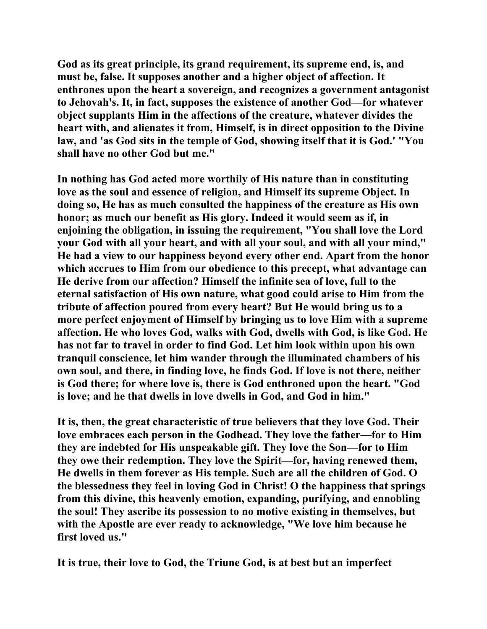**God as its great principle, its grand requirement, its supreme end, is, and must be, false. It supposes another and a higher object of affection. It enthrones upon the heart a sovereign, and recognizes a government antagonist to Jehovah's. It, in fact, supposes the existence of another God—for whatever object supplants Him in the affections of the creature, whatever divides the heart with, and alienates it from, Himself, is in direct opposition to the Divine law, and 'as God sits in the temple of God, showing itself that it is God.' "You shall have no other God but me."** 

**In nothing has God acted more worthily of His nature than in constituting love as the soul and essence of religion, and Himself its supreme Object. In doing so, He has as much consulted the happiness of the creature as His own honor; as much our benefit as His glory. Indeed it would seem as if, in enjoining the obligation, in issuing the requirement, "You shall love the Lord your God with all your heart, and with all your soul, and with all your mind," He had a view to our happiness beyond every other end. Apart from the honor which accrues to Him from our obedience to this precept, what advantage can He derive from our affection? Himself the infinite sea of love, full to the eternal satisfaction of His own nature, what good could arise to Him from the tribute of affection poured from every heart? But He would bring us to a more perfect enjoyment of Himself by bringing us to love Him with a supreme affection. He who loves God, walks with God, dwells with God, is like God. He has not far to travel in order to find God. Let him look within upon his own tranquil conscience, let him wander through the illuminated chambers of his own soul, and there, in finding love, he finds God. If love is not there, neither is God there; for where love is, there is God enthroned upon the heart. "God is love; and he that dwells in love dwells in God, and God in him."** 

**It is, then, the great characteristic of true believers that they love God. Their love embraces each person in the Godhead. They love the father—for to Him they are indebted for His unspeakable gift. They love the Son—for to Him they owe their redemption. They love the Spirit—for, having renewed them, He dwells in them forever as His temple. Such are all the children of God. O the blessedness they feel in loving God in Christ! O the happiness that springs from this divine, this heavenly emotion, expanding, purifying, and ennobling the soul! They ascribe its possession to no motive existing in themselves, but with the Apostle are ever ready to acknowledge, "We love him because he first loved us."** 

**It is true, their love to God, the Triune God, is at best but an imperfect**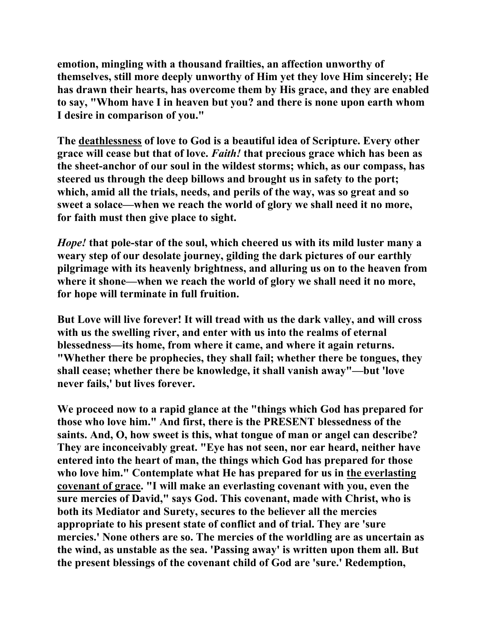**emotion, mingling with a thousand frailties, an affection unworthy of themselves, still more deeply unworthy of Him yet they love Him sincerely; He has drawn their hearts, has overcome them by His grace, and they are enabled to say, "Whom have I in heaven but you? and there is none upon earth whom I desire in comparison of you."** 

**The deathlessness of love to God is a beautiful idea of Scripture. Every other grace will cease but that of love.** *Faith!* **that precious grace which has been as the sheet-anchor of our soul in the wildest storms; which, as our compass, has steered us through the deep billows and brought us in safety to the port; which, amid all the trials, needs, and perils of the way, was so great and so sweet a solace—when we reach the world of glory we shall need it no more, for faith must then give place to sight.** 

*Hope!* **that pole-star of the soul, which cheered us with its mild luster many a weary step of our desolate journey, gilding the dark pictures of our earthly pilgrimage with its heavenly brightness, and alluring us on to the heaven from where it shone—when we reach the world of glory we shall need it no more, for hope will terminate in full fruition.** 

**But Love will live forever! It will tread with us the dark valley, and will cross with us the swelling river, and enter with us into the realms of eternal blessedness—its home, from where it came, and where it again returns. "Whether there be prophecies, they shall fail; whether there be tongues, they shall cease; whether there be knowledge, it shall vanish away"—but 'love never fails,' but lives forever.** 

**We proceed now to a rapid glance at the "things which God has prepared for those who love him." And first, there is the PRESENT blessedness of the saints. And, O, how sweet is this, what tongue of man or angel can describe? They are inconceivably great. "Eye has not seen, nor ear heard, neither have entered into the heart of man, the things which God has prepared for those who love him." Contemplate what He has prepared for us in the everlasting covenant of grace. "I will make an everlasting covenant with you, even the sure mercies of David," says God. This covenant, made with Christ, who is both its Mediator and Surety, secures to the believer all the mercies appropriate to his present state of conflict and of trial. They are 'sure mercies.' None others are so. The mercies of the worldling are as uncertain as the wind, as unstable as the sea. 'Passing away' is written upon them all. But the present blessings of the covenant child of God are 'sure.' Redemption,**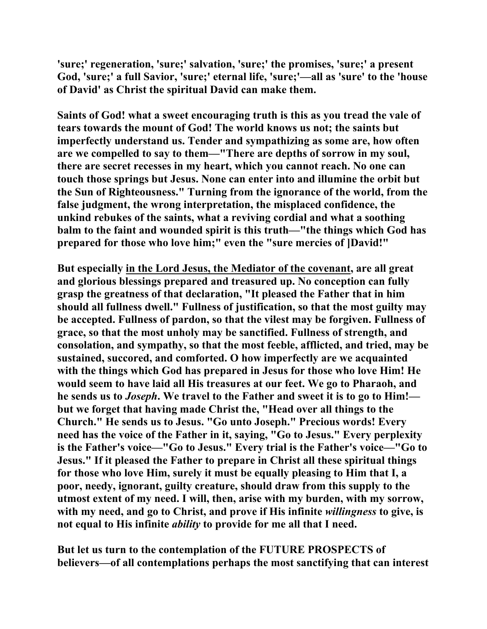**'sure;' regeneration, 'sure;' salvation, 'sure;' the promises, 'sure;' a present God, 'sure;' a full Savior, 'sure;' eternal life, 'sure;'—all as 'sure' to the 'house of David' as Christ the spiritual David can make them.** 

**Saints of God! what a sweet encouraging truth is this as you tread the vale of tears towards the mount of God! The world knows us not; the saints but imperfectly understand us. Tender and sympathizing as some are, how often are we compelled to say to them—"There are depths of sorrow in my soul, there are secret recesses in my heart, which you cannot reach. No one can touch those springs but Jesus. None can enter into and illumine the orbit but the Sun of Righteousness." Turning from the ignorance of the world, from the false judgment, the wrong interpretation, the misplaced confidence, the unkind rebukes of the saints, what a reviving cordial and what a soothing balm to the faint and wounded spirit is this truth—"the things which God has prepared for those who love him;" even the "sure mercies of ]David!"** 

**But especially in the Lord Jesus, the Mediator of the covenant, are all great and glorious blessings prepared and treasured up. No conception can fully grasp the greatness of that declaration, "It pleased the Father that in him should all fullness dwell." Fullness of justification, so that the most guilty may be accepted. Fullness of pardon, so that the vilest may be forgiven. Fullness of grace, so that the most unholy may be sanctified. Fullness of strength, and consolation, and sympathy, so that the most feeble, afflicted, and tried, may be sustained, succored, and comforted. O how imperfectly are we acquainted with the things which God has prepared in Jesus for those who love Him! He would seem to have laid all His treasures at our feet. We go to Pharaoh, and he sends us to** *Joseph***. We travel to the Father and sweet it is to go to Him! but we forget that having made Christ the, "Head over all things to the Church." He sends us to Jesus. "Go unto Joseph." Precious words! Every need has the voice of the Father in it, saying, "Go to Jesus." Every perplexity is the Father's voice—"Go to Jesus." Every trial is the Father's voice—"Go to Jesus." If it pleased the Father to prepare in Christ all these spiritual things for those who love Him, surely it must be equally pleasing to Him that I, a poor, needy, ignorant, guilty creature, should draw from this supply to the utmost extent of my need. I will, then, arise with my burden, with my sorrow, with my need, and go to Christ, and prove if His infinite** *willingness* **to give, is not equal to His infinite** *ability* **to provide for me all that I need.** 

**But let us turn to the contemplation of the FUTURE PROSPECTS of believers—of all contemplations perhaps the most sanctifying that can interest**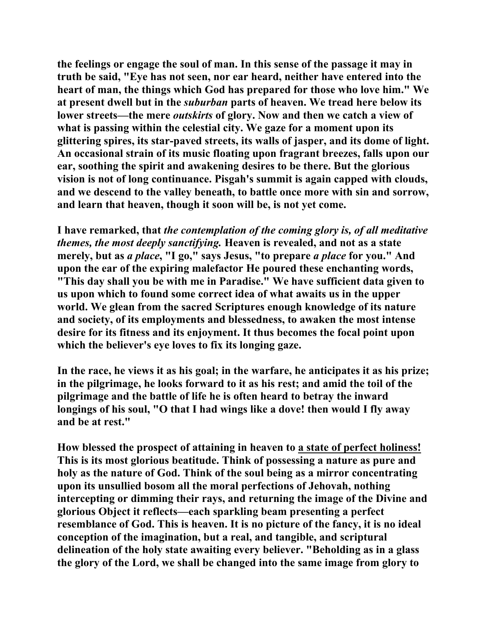**the feelings or engage the soul of man. In this sense of the passage it may in truth be said, "Eye has not seen, nor ear heard, neither have entered into the heart of man, the things which God has prepared for those who love him." We at present dwell but in the** *suburban* **parts of heaven. We tread here below its lower streets—the mere** *outskirts* **of glory. Now and then we catch a view of what is passing within the celestial city. We gaze for a moment upon its glittering spires, its star-paved streets, its walls of jasper, and its dome of light. An occasional strain of its music floating upon fragrant breezes, falls upon our ear, soothing the spirit and awakening desires to be there. But the glorious vision is not of long continuance. Pisgah's summit is again capped with clouds, and we descend to the valley beneath, to battle once more with sin and sorrow, and learn that heaven, though it soon will be, is not yet come.** 

**I have remarked, that** *the contemplation of the coming glory is, of all meditative themes, the most deeply sanctifying.* **Heaven is revealed, and not as a state merely, but as** *a place***, "I go," says Jesus, "to prepare** *a place* **for you." And upon the ear of the expiring malefactor He poured these enchanting words, "This day shall you be with me in Paradise." We have sufficient data given to us upon which to found some correct idea of what awaits us in the upper world. We glean from the sacred Scriptures enough knowledge of its nature and society, of its employments and blessedness, to awaken the most intense desire for its fitness and its enjoyment. It thus becomes the focal point upon which the believer's eye loves to fix its longing gaze.** 

**In the race, he views it as his goal; in the warfare, he anticipates it as his prize; in the pilgrimage, he looks forward to it as his rest; and amid the toil of the pilgrimage and the battle of life he is often heard to betray the inward longings of his soul, "O that I had wings like a dove! then would I fly away and be at rest."** 

**How blessed the prospect of attaining in heaven to a state of perfect holiness! This is its most glorious beatitude. Think of possessing a nature as pure and holy as the nature of God. Think of the soul being as a mirror concentrating upon its unsullied bosom all the moral perfections of Jehovah, nothing intercepting or dimming their rays, and returning the image of the Divine and glorious Object it reflects—each sparkling beam presenting a perfect resemblance of God. This is heaven. It is no picture of the fancy, it is no ideal conception of the imagination, but a real, and tangible, and scriptural delineation of the holy state awaiting every believer. "Beholding as in a glass the glory of the Lord, we shall be changed into the same image from glory to**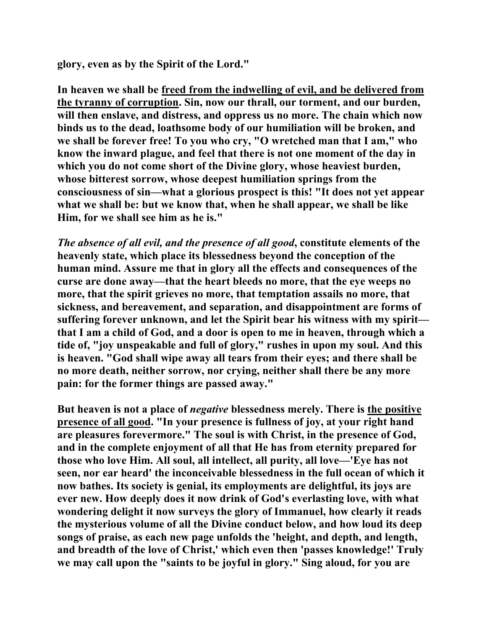**glory, even as by the Spirit of the Lord."** 

**In heaven we shall be freed from the indwelling of evil, and be delivered from the tyranny of corruption. Sin, now our thrall, our torment, and our burden, will then enslave, and distress, and oppress us no more. The chain which now binds us to the dead, loathsome body of our humiliation will be broken, and we shall be forever free! To you who cry, "O wretched man that I am," who know the inward plague, and feel that there is not one moment of the day in which you do not come short of the Divine glory, whose heaviest burden, whose bitterest sorrow, whose deepest humiliation springs from the consciousness of sin—what a glorious prospect is this! "It does not yet appear what we shall be: but we know that, when he shall appear, we shall be like Him, for we shall see him as he is."** 

*The absence of all evil, and the presence of all good***, constitute elements of the heavenly state, which place its blessedness beyond the conception of the human mind. Assure me that in glory all the effects and consequences of the curse are done away—that the heart bleeds no more, that the eye weeps no more, that the spirit grieves no more, that temptation assails no more, that sickness, and bereavement, and separation, and disappointment are forms of suffering forever unknown, and let the Spirit bear his witness with my spirit that I am a child of God, and a door is open to me in heaven, through which a tide of, "joy unspeakable and full of glory," rushes in upon my soul. And this is heaven. "God shall wipe away all tears from their eyes; and there shall be no more death, neither sorrow, nor crying, neither shall there be any more pain: for the former things are passed away."** 

**But heaven is not a place of** *negative* **blessedness merely. There is the positive presence of all good. "In your presence is fullness of joy, at your right hand are pleasures forevermore." The soul is with Christ, in the presence of God, and in the complete enjoyment of all that He has from eternity prepared for those who love Him. All soul, all intellect, all purity, all love—'Eye has not seen, nor ear heard' the inconceivable blessedness in the full ocean of which it now bathes. Its society is genial, its employments are delightful, its joys are ever new. How deeply does it now drink of God's everlasting love, with what wondering delight it now surveys the glory of Immanuel, how clearly it reads the mysterious volume of all the Divine conduct below, and how loud its deep songs of praise, as each new page unfolds the 'height, and depth, and length, and breadth of the love of Christ,' which even then 'passes knowledge!' Truly we may call upon the "saints to be joyful in glory." Sing aloud, for you are**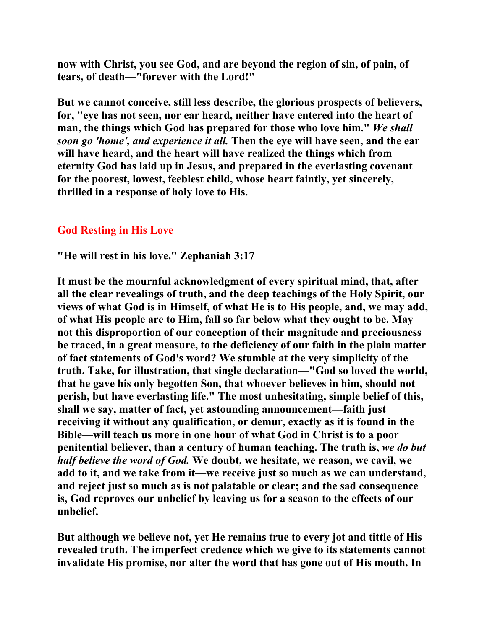**now with Christ, you see God, and are beyond the region of sin, of pain, of tears, of death—"forever with the Lord!"** 

**But we cannot conceive, still less describe, the glorious prospects of believers, for, "eye has not seen, nor ear heard, neither have entered into the heart of man, the things which God has prepared for those who love him."** *We shall soon go 'home', and experience it all.* **Then the eye will have seen, and the ear will have heard, and the heart will have realized the things which from eternity God has laid up in Jesus, and prepared in the everlasting covenant for the poorest, lowest, feeblest child, whose heart faintly, yet sincerely, thrilled in a response of holy love to His.** 

## **God Resting in His Love**

**"He will rest in his love." Zephaniah 3:17** 

**It must be the mournful acknowledgment of every spiritual mind, that, after all the clear revealings of truth, and the deep teachings of the Holy Spirit, our views of what God is in Himself, of what He is to His people, and, we may add, of what His people are to Him, fall so far below what they ought to be. May not this disproportion of our conception of their magnitude and preciousness be traced, in a great measure, to the deficiency of our faith in the plain matter of fact statements of God's word? We stumble at the very simplicity of the truth. Take, for illustration, that single declaration—"God so loved the world, that he gave his only begotten Son, that whoever believes in him, should not perish, but have everlasting life." The most unhesitating, simple belief of this, shall we say, matter of fact, yet astounding announcement—faith just receiving it without any qualification, or demur, exactly as it is found in the Bible—will teach us more in one hour of what God in Christ is to a poor penitential believer, than a century of human teaching. The truth is,** *we do but half believe the word of God.* **We doubt, we hesitate, we reason, we cavil, we add to it, and we take from it—we receive just so much as we can understand, and reject just so much as is not palatable or clear; and the sad consequence is, God reproves our unbelief by leaving us for a season to the effects of our unbelief.** 

**But although we believe not, yet He remains true to every jot and tittle of His revealed truth. The imperfect credence which we give to its statements cannot invalidate His promise, nor alter the word that has gone out of His mouth. In**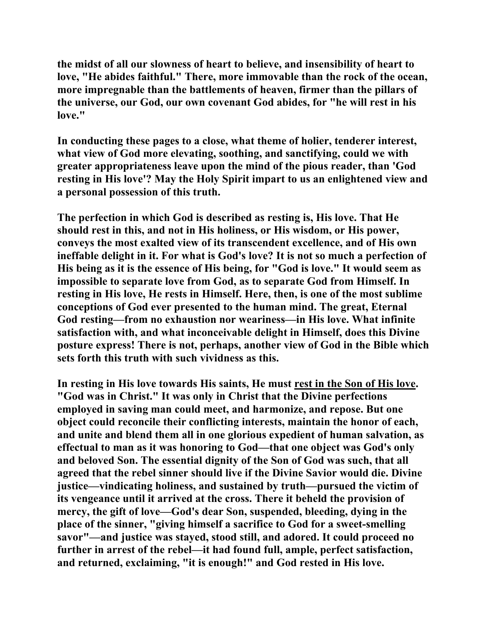**the midst of all our slowness of heart to believe, and insensibility of heart to love, "He abides faithful." There, more immovable than the rock of the ocean, more impregnable than the battlements of heaven, firmer than the pillars of the universe, our God, our own covenant God abides, for "he will rest in his love."** 

**In conducting these pages to a close, what theme of holier, tenderer interest, what view of God more elevating, soothing, and sanctifying, could we with greater appropriateness leave upon the mind of the pious reader, than 'God resting in His love'? May the Holy Spirit impart to us an enlightened view and a personal possession of this truth.** 

**The perfection in which God is described as resting is, His love. That He should rest in this, and not in His holiness, or His wisdom, or His power, conveys the most exalted view of its transcendent excellence, and of His own ineffable delight in it. For what is God's love? It is not so much a perfection of His being as it is the essence of His being, for "God is love." It would seem as impossible to separate love from God, as to separate God from Himself. In resting in His love, He rests in Himself. Here, then, is one of the most sublime conceptions of God ever presented to the human mind. The great, Eternal God resting—from no exhaustion nor weariness—in His love. What infinite satisfaction with, and what inconceivable delight in Himself, does this Divine posture express! There is not, perhaps, another view of God in the Bible which sets forth this truth with such vividness as this.** 

**In resting in His love towards His saints, He must rest in the Son of His love. "God was in Christ." It was only in Christ that the Divine perfections employed in saving man could meet, and harmonize, and repose. But one object could reconcile their conflicting interests, maintain the honor of each, and unite and blend them all in one glorious expedient of human salvation, as effectual to man as it was honoring to God—that one object was God's only and beloved Son. The essential dignity of the Son of God was such, that all agreed that the rebel sinner should live if the Divine Savior would die. Divine justice—vindicating holiness, and sustained by truth—pursued the victim of its vengeance until it arrived at the cross. There it beheld the provision of mercy, the gift of love—God's dear Son, suspended, bleeding, dying in the place of the sinner, "giving himself a sacrifice to God for a sweet-smelling savor"—and justice was stayed, stood still, and adored. It could proceed no further in arrest of the rebel—it had found full, ample, perfect satisfaction, and returned, exclaiming, "it is enough!" and God rested in His love.**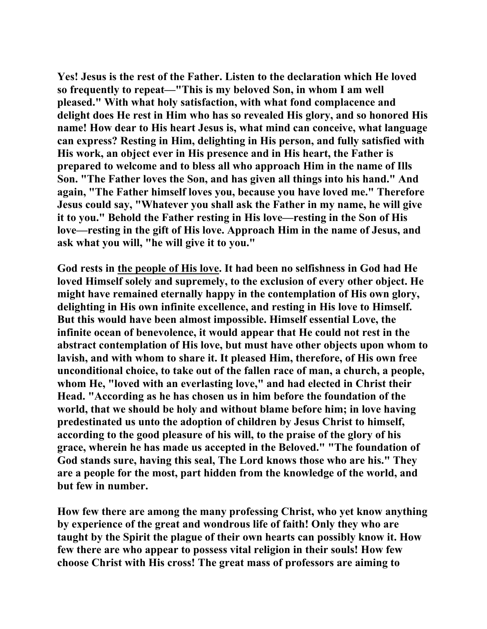**Yes! Jesus is the rest of the Father. Listen to the declaration which He loved so frequently to repeat—"This is my beloved Son, in whom I am well pleased." With what holy satisfaction, with what fond complacence and delight does He rest in Him who has so revealed His glory, and so honored His name! How dear to His heart Jesus is, what mind can conceive, what language can express? Resting in Him, delighting in His person, and fully satisfied with His work, an object ever in His presence and in His heart, the Father is prepared to welcome and to bless all who approach Him in the name of Ills Son. "The Father loves the Son, and has given all things into his hand." And again, "The Father himself loves you, because you have loved me." Therefore Jesus could say, "Whatever you shall ask the Father in my name, he will give it to you." Behold the Father resting in His love—resting in the Son of His love—resting in the gift of His love. Approach Him in the name of Jesus, and ask what you will, "he will give it to you."** 

**God rests in the people of His love. It had been no selfishness in God had He loved Himself solely and supremely, to the exclusion of every other object. He might have remained eternally happy in the contemplation of His own glory, delighting in His own infinite excellence, and resting in His love to Himself. But this would have been almost impossible. Himself essential Love, the infinite ocean of benevolence, it would appear that He could not rest in the abstract contemplation of His love, but must have other objects upon whom to lavish, and with whom to share it. It pleased Him, therefore, of His own free unconditional choice, to take out of the fallen race of man, a church, a people, whom He, "loved with an everlasting love," and had elected in Christ their Head. "According as he has chosen us in him before the foundation of the world, that we should be holy and without blame before him; in love having predestinated us unto the adoption of children by Jesus Christ to himself, according to the good pleasure of his will, to the praise of the glory of his grace, wherein he has made us accepted in the Beloved." "The foundation of God stands sure, having this seal, The Lord knows those who are his." They are a people for the most, part hidden from the knowledge of the world, and but few in number.** 

**How few there are among the many professing Christ, who yet know anything by experience of the great and wondrous life of faith! Only they who are taught by the Spirit the plague of their own hearts can possibly know it. How few there are who appear to possess vital religion in their souls! How few choose Christ with His cross! The great mass of professors are aiming to**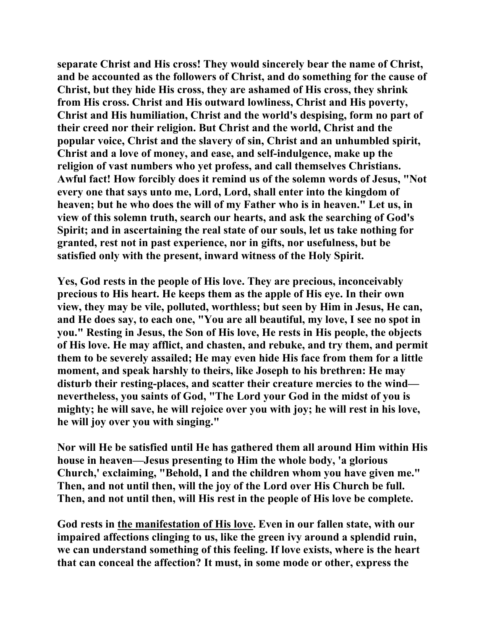**separate Christ and His cross! They would sincerely bear the name of Christ, and be accounted as the followers of Christ, and do something for the cause of Christ, but they hide His cross, they are ashamed of His cross, they shrink from His cross. Christ and His outward lowliness, Christ and His poverty, Christ and His humiliation, Christ and the world's despising, form no part of their creed nor their religion. But Christ and the world, Christ and the popular voice, Christ and the slavery of sin, Christ and an unhumbled spirit, Christ and a love of money, and ease, and self-indulgence, make up the religion of vast numbers who yet profess, and call themselves Christians. Awful fact! How forcibly does it remind us of the solemn words of Jesus, "Not every one that says unto me, Lord, Lord, shall enter into the kingdom of heaven; but he who does the will of my Father who is in heaven." Let us, in view of this solemn truth, search our hearts, and ask the searching of God's Spirit; and in ascertaining the real state of our souls, let us take nothing for granted, rest not in past experience, nor in gifts, nor usefulness, but be satisfied only with the present, inward witness of the Holy Spirit.** 

**Yes, God rests in the people of His love. They are precious, inconceivably precious to His heart. He keeps them as the apple of His eye. In their own view, they may be vile, polluted, worthless; but seen by Him in Jesus, He can, and He does say, to each one, "You are all beautiful, my love, I see no spot in you." Resting in Jesus, the Son of His love, He rests in His people, the objects of His love. He may afflict, and chasten, and rebuke, and try them, and permit them to be severely assailed; He may even hide His face from them for a little moment, and speak harshly to theirs, like Joseph to his brethren: He may disturb their resting-places, and scatter their creature mercies to the wind nevertheless, you saints of God, "The Lord your God in the midst of you is mighty; he will save, he will rejoice over you with joy; he will rest in his love, he will joy over you with singing."** 

**Nor will He be satisfied until He has gathered them all around Him within His house in heaven—Jesus presenting to Him the whole body, 'a glorious Church,' exclaiming, "Behold, I and the children whom you have given me." Then, and not until then, will the joy of the Lord over His Church be full. Then, and not until then, will His rest in the people of His love be complete.** 

**God rests in the manifestation of His love. Even in our fallen state, with our impaired affections clinging to us, like the green ivy around a splendid ruin, we can understand something of this feeling. If love exists, where is the heart that can conceal the affection? It must, in some mode or other, express the**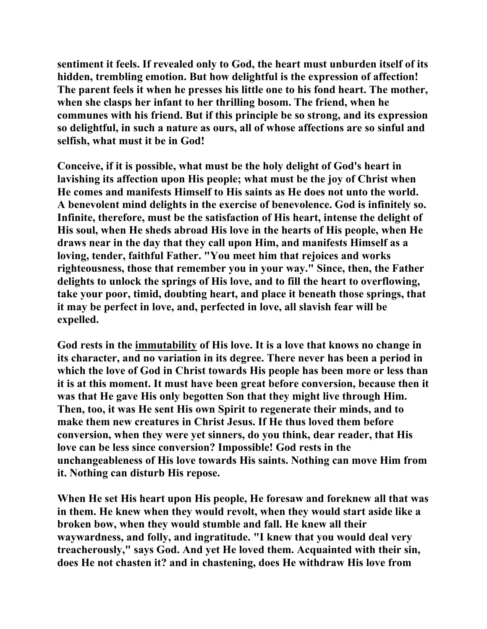**sentiment it feels. If revealed only to God, the heart must unburden itself of its hidden, trembling emotion. But how delightful is the expression of affection! The parent feels it when he presses his little one to his fond heart. The mother, when she clasps her infant to her thrilling bosom. The friend, when he communes with his friend. But if this principle be so strong, and its expression so delightful, in such a nature as ours, all of whose affections are so sinful and selfish, what must it be in God!** 

**Conceive, if it is possible, what must be the holy delight of God's heart in lavishing its affection upon His people; what must be the joy of Christ when He comes and manifests Himself to His saints as He does not unto the world. A benevolent mind delights in the exercise of benevolence. God is infinitely so. Infinite, therefore, must be the satisfaction of His heart, intense the delight of His soul, when He sheds abroad His love in the hearts of His people, when He draws near in the day that they call upon Him, and manifests Himself as a loving, tender, faithful Father. "You meet him that rejoices and works righteousness, those that remember you in your way." Since, then, the Father delights to unlock the springs of His love, and to fill the heart to overflowing, take your poor, timid, doubting heart, and place it beneath those springs, that it may be perfect in love, and, perfected in love, all slavish fear will be expelled.** 

**God rests in the immutability of His love. It is a love that knows no change in its character, and no variation in its degree. There never has been a period in which the love of God in Christ towards His people has been more or less than it is at this moment. It must have been great before conversion, because then it was that He gave His only begotten Son that they might live through Him. Then, too, it was He sent His own Spirit to regenerate their minds, and to make them new creatures in Christ Jesus. If He thus loved them before conversion, when they were yet sinners, do you think, dear reader, that His love can be less since conversion? Impossible! God rests in the unchangeableness of His love towards His saints. Nothing can move Him from it. Nothing can disturb His repose.** 

**When He set His heart upon His people, He foresaw and foreknew all that was in them. He knew when they would revolt, when they would start aside like a broken bow, when they would stumble and fall. He knew all their waywardness, and folly, and ingratitude. "I knew that you would deal very treacherously," says God. And yet He loved them. Acquainted with their sin, does He not chasten it? and in chastening, does He withdraw His love from**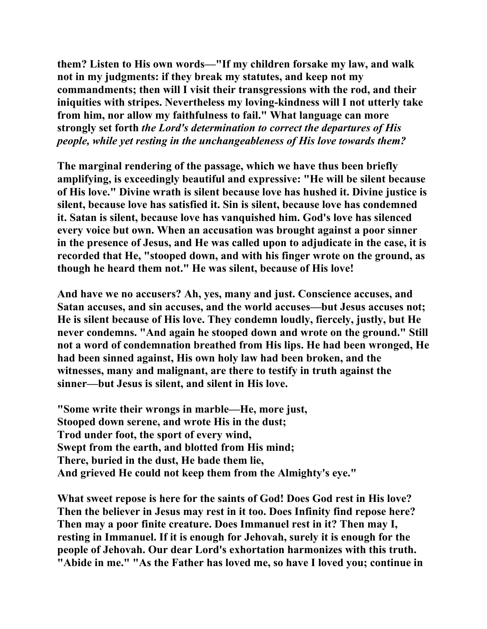**them? Listen to His own words—"If my children forsake my law, and walk not in my judgments: if they break my statutes, and keep not my commandments; then will I visit their transgressions with the rod, and their iniquities with stripes. Nevertheless my loving-kindness will I not utterly take from him, nor allow my faithfulness to fail." What language can more strongly set forth** *the Lord's determination to correct the departures of His people, while yet resting in the unchangeableness of His love towards them?* 

**The marginal rendering of the passage, which we have thus been briefly amplifying, is exceedingly beautiful and expressive: "He will be silent because of His love." Divine wrath is silent because love has hushed it. Divine justice is silent, because love has satisfied it. Sin is silent, because love has condemned it. Satan is silent, because love has vanquished him. God's love has silenced every voice but own. When an accusation was brought against a poor sinner in the presence of Jesus, and He was called upon to adjudicate in the case, it is recorded that He, "stooped down, and with his finger wrote on the ground, as though he heard them not." He was silent, because of His love!** 

**And have we no accusers? Ah, yes, many and just. Conscience accuses, and Satan accuses, and sin accuses, and the world accuses—but Jesus accuses not; He is silent because of His love. They condemn loudly, fiercely, justly, but He never condemns. "And again he stooped down and wrote on the ground." Still not a word of condemnation breathed from His lips. He had been wronged, He had been sinned against, His own holy law had been broken, and the witnesses, many and malignant, are there to testify in truth against the sinner—but Jesus is silent, and silent in His love.** 

**"Some write their wrongs in marble—He, more just, Stooped down serene, and wrote His in the dust; Trod under foot, the sport of every wind, Swept from the earth, and blotted from His mind; There, buried in the dust, He bade them lie, And grieved He could not keep them from the Almighty's eye."** 

**What sweet repose is here for the saints of God! Does God rest in His love? Then the believer in Jesus may rest in it too. Does Infinity find repose here? Then may a poor finite creature. Does Immanuel rest in it? Then may I, resting in Immanuel. If it is enough for Jehovah, surely it is enough for the people of Jehovah. Our dear Lord's exhortation harmonizes with this truth. "Abide in me." "As the Father has loved me, so have I loved you; continue in**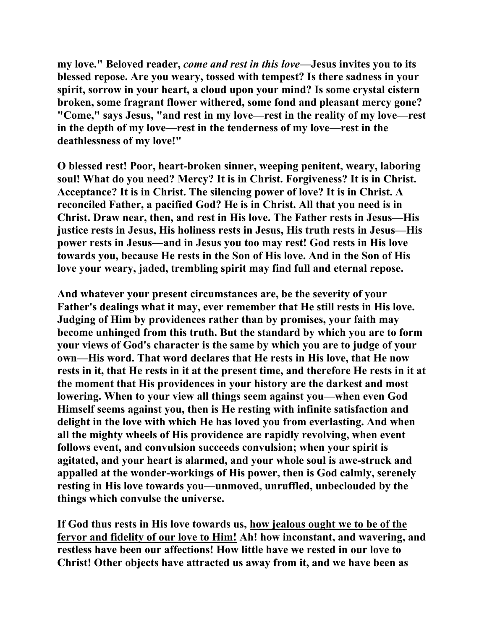**my love." Beloved reader,** *come and rest in this love***—Jesus invites you to its blessed repose. Are you weary, tossed with tempest? Is there sadness in your spirit, sorrow in your heart, a cloud upon your mind? Is some crystal cistern broken, some fragrant flower withered, some fond and pleasant mercy gone? "Come," says Jesus, "and rest in my love—rest in the reality of my love—rest in the depth of my love—rest in the tenderness of my love—rest in the deathlessness of my love!"** 

**O blessed rest! Poor, heart-broken sinner, weeping penitent, weary, laboring soul! What do you need? Mercy? It is in Christ. Forgiveness? It is in Christ. Acceptance? It is in Christ. The silencing power of love? It is in Christ. A reconciled Father, a pacified God? He is in Christ. All that you need is in Christ. Draw near, then, and rest in His love. The Father rests in Jesus—His justice rests in Jesus, His holiness rests in Jesus, His truth rests in Jesus—His power rests in Jesus—and in Jesus you too may rest! God rests in His love towards you, because He rests in the Son of His love. And in the Son of His love your weary, jaded, trembling spirit may find full and eternal repose.** 

**And whatever your present circumstances are, be the severity of your Father's dealings what it may, ever remember that He still rests in His love. Judging of Him by providences rather than by promises, your faith may become unhinged from this truth. But the standard by which you are to form your views of God's character is the same by which you are to judge of your own—His word. That word declares that He rests in His love, that He now rests in it, that He rests in it at the present time, and therefore He rests in it at the moment that His providences in your history are the darkest and most lowering. When to your view all things seem against you—when even God Himself seems against you, then is He resting with infinite satisfaction and delight in the love with which He has loved you from everlasting. And when all the mighty wheels of His providence are rapidly revolving, when event follows event, and convulsion succeeds convulsion; when your spirit is agitated, and your heart is alarmed, and your whole soul is awe-struck and appalled at the wonder-workings of His power, then is God calmly, serenely resting in His love towards you—unmoved, unruffled, unbeclouded by the things which convulse the universe.** 

**If God thus rests in His love towards us, how jealous ought we to be of the fervor and fidelity of our love to Him! Ah! how inconstant, and wavering, and restless have been our affections! How little have we rested in our love to Christ! Other objects have attracted us away from it, and we have been as**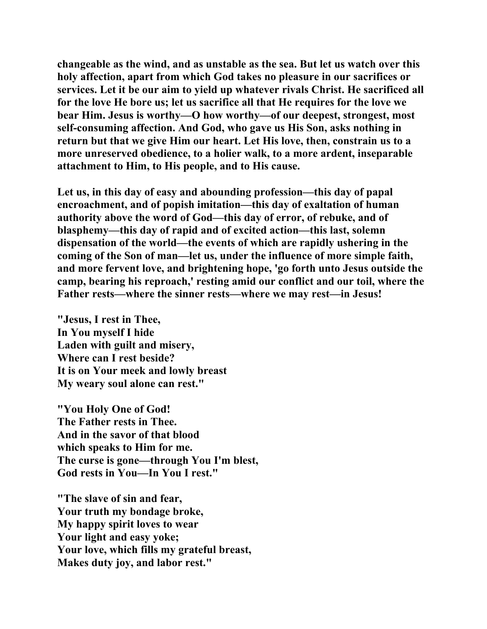**changeable as the wind, and as unstable as the sea. But let us watch over this holy affection, apart from which God takes no pleasure in our sacrifices or services. Let it be our aim to yield up whatever rivals Christ. He sacrificed all for the love He bore us; let us sacrifice all that He requires for the love we bear Him. Jesus is worthy—O how worthy—of our deepest, strongest, most self-consuming affection. And God, who gave us His Son, asks nothing in return but that we give Him our heart. Let His love, then, constrain us to a more unreserved obedience, to a holier walk, to a more ardent, inseparable attachment to Him, to His people, and to His cause.** 

**Let us, in this day of easy and abounding profession—this day of papal encroachment, and of popish imitation—this day of exaltation of human authority above the word of God—this day of error, of rebuke, and of blasphemy—this day of rapid and of excited action—this last, solemn dispensation of the world—the events of which are rapidly ushering in the coming of the Son of man—let us, under the influence of more simple faith, and more fervent love, and brightening hope, 'go forth unto Jesus outside the camp, bearing his reproach,' resting amid our conflict and our toil, where the Father rests—where the sinner rests—where we may rest—in Jesus!** 

**"Jesus, I rest in Thee, In You myself I hide Laden with guilt and misery, Where can I rest beside? It is on Your meek and lowly breast My weary soul alone can rest."** 

**"You Holy One of God! The Father rests in Thee. And in the savor of that blood which speaks to Him for me. The curse is gone—through You I'm blest, God rests in You—In You I rest."** 

**"The slave of sin and fear, Your truth my bondage broke, My happy spirit loves to wear Your light and easy yoke; Your love, which fills my grateful breast, Makes duty joy, and labor rest."**